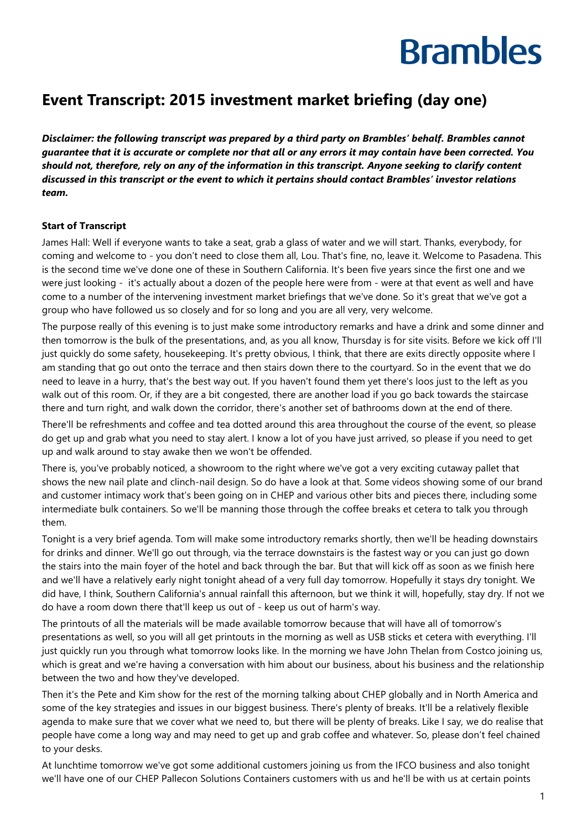#### **Event Transcript: 2015 investment market briefing (day one)**

*Disclaimer: the following transcript was prepared by a third party on Brambles' behalf. Brambles cannot guarantee that it is accurate or complete nor that all or any errors it may contain have been corrected. You should not, therefore, rely on any of the information in this transcript. Anyone seeking to clarify content discussed in this transcript or the event to which it pertains should contact Brambles' investor relations team.*

#### **Start of Transcript**

James Hall: Well if everyone wants to take a seat, grab a glass of water and we will start. Thanks, everybody, for coming and welcome to - you don't need to close them all, Lou. That's fine, no, leave it. Welcome to Pasadena. This is the second time we've done one of these in Southern California. It's been five years since the first one and we were just looking - it's actually about a dozen of the people here were from - were at that event as well and have come to a number of the intervening investment market briefings that we've done. So it's great that we've got a group who have followed us so closely and for so long and you are all very, very welcome.

The purpose really of this evening is to just make some introductory remarks and have a drink and some dinner and then tomorrow is the bulk of the presentations, and, as you all know, Thursday is for site visits. Before we kick off I'll just quickly do some safety, housekeeping. It's pretty obvious, I think, that there are exits directly opposite where I am standing that go out onto the terrace and then stairs down there to the courtyard. So in the event that we do need to leave in a hurry, that's the best way out. If you haven't found them yet there's loos just to the left as you walk out of this room. Or, if they are a bit congested, there are another load if you go back towards the staircase there and turn right, and walk down the corridor, there's another set of bathrooms down at the end of there.

There'll be refreshments and coffee and tea dotted around this area throughout the course of the event, so please do get up and grab what you need to stay alert. I know a lot of you have just arrived, so please if you need to get up and walk around to stay awake then we won't be offended.

There is, you've probably noticed, a showroom to the right where we've got a very exciting cutaway pallet that shows the new nail plate and clinch-nail design. So do have a look at that. Some videos showing some of our brand and customer intimacy work that's been going on in CHEP and various other bits and pieces there, including some intermediate bulk containers. So we'll be manning those through the coffee breaks et cetera to talk you through them.

Tonight is a very brief agenda. Tom will make some introductory remarks shortly, then we'll be heading downstairs for drinks and dinner. We'll go out through, via the terrace downstairs is the fastest way or you can just go down the stairs into the main foyer of the hotel and back through the bar. But that will kick off as soon as we finish here and we'll have a relatively early night tonight ahead of a very full day tomorrow. Hopefully it stays dry tonight. We did have, I think, Southern California's annual rainfall this afternoon, but we think it will, hopefully, stay dry. If not we do have a room down there that'll keep us out of - keep us out of harm's way.

The printouts of all the materials will be made available tomorrow because that will have all of tomorrow's presentations as well, so you will all get printouts in the morning as well as USB sticks et cetera with everything. I'll just quickly run you through what tomorrow looks like. In the morning we have John Thelan from Costco joining us, which is great and we're having a conversation with him about our business, about his business and the relationship between the two and how they've developed.

Then it's the Pete and Kim show for the rest of the morning talking about CHEP globally and in North America and some of the key strategies and issues in our biggest business. There's plenty of breaks. It'll be a relatively flexible agenda to make sure that we cover what we need to, but there will be plenty of breaks. Like I say, we do realise that people have come a long way and may need to get up and grab coffee and whatever. So, please don't feel chained to your desks.

At lunchtime tomorrow we've got some additional customers joining us from the IFCO business and also tonight we'll have one of our CHEP Pallecon Solutions Containers customers with us and he'll be with us at certain points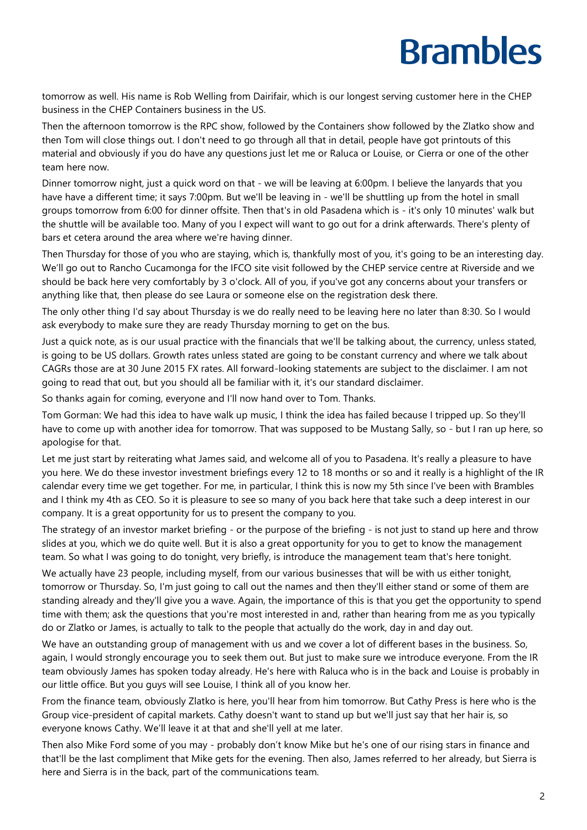tomorrow as well. His name is Rob Welling from Dairifair, which is our longest serving customer here in the CHEP business in the CHEP Containers business in the US.

Then the afternoon tomorrow is the RPC show, followed by the Containers show followed by the Zlatko show and then Tom will close things out. I don't need to go through all that in detail, people have got printouts of this material and obviously if you do have any questions just let me or Raluca or Louise, or Cierra or one of the other team here now.

Dinner tomorrow night, just a quick word on that - we will be leaving at 6:00pm. I believe the lanyards that you have have a different time; it says 7:00pm. But we'll be leaving in - we'll be shuttling up from the hotel in small groups tomorrow from 6:00 for dinner offsite. Then that's in old Pasadena which is - it's only 10 minutes' walk but the shuttle will be available too. Many of you I expect will want to go out for a drink afterwards. There's plenty of bars et cetera around the area where we're having dinner.

Then Thursday for those of you who are staying, which is, thankfully most of you, it's going to be an interesting day. We'll go out to Rancho Cucamonga for the IFCO site visit followed by the CHEP service centre at Riverside and we should be back here very comfortably by 3 o'clock. All of you, if you've got any concerns about your transfers or anything like that, then please do see Laura or someone else on the registration desk there.

The only other thing I'd say about Thursday is we do really need to be leaving here no later than 8:30. So I would ask everybody to make sure they are ready Thursday morning to get on the bus.

Just a quick note, as is our usual practice with the financials that we'll be talking about, the currency, unless stated, is going to be US dollars. Growth rates unless stated are going to be constant currency and where we talk about CAGRs those are at 30 June 2015 FX rates. All forward-looking statements are subject to the disclaimer. I am not going to read that out, but you should all be familiar with it, it's our standard disclaimer.

So thanks again for coming, everyone and I'll now hand over to Tom. Thanks.

Tom Gorman: We had this idea to have walk up music, I think the idea has failed because I tripped up. So they'll have to come up with another idea for tomorrow. That was supposed to be Mustang Sally, so - but I ran up here, so apologise for that.

Let me just start by reiterating what James said, and welcome all of you to Pasadena. It's really a pleasure to have you here. We do these investor investment briefings every 12 to 18 months or so and it really is a highlight of the IR calendar every time we get together. For me, in particular, I think this is now my 5th since I've been with Brambles and I think my 4th as CEO. So it is pleasure to see so many of you back here that take such a deep interest in our company. It is a great opportunity for us to present the company to you.

The strategy of an investor market briefing - or the purpose of the briefing - is not just to stand up here and throw slides at you, which we do quite well. But it is also a great opportunity for you to get to know the management team. So what I was going to do tonight, very briefly, is introduce the management team that's here tonight.

We actually have 23 people, including myself, from our various businesses that will be with us either tonight, tomorrow or Thursday. So, I'm just going to call out the names and then they'll either stand or some of them are standing already and they'll give you a wave. Again, the importance of this is that you get the opportunity to spend time with them; ask the questions that you're most interested in and, rather than hearing from me as you typically do or Zlatko or James, is actually to talk to the people that actually do the work, day in and day out.

We have an outstanding group of management with us and we cover a lot of different bases in the business. So, again, I would strongly encourage you to seek them out. But just to make sure we introduce everyone. From the IR team obviously James has spoken today already. He's here with Raluca who is in the back and Louise is probably in our little office. But you guys will see Louise, I think all of you know her.

From the finance team, obviously Zlatko is here, you'll hear from him tomorrow. But Cathy Press is here who is the Group vice-president of capital markets. Cathy doesn't want to stand up but we'll just say that her hair is, so everyone knows Cathy. We'll leave it at that and she'll yell at me later.

Then also Mike Ford some of you may - probably don't know Mike but he's one of our rising stars in finance and that'll be the last compliment that Mike gets for the evening. Then also, James referred to her already, but Sierra is here and Sierra is in the back, part of the communications team.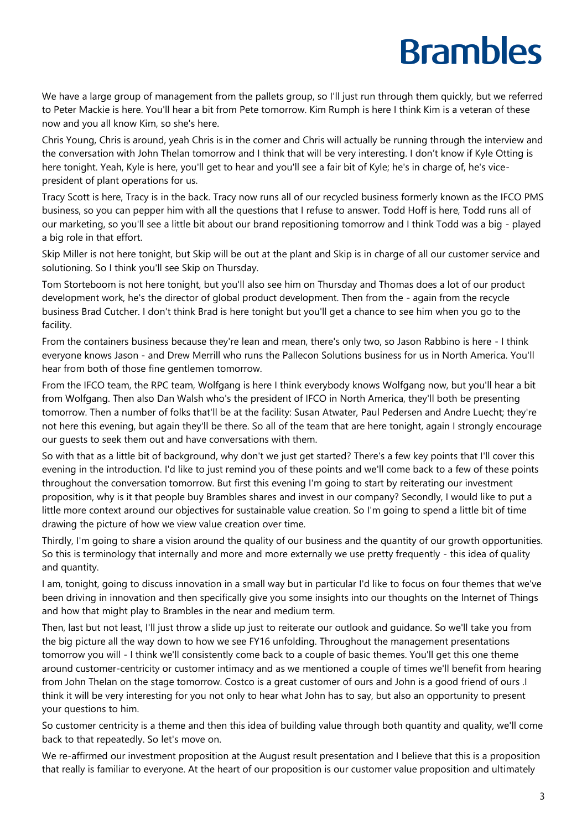We have a large group of management from the pallets group, so I'll just run through them quickly, but we referred to Peter Mackie is here. You'll hear a bit from Pete tomorrow. Kim Rumph is here I think Kim is a veteran of these now and you all know Kim, so she's here.

Chris Young, Chris is around, yeah Chris is in the corner and Chris will actually be running through the interview and the conversation with John Thelan tomorrow and I think that will be very interesting. I don't know if Kyle Otting is here tonight. Yeah, Kyle is here, you'll get to hear and you'll see a fair bit of Kyle; he's in charge of, he's vicepresident of plant operations for us.

Tracy Scott is here, Tracy is in the back. Tracy now runs all of our recycled business formerly known as the IFCO PMS business, so you can pepper him with all the questions that I refuse to answer. Todd Hoff is here, Todd runs all of our marketing, so you'll see a little bit about our brand repositioning tomorrow and I think Todd was a big - played a big role in that effort.

Skip Miller is not here tonight, but Skip will be out at the plant and Skip is in charge of all our customer service and solutioning. So I think you'll see Skip on Thursday.

Tom Storteboom is not here tonight, but you'll also see him on Thursday and Thomas does a lot of our product development work, he's the director of global product development. Then from the - again from the recycle business Brad Cutcher. I don't think Brad is here tonight but you'll get a chance to see him when you go to the facility.

From the containers business because they're lean and mean, there's only two, so Jason Rabbino is here - I think everyone knows Jason - and Drew Merrill who runs the Pallecon Solutions business for us in North America. You'll hear from both of those fine gentlemen tomorrow.

From the IFCO team, the RPC team, Wolfgang is here I think everybody knows Wolfgang now, but you'll hear a bit from Wolfgang. Then also Dan Walsh who's the president of IFCO in North America, they'll both be presenting tomorrow. Then a number of folks that'll be at the facility: Susan Atwater, Paul Pedersen and Andre Luecht; they're not here this evening, but again they'll be there. So all of the team that are here tonight, again I strongly encourage our guests to seek them out and have conversations with them.

So with that as a little bit of background, why don't we just get started? There's a few key points that I'll cover this evening in the introduction. I'd like to just remind you of these points and we'll come back to a few of these points throughout the conversation tomorrow. But first this evening I'm going to start by reiterating our investment proposition, why is it that people buy Brambles shares and invest in our company? Secondly, I would like to put a little more context around our objectives for sustainable value creation. So I'm going to spend a little bit of time drawing the picture of how we view value creation over time.

Thirdly, I'm going to share a vision around the quality of our business and the quantity of our growth opportunities. So this is terminology that internally and more and more externally we use pretty frequently - this idea of quality and quantity.

I am, tonight, going to discuss innovation in a small way but in particular I'd like to focus on four themes that we've been driving in innovation and then specifically give you some insights into our thoughts on the Internet of Things and how that might play to Brambles in the near and medium term.

Then, last but not least, I'll just throw a slide up just to reiterate our outlook and guidance. So we'll take you from the big picture all the way down to how we see FY16 unfolding. Throughout the management presentations tomorrow you will - I think we'll consistently come back to a couple of basic themes. You'll get this one theme around customer-centricity or customer intimacy and as we mentioned a couple of times we'll benefit from hearing from John Thelan on the stage tomorrow. Costco is a great customer of ours and John is a good friend of ours .I think it will be very interesting for you not only to hear what John has to say, but also an opportunity to present your questions to him.

So customer centricity is a theme and then this idea of building value through both quantity and quality, we'll come back to that repeatedly. So let's move on.

We re-affirmed our investment proposition at the August result presentation and I believe that this is a proposition that really is familiar to everyone. At the heart of our proposition is our customer value proposition and ultimately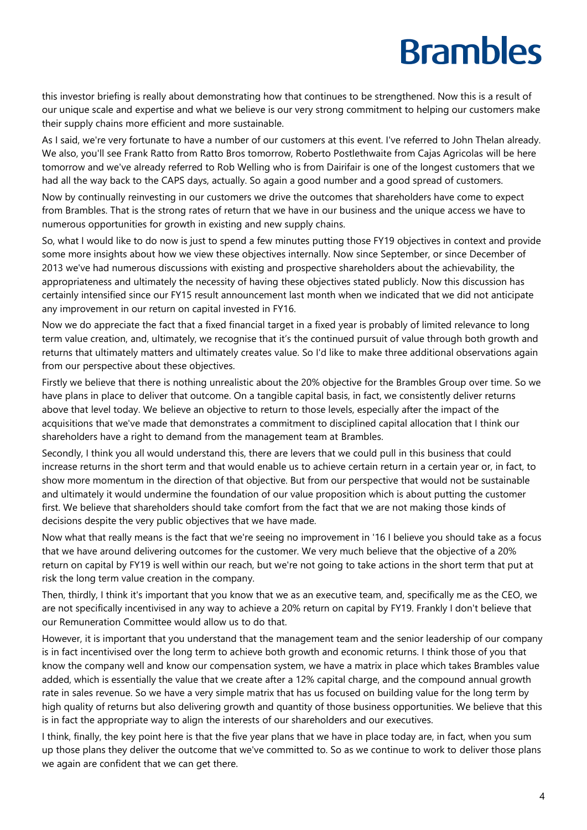this investor briefing is really about demonstrating how that continues to be strengthened. Now this is a result of our unique scale and expertise and what we believe is our very strong commitment to helping our customers make their supply chains more efficient and more sustainable.

As I said, we're very fortunate to have a number of our customers at this event. I've referred to John Thelan already. We also, you'll see Frank Ratto from Ratto Bros tomorrow, Roberto Postlethwaite from Cajas Agricolas will be here tomorrow and we've already referred to Rob Welling who is from Dairifair is one of the longest customers that we had all the way back to the CAPS days, actually. So again a good number and a good spread of customers.

Now by continually reinvesting in our customers we drive the outcomes that shareholders have come to expect from Brambles. That is the strong rates of return that we have in our business and the unique access we have to numerous opportunities for growth in existing and new supply chains.

So, what I would like to do now is just to spend a few minutes putting those FY19 objectives in context and provide some more insights about how we view these objectives internally. Now since September, or since December of 2013 we've had numerous discussions with existing and prospective shareholders about the achievability, the appropriateness and ultimately the necessity of having these objectives stated publicly. Now this discussion has certainly intensified since our FY15 result announcement last month when we indicated that we did not anticipate any improvement in our return on capital invested in FY16.

Now we do appreciate the fact that a fixed financial target in a fixed year is probably of limited relevance to long term value creation, and, ultimately, we recognise that it's the continued pursuit of value through both growth and returns that ultimately matters and ultimately creates value. So I'd like to make three additional observations again from our perspective about these objectives.

Firstly we believe that there is nothing unrealistic about the 20% objective for the Brambles Group over time. So we have plans in place to deliver that outcome. On a tangible capital basis, in fact, we consistently deliver returns above that level today. We believe an objective to return to those levels, especially after the impact of the acquisitions that we've made that demonstrates a commitment to disciplined capital allocation that I think our shareholders have a right to demand from the management team at Brambles.

Secondly, I think you all would understand this, there are levers that we could pull in this business that could increase returns in the short term and that would enable us to achieve certain return in a certain year or, in fact, to show more momentum in the direction of that objective. But from our perspective that would not be sustainable and ultimately it would undermine the foundation of our value proposition which is about putting the customer first. We believe that shareholders should take comfort from the fact that we are not making those kinds of decisions despite the very public objectives that we have made.

Now what that really means is the fact that we're seeing no improvement in '16 I believe you should take as a focus that we have around delivering outcomes for the customer. We very much believe that the objective of a 20% return on capital by FY19 is well within our reach, but we're not going to take actions in the short term that put at risk the long term value creation in the company.

Then, thirdly, I think it's important that you know that we as an executive team, and, specifically me as the CEO, we are not specifically incentivised in any way to achieve a 20% return on capital by FY19. Frankly I don't believe that our Remuneration Committee would allow us to do that.

However, it is important that you understand that the management team and the senior leadership of our company is in fact incentivised over the long term to achieve both growth and economic returns. I think those of you that know the company well and know our compensation system, we have a matrix in place which takes Brambles value added, which is essentially the value that we create after a 12% capital charge, and the compound annual growth rate in sales revenue. So we have a very simple matrix that has us focused on building value for the long term by high quality of returns but also delivering growth and quantity of those business opportunities. We believe that this is in fact the appropriate way to align the interests of our shareholders and our executives.

I think, finally, the key point here is that the five year plans that we have in place today are, in fact, when you sum up those plans they deliver the outcome that we've committed to. So as we continue to work to deliver those plans we again are confident that we can get there.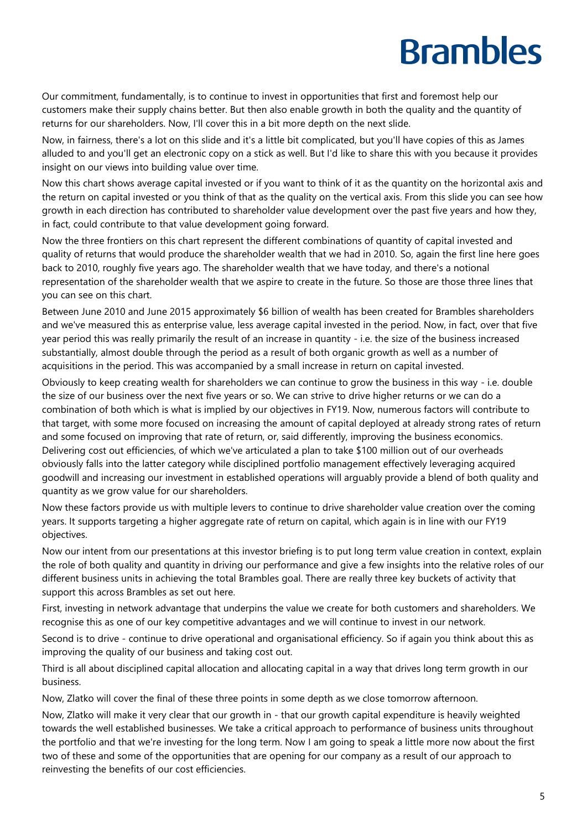Our commitment, fundamentally, is to continue to invest in opportunities that first and foremost help our customers make their supply chains better. But then also enable growth in both the quality and the quantity of returns for our shareholders. Now, I'll cover this in a bit more depth on the next slide.

Now, in fairness, there's a lot on this slide and it's a little bit complicated, but you'll have copies of this as James alluded to and you'll get an electronic copy on a stick as well. But I'd like to share this with you because it provides insight on our views into building value over time.

Now this chart shows average capital invested or if you want to think of it as the quantity on the horizontal axis and the return on capital invested or you think of that as the quality on the vertical axis. From this slide you can see how growth in each direction has contributed to shareholder value development over the past five years and how they, in fact, could contribute to that value development going forward.

Now the three frontiers on this chart represent the different combinations of quantity of capital invested and quality of returns that would produce the shareholder wealth that we had in 2010. So, again the first line here goes back to 2010, roughly five years ago. The shareholder wealth that we have today, and there's a notional representation of the shareholder wealth that we aspire to create in the future. So those are those three lines that you can see on this chart.

Between June 2010 and June 2015 approximately \$6 billion of wealth has been created for Brambles shareholders and we've measured this as enterprise value, less average capital invested in the period. Now, in fact, over that five year period this was really primarily the result of an increase in quantity - i.e. the size of the business increased substantially, almost double through the period as a result of both organic growth as well as a number of acquisitions in the period. This was accompanied by a small increase in return on capital invested.

Obviously to keep creating wealth for shareholders we can continue to grow the business in this way - i.e. double the size of our business over the next five years or so. We can strive to drive higher returns or we can do a combination of both which is what is implied by our objectives in FY19. Now, numerous factors will contribute to that target, with some more focused on increasing the amount of capital deployed at already strong rates of return and some focused on improving that rate of return, or, said differently, improving the business economics. Delivering cost out efficiencies, of which we've articulated a plan to take \$100 million out of our overheads obviously falls into the latter category while disciplined portfolio management effectively leveraging acquired goodwill and increasing our investment in established operations will arguably provide a blend of both quality and quantity as we grow value for our shareholders.

Now these factors provide us with multiple levers to continue to drive shareholder value creation over the coming years. It supports targeting a higher aggregate rate of return on capital, which again is in line with our FY19 objectives.

Now our intent from our presentations at this investor briefing is to put long term value creation in context, explain the role of both quality and quantity in driving our performance and give a few insights into the relative roles of our different business units in achieving the total Brambles goal. There are really three key buckets of activity that support this across Brambles as set out here.

First, investing in network advantage that underpins the value we create for both customers and shareholders. We recognise this as one of our key competitive advantages and we will continue to invest in our network.

Second is to drive - continue to drive operational and organisational efficiency. So if again you think about this as improving the quality of our business and taking cost out.

Third is all about disciplined capital allocation and allocating capital in a way that drives long term growth in our business.

Now, Zlatko will cover the final of these three points in some depth as we close tomorrow afternoon.

Now, Zlatko will make it very clear that our growth in - that our growth capital expenditure is heavily weighted towards the well established businesses. We take a critical approach to performance of business units throughout the portfolio and that we're investing for the long term. Now I am going to speak a little more now about the first two of these and some of the opportunities that are opening for our company as a result of our approach to reinvesting the benefits of our cost efficiencies.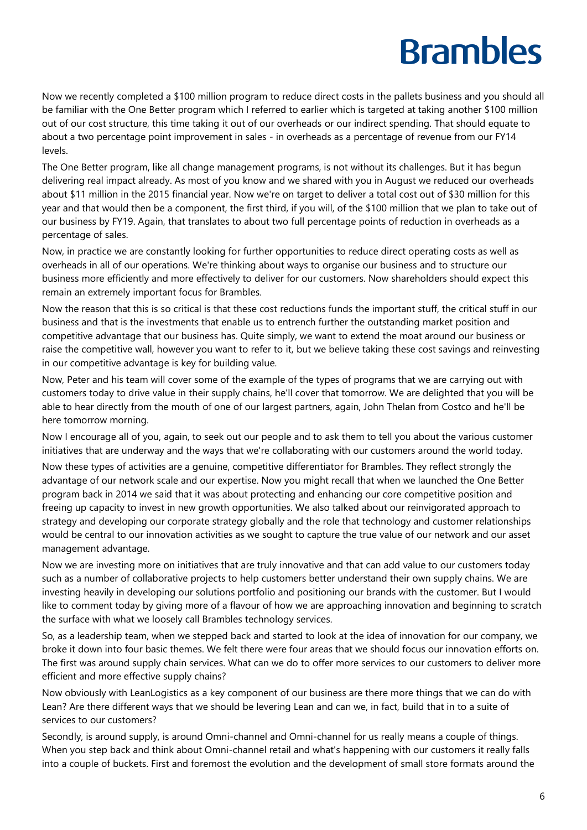Now we recently completed a \$100 million program to reduce direct costs in the pallets business and you should all be familiar with the One Better program which I referred to earlier which is targeted at taking another \$100 million out of our cost structure, this time taking it out of our overheads or our indirect spending. That should equate to about a two percentage point improvement in sales - in overheads as a percentage of revenue from our FY14 levels.

The One Better program, like all change management programs, is not without its challenges. But it has begun delivering real impact already. As most of you know and we shared with you in August we reduced our overheads about \$11 million in the 2015 financial year. Now we're on target to deliver a total cost out of \$30 million for this year and that would then be a component, the first third, if you will, of the \$100 million that we plan to take out of our business by FY19. Again, that translates to about two full percentage points of reduction in overheads as a percentage of sales.

Now, in practice we are constantly looking for further opportunities to reduce direct operating costs as well as overheads in all of our operations. We're thinking about ways to organise our business and to structure our business more efficiently and more effectively to deliver for our customers. Now shareholders should expect this remain an extremely important focus for Brambles.

Now the reason that this is so critical is that these cost reductions funds the important stuff, the critical stuff in our business and that is the investments that enable us to entrench further the outstanding market position and competitive advantage that our business has. Quite simply, we want to extend the moat around our business or raise the competitive wall, however you want to refer to it, but we believe taking these cost savings and reinvesting in our competitive advantage is key for building value.

Now, Peter and his team will cover some of the example of the types of programs that we are carrying out with customers today to drive value in their supply chains, he'll cover that tomorrow. We are delighted that you will be able to hear directly from the mouth of one of our largest partners, again, John Thelan from Costco and he'll be here tomorrow morning.

Now I encourage all of you, again, to seek out our people and to ask them to tell you about the various customer initiatives that are underway and the ways that we're collaborating with our customers around the world today.

Now these types of activities are a genuine, competitive differentiator for Brambles. They reflect strongly the advantage of our network scale and our expertise. Now you might recall that when we launched the One Better program back in 2014 we said that it was about protecting and enhancing our core competitive position and freeing up capacity to invest in new growth opportunities. We also talked about our reinvigorated approach to strategy and developing our corporate strategy globally and the role that technology and customer relationships would be central to our innovation activities as we sought to capture the true value of our network and our asset management advantage.

Now we are investing more on initiatives that are truly innovative and that can add value to our customers today such as a number of collaborative projects to help customers better understand their own supply chains. We are investing heavily in developing our solutions portfolio and positioning our brands with the customer. But I would like to comment today by giving more of a flavour of how we are approaching innovation and beginning to scratch the surface with what we loosely call Brambles technology services.

So, as a leadership team, when we stepped back and started to look at the idea of innovation for our company, we broke it down into four basic themes. We felt there were four areas that we should focus our innovation efforts on. The first was around supply chain services. What can we do to offer more services to our customers to deliver more efficient and more effective supply chains?

Now obviously with LeanLogistics as a key component of our business are there more things that we can do with Lean? Are there different ways that we should be levering Lean and can we, in fact, build that in to a suite of services to our customers?

Secondly, is around supply, is around Omni-channel and Omni-channel for us really means a couple of things. When you step back and think about Omni-channel retail and what's happening with our customers it really falls into a couple of buckets. First and foremost the evolution and the development of small store formats around the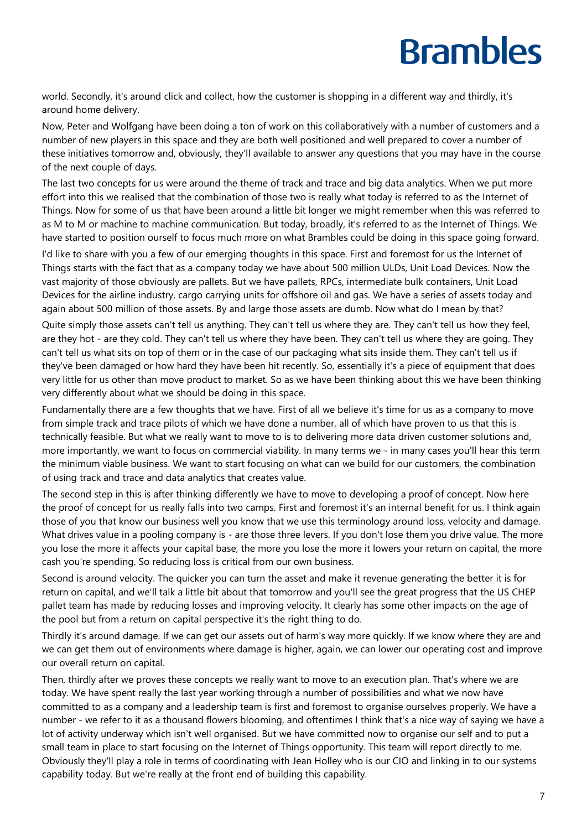world. Secondly, it's around click and collect, how the customer is shopping in a different way and thirdly, it's around home delivery.

Now, Peter and Wolfgang have been doing a ton of work on this collaboratively with a number of customers and a number of new players in this space and they are both well positioned and well prepared to cover a number of these initiatives tomorrow and, obviously, they'll available to answer any questions that you may have in the course of the next couple of days.

The last two concepts for us were around the theme of track and trace and big data analytics. When we put more effort into this we realised that the combination of those two is really what today is referred to as the Internet of Things. Now for some of us that have been around a little bit longer we might remember when this was referred to as M to M or machine to machine communication. But today, broadly, it's referred to as the Internet of Things. We have started to position ourself to focus much more on what Brambles could be doing in this space going forward.

I'd like to share with you a few of our emerging thoughts in this space. First and foremost for us the Internet of Things starts with the fact that as a company today we have about 500 million ULDs, Unit Load Devices. Now the vast majority of those obviously are pallets. But we have pallets, RPCs, intermediate bulk containers, Unit Load Devices for the airline industry, cargo carrying units for offshore oil and gas. We have a series of assets today and again about 500 million of those assets. By and large those assets are dumb. Now what do I mean by that?

Quite simply those assets can't tell us anything. They can't tell us where they are. They can't tell us how they feel, are they hot - are they cold. They can't tell us where they have been. They can't tell us where they are going. They can't tell us what sits on top of them or in the case of our packaging what sits inside them. They can't tell us if they've been damaged or how hard they have been hit recently. So, essentially it's a piece of equipment that does very little for us other than move product to market. So as we have been thinking about this we have been thinking very differently about what we should be doing in this space.

Fundamentally there are a few thoughts that we have. First of all we believe it's time for us as a company to move from simple track and trace pilots of which we have done a number, all of which have proven to us that this is technically feasible. But what we really want to move to is to delivering more data driven customer solutions and, more importantly, we want to focus on commercial viability. In many terms we - in many cases you'll hear this term the minimum viable business. We want to start focusing on what can we build for our customers, the combination of using track and trace and data analytics that creates value.

The second step in this is after thinking differently we have to move to developing a proof of concept. Now here the proof of concept for us really falls into two camps. First and foremost it's an internal benefit for us. I think again those of you that know our business well you know that we use this terminology around loss, velocity and damage. What drives value in a pooling company is - are those three levers. If you don't lose them you drive value. The more you lose the more it affects your capital base, the more you lose the more it lowers your return on capital, the more cash you're spending. So reducing loss is critical from our own business.

Second is around velocity. The quicker you can turn the asset and make it revenue generating the better it is for return on capital, and we'll talk a little bit about that tomorrow and you'll see the great progress that the US CHEP pallet team has made by reducing losses and improving velocity. It clearly has some other impacts on the age of the pool but from a return on capital perspective it's the right thing to do.

Thirdly it's around damage. If we can get our assets out of harm's way more quickly. If we know where they are and we can get them out of environments where damage is higher, again, we can lower our operating cost and improve our overall return on capital.

Then, thirdly after we proves these concepts we really want to move to an execution plan. That's where we are today. We have spent really the last year working through a number of possibilities and what we now have committed to as a company and a leadership team is first and foremost to organise ourselves properly. We have a number - we refer to it as a thousand flowers blooming, and oftentimes I think that's a nice way of saying we have a lot of activity underway which isn't well organised. But we have committed now to organise our self and to put a small team in place to start focusing on the Internet of Things opportunity. This team will report directly to me. Obviously they'll play a role in terms of coordinating with Jean Holley who is our CIO and linking in to our systems capability today. But we're really at the front end of building this capability.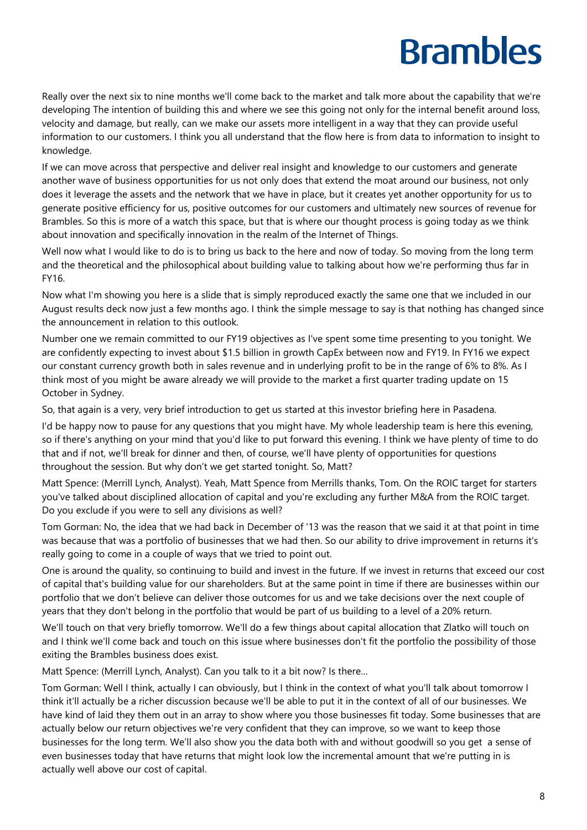Really over the next six to nine months we'll come back to the market and talk more about the capability that we're developing The intention of building this and where we see this going not only for the internal benefit around loss, velocity and damage, but really, can we make our assets more intelligent in a way that they can provide useful information to our customers. I think you all understand that the flow here is from data to information to insight to knowledge.

If we can move across that perspective and deliver real insight and knowledge to our customers and generate another wave of business opportunities for us not only does that extend the moat around our business, not only does it leverage the assets and the network that we have in place, but it creates yet another opportunity for us to generate positive efficiency for us, positive outcomes for our customers and ultimately new sources of revenue for Brambles. So this is more of a watch this space, but that is where our thought process is going today as we think about innovation and specifically innovation in the realm of the Internet of Things.

Well now what I would like to do is to bring us back to the here and now of today. So moving from the long term and the theoretical and the philosophical about building value to talking about how we're performing thus far in FY16.

Now what I'm showing you here is a slide that is simply reproduced exactly the same one that we included in our August results deck now just a few months ago. I think the simple message to say is that nothing has changed since the announcement in relation to this outlook.

Number one we remain committed to our FY19 objectives as I've spent some time presenting to you tonight. We are confidently expecting to invest about \$1.5 billion in growth CapEx between now and FY19. In FY16 we expect our constant currency growth both in sales revenue and in underlying profit to be in the range of 6% to 8%. As I think most of you might be aware already we will provide to the market a first quarter trading update on 15 October in Sydney.

So, that again is a very, very brief introduction to get us started at this investor briefing here in Pasadena.

I'd be happy now to pause for any questions that you might have. My whole leadership team is here this evening, so if there's anything on your mind that you'd like to put forward this evening. I think we have plenty of time to do that and if not, we'll break for dinner and then, of course, we'll have plenty of opportunities for questions throughout the session. But why don't we get started tonight. So, Matt?

Matt Spence: (Merrill Lynch, Analyst). Yeah, Matt Spence from Merrills thanks, Tom. On the ROIC target for starters you've talked about disciplined allocation of capital and you're excluding any further M&A from the ROIC target. Do you exclude if you were to sell any divisions as well?

Tom Gorman: No, the idea that we had back in December of '13 was the reason that we said it at that point in time was because that was a portfolio of businesses that we had then. So our ability to drive improvement in returns it's really going to come in a couple of ways that we tried to point out.

One is around the quality, so continuing to build and invest in the future. If we invest in returns that exceed our cost of capital that's building value for our shareholders. But at the same point in time if there are businesses within our portfolio that we don't believe can deliver those outcomes for us and we take decisions over the next couple of years that they don't belong in the portfolio that would be part of us building to a level of a 20% return.

We'll touch on that very briefly tomorrow. We'll do a few things about capital allocation that Zlatko will touch on and I think we'll come back and touch on this issue where businesses don't fit the portfolio the possibility of those exiting the Brambles business does exist.

Matt Spence: (Merrill Lynch, Analyst). Can you talk to it a bit now? Is there…

Tom Gorman: Well I think, actually I can obviously, but I think in the context of what you'll talk about tomorrow I think it'll actually be a richer discussion because we'll be able to put it in the context of all of our businesses. We have kind of laid they them out in an array to show where you those businesses fit today. Some businesses that are actually below our return objectives we're very confident that they can improve, so we want to keep those businesses for the long term. We'll also show you the data both with and without goodwill so you get a sense of even businesses today that have returns that might look low the incremental amount that we're putting in is actually well above our cost of capital.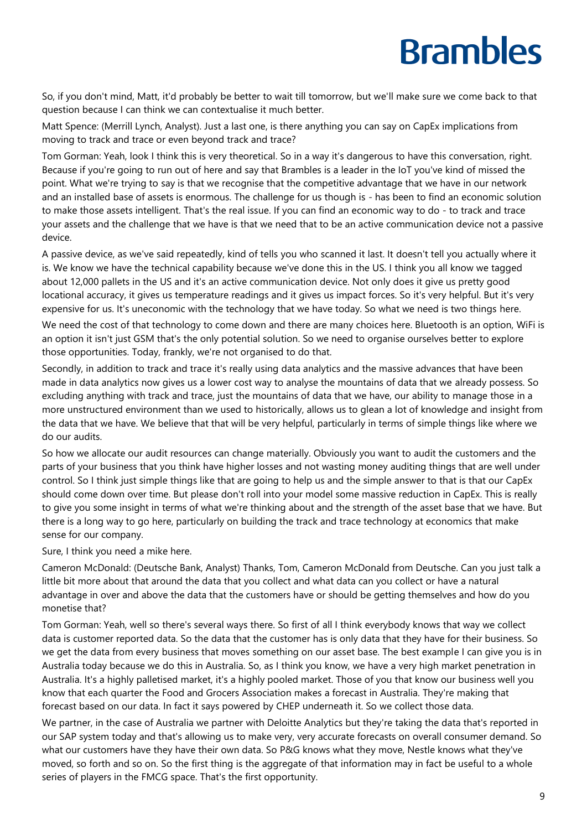So, if you don't mind, Matt, it'd probably be better to wait till tomorrow, but we'll make sure we come back to that question because I can think we can contextualise it much better.

Matt Spence: (Merrill Lynch, Analyst). Just a last one, is there anything you can say on CapEx implications from moving to track and trace or even beyond track and trace?

Tom Gorman: Yeah, look I think this is very theoretical. So in a way it's dangerous to have this conversation, right. Because if you're going to run out of here and say that Brambles is a leader in the IoT you've kind of missed the point. What we're trying to say is that we recognise that the competitive advantage that we have in our network and an installed base of assets is enormous. The challenge for us though is - has been to find an economic solution to make those assets intelligent. That's the real issue. If you can find an economic way to do - to track and trace your assets and the challenge that we have is that we need that to be an active communication device not a passive device.

A passive device, as we've said repeatedly, kind of tells you who scanned it last. It doesn't tell you actually where it is. We know we have the technical capability because we've done this in the US. I think you all know we tagged about 12,000 pallets in the US and it's an active communication device. Not only does it give us pretty good locational accuracy, it gives us temperature readings and it gives us impact forces. So it's very helpful. But it's very expensive for us. It's uneconomic with the technology that we have today. So what we need is two things here.

We need the cost of that technology to come down and there are many choices here. Bluetooth is an option, WiFi is an option it isn't just GSM that's the only potential solution. So we need to organise ourselves better to explore those opportunities. Today, frankly, we're not organised to do that.

Secondly, in addition to track and trace it's really using data analytics and the massive advances that have been made in data analytics now gives us a lower cost way to analyse the mountains of data that we already possess. So excluding anything with track and trace, just the mountains of data that we have, our ability to manage those in a more unstructured environment than we used to historically, allows us to glean a lot of knowledge and insight from the data that we have. We believe that that will be very helpful, particularly in terms of simple things like where we do our audits.

So how we allocate our audit resources can change materially. Obviously you want to audit the customers and the parts of your business that you think have higher losses and not wasting money auditing things that are well under control. So I think just simple things like that are going to help us and the simple answer to that is that our CapEx should come down over time. But please don't roll into your model some massive reduction in CapEx. This is really to give you some insight in terms of what we're thinking about and the strength of the asset base that we have. But there is a long way to go here, particularly on building the track and trace technology at economics that make sense for our company.

Sure, I think you need a mike here.

Cameron McDonald: (Deutsche Bank, Analyst) Thanks, Tom, Cameron McDonald from Deutsche. Can you just talk a little bit more about that around the data that you collect and what data can you collect or have a natural advantage in over and above the data that the customers have or should be getting themselves and how do you monetise that?

Tom Gorman: Yeah, well so there's several ways there. So first of all I think everybody knows that way we collect data is customer reported data. So the data that the customer has is only data that they have for their business. So we get the data from every business that moves something on our asset base. The best example I can give you is in Australia today because we do this in Australia. So, as I think you know, we have a very high market penetration in Australia. It's a highly palletised market, it's a highly pooled market. Those of you that know our business well you know that each quarter the Food and Grocers Association makes a forecast in Australia. They're making that forecast based on our data. In fact it says powered by CHEP underneath it. So we collect those data.

We partner, in the case of Australia we partner with Deloitte Analytics but they're taking the data that's reported in our SAP system today and that's allowing us to make very, very accurate forecasts on overall consumer demand. So what our customers have they have their own data. So P&G knows what they move, Nestle knows what they've moved, so forth and so on. So the first thing is the aggregate of that information may in fact be useful to a whole series of players in the FMCG space. That's the first opportunity.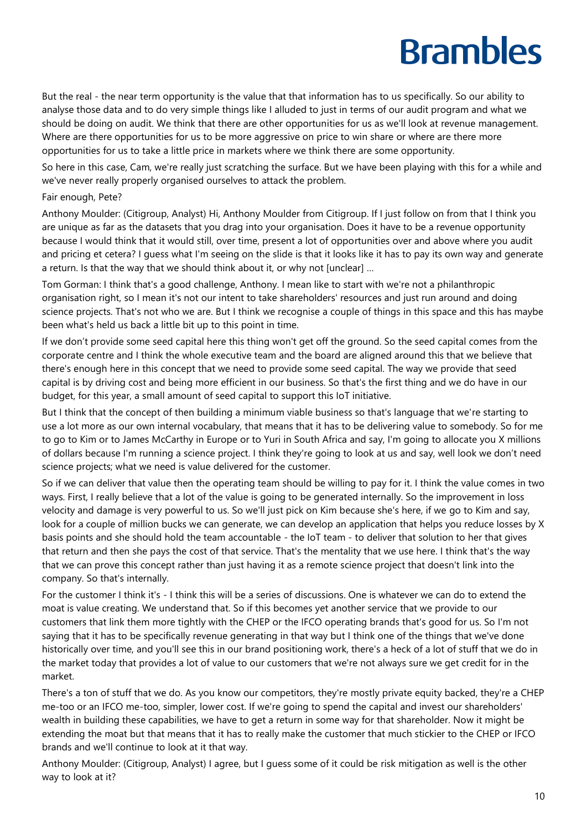But the real - the near term opportunity is the value that that information has to us specifically. So our ability to analyse those data and to do very simple things like I alluded to just in terms of our audit program and what we should be doing on audit. We think that there are other opportunities for us as we'll look at revenue management. Where are there opportunities for us to be more aggressive on price to win share or where are there more opportunities for us to take a little price in markets where we think there are some opportunity.

So here in this case, Cam, we're really just scratching the surface. But we have been playing with this for a while and we've never really properly organised ourselves to attack the problem.

#### Fair enough, Pete?

Anthony Moulder: (Citigroup, Analyst) Hi, Anthony Moulder from Citigroup. If I just follow on from that I think you are unique as far as the datasets that you drag into your organisation. Does it have to be a revenue opportunity because I would think that it would still, over time, present a lot of opportunities over and above where you audit and pricing et cetera? I guess what I'm seeing on the slide is that it looks like it has to pay its own way and generate a return. Is that the way that we should think about it, or why not [unclear] …

Tom Gorman: I think that's a good challenge, Anthony. I mean like to start with we're not a philanthropic organisation right, so I mean it's not our intent to take shareholders' resources and just run around and doing science projects. That's not who we are. But I think we recognise a couple of things in this space and this has maybe been what's held us back a little bit up to this point in time.

If we don't provide some seed capital here this thing won't get off the ground. So the seed capital comes from the corporate centre and I think the whole executive team and the board are aligned around this that we believe that there's enough here in this concept that we need to provide some seed capital. The way we provide that seed capital is by driving cost and being more efficient in our business. So that's the first thing and we do have in our budget, for this year, a small amount of seed capital to support this IoT initiative.

But I think that the concept of then building a minimum viable business so that's language that we're starting to use a lot more as our own internal vocabulary, that means that it has to be delivering value to somebody. So for me to go to Kim or to James McCarthy in Europe or to Yuri in South Africa and say, I'm going to allocate you X millions of dollars because I'm running a science project. I think they're going to look at us and say, well look we don't need science projects; what we need is value delivered for the customer.

So if we can deliver that value then the operating team should be willing to pay for it. I think the value comes in two ways. First, I really believe that a lot of the value is going to be generated internally. So the improvement in loss velocity and damage is very powerful to us. So we'll just pick on Kim because she's here, if we go to Kim and say, look for a couple of million bucks we can generate, we can develop an application that helps you reduce losses by X basis points and she should hold the team accountable - the IoT team - to deliver that solution to her that gives that return and then she pays the cost of that service. That's the mentality that we use here. I think that's the way that we can prove this concept rather than just having it as a remote science project that doesn't link into the company. So that's internally.

For the customer I think it's - I think this will be a series of discussions. One is whatever we can do to extend the moat is value creating. We understand that. So if this becomes yet another service that we provide to our customers that link them more tightly with the CHEP or the IFCO operating brands that's good for us. So I'm not saying that it has to be specifically revenue generating in that way but I think one of the things that we've done historically over time, and you'll see this in our brand positioning work, there's a heck of a lot of stuff that we do in the market today that provides a lot of value to our customers that we're not always sure we get credit for in the market.

There's a ton of stuff that we do. As you know our competitors, they're mostly private equity backed, they're a CHEP me-too or an IFCO me-too, simpler, lower cost. If we're going to spend the capital and invest our shareholders' wealth in building these capabilities, we have to get a return in some way for that shareholder. Now it might be extending the moat but that means that it has to really make the customer that much stickier to the CHEP or IFCO brands and we'll continue to look at it that way.

Anthony Moulder: (Citigroup, Analyst) I agree, but I guess some of it could be risk mitigation as well is the other way to look at it?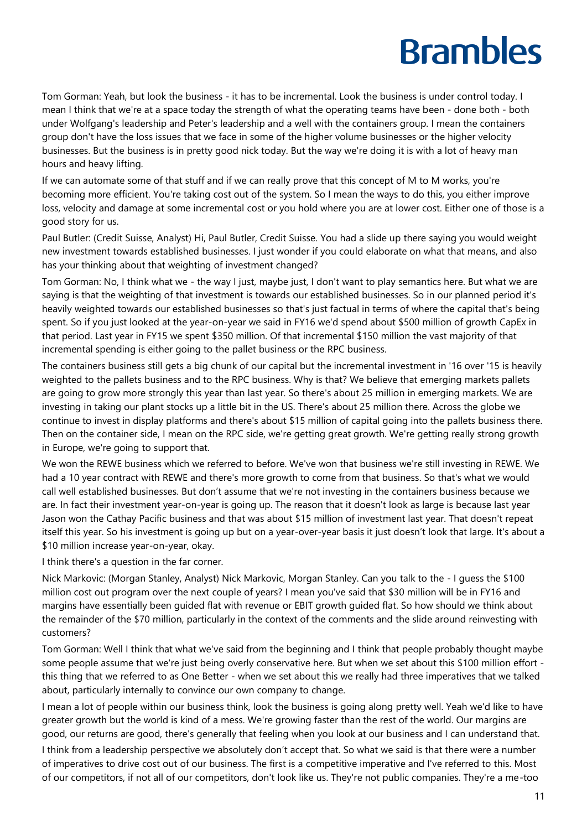Tom Gorman: Yeah, but look the business - it has to be incremental. Look the business is under control today. I mean I think that we're at a space today the strength of what the operating teams have been - done both - both under Wolfgang's leadership and Peter's leadership and a well with the containers group. I mean the containers group don't have the loss issues that we face in some of the higher volume businesses or the higher velocity businesses. But the business is in pretty good nick today. But the way we're doing it is with a lot of heavy man hours and heavy lifting.

If we can automate some of that stuff and if we can really prove that this concept of M to M works, you're becoming more efficient. You're taking cost out of the system. So I mean the ways to do this, you either improve loss, velocity and damage at some incremental cost or you hold where you are at lower cost. Either one of those is a good story for us.

Paul Butler: (Credit Suisse, Analyst) Hi, Paul Butler, Credit Suisse. You had a slide up there saying you would weight new investment towards established businesses. I just wonder if you could elaborate on what that means, and also has your thinking about that weighting of investment changed?

Tom Gorman: No, I think what we - the way I just, maybe just, I don't want to play semantics here. But what we are saying is that the weighting of that investment is towards our established businesses. So in our planned period it's heavily weighted towards our established businesses so that's just factual in terms of where the capital that's being spent. So if you just looked at the year-on-year we said in FY16 we'd spend about \$500 million of growth CapEx in that period. Last year in FY15 we spent \$350 million. Of that incremental \$150 million the vast majority of that incremental spending is either going to the pallet business or the RPC business.

The containers business still gets a big chunk of our capital but the incremental investment in '16 over '15 is heavily weighted to the pallets business and to the RPC business. Why is that? We believe that emerging markets pallets are going to grow more strongly this year than last year. So there's about 25 million in emerging markets. We are investing in taking our plant stocks up a little bit in the US. There's about 25 million there. Across the globe we continue to invest in display platforms and there's about \$15 million of capital going into the pallets business there. Then on the container side, I mean on the RPC side, we're getting great growth. We're getting really strong growth in Europe, we're going to support that.

We won the REWE business which we referred to before. We've won that business we're still investing in REWE. We had a 10 year contract with REWE and there's more growth to come from that business. So that's what we would call well established businesses. But don't assume that we're not investing in the containers business because we are. In fact their investment year-on-year is going up. The reason that it doesn't look as large is because last year Jason won the Cathay Pacific business and that was about \$15 million of investment last year. That doesn't repeat itself this year. So his investment is going up but on a year-over-year basis it just doesn't look that large. It's about a \$10 million increase year-on-year, okay.

I think there's a question in the far corner.

Nick Markovic: (Morgan Stanley, Analyst) Nick Markovic, Morgan Stanley. Can you talk to the - I guess the \$100 million cost out program over the next couple of years? I mean you've said that \$30 million will be in FY16 and margins have essentially been guided flat with revenue or EBIT growth guided flat. So how should we think about the remainder of the \$70 million, particularly in the context of the comments and the slide around reinvesting with customers?

Tom Gorman: Well I think that what we've said from the beginning and I think that people probably thought maybe some people assume that we're just being overly conservative here. But when we set about this \$100 million effort this thing that we referred to as One Better - when we set about this we really had three imperatives that we talked about, particularly internally to convince our own company to change.

I mean a lot of people within our business think, look the business is going along pretty well. Yeah we'd like to have greater growth but the world is kind of a mess. We're growing faster than the rest of the world. Our margins are good, our returns are good, there's generally that feeling when you look at our business and I can understand that.

I think from a leadership perspective we absolutely don't accept that. So what we said is that there were a number of imperatives to drive cost out of our business. The first is a competitive imperative and I've referred to this. Most of our competitors, if not all of our competitors, don't look like us. They're not public companies. They're a me-too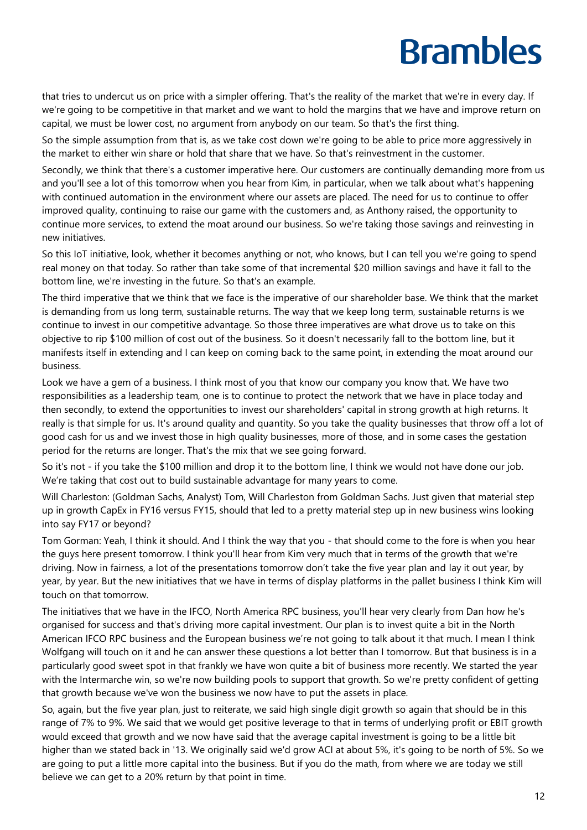that tries to undercut us on price with a simpler offering. That's the reality of the market that we're in every day. If we're going to be competitive in that market and we want to hold the margins that we have and improve return on capital, we must be lower cost, no argument from anybody on our team. So that's the first thing.

So the simple assumption from that is, as we take cost down we're going to be able to price more aggressively in the market to either win share or hold that share that we have. So that's reinvestment in the customer.

Secondly, we think that there's a customer imperative here. Our customers are continually demanding more from us and you'll see a lot of this tomorrow when you hear from Kim, in particular, when we talk about what's happening with continued automation in the environment where our assets are placed. The need for us to continue to offer improved quality, continuing to raise our game with the customers and, as Anthony raised, the opportunity to continue more services, to extend the moat around our business. So we're taking those savings and reinvesting in new initiatives.

So this IoT initiative, look, whether it becomes anything or not, who knows, but I can tell you we're going to spend real money on that today. So rather than take some of that incremental \$20 million savings and have it fall to the bottom line, we're investing in the future. So that's an example.

The third imperative that we think that we face is the imperative of our shareholder base. We think that the market is demanding from us long term, sustainable returns. The way that we keep long term, sustainable returns is we continue to invest in our competitive advantage. So those three imperatives are what drove us to take on this objective to rip \$100 million of cost out of the business. So it doesn't necessarily fall to the bottom line, but it manifests itself in extending and I can keep on coming back to the same point, in extending the moat around our business.

Look we have a gem of a business. I think most of you that know our company you know that. We have two responsibilities as a leadership team, one is to continue to protect the network that we have in place today and then secondly, to extend the opportunities to invest our shareholders' capital in strong growth at high returns. It really is that simple for us. It's around quality and quantity. So you take the quality businesses that throw off a lot of good cash for us and we invest those in high quality businesses, more of those, and in some cases the gestation period for the returns are longer. That's the mix that we see going forward.

So it's not - if you take the \$100 million and drop it to the bottom line, I think we would not have done our job. We're taking that cost out to build sustainable advantage for many years to come.

Will Charleston: (Goldman Sachs, Analyst) Tom, Will Charleston from Goldman Sachs. Just given that material step up in growth CapEx in FY16 versus FY15, should that led to a pretty material step up in new business wins looking into say FY17 or beyond?

Tom Gorman: Yeah, I think it should. And I think the way that you - that should come to the fore is when you hear the guys here present tomorrow. I think you'll hear from Kim very much that in terms of the growth that we're driving. Now in fairness, a lot of the presentations tomorrow don't take the five year plan and lay it out year, by year, by year. But the new initiatives that we have in terms of display platforms in the pallet business I think Kim will touch on that tomorrow.

The initiatives that we have in the IFCO, North America RPC business, you'll hear very clearly from Dan how he's organised for success and that's driving more capital investment. Our plan is to invest quite a bit in the North American IFCO RPC business and the European business we're not going to talk about it that much. I mean I think Wolfgang will touch on it and he can answer these questions a lot better than I tomorrow. But that business is in a particularly good sweet spot in that frankly we have won quite a bit of business more recently. We started the year with the Intermarche win, so we're now building pools to support that growth. So we're pretty confident of getting that growth because we've won the business we now have to put the assets in place.

So, again, but the five year plan, just to reiterate, we said high single digit growth so again that should be in this range of 7% to 9%. We said that we would get positive leverage to that in terms of underlying profit or EBIT growth would exceed that growth and we now have said that the average capital investment is going to be a little bit higher than we stated back in '13. We originally said we'd grow ACI at about 5%, it's going to be north of 5%. So we are going to put a little more capital into the business. But if you do the math, from where we are today we still believe we can get to a 20% return by that point in time.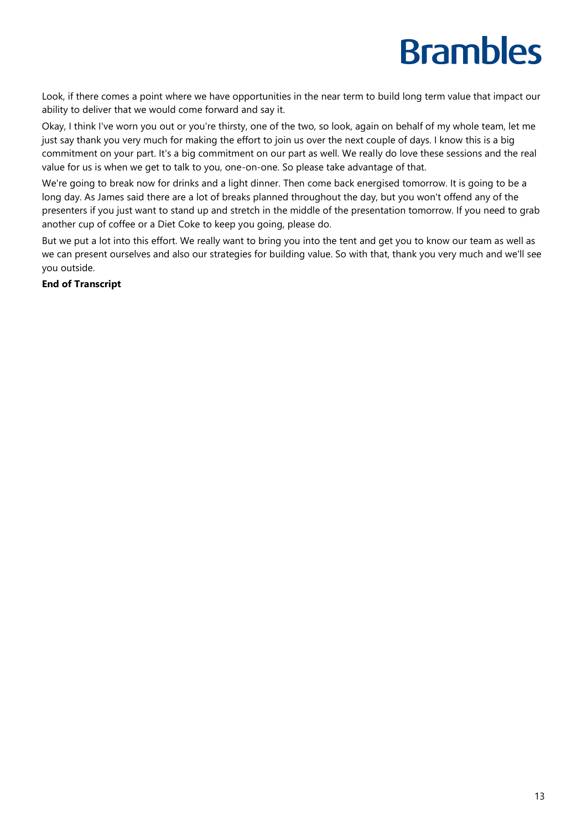Look, if there comes a point where we have opportunities in the near term to build long term value that impact our ability to deliver that we would come forward and say it.

Okay, I think I've worn you out or you're thirsty, one of the two, so look, again on behalf of my whole team, let me just say thank you very much for making the effort to join us over the next couple of days. I know this is a big commitment on your part. It's a big commitment on our part as well. We really do love these sessions and the real value for us is when we get to talk to you, one-on-one. So please take advantage of that.

We're going to break now for drinks and a light dinner. Then come back energised tomorrow. It is going to be a long day. As James said there are a lot of breaks planned throughout the day, but you won't offend any of the presenters if you just want to stand up and stretch in the middle of the presentation tomorrow. If you need to grab another cup of coffee or a Diet Coke to keep you going, please do.

But we put a lot into this effort. We really want to bring you into the tent and get you to know our team as well as we can present ourselves and also our strategies for building value. So with that, thank you very much and we'll see you outside.

#### **End of Transcript**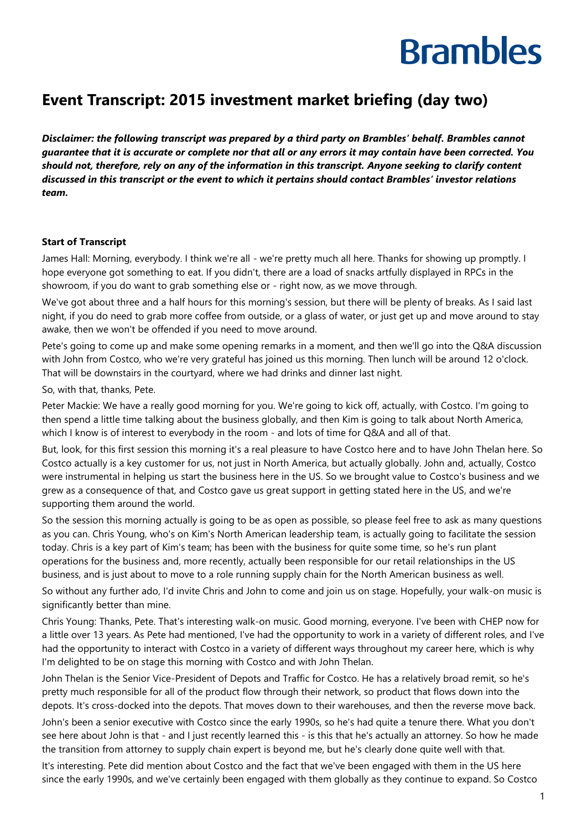#### **Event Transcript: 2015 investment market briefing (day two)**

*Disclaimer: the following transcript was prepared by a third party on Brambles' behalf. Brambles cannot guarantee that it is accurate or complete nor that all or any errors it may contain have been corrected. You should not, therefore, rely on any of the information in this transcript. Anyone seeking to clarify content discussed in this transcript or the event to which it pertains should contact Brambles' investor relations team.*

#### **Start of Transcript**

James Hall: Morning, everybody. I think we're all - we're pretty much all here. Thanks for showing up promptly. I hope everyone got something to eat. If you didn't, there are a load of snacks artfully displayed in RPCs in the showroom, if you do want to grab something else or - right now, as we move through.

We've got about three and a half hours for this morning's session, but there will be plenty of breaks. As I said last night, if you do need to grab more coffee from outside, or a glass of water, or just get up and move around to stay awake, then we won't be offended if you need to move around.

Pete's going to come up and make some opening remarks in a moment, and then we'll go into the Q&A discussion with John from Costco, who we're very grateful has joined us this morning. Then lunch will be around 12 o'clock. That will be downstairs in the courtyard, where we had drinks and dinner last night.

So, with that, thanks, Pete.

Peter Mackie: We have a really good morning for you. We're going to kick off, actually, with Costco. I'm going to then spend a little time talking about the business globally, and then Kim is going to talk about North America, which I know is of interest to everybody in the room - and lots of time for Q&A and all of that.

But, look, for this first session this morning it's a real pleasure to have Costco here and to have John Thelan here. So Costco actually is a key customer for us, not just in North America, but actually globally. John and, actually, Costco were instrumental in helping us start the business here in the US. So we brought value to Costco's business and we grew as a consequence of that, and Costco gave us great support in getting stated here in the US, and we're supporting them around the world.

So the session this morning actually is going to be as open as possible, so please feel free to ask as many questions as you can. Chris Young, who's on Kim's North American leadership team, is actually going to facilitate the session today. Chris is a key part of Kim's team; has been with the business for quite some time, so he's run plant operations for the business and, more recently, actually been responsible for our retail relationships in the US business, and is just about to move to a role running supply chain for the North American business as well.

So without any further ado, I'd invite Chris and John to come and join us on stage. Hopefully, your walk-on music is significantly better than mine.

Chris Young: Thanks, Pete. That's interesting walk-on music. Good morning, everyone. I've been with CHEP now for a little over 13 years. As Pete had mentioned, I've had the opportunity to work in a variety of different roles, and I've had the opportunity to interact with Costco in a variety of different ways throughout my career here, which is why I'm delighted to be on stage this morning with Costco and with John Thelan.

John Thelan is the Senior Vice-President of Depots and Traffic for Costco. He has a relatively broad remit, so he's pretty much responsible for all of the product flow through their network, so product that flows down into the depots. It's cross-docked into the depots. That moves down to their warehouses, and then the reverse move back.

John's been a senior executive with Costco since the early 1990s, so he's had quite a tenure there. What you don't see here about John is that - and I just recently learned this - is this that he's actually an attorney. So how he made the transition from attorney to supply chain expert is beyond me, but he's clearly done quite well with that.

It's interesting. Pete did mention about Costco and the fact that we've been engaged with them in the US here since the early 1990s, and we've certainly been engaged with them globally as they continue to expand. So Costco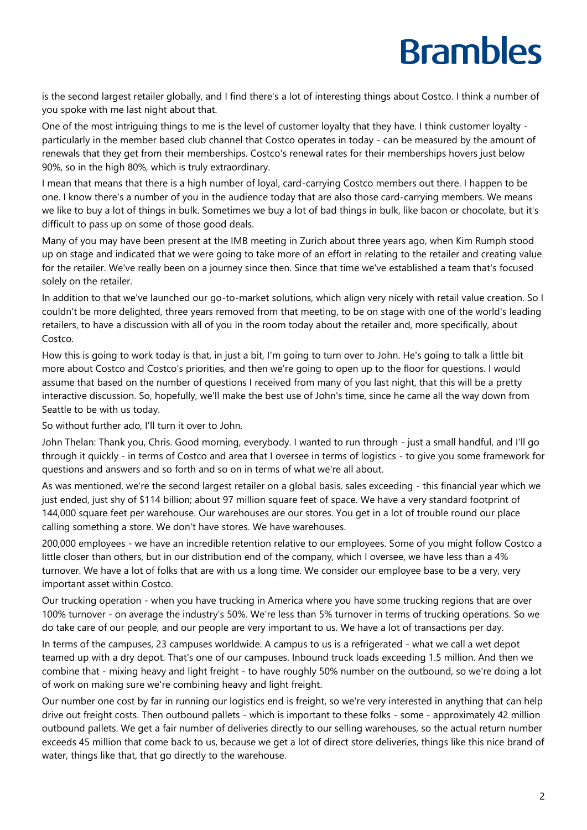is the second largest retailer globally, and I find there's a lot of interesting things about Costco. I think a number of you spoke with me last night about that.

One of the most intriguing things to me is the level of customer loyalty that they have. I think customer loyalty particularly in the member based club channel that Costco operates in today - can be measured by the amount of renewals that they get from their memberships. Costco's renewal rates for their memberships hovers just below 90%, so in the high 80%, which is truly extraordinary.

I mean that means that there is a high number of loyal, card-carrying Costco members out there. I happen to be one. I know there's a number of you in the audience today that are also those card-carrying members. We means we like to buy a lot of things in bulk. Sometimes we buy a lot of bad things in bulk, like bacon or chocolate, but it's difficult to pass up on some of those good deals.

Many of you may have been present at the IMB meeting in Zurich about three years ago, when Kim Rumph stood up on stage and indicated that we were going to take more of an effort in relating to the retailer and creating value for the retailer. We've really been on a journey since then. Since that time we've established a team that's focused solely on the retailer.

In addition to that we've launched our go-to-market solutions, which align very nicely with retail value creation. So I couldn't be more delighted, three years removed from that meeting, to be on stage with one of the world's leading retailers, to have a discussion with all of you in the room today about the retailer and, more specifically, about Costco.

How this is going to work today is that, in just a bit, I'm going to turn over to John. He's going to talk a little bit more about Costco and Costco's priorities, and then we're going to open up to the floor for questions. I would assume that based on the number of questions I received from many of you last night, that this will be a pretty interactive discussion. So, hopefully, we'll make the best use of John's time, since he came all the way down from Seattle to be with us today.

So without further ado, I'll turn it over to John.

John Thelan: Thank you, Chris. Good morning, everybody. I wanted to run through - just a small handful, and I'll go through it quickly - in terms of Costco and area that I oversee in terms of logistics - to give you some framework for questions and answers and so forth and so on in terms of what we're all about.

As was mentioned, we're the second largest retailer on a global basis, sales exceeding - this financial year which we just ended, just shy of \$114 billion; about 97 million square feet of space. We have a very standard footprint of 144,000 square feet per warehouse. Our warehouses are our stores. You get in a lot of trouble round our place calling something a store. We don't have stores. We have warehouses.

200,000 employees - we have an incredible retention relative to our employees. Some of you might follow Costco a little closer than others, but in our distribution end of the company, which I oversee, we have less than a 4% turnover. We have a lot of folks that are with us a long time. We consider our employee base to be a very, very important asset within Costco.

Our trucking operation - when you have trucking in America where you have some trucking regions that are over 100% turnover - on average the industry's 50%. We're less than 5% turnover in terms of trucking operations. So we do take care of our people, and our people are very important to us. We have a lot of transactions per day.

In terms of the campuses, 23 campuses worldwide. A campus to us is a refrigerated - what we call a wet depot teamed up with a dry depot. That's one of our campuses. Inbound truck loads exceeding 1.5 million. And then we combine that - mixing heavy and light freight - to have roughly 50% number on the outbound, so we're doing a lot of work on making sure we're combining heavy and light freight.

Our number one cost by far in running our logistics end is freight, so we're very interested in anything that can help drive out freight costs. Then outbound pallets - which is important to these folks - some - approximately 42 million outbound pallets. We get a fair number of deliveries directly to our selling warehouses, so the actual return number exceeds 45 million that come back to us, because we get a lot of direct store deliveries, things like this nice brand of water, things like that, that go directly to the warehouse.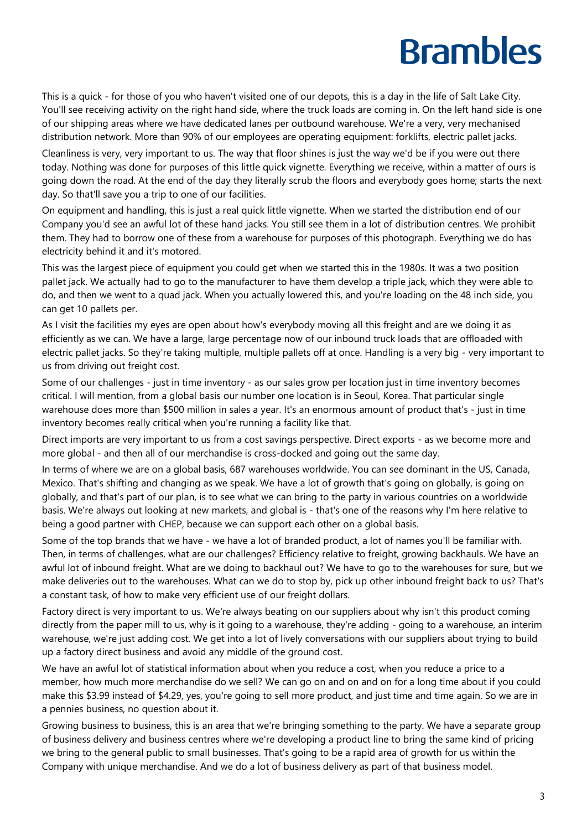This is a quick - for those of you who haven't visited one of our depots, this is a day in the life of Salt Lake City. You'll see receiving activity on the right hand side, where the truck loads are coming in. On the left hand side is one of our shipping areas where we have dedicated lanes per outbound warehouse. We're a very, very mechanised distribution network. More than 90% of our employees are operating equipment: forklifts, electric pallet jacks.

Cleanliness is very, very important to us. The way that floor shines is just the way we'd be if you were out there today. Nothing was done for purposes of this little quick vignette. Everything we receive, within a matter of ours is going down the road. At the end of the day they literally scrub the floors and everybody goes home; starts the next day. So that'll save you a trip to one of our facilities.

On equipment and handling, this is just a real quick little vignette. When we started the distribution end of our Company you'd see an awful lot of these hand jacks. You still see them in a lot of distribution centres. We prohibit them. They had to borrow one of these from a warehouse for purposes of this photograph. Everything we do has electricity behind it and it's motored.

This was the largest piece of equipment you could get when we started this in the 1980s. It was a two position pallet jack. We actually had to go to the manufacturer to have them develop a triple jack, which they were able to do, and then we went to a quad jack. When you actually lowered this, and you're loading on the 48 inch side, you can get 10 pallets per.

As I visit the facilities my eyes are open about how's everybody moving all this freight and are we doing it as efficiently as we can. We have a large, large percentage now of our inbound truck loads that are offloaded with electric pallet jacks. So they're taking multiple, multiple pallets off at once. Handling is a very big - very important to us from driving out freight cost.

Some of our challenges - just in time inventory - as our sales grow per location just in time inventory becomes critical. I will mention, from a global basis our number one location is in Seoul, Korea. That particular single warehouse does more than \$500 million in sales a year. It's an enormous amount of product that's - just in time inventory becomes really critical when you're running a facility like that.

Direct imports are very important to us from a cost savings perspective. Direct exports - as we become more and more global - and then all of our merchandise is cross-docked and going out the same day.

In terms of where we are on a global basis, 687 warehouses worldwide. You can see dominant in the US, Canada, Mexico. That's shifting and changing as we speak. We have a lot of growth that's going on globally, is going on globally, and that's part of our plan, is to see what we can bring to the party in various countries on a worldwide basis. We're always out looking at new markets, and global is - that's one of the reasons why I'm here relative to being a good partner with CHEP, because we can support each other on a global basis.

Some of the top brands that we have - we have a lot of branded product, a lot of names you'll be familiar with. Then, in terms of challenges, what are our challenges? Efficiency relative to freight, growing backhauls. We have an awful lot of inbound freight. What are we doing to backhaul out? We have to go to the warehouses for sure, but we make deliveries out to the warehouses. What can we do to stop by, pick up other inbound freight back to us? That's a constant task, of how to make very efficient use of our freight dollars.

Factory direct is very important to us. We're always beating on our suppliers about why isn't this product coming directly from the paper mill to us, why is it going to a warehouse, they're adding - going to a warehouse, an interim warehouse, we're just adding cost. We get into a lot of lively conversations with our suppliers about trying to build up a factory direct business and avoid any middle of the ground cost.

We have an awful lot of statistical information about when you reduce a cost, when you reduce a price to a member, how much more merchandise do we sell? We can go on and on and on for a long time about if you could make this \$3.99 instead of \$4.29, yes, you're going to sell more product, and just time and time again. So we are in a pennies business, no question about it.

Growing business to business, this is an area that we're bringing something to the party. We have a separate group of business delivery and business centres where we're developing a product line to bring the same kind of pricing we bring to the general public to small businesses. That's going to be a rapid area of growth for us within the Company with unique merchandise. And we do a lot of business delivery as part of that business model.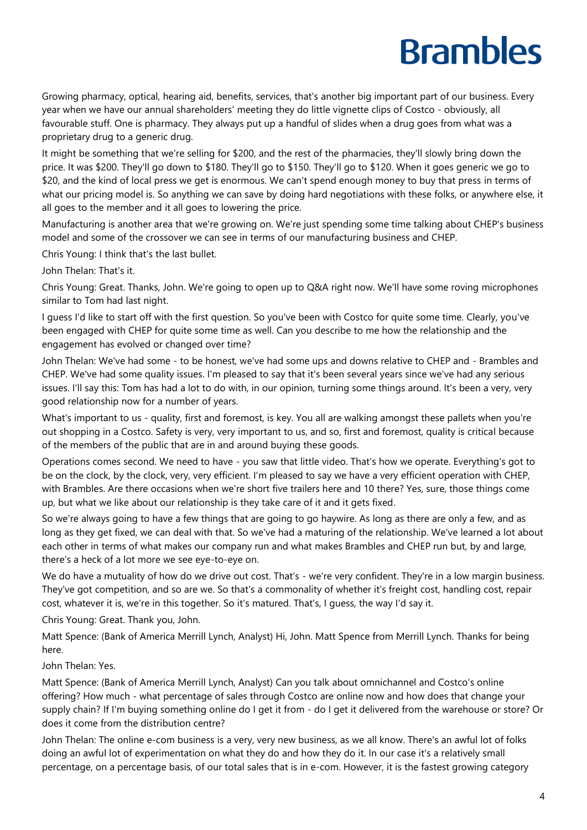Growing pharmacy, optical, hearing aid, benefits, services, that's another big important part of our business. Every year when we have our annual shareholders' meeting they do little vignette clips of Costco - obviously, all favourable stuff. One is pharmacy. They always put up a handful of slides when a drug goes from what was a proprietary drug to a generic drug.

It might be something that we're selling for \$200, and the rest of the pharmacies, they'll slowly bring down the price. It was \$200. They'll go down to \$180. They'll go to \$150. They'll go to \$120. When it goes generic we go to \$20, and the kind of local press we get is enormous. We can't spend enough money to buy that press in terms of what our pricing model is. So anything we can save by doing hard negotiations with these folks, or anywhere else, it all goes to the member and it all goes to lowering the price.

Manufacturing is another area that we're growing on. We're just spending some time talking about CHEP's business model and some of the crossover we can see in terms of our manufacturing business and CHEP.

Chris Young: I think that's the last bullet.

John Thelan: That's it.

Chris Young: Great. Thanks, John. We're going to open up to Q&A right now. We'll have some roving microphones similar to Tom had last night.

I guess I'd like to start off with the first question. So you've been with Costco for quite some time. Clearly, you've been engaged with CHEP for quite some time as well. Can you describe to me how the relationship and the engagement has evolved or changed over time?

John Thelan: We've had some - to be honest, we've had some ups and downs relative to CHEP and - Brambles and CHEP. We've had some quality issues. I'm pleased to say that it's been several years since we've had any serious issues. I'll say this: Tom has had a lot to do with, in our opinion, turning some things around. It's been a very, very good relationship now for a number of years.

What's important to us - quality, first and foremost, is key. You all are walking amongst these pallets when you're out shopping in a Costco. Safety is very, very important to us, and so, first and foremost, quality is critical because of the members of the public that are in and around buying these goods.

Operations comes second. We need to have - you saw that little video. That's how we operate. Everything's got to be on the clock, by the clock, very, very efficient. I'm pleased to say we have a very efficient operation with CHEP, with Brambles. Are there occasions when we're short five trailers here and 10 there? Yes, sure, those things come up, but what we like about our relationship is they take care of it and it gets fixed.

So we're always going to have a few things that are going to go haywire. As long as there are only a few, and as long as they get fixed, we can deal with that. So we've had a maturing of the relationship. We've learned a lot about each other in terms of what makes our company run and what makes Brambles and CHEP run but, by and large, there's a heck of a lot more we see eye-to-eye on.

We do have a mutuality of how do we drive out cost. That's - we're very confident. They're in a low margin business. They've got competition, and so are we. So that's a commonality of whether it's freight cost, handling cost, repair cost, whatever it is, we're in this together. So it's matured. That's, I guess, the way I'd say it.

Chris Young: Great. Thank you, John.

Matt Spence: (Bank of America Merrill Lynch, Analyst) Hi, John. Matt Spence from Merrill Lynch. Thanks for being here.

John Thelan: Yes.

Matt Spence: (Bank of America Merrill Lynch, Analyst) Can you talk about omnichannel and Costco's online offering? How much - what percentage of sales through Costco are online now and how does that change your supply chain? If I'm buying something online do I get it from - do I get it delivered from the warehouse or store? Or does it come from the distribution centre?

John Thelan: The online e-com business is a very, very new business, as we all know. There's an awful lot of folks doing an awful lot of experimentation on what they do and how they do it. In our case it's a relatively small percentage, on a percentage basis, of our total sales that is in e-com. However, it is the fastest growing category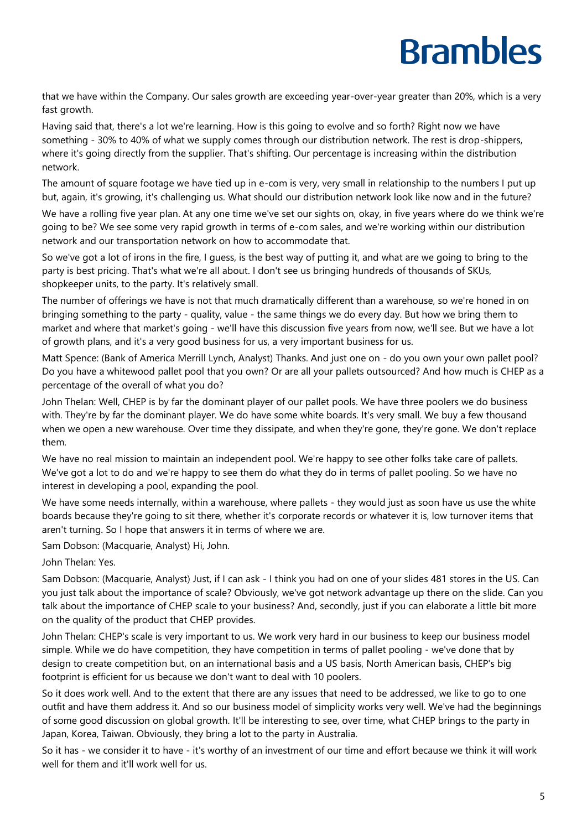that we have within the Company. Our sales growth are exceeding year-over-year greater than 20%, which is a very fast growth.

Having said that, there's a lot we're learning. How is this going to evolve and so forth? Right now we have something - 30% to 40% of what we supply comes through our distribution network. The rest is drop-shippers, where it's going directly from the supplier. That's shifting. Our percentage is increasing within the distribution network.

The amount of square footage we have tied up in e-com is very, very small in relationship to the numbers I put up but, again, it's growing, it's challenging us. What should our distribution network look like now and in the future?

We have a rolling five year plan. At any one time we've set our sights on, okay, in five years where do we think we're going to be? We see some very rapid growth in terms of e-com sales, and we're working within our distribution network and our transportation network on how to accommodate that.

So we've got a lot of irons in the fire, I guess, is the best way of putting it, and what are we going to bring to the party is best pricing. That's what we're all about. I don't see us bringing hundreds of thousands of SKUs, shopkeeper units, to the party. It's relatively small.

The number of offerings we have is not that much dramatically different than a warehouse, so we're honed in on bringing something to the party - quality, value - the same things we do every day. But how we bring them to market and where that market's going - we'll have this discussion five years from now, we'll see. But we have a lot of growth plans, and it's a very good business for us, a very important business for us.

Matt Spence: (Bank of America Merrill Lynch, Analyst) Thanks. And just one on - do you own your own pallet pool? Do you have a whitewood pallet pool that you own? Or are all your pallets outsourced? And how much is CHEP as a percentage of the overall of what you do?

John Thelan: Well, CHEP is by far the dominant player of our pallet pools. We have three poolers we do business with. They're by far the dominant player. We do have some white boards. It's very small. We buy a few thousand when we open a new warehouse. Over time they dissipate, and when they're gone, they're gone. We don't replace them.

We have no real mission to maintain an independent pool. We're happy to see other folks take care of pallets. We've got a lot to do and we're happy to see them do what they do in terms of pallet pooling. So we have no interest in developing a pool, expanding the pool.

We have some needs internally, within a warehouse, where pallets - they would just as soon have us use the white boards because they're going to sit there, whether it's corporate records or whatever it is, low turnover items that aren't turning. So I hope that answers it in terms of where we are.

Sam Dobson: (Macquarie, Analyst) Hi, John.

John Thelan: Yes.

Sam Dobson: (Macquarie, Analyst) Just, if I can ask - I think you had on one of your slides 481 stores in the US. Can you just talk about the importance of scale? Obviously, we've got network advantage up there on the slide. Can you talk about the importance of CHEP scale to your business? And, secondly, just if you can elaborate a little bit more on the quality of the product that CHEP provides.

John Thelan: CHEP's scale is very important to us. We work very hard in our business to keep our business model simple. While we do have competition, they have competition in terms of pallet pooling - we've done that by design to create competition but, on an international basis and a US basis, North American basis, CHEP's big footprint is efficient for us because we don't want to deal with 10 poolers.

So it does work well. And to the extent that there are any issues that need to be addressed, we like to go to one outfit and have them address it. And so our business model of simplicity works very well. We've had the beginnings of some good discussion on global growth. It'll be interesting to see, over time, what CHEP brings to the party in Japan, Korea, Taiwan. Obviously, they bring a lot to the party in Australia.

So it has - we consider it to have - it's worthy of an investment of our time and effort because we think it will work well for them and it'll work well for us.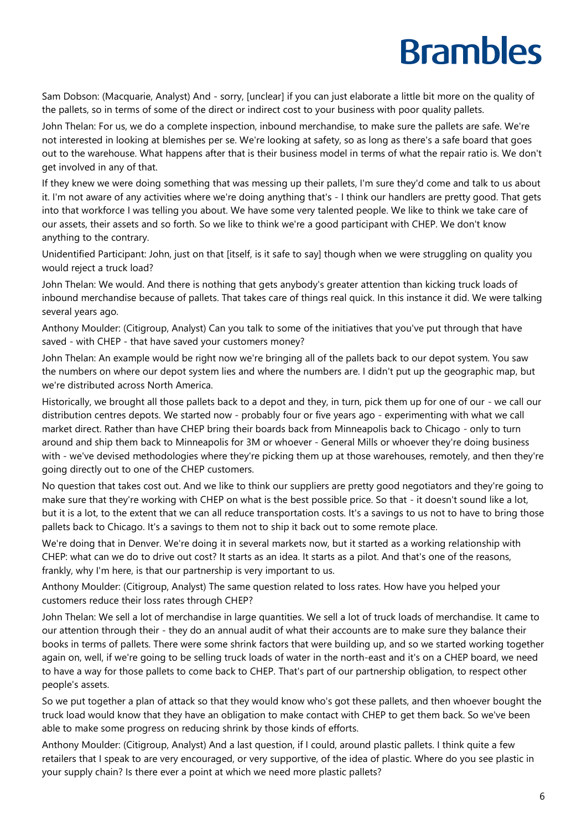Sam Dobson: (Macquarie, Analyst) And - sorry, [unclear] if you can just elaborate a little bit more on the quality of the pallets, so in terms of some of the direct or indirect cost to your business with poor quality pallets.

John Thelan: For us, we do a complete inspection, inbound merchandise, to make sure the pallets are safe. We're not interested in looking at blemishes per se. We're looking at safety, so as long as there's a safe board that goes out to the warehouse. What happens after that is their business model in terms of what the repair ratio is. We don't get involved in any of that.

If they knew we were doing something that was messing up their pallets, I'm sure they'd come and talk to us about it. I'm not aware of any activities where we're doing anything that's - I think our handlers are pretty good. That gets into that workforce I was telling you about. We have some very talented people. We like to think we take care of our assets, their assets and so forth. So we like to think we're a good participant with CHEP. We don't know anything to the contrary.

Unidentified Participant: John, just on that [itself, is it safe to say] though when we were struggling on quality you would reject a truck load?

John Thelan: We would. And there is nothing that gets anybody's greater attention than kicking truck loads of inbound merchandise because of pallets. That takes care of things real quick. In this instance it did. We were talking several years ago.

Anthony Moulder: (Citigroup, Analyst) Can you talk to some of the initiatives that you've put through that have saved - with CHEP - that have saved your customers money?

John Thelan: An example would be right now we're bringing all of the pallets back to our depot system. You saw the numbers on where our depot system lies and where the numbers are. I didn't put up the geographic map, but we're distributed across North America.

Historically, we brought all those pallets back to a depot and they, in turn, pick them up for one of our - we call our distribution centres depots. We started now - probably four or five years ago - experimenting with what we call market direct. Rather than have CHEP bring their boards back from Minneapolis back to Chicago - only to turn around and ship them back to Minneapolis for 3M or whoever - General Mills or whoever they're doing business with - we've devised methodologies where they're picking them up at those warehouses, remotely, and then they're going directly out to one of the CHEP customers.

No question that takes cost out. And we like to think our suppliers are pretty good negotiators and they're going to make sure that they're working with CHEP on what is the best possible price. So that - it doesn't sound like a lot, but it is a lot, to the extent that we can all reduce transportation costs. It's a savings to us not to have to bring those pallets back to Chicago. It's a savings to them not to ship it back out to some remote place.

We're doing that in Denver. We're doing it in several markets now, but it started as a working relationship with CHEP: what can we do to drive out cost? It starts as an idea. It starts as a pilot. And that's one of the reasons, frankly, why I'm here, is that our partnership is very important to us.

Anthony Moulder: (Citigroup, Analyst) The same question related to loss rates. How have you helped your customers reduce their loss rates through CHEP?

John Thelan: We sell a lot of merchandise in large quantities. We sell a lot of truck loads of merchandise. It came to our attention through their - they do an annual audit of what their accounts are to make sure they balance their books in terms of pallets. There were some shrink factors that were building up, and so we started working together again on, well, if we're going to be selling truck loads of water in the north-east and it's on a CHEP board, we need to have a way for those pallets to come back to CHEP. That's part of our partnership obligation, to respect other people's assets.

So we put together a plan of attack so that they would know who's got these pallets, and then whoever bought the truck load would know that they have an obligation to make contact with CHEP to get them back. So we've been able to make some progress on reducing shrink by those kinds of efforts.

Anthony Moulder: (Citigroup, Analyst) And a last question, if I could, around plastic pallets. I think quite a few retailers that I speak to are very encouraged, or very supportive, of the idea of plastic. Where do you see plastic in your supply chain? Is there ever a point at which we need more plastic pallets?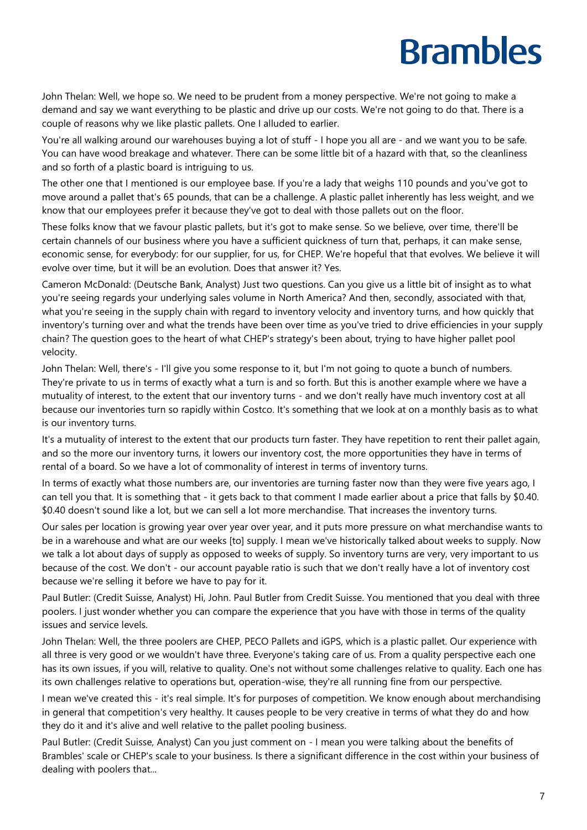John Thelan: Well, we hope so. We need to be prudent from a money perspective. We're not going to make a demand and say we want everything to be plastic and drive up our costs. We're not going to do that. There is a couple of reasons why we like plastic pallets. One I alluded to earlier.

You're all walking around our warehouses buying a lot of stuff - I hope you all are - and we want you to be safe. You can have wood breakage and whatever. There can be some little bit of a hazard with that, so the cleanliness and so forth of a plastic board is intriguing to us.

The other one that I mentioned is our employee base. If you're a lady that weighs 110 pounds and you've got to move around a pallet that's 65 pounds, that can be a challenge. A plastic pallet inherently has less weight, and we know that our employees prefer it because they've got to deal with those pallets out on the floor.

These folks know that we favour plastic pallets, but it's got to make sense. So we believe, over time, there'll be certain channels of our business where you have a sufficient quickness of turn that, perhaps, it can make sense, economic sense, for everybody: for our supplier, for us, for CHEP. We're hopeful that that evolves. We believe it will evolve over time, but it will be an evolution. Does that answer it? Yes.

Cameron McDonald: (Deutsche Bank, Analyst) Just two questions. Can you give us a little bit of insight as to what you're seeing regards your underlying sales volume in North America? And then, secondly, associated with that, what you're seeing in the supply chain with regard to inventory velocity and inventory turns, and how quickly that inventory's turning over and what the trends have been over time as you've tried to drive efficiencies in your supply chain? The question goes to the heart of what CHEP's strategy's been about, trying to have higher pallet pool velocity.

John Thelan: Well, there's - I'll give you some response to it, but I'm not going to quote a bunch of numbers. They're private to us in terms of exactly what a turn is and so forth. But this is another example where we have a mutuality of interest, to the extent that our inventory turns - and we don't really have much inventory cost at all because our inventories turn so rapidly within Costco. It's something that we look at on a monthly basis as to what is our inventory turns.

It's a mutuality of interest to the extent that our products turn faster. They have repetition to rent their pallet again, and so the more our inventory turns, it lowers our inventory cost, the more opportunities they have in terms of rental of a board. So we have a lot of commonality of interest in terms of inventory turns.

In terms of exactly what those numbers are, our inventories are turning faster now than they were five years ago, I can tell you that. It is something that - it gets back to that comment I made earlier about a price that falls by \$0.40. \$0.40 doesn't sound like a lot, but we can sell a lot more merchandise. That increases the inventory turns.

Our sales per location is growing year over year over year, and it puts more pressure on what merchandise wants to be in a warehouse and what are our weeks [to] supply. I mean we've historically talked about weeks to supply. Now we talk a lot about days of supply as opposed to weeks of supply. So inventory turns are very, very important to us because of the cost. We don't - our account payable ratio is such that we don't really have a lot of inventory cost because we're selling it before we have to pay for it.

Paul Butler: (Credit Suisse, Analyst) Hi, John. Paul Butler from Credit Suisse. You mentioned that you deal with three poolers. I just wonder whether you can compare the experience that you have with those in terms of the quality issues and service levels.

John Thelan: Well, the three poolers are CHEP, PECO Pallets and iGPS, which is a plastic pallet. Our experience with all three is very good or we wouldn't have three. Everyone's taking care of us. From a quality perspective each one has its own issues, if you will, relative to quality. One's not without some challenges relative to quality. Each one has its own challenges relative to operations but, operation-wise, they're all running fine from our perspective.

I mean we've created this - it's real simple. It's for purposes of competition. We know enough about merchandising in general that competition's very healthy. It causes people to be very creative in terms of what they do and how they do it and it's alive and well relative to the pallet pooling business.

Paul Butler: (Credit Suisse, Analyst) Can you just comment on - I mean you were talking about the benefits of Brambles' scale or CHEP's scale to your business. Is there a significant difference in the cost within your business of dealing with poolers that...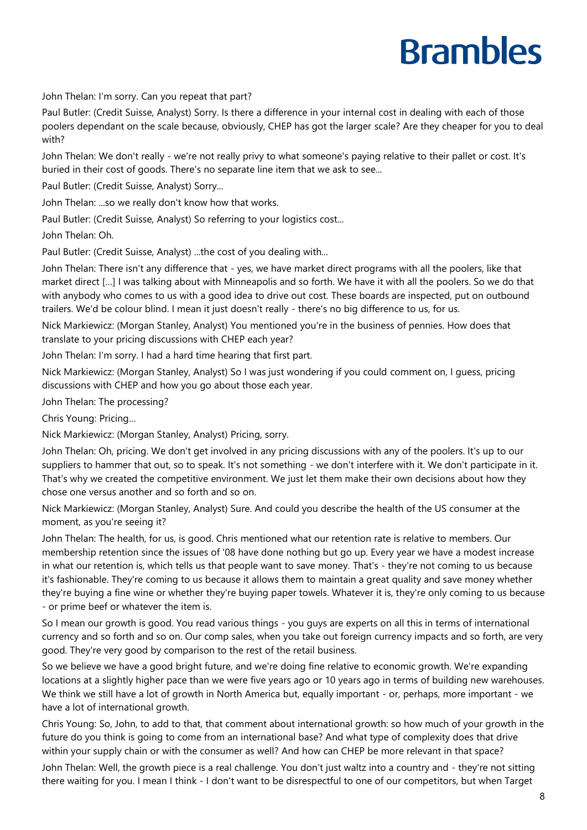John Thelan: I'm sorry. Can you repeat that part?

Paul Butler: (Credit Suisse, Analyst) Sorry. Is there a difference in your internal cost in dealing with each of those poolers dependant on the scale because, obviously, CHEP has got the larger scale? Are they cheaper for you to deal with?

John Thelan: We don't really - we're not really privy to what someone's paying relative to their pallet or cost. It's buried in their cost of goods. There's no separate line item that we ask to see...

Paul Butler: (Credit Suisse, Analyst) Sorry...

John Thelan: ...so we really don't know how that works.

Paul Butler: (Credit Suisse, Analyst) So referring to your logistics cost...

John Thelan: Oh.

Paul Butler: (Credit Suisse, Analyst) ...the cost of you dealing with...

John Thelan: There isn't any difference that - yes, we have market direct programs with all the poolers, like that market direct […] I was talking about with Minneapolis and so forth. We have it with all the poolers. So we do that with anybody who comes to us with a good idea to drive out cost. These boards are inspected, put on outbound trailers. We'd be colour blind. I mean it just doesn't really - there's no big difference to us, for us.

Nick Markiewicz: (Morgan Stanley, Analyst) You mentioned you're in the business of pennies. How does that translate to your pricing discussions with CHEP each year?

John Thelan: I'm sorry. I had a hard time hearing that first part.

Nick Markiewicz: (Morgan Stanley, Analyst) So I was just wondering if you could comment on, I guess, pricing discussions with CHEP and how you go about those each year.

John Thelan: The processing?

Chris Young: Pricing…

Nick Markiewicz: (Morgan Stanley, Analyst) Pricing, sorry.

John Thelan: Oh, pricing. We don't get involved in any pricing discussions with any of the poolers. It's up to our suppliers to hammer that out, so to speak. It's not something - we don't interfere with it. We don't participate in it. That's why we created the competitive environment. We just let them make their own decisions about how they chose one versus another and so forth and so on.

Nick Markiewicz: (Morgan Stanley, Analyst) Sure. And could you describe the health of the US consumer at the moment, as you're seeing it?

John Thelan: The health, for us, is good. Chris mentioned what our retention rate is relative to members. Our membership retention since the issues of '08 have done nothing but go up. Every year we have a modest increase in what our retention is, which tells us that people want to save money. That's - they're not coming to us because it's fashionable. They're coming to us because it allows them to maintain a great quality and save money whether they're buying a fine wine or whether they're buying paper towels. Whatever it is, they're only coming to us because - or prime beef or whatever the item is.

So I mean our growth is good. You read various things - you guys are experts on all this in terms of international currency and so forth and so on. Our comp sales, when you take out foreign currency impacts and so forth, are very good. They're very good by comparison to the rest of the retail business.

So we believe we have a good bright future, and we're doing fine relative to economic growth. We're expanding locations at a slightly higher pace than we were five years ago or 10 years ago in terms of building new warehouses. We think we still have a lot of growth in North America but, equally important - or, perhaps, more important - we have a lot of international growth.

Chris Young: So, John, to add to that, that comment about international growth: so how much of your growth in the future do you think is going to come from an international base? And what type of complexity does that drive within your supply chain or with the consumer as well? And how can CHEP be more relevant in that space?

John Thelan: Well, the growth piece is a real challenge. You don't just waltz into a country and - they're not sitting there waiting for you. I mean I think - I don't want to be disrespectful to one of our competitors, but when Target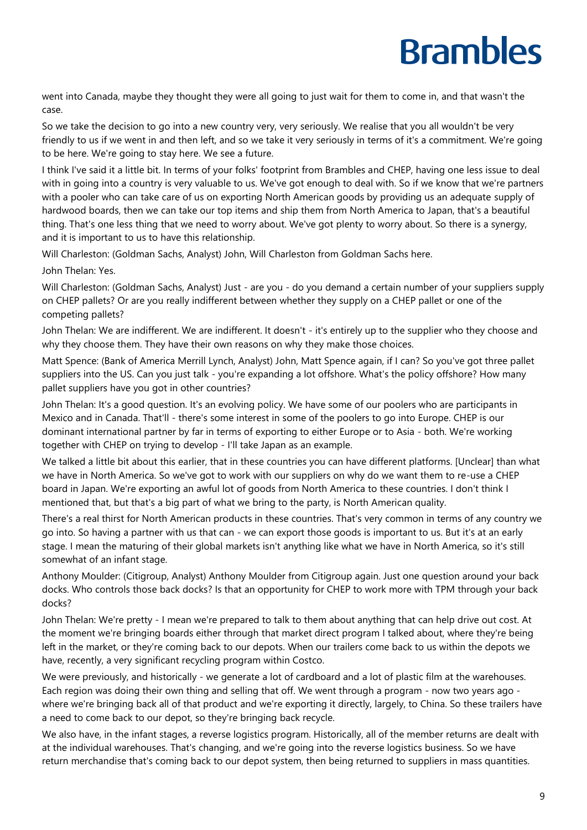went into Canada, maybe they thought they were all going to just wait for them to come in, and that wasn't the case.

So we take the decision to go into a new country very, very seriously. We realise that you all wouldn't be very friendly to us if we went in and then left, and so we take it very seriously in terms of it's a commitment. We're going to be here. We're going to stay here. We see a future.

I think I've said it a little bit. In terms of your folks' footprint from Brambles and CHEP, having one less issue to deal with in going into a country is very valuable to us. We've got enough to deal with. So if we know that we're partners with a pooler who can take care of us on exporting North American goods by providing us an adequate supply of hardwood boards, then we can take our top items and ship them from North America to Japan, that's a beautiful thing. That's one less thing that we need to worry about. We've got plenty to worry about. So there is a synergy, and it is important to us to have this relationship.

Will Charleston: (Goldman Sachs, Analyst) John, Will Charleston from Goldman Sachs here.

John Thelan: Yes.

Will Charleston: (Goldman Sachs, Analyst) Just - are you - do you demand a certain number of your suppliers supply on CHEP pallets? Or are you really indifferent between whether they supply on a CHEP pallet or one of the competing pallets?

John Thelan: We are indifferent. We are indifferent. It doesn't - it's entirely up to the supplier who they choose and why they choose them. They have their own reasons on why they make those choices.

Matt Spence: (Bank of America Merrill Lynch, Analyst) John, Matt Spence again, if I can? So you've got three pallet suppliers into the US. Can you just talk - you're expanding a lot offshore. What's the policy offshore? How many pallet suppliers have you got in other countries?

John Thelan: It's a good question. It's an evolving policy. We have some of our poolers who are participants in Mexico and in Canada. That'll - there's some interest in some of the poolers to go into Europe. CHEP is our dominant international partner by far in terms of exporting to either Europe or to Asia - both. We're working together with CHEP on trying to develop - I'll take Japan as an example.

We talked a little bit about this earlier, that in these countries you can have different platforms. [Unclear] than what we have in North America. So we've got to work with our suppliers on why do we want them to re-use a CHEP board in Japan. We're exporting an awful lot of goods from North America to these countries. I don't think I mentioned that, but that's a big part of what we bring to the party, is North American quality.

There's a real thirst for North American products in these countries. That's very common in terms of any country we go into. So having a partner with us that can - we can export those goods is important to us. But it's at an early stage. I mean the maturing of their global markets isn't anything like what we have in North America, so it's still somewhat of an infant stage.

Anthony Moulder: (Citigroup, Analyst) Anthony Moulder from Citigroup again. Just one question around your back docks. Who controls those back docks? Is that an opportunity for CHEP to work more with TPM through your back docks?

John Thelan: We're pretty - I mean we're prepared to talk to them about anything that can help drive out cost. At the moment we're bringing boards either through that market direct program I talked about, where they're being left in the market, or they're coming back to our depots. When our trailers come back to us within the depots we have, recently, a very significant recycling program within Costco.

We were previously, and historically - we generate a lot of cardboard and a lot of plastic film at the warehouses. Each region was doing their own thing and selling that off. We went through a program - now two years ago where we're bringing back all of that product and we're exporting it directly, largely, to China. So these trailers have a need to come back to our depot, so they're bringing back recycle.

We also have, in the infant stages, a reverse logistics program. Historically, all of the member returns are dealt with at the individual warehouses. That's changing, and we're going into the reverse logistics business. So we have return merchandise that's coming back to our depot system, then being returned to suppliers in mass quantities.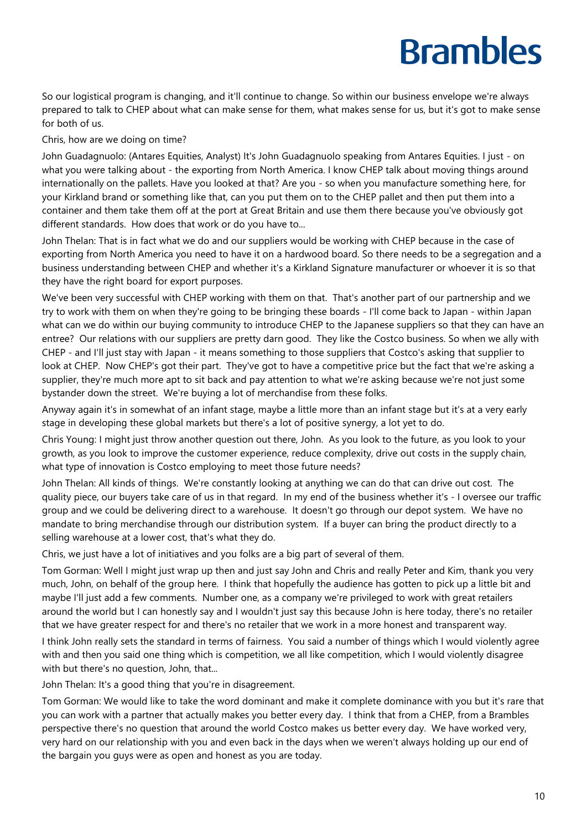So our logistical program is changing, and it'll continue to change. So within our business envelope we're always prepared to talk to CHEP about what can make sense for them, what makes sense for us, but it's got to make sense for both of us.

Chris, how are we doing on time?

John Guadagnuolo: (Antares Equities, Analyst) It's John Guadagnuolo speaking from Antares Equities. I just - on what you were talking about - the exporting from North America. I know CHEP talk about moving things around internationally on the pallets. Have you looked at that? Are you - so when you manufacture something here, for your Kirkland brand or something like that, can you put them on to the CHEP pallet and then put them into a container and them take them off at the port at Great Britain and use them there because you've obviously got different standards. How does that work or do you have to...

John Thelan: That is in fact what we do and our suppliers would be working with CHEP because in the case of exporting from North America you need to have it on a hardwood board. So there needs to be a segregation and a business understanding between CHEP and whether it's a Kirkland Signature manufacturer or whoever it is so that they have the right board for export purposes.

We've been very successful with CHEP working with them on that. That's another part of our partnership and we try to work with them on when they're going to be bringing these boards - I'll come back to Japan - within Japan what can we do within our buying community to introduce CHEP to the Japanese suppliers so that they can have an entree? Our relations with our suppliers are pretty darn good. They like the Costco business. So when we ally with CHEP - and I'll just stay with Japan - it means something to those suppliers that Costco's asking that supplier to look at CHEP. Now CHEP's got their part. They've got to have a competitive price but the fact that we're asking a supplier, they're much more apt to sit back and pay attention to what we're asking because we're not just some bystander down the street. We're buying a lot of merchandise from these folks.

Anyway again it's in somewhat of an infant stage, maybe a little more than an infant stage but it's at a very early stage in developing these global markets but there's a lot of positive synergy, a lot yet to do.

Chris Young: I might just throw another question out there, John. As you look to the future, as you look to your growth, as you look to improve the customer experience, reduce complexity, drive out costs in the supply chain, what type of innovation is Costco employing to meet those future needs?

John Thelan: All kinds of things. We're constantly looking at anything we can do that can drive out cost. The quality piece, our buyers take care of us in that regard. In my end of the business whether it's - I oversee our traffic group and we could be delivering direct to a warehouse. It doesn't go through our depot system. We have no mandate to bring merchandise through our distribution system. If a buyer can bring the product directly to a selling warehouse at a lower cost, that's what they do.

Chris, we just have a lot of initiatives and you folks are a big part of several of them.

Tom Gorman: Well I might just wrap up then and just say John and Chris and really Peter and Kim, thank you very much, John, on behalf of the group here. I think that hopefully the audience has gotten to pick up a little bit and maybe I'll just add a few comments. Number one, as a company we're privileged to work with great retailers around the world but I can honestly say and I wouldn't just say this because John is here today, there's no retailer that we have greater respect for and there's no retailer that we work in a more honest and transparent way.

I think John really sets the standard in terms of fairness. You said a number of things which I would violently agree with and then you said one thing which is competition, we all like competition, which I would violently disagree with but there's no question, John, that...

John Thelan: It's a good thing that you're in disagreement.

Tom Gorman: We would like to take the word dominant and make it complete dominance with you but it's rare that you can work with a partner that actually makes you better every day. I think that from a CHEP, from a Brambles perspective there's no question that around the world Costco makes us better every day. We have worked very, very hard on our relationship with you and even back in the days when we weren't always holding up our end of the bargain you guys were as open and honest as you are today.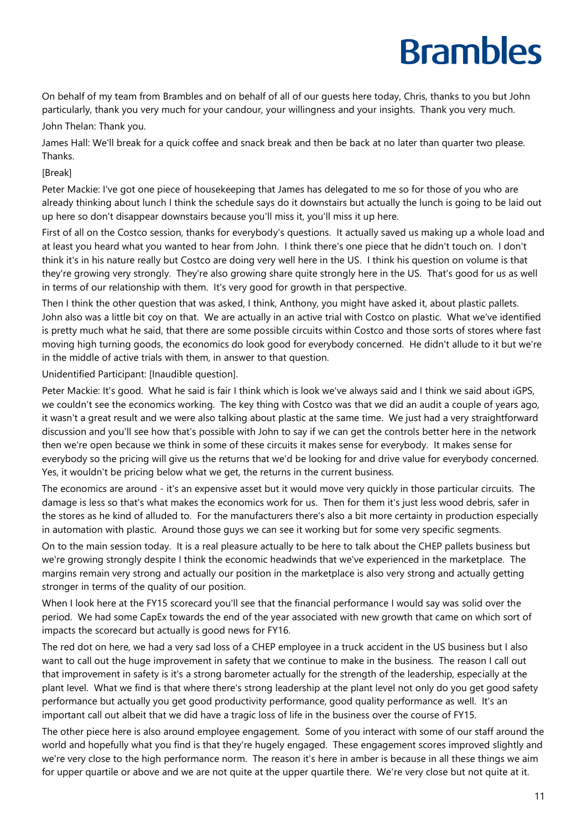On behalf of my team from Brambles and on behalf of all of our guests here today, Chris, thanks to you but John particularly, thank you very much for your candour, your willingness and your insights. Thank you very much. John Thelan: Thank you.

James Hall: We'll break for a quick coffee and snack break and then be back at no later than quarter two please. Thanks.

[Break]

Peter Mackie: I've got one piece of housekeeping that James has delegated to me so for those of you who are already thinking about lunch I think the schedule says do it downstairs but actually the lunch is going to be laid out up here so don't disappear downstairs because you'll miss it, you'll miss it up here.

First of all on the Costco session, thanks for everybody's questions. It actually saved us making up a whole load and at least you heard what you wanted to hear from John. I think there's one piece that he didn't touch on. I don't think it's in his nature really but Costco are doing very well here in the US. I think his question on volume is that they're growing very strongly. They're also growing share quite strongly here in the US. That's good for us as well in terms of our relationship with them. It's very good for growth in that perspective.

Then I think the other question that was asked, I think, Anthony, you might have asked it, about plastic pallets. John also was a little bit coy on that. We are actually in an active trial with Costco on plastic. What we've identified is pretty much what he said, that there are some possible circuits within Costco and those sorts of stores where fast moving high turning goods, the economics do look good for everybody concerned. He didn't allude to it but we're in the middle of active trials with them, in answer to that question.

Unidentified Participant: [Inaudible question].

Peter Mackie: It's good. What he said is fair I think which is look we've always said and I think we said about iGPS, we couldn't see the economics working. The key thing with Costco was that we did an audit a couple of years ago, it wasn't a great result and we were also talking about plastic at the same time. We just had a very straightforward discussion and you'll see how that's possible with John to say if we can get the controls better here in the network then we're open because we think in some of these circuits it makes sense for everybody. It makes sense for everybody so the pricing will give us the returns that we'd be looking for and drive value for everybody concerned. Yes, it wouldn't be pricing below what we get, the returns in the current business.

The economics are around - it's an expensive asset but it would move very quickly in those particular circuits. The damage is less so that's what makes the economics work for us. Then for them it's just less wood debris, safer in the stores as he kind of alluded to. For the manufacturers there's also a bit more certainty in production especially in automation with plastic. Around those guys we can see it working but for some very specific segments.

On to the main session today. It is a real pleasure actually to be here to talk about the CHEP pallets business but we're growing strongly despite I think the economic headwinds that we've experienced in the marketplace. The margins remain very strong and actually our position in the marketplace is also very strong and actually getting stronger in terms of the quality of our position.

When I look here at the FY15 scorecard you'll see that the financial performance I would say was solid over the period. We had some CapEx towards the end of the year associated with new growth that came on which sort of impacts the scorecard but actually is good news for FY16.

The red dot on here, we had a very sad loss of a CHEP employee in a truck accident in the US business but I also want to call out the huge improvement in safety that we continue to make in the business. The reason I call out that improvement in safety is it's a strong barometer actually for the strength of the leadership, especially at the plant level. What we find is that where there's strong leadership at the plant level not only do you get good safety performance but actually you get good productivity performance, good quality performance as well. It's an important call out albeit that we did have a tragic loss of life in the business over the course of FY15.

The other piece here is also around employee engagement. Some of you interact with some of our staff around the world and hopefully what you find is that they're hugely engaged. These engagement scores improved slightly and we're very close to the high performance norm. The reason it's here in amber is because in all these things we aim for upper quartile or above and we are not quite at the upper quartile there. We're very close but not quite at it.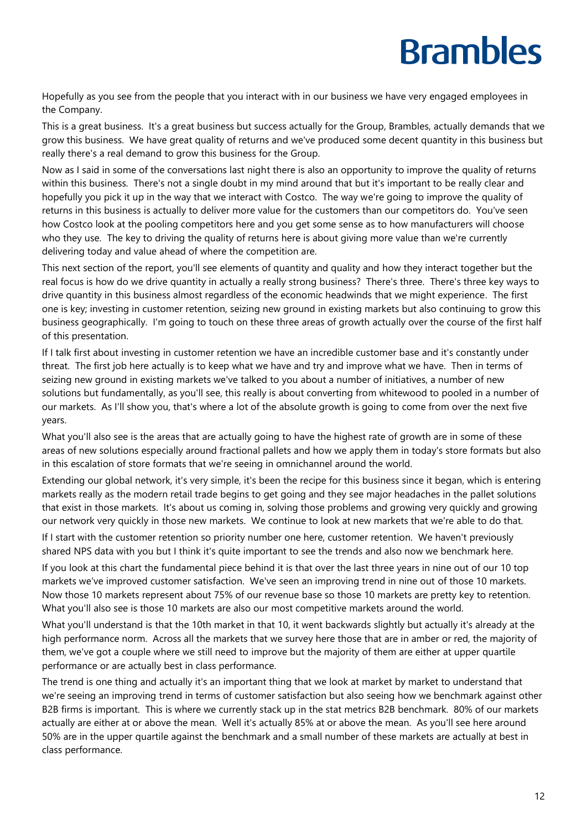Hopefully as you see from the people that you interact with in our business we have very engaged employees in the Company.

This is a great business. It's a great business but success actually for the Group, Brambles, actually demands that we grow this business. We have great quality of returns and we've produced some decent quantity in this business but really there's a real demand to grow this business for the Group.

Now as I said in some of the conversations last night there is also an opportunity to improve the quality of returns within this business. There's not a single doubt in my mind around that but it's important to be really clear and hopefully you pick it up in the way that we interact with Costco. The way we're going to improve the quality of returns in this business is actually to deliver more value for the customers than our competitors do. You've seen how Costco look at the pooling competitors here and you get some sense as to how manufacturers will choose who they use. The key to driving the quality of returns here is about giving more value than we're currently delivering today and value ahead of where the competition are.

This next section of the report, you'll see elements of quantity and quality and how they interact together but the real focus is how do we drive quantity in actually a really strong business? There's three. There's three key ways to drive quantity in this business almost regardless of the economic headwinds that we might experience. The first one is key; investing in customer retention, seizing new ground in existing markets but also continuing to grow this business geographically. I'm going to touch on these three areas of growth actually over the course of the first half of this presentation.

If I talk first about investing in customer retention we have an incredible customer base and it's constantly under threat. The first job here actually is to keep what we have and try and improve what we have. Then in terms of seizing new ground in existing markets we've talked to you about a number of initiatives, a number of new solutions but fundamentally, as you'll see, this really is about converting from whitewood to pooled in a number of our markets. As I'll show you, that's where a lot of the absolute growth is going to come from over the next five years.

What you'll also see is the areas that are actually going to have the highest rate of growth are in some of these areas of new solutions especially around fractional pallets and how we apply them in today's store formats but also in this escalation of store formats that we're seeing in omnichannel around the world.

Extending our global network, it's very simple, it's been the recipe for this business since it began, which is entering markets really as the modern retail trade begins to get going and they see major headaches in the pallet solutions that exist in those markets. It's about us coming in, solving those problems and growing very quickly and growing our network very quickly in those new markets. We continue to look at new markets that we're able to do that.

If I start with the customer retention so priority number one here, customer retention. We haven't previously shared NPS data with you but I think it's quite important to see the trends and also now we benchmark here.

If you look at this chart the fundamental piece behind it is that over the last three years in nine out of our 10 top markets we've improved customer satisfaction. We've seen an improving trend in nine out of those 10 markets. Now those 10 markets represent about 75% of our revenue base so those 10 markets are pretty key to retention. What you'll also see is those 10 markets are also our most competitive markets around the world.

What you'll understand is that the 10th market in that 10, it went backwards slightly but actually it's already at the high performance norm. Across all the markets that we survey here those that are in amber or red, the majority of them, we've got a couple where we still need to improve but the majority of them are either at upper quartile performance or are actually best in class performance.

The trend is one thing and actually it's an important thing that we look at market by market to understand that we're seeing an improving trend in terms of customer satisfaction but also seeing how we benchmark against other B2B firms is important. This is where we currently stack up in the stat metrics B2B benchmark. 80% of our markets actually are either at or above the mean. Well it's actually 85% at or above the mean. As you'll see here around 50% are in the upper quartile against the benchmark and a small number of these markets are actually at best in class performance.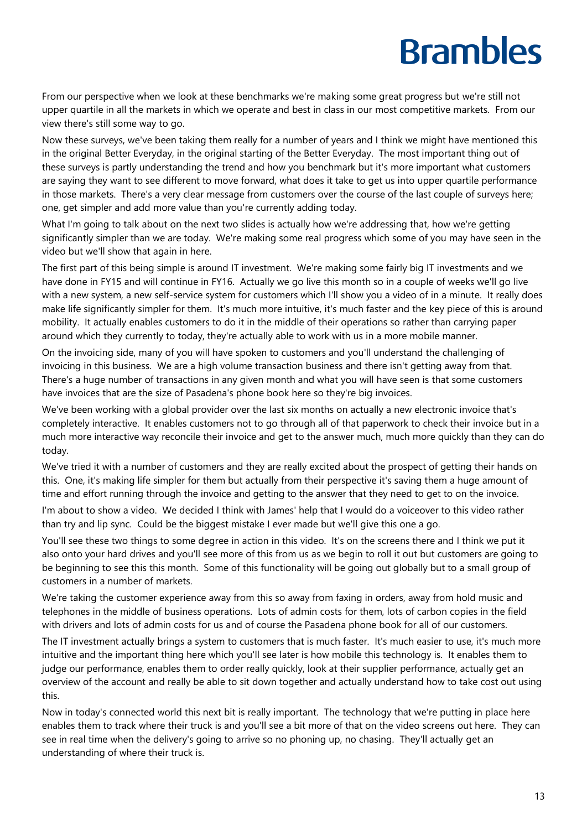From our perspective when we look at these benchmarks we're making some great progress but we're still not upper quartile in all the markets in which we operate and best in class in our most competitive markets. From our view there's still some way to go.

Now these surveys, we've been taking them really for a number of years and I think we might have mentioned this in the original Better Everyday, in the original starting of the Better Everyday. The most important thing out of these surveys is partly understanding the trend and how you benchmark but it's more important what customers are saying they want to see different to move forward, what does it take to get us into upper quartile performance in those markets. There's a very clear message from customers over the course of the last couple of surveys here; one, get simpler and add more value than you're currently adding today.

What I'm going to talk about on the next two slides is actually how we're addressing that, how we're getting significantly simpler than we are today. We're making some real progress which some of you may have seen in the video but we'll show that again in here.

The first part of this being simple is around IT investment. We're making some fairly big IT investments and we have done in FY15 and will continue in FY16. Actually we go live this month so in a couple of weeks we'll go live with a new system, a new self-service system for customers which I'll show you a video of in a minute. It really does make life significantly simpler for them. It's much more intuitive, it's much faster and the key piece of this is around mobility. It actually enables customers to do it in the middle of their operations so rather than carrying paper around which they currently to today, they're actually able to work with us in a more mobile manner.

On the invoicing side, many of you will have spoken to customers and you'll understand the challenging of invoicing in this business. We are a high volume transaction business and there isn't getting away from that. There's a huge number of transactions in any given month and what you will have seen is that some customers have invoices that are the size of Pasadena's phone book here so they're big invoices.

We've been working with a global provider over the last six months on actually a new electronic invoice that's completely interactive. It enables customers not to go through all of that paperwork to check their invoice but in a much more interactive way reconcile their invoice and get to the answer much, much more quickly than they can do today.

We've tried it with a number of customers and they are really excited about the prospect of getting their hands on this. One, it's making life simpler for them but actually from their perspective it's saving them a huge amount of time and effort running through the invoice and getting to the answer that they need to get to on the invoice.

I'm about to show a video. We decided I think with James' help that I would do a voiceover to this video rather than try and lip sync. Could be the biggest mistake I ever made but we'll give this one a go.

You'll see these two things to some degree in action in this video. It's on the screens there and I think we put it also onto your hard drives and you'll see more of this from us as we begin to roll it out but customers are going to be beginning to see this this month. Some of this functionality will be going out globally but to a small group of customers in a number of markets.

We're taking the customer experience away from this so away from faxing in orders, away from hold music and telephones in the middle of business operations. Lots of admin costs for them, lots of carbon copies in the field with drivers and lots of admin costs for us and of course the Pasadena phone book for all of our customers.

The IT investment actually brings a system to customers that is much faster. It's much easier to use, it's much more intuitive and the important thing here which you'll see later is how mobile this technology is. It enables them to judge our performance, enables them to order really quickly, look at their supplier performance, actually get an overview of the account and really be able to sit down together and actually understand how to take cost out using this.

Now in today's connected world this next bit is really important. The technology that we're putting in place here enables them to track where their truck is and you'll see a bit more of that on the video screens out here. They can see in real time when the delivery's going to arrive so no phoning up, no chasing. They'll actually get an understanding of where their truck is.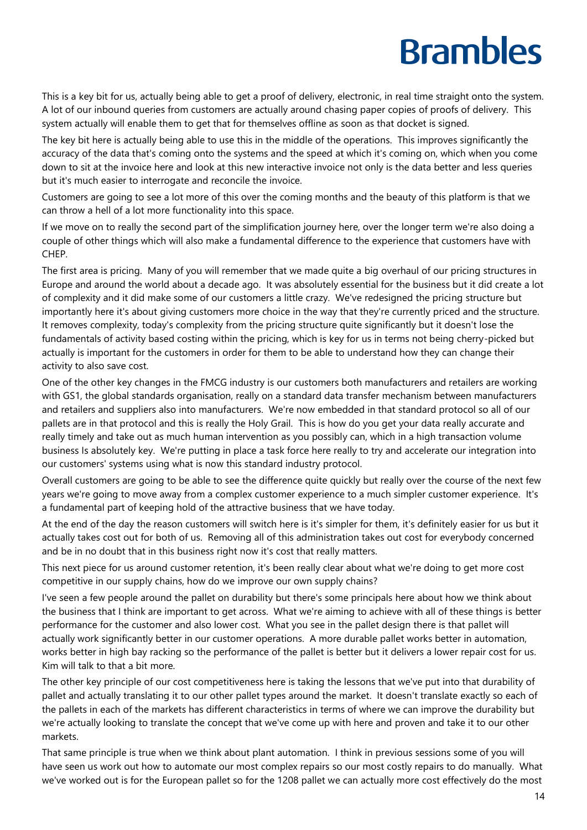This is a key bit for us, actually being able to get a proof of delivery, electronic, in real time straight onto the system. A lot of our inbound queries from customers are actually around chasing paper copies of proofs of delivery. This system actually will enable them to get that for themselves offline as soon as that docket is signed.

The key bit here is actually being able to use this in the middle of the operations. This improves significantly the accuracy of the data that's coming onto the systems and the speed at which it's coming on, which when you come down to sit at the invoice here and look at this new interactive invoice not only is the data better and less queries but it's much easier to interrogate and reconcile the invoice.

Customers are going to see a lot more of this over the coming months and the beauty of this platform is that we can throw a hell of a lot more functionality into this space.

If we move on to really the second part of the simplification journey here, over the longer term we're also doing a couple of other things which will also make a fundamental difference to the experience that customers have with CHEP.

The first area is pricing. Many of you will remember that we made quite a big overhaul of our pricing structures in Europe and around the world about a decade ago. It was absolutely essential for the business but it did create a lot of complexity and it did make some of our customers a little crazy. We've redesigned the pricing structure but importantly here it's about giving customers more choice in the way that they're currently priced and the structure. It removes complexity, today's complexity from the pricing structure quite significantly but it doesn't lose the fundamentals of activity based costing within the pricing, which is key for us in terms not being cherry-picked but actually is important for the customers in order for them to be able to understand how they can change their activity to also save cost.

One of the other key changes in the FMCG industry is our customers both manufacturers and retailers are working with GS1, the global standards organisation, really on a standard data transfer mechanism between manufacturers and retailers and suppliers also into manufacturers. We're now embedded in that standard protocol so all of our pallets are in that protocol and this is really the Holy Grail. This is how do you get your data really accurate and really timely and take out as much human intervention as you possibly can, which in a high transaction volume business Is absolutely key. We're putting in place a task force here really to try and accelerate our integration into our customers' systems using what is now this standard industry protocol.

Overall customers are going to be able to see the difference quite quickly but really over the course of the next few years we're going to move away from a complex customer experience to a much simpler customer experience. It's a fundamental part of keeping hold of the attractive business that we have today.

At the end of the day the reason customers will switch here is it's simpler for them, it's definitely easier for us but it actually takes cost out for both of us. Removing all of this administration takes out cost for everybody concerned and be in no doubt that in this business right now it's cost that really matters.

This next piece for us around customer retention, it's been really clear about what we're doing to get more cost competitive in our supply chains, how do we improve our own supply chains?

I've seen a few people around the pallet on durability but there's some principals here about how we think about the business that I think are important to get across. What we're aiming to achieve with all of these things is better performance for the customer and also lower cost. What you see in the pallet design there is that pallet will actually work significantly better in our customer operations. A more durable pallet works better in automation, works better in high bay racking so the performance of the pallet is better but it delivers a lower repair cost for us. Kim will talk to that a bit more.

The other key principle of our cost competitiveness here is taking the lessons that we've put into that durability of pallet and actually translating it to our other pallet types around the market. It doesn't translate exactly so each of the pallets in each of the markets has different characteristics in terms of where we can improve the durability but we're actually looking to translate the concept that we've come up with here and proven and take it to our other markets.

That same principle is true when we think about plant automation. I think in previous sessions some of you will have seen us work out how to automate our most complex repairs so our most costly repairs to do manually. What we've worked out is for the European pallet so for the 1208 pallet we can actually more cost effectively do the most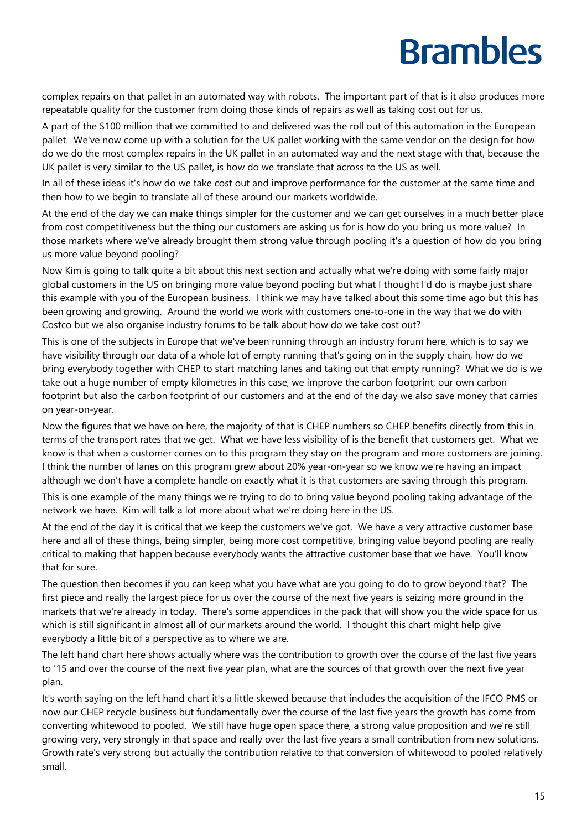complex repairs on that pallet in an automated way with robots. The important part of that is it also produces more repeatable quality for the customer from doing those kinds of repairs as well as taking cost out for us.

A part of the \$100 million that we committed to and delivered was the roll out of this automation in the European pallet. We've now come up with a solution for the UK pallet working with the same vendor on the design for how do we do the most complex repairs in the UK pallet in an automated way and the next stage with that, because the UK pallet is very similar to the US pallet, is how do we translate that across to the US as well.

In all of these ideas it's how do we take cost out and improve performance for the customer at the same time and then how to we begin to translate all of these around our markets worldwide.

At the end of the day we can make things simpler for the customer and we can get ourselves in a much better place from cost competitiveness but the thing our customers are asking us for is how do you bring us more value? In those markets where we've already brought them strong value through pooling it's a question of how do you bring us more value beyond pooling?

Now Kim is going to talk quite a bit about this next section and actually what we're doing with some fairly major global customers in the US on bringing more value beyond pooling but what I thought I'd do is maybe just share this example with you of the European business. I think we may have talked about this some time ago but this has been growing and growing. Around the world we work with customers one-to-one in the way that we do with Costco but we also organise industry forums to be talk about how do we take cost out?

This is one of the subjects in Europe that we've been running through an industry forum here, which is to say we have visibility through our data of a whole lot of empty running that's going on in the supply chain, how do we bring everybody together with CHEP to start matching lanes and taking out that empty running? What we do is we take out a huge number of empty kilometres in this case, we improve the carbon footprint, our own carbon footprint but also the carbon footprint of our customers and at the end of the day we also save money that carries on year-on-year.

Now the figures that we have on here, the majority of that is CHEP numbers so CHEP benefits directly from this in terms of the transport rates that we get. What we have less visibility of is the benefit that customers get. What we know is that when a customer comes on to this program they stay on the program and more customers are joining. I think the number of lanes on this program grew about 20% year-on-year so we know we're having an impact although we don't have a complete handle on exactly what it is that customers are saving through this program.

This is one example of the many things we're trying to do to bring value beyond pooling taking advantage of the network we have. Kim will talk a lot more about what we're doing here in the US.

At the end of the day it is critical that we keep the customers we've got. We have a very attractive customer base here and all of these things, being simpler, being more cost competitive, bringing value beyond pooling are really critical to making that happen because everybody wants the attractive customer base that we have. You'll know that for sure.

The question then becomes if you can keep what you have what are you going to do to grow beyond that? The first piece and really the largest piece for us over the course of the next five years is seizing more ground in the markets that we're already in today. There's some appendices in the pack that will show you the wide space for us which is still significant in almost all of our markets around the world. I thought this chart might help give everybody a little bit of a perspective as to where we are.

The left hand chart here shows actually where was the contribution to growth over the course of the last five years to '15 and over the course of the next five year plan, what are the sources of that growth over the next five year plan.

It's worth saying on the left hand chart it's a little skewed because that includes the acquisition of the IFCO PMS or now our CHEP recycle business but fundamentally over the course of the last five years the growth has come from converting whitewood to pooled. We still have huge open space there, a strong value proposition and we're still growing very, very strongly in that space and really over the last five years a small contribution from new solutions. Growth rate's very strong but actually the contribution relative to that conversion of whitewood to pooled relatively small.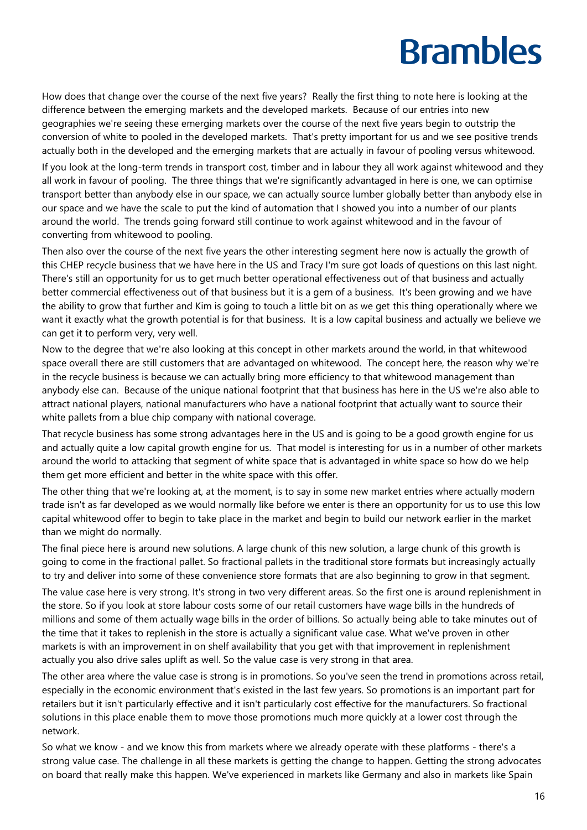How does that change over the course of the next five years? Really the first thing to note here is looking at the difference between the emerging markets and the developed markets. Because of our entries into new geographies we're seeing these emerging markets over the course of the next five years begin to outstrip the conversion of white to pooled in the developed markets. That's pretty important for us and we see positive trends actually both in the developed and the emerging markets that are actually in favour of pooling versus whitewood.

If you look at the long-term trends in transport cost, timber and in labour they all work against whitewood and they all work in favour of pooling. The three things that we're significantly advantaged in here is one, we can optimise transport better than anybody else in our space, we can actually source lumber globally better than anybody else in our space and we have the scale to put the kind of automation that I showed you into a number of our plants around the world. The trends going forward still continue to work against whitewood and in the favour of converting from whitewood to pooling.

Then also over the course of the next five years the other interesting segment here now is actually the growth of this CHEP recycle business that we have here in the US and Tracy I'm sure got loads of questions on this last night. There's still an opportunity for us to get much better operational effectiveness out of that business and actually better commercial effectiveness out of that business but it is a gem of a business. It's been growing and we have the ability to grow that further and Kim is going to touch a little bit on as we get this thing operationally where we want it exactly what the growth potential is for that business. It is a low capital business and actually we believe we can get it to perform very, very well.

Now to the degree that we're also looking at this concept in other markets around the world, in that whitewood space overall there are still customers that are advantaged on whitewood. The concept here, the reason why we're in the recycle business is because we can actually bring more efficiency to that whitewood management than anybody else can. Because of the unique national footprint that that business has here in the US we're also able to attract national players, national manufacturers who have a national footprint that actually want to source their white pallets from a blue chip company with national coverage.

That recycle business has some strong advantages here in the US and is going to be a good growth engine for us and actually quite a low capital growth engine for us. That model is interesting for us in a number of other markets around the world to attacking that segment of white space that is advantaged in white space so how do we help them get more efficient and better in the white space with this offer.

The other thing that we're looking at, at the moment, is to say in some new market entries where actually modern trade isn't as far developed as we would normally like before we enter is there an opportunity for us to use this low capital whitewood offer to begin to take place in the market and begin to build our network earlier in the market than we might do normally.

The final piece here is around new solutions. A large chunk of this new solution, a large chunk of this growth is going to come in the fractional pallet. So fractional pallets in the traditional store formats but increasingly actually to try and deliver into some of these convenience store formats that are also beginning to grow in that segment.

The value case here is very strong. It's strong in two very different areas. So the first one is around replenishment in the store. So if you look at store labour costs some of our retail customers have wage bills in the hundreds of millions and some of them actually wage bills in the order of billions. So actually being able to take minutes out of the time that it takes to replenish in the store is actually a significant value case. What we've proven in other markets is with an improvement in on shelf availability that you get with that improvement in replenishment actually you also drive sales uplift as well. So the value case is very strong in that area.

The other area where the value case is strong is in promotions. So you've seen the trend in promotions across retail, especially in the economic environment that's existed in the last few years. So promotions is an important part for retailers but it isn't particularly effective and it isn't particularly cost effective for the manufacturers. So fractional solutions in this place enable them to move those promotions much more quickly at a lower cost through the network.

So what we know - and we know this from markets where we already operate with these platforms - there's a strong value case. The challenge in all these markets is getting the change to happen. Getting the strong advocates on board that really make this happen. We've experienced in markets like Germany and also in markets like Spain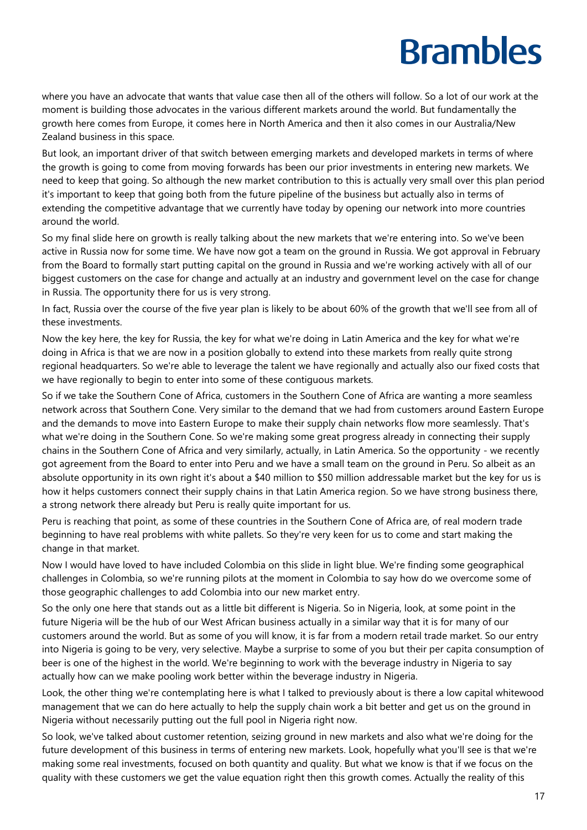where you have an advocate that wants that value case then all of the others will follow. So a lot of our work at the moment is building those advocates in the various different markets around the world. But fundamentally the growth here comes from Europe, it comes here in North America and then it also comes in our Australia/New Zealand business in this space.

But look, an important driver of that switch between emerging markets and developed markets in terms of where the growth is going to come from moving forwards has been our prior investments in entering new markets. We need to keep that going. So although the new market contribution to this is actually very small over this plan period it's important to keep that going both from the future pipeline of the business but actually also in terms of extending the competitive advantage that we currently have today by opening our network into more countries around the world.

So my final slide here on growth is really talking about the new markets that we're entering into. So we've been active in Russia now for some time. We have now got a team on the ground in Russia. We got approval in February from the Board to formally start putting capital on the ground in Russia and we're working actively with all of our biggest customers on the case for change and actually at an industry and government level on the case for change in Russia. The opportunity there for us is very strong.

In fact, Russia over the course of the five year plan is likely to be about 60% of the growth that we'll see from all of these investments.

Now the key here, the key for Russia, the key for what we're doing in Latin America and the key for what we're doing in Africa is that we are now in a position globally to extend into these markets from really quite strong regional headquarters. So we're able to leverage the talent we have regionally and actually also our fixed costs that we have regionally to begin to enter into some of these contiguous markets.

So if we take the Southern Cone of Africa, customers in the Southern Cone of Africa are wanting a more seamless network across that Southern Cone. Very similar to the demand that we had from customers around Eastern Europe and the demands to move into Eastern Europe to make their supply chain networks flow more seamlessly. That's what we're doing in the Southern Cone. So we're making some great progress already in connecting their supply chains in the Southern Cone of Africa and very similarly, actually, in Latin America. So the opportunity - we recently got agreement from the Board to enter into Peru and we have a small team on the ground in Peru. So albeit as an absolute opportunity in its own right it's about a \$40 million to \$50 million addressable market but the key for us is how it helps customers connect their supply chains in that Latin America region. So we have strong business there, a strong network there already but Peru is really quite important for us.

Peru is reaching that point, as some of these countries in the Southern Cone of Africa are, of real modern trade beginning to have real problems with white pallets. So they're very keen for us to come and start making the change in that market.

Now I would have loved to have included Colombia on this slide in light blue. We're finding some geographical challenges in Colombia, so we're running pilots at the moment in Colombia to say how do we overcome some of those geographic challenges to add Colombia into our new market entry.

So the only one here that stands out as a little bit different is Nigeria. So in Nigeria, look, at some point in the future Nigeria will be the hub of our West African business actually in a similar way that it is for many of our customers around the world. But as some of you will know, it is far from a modern retail trade market. So our entry into Nigeria is going to be very, very selective. Maybe a surprise to some of you but their per capita consumption of beer is one of the highest in the world. We're beginning to work with the beverage industry in Nigeria to say actually how can we make pooling work better within the beverage industry in Nigeria.

Look, the other thing we're contemplating here is what I talked to previously about is there a low capital whitewood management that we can do here actually to help the supply chain work a bit better and get us on the ground in Nigeria without necessarily putting out the full pool in Nigeria right now.

So look, we've talked about customer retention, seizing ground in new markets and also what we're doing for the future development of this business in terms of entering new markets. Look, hopefully what you'll see is that we're making some real investments, focused on both quantity and quality. But what we know is that if we focus on the quality with these customers we get the value equation right then this growth comes. Actually the reality of this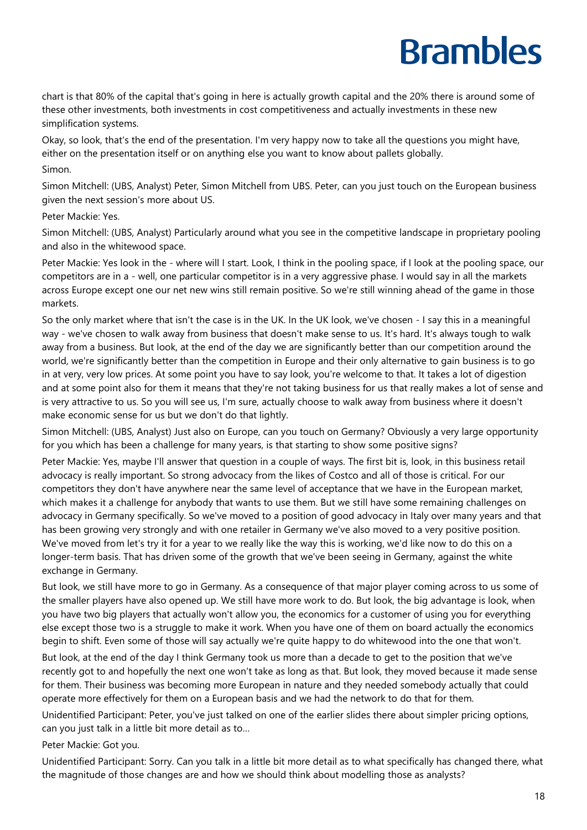chart is that 80% of the capital that's going in here is actually growth capital and the 20% there is around some of these other investments, both investments in cost competitiveness and actually investments in these new simplification systems.

Okay, so look, that's the end of the presentation. I'm very happy now to take all the questions you might have, either on the presentation itself or on anything else you want to know about pallets globally. Simon.

Simon Mitchell: (UBS, Analyst) Peter, Simon Mitchell from UBS. Peter, can you just touch on the European business given the next session's more about US.

Peter Mackie: Yes.

Simon Mitchell: (UBS, Analyst) Particularly around what you see in the competitive landscape in proprietary pooling and also in the whitewood space.

Peter Mackie: Yes look in the - where will I start. Look, I think in the pooling space, if I look at the pooling space, our competitors are in a - well, one particular competitor is in a very aggressive phase. I would say in all the markets across Europe except one our net new wins still remain positive. So we're still winning ahead of the game in those markets.

So the only market where that isn't the case is in the UK. In the UK look, we've chosen - I say this in a meaningful way - we've chosen to walk away from business that doesn't make sense to us. It's hard. It's always tough to walk away from a business. But look, at the end of the day we are significantly better than our competition around the world, we're significantly better than the competition in Europe and their only alternative to gain business is to go in at very, very low prices. At some point you have to say look, you're welcome to that. It takes a lot of digestion and at some point also for them it means that they're not taking business for us that really makes a lot of sense and is very attractive to us. So you will see us, I'm sure, actually choose to walk away from business where it doesn't make economic sense for us but we don't do that lightly.

Simon Mitchell: (UBS, Analyst) Just also on Europe, can you touch on Germany? Obviously a very large opportunity for you which has been a challenge for many years, is that starting to show some positive signs?

Peter Mackie: Yes, maybe I'll answer that question in a couple of ways. The first bit is, look, in this business retail advocacy is really important. So strong advocacy from the likes of Costco and all of those is critical. For our competitors they don't have anywhere near the same level of acceptance that we have in the European market, which makes it a challenge for anybody that wants to use them. But we still have some remaining challenges on advocacy in Germany specifically. So we've moved to a position of good advocacy in Italy over many years and that has been growing very strongly and with one retailer in Germany we've also moved to a very positive position. We've moved from let's try it for a year to we really like the way this is working, we'd like now to do this on a longer-term basis. That has driven some of the growth that we've been seeing in Germany, against the white exchange in Germany.

But look, we still have more to go in Germany. As a consequence of that major player coming across to us some of the smaller players have also opened up. We still have more work to do. But look, the big advantage is look, when you have two big players that actually won't allow you, the economics for a customer of using you for everything else except those two is a struggle to make it work. When you have one of them on board actually the economics begin to shift. Even some of those will say actually we're quite happy to do whitewood into the one that won't.

But look, at the end of the day I think Germany took us more than a decade to get to the position that we've recently got to and hopefully the next one won't take as long as that. But look, they moved because it made sense for them. Their business was becoming more European in nature and they needed somebody actually that could operate more effectively for them on a European basis and we had the network to do that for them.

Unidentified Participant: Peter, you've just talked on one of the earlier slides there about simpler pricing options, can you just talk in a little bit more detail as to…

Peter Mackie: Got you.

Unidentified Participant: Sorry. Can you talk in a little bit more detail as to what specifically has changed there, what the magnitude of those changes are and how we should think about modelling those as analysts?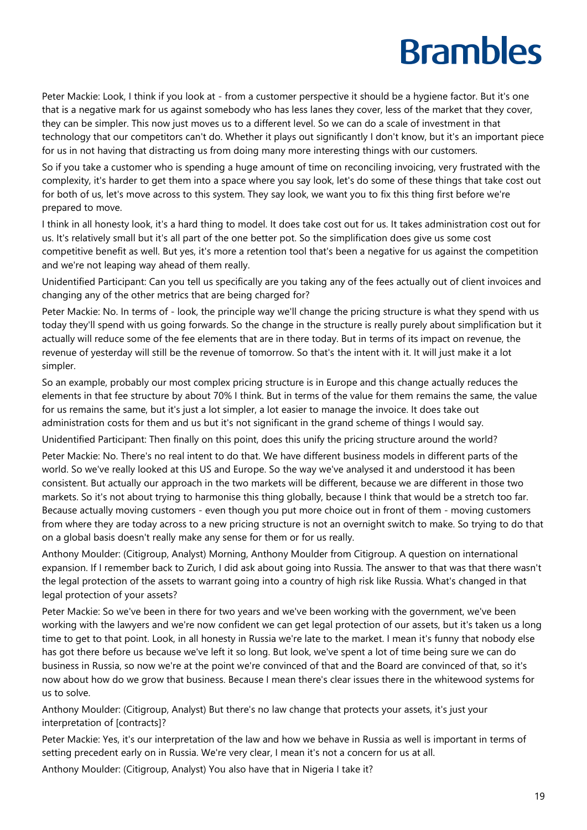Peter Mackie: Look, I think if you look at - from a customer perspective it should be a hygiene factor. But it's one that is a negative mark for us against somebody who has less lanes they cover, less of the market that they cover, they can be simpler. This now just moves us to a different level. So we can do a scale of investment in that technology that our competitors can't do. Whether it plays out significantly I don't know, but it's an important piece for us in not having that distracting us from doing many more interesting things with our customers.

So if you take a customer who is spending a huge amount of time on reconciling invoicing, very frustrated with the complexity, it's harder to get them into a space where you say look, let's do some of these things that take cost out for both of us, let's move across to this system. They say look, we want you to fix this thing first before we're prepared to move.

I think in all honesty look, it's a hard thing to model. It does take cost out for us. It takes administration cost out for us. It's relatively small but it's all part of the one better pot. So the simplification does give us some cost competitive benefit as well. But yes, it's more a retention tool that's been a negative for us against the competition and we're not leaping way ahead of them really.

Unidentified Participant: Can you tell us specifically are you taking any of the fees actually out of client invoices and changing any of the other metrics that are being charged for?

Peter Mackie: No. In terms of - look, the principle way we'll change the pricing structure is what they spend with us today they'll spend with us going forwards. So the change in the structure is really purely about simplification but it actually will reduce some of the fee elements that are in there today. But in terms of its impact on revenue, the revenue of yesterday will still be the revenue of tomorrow. So that's the intent with it. It will just make it a lot simpler.

So an example, probably our most complex pricing structure is in Europe and this change actually reduces the elements in that fee structure by about 70% I think. But in terms of the value for them remains the same, the value for us remains the same, but it's just a lot simpler, a lot easier to manage the invoice. It does take out administration costs for them and us but it's not significant in the grand scheme of things I would say.

Unidentified Participant: Then finally on this point, does this unify the pricing structure around the world?

Peter Mackie: No. There's no real intent to do that. We have different business models in different parts of the world. So we've really looked at this US and Europe. So the way we've analysed it and understood it has been consistent. But actually our approach in the two markets will be different, because we are different in those two markets. So it's not about trying to harmonise this thing globally, because I think that would be a stretch too far. Because actually moving customers - even though you put more choice out in front of them - moving customers from where they are today across to a new pricing structure is not an overnight switch to make. So trying to do that on a global basis doesn't really make any sense for them or for us really.

Anthony Moulder: (Citigroup, Analyst) Morning, Anthony Moulder from Citigroup. A question on international expansion. If I remember back to Zurich, I did ask about going into Russia. The answer to that was that there wasn't the legal protection of the assets to warrant going into a country of high risk like Russia. What's changed in that legal protection of your assets?

Peter Mackie: So we've been in there for two years and we've been working with the government, we've been working with the lawyers and we're now confident we can get legal protection of our assets, but it's taken us a long time to get to that point. Look, in all honesty in Russia we're late to the market. I mean it's funny that nobody else has got there before us because we've left it so long. But look, we've spent a lot of time being sure we can do business in Russia, so now we're at the point we're convinced of that and the Board are convinced of that, so it's now about how do we grow that business. Because I mean there's clear issues there in the whitewood systems for us to solve.

Anthony Moulder: (Citigroup, Analyst) But there's no law change that protects your assets, it's just your interpretation of [contracts]?

Peter Mackie: Yes, it's our interpretation of the law and how we behave in Russia as well is important in terms of setting precedent early on in Russia. We're very clear, I mean it's not a concern for us at all.

Anthony Moulder: (Citigroup, Analyst) You also have that in Nigeria I take it?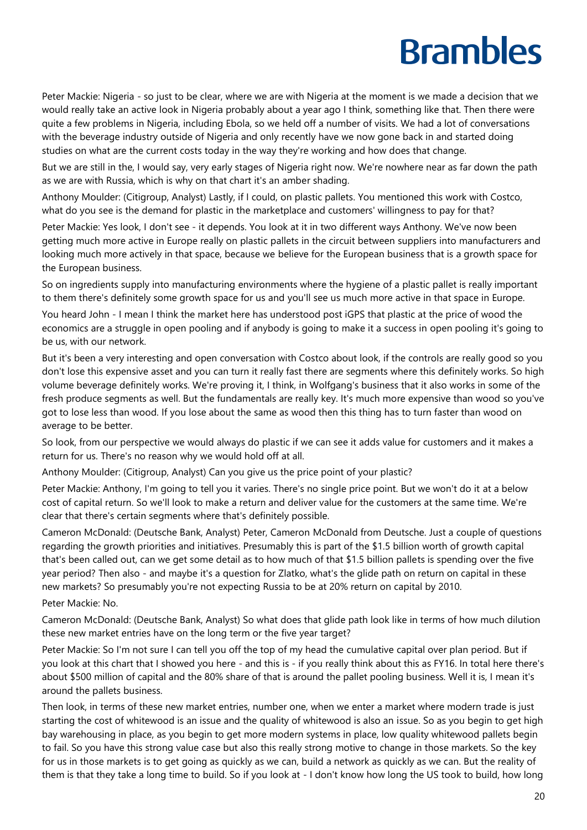Peter Mackie: Nigeria - so just to be clear, where we are with Nigeria at the moment is we made a decision that we would really take an active look in Nigeria probably about a year ago I think, something like that. Then there were quite a few problems in Nigeria, including Ebola, so we held off a number of visits. We had a lot of conversations with the beverage industry outside of Nigeria and only recently have we now gone back in and started doing studies on what are the current costs today in the way they're working and how does that change.

But we are still in the, I would say, very early stages of Nigeria right now. We're nowhere near as far down the path as we are with Russia, which is why on that chart it's an amber shading.

Anthony Moulder: (Citigroup, Analyst) Lastly, if I could, on plastic pallets. You mentioned this work with Costco, what do you see is the demand for plastic in the marketplace and customers' willingness to pay for that?

Peter Mackie: Yes look, I don't see - it depends. You look at it in two different ways Anthony. We've now been getting much more active in Europe really on plastic pallets in the circuit between suppliers into manufacturers and looking much more actively in that space, because we believe for the European business that is a growth space for the European business.

So on ingredients supply into manufacturing environments where the hygiene of a plastic pallet is really important to them there's definitely some growth space for us and you'll see us much more active in that space in Europe.

You heard John - I mean I think the market here has understood post iGPS that plastic at the price of wood the economics are a struggle in open pooling and if anybody is going to make it a success in open pooling it's going to be us, with our network.

But it's been a very interesting and open conversation with Costco about look, if the controls are really good so you don't lose this expensive asset and you can turn it really fast there are segments where this definitely works. So high volume beverage definitely works. We're proving it, I think, in Wolfgang's business that it also works in some of the fresh produce segments as well. But the fundamentals are really key. It's much more expensive than wood so you've got to lose less than wood. If you lose about the same as wood then this thing has to turn faster than wood on average to be better.

So look, from our perspective we would always do plastic if we can see it adds value for customers and it makes a return for us. There's no reason why we would hold off at all.

Anthony Moulder: (Citigroup, Analyst) Can you give us the price point of your plastic?

Peter Mackie: Anthony, I'm going to tell you it varies. There's no single price point. But we won't do it at a below cost of capital return. So we'll look to make a return and deliver value for the customers at the same time. We're clear that there's certain segments where that's definitely possible.

Cameron McDonald: (Deutsche Bank, Analyst) Peter, Cameron McDonald from Deutsche. Just a couple of questions regarding the growth priorities and initiatives. Presumably this is part of the \$1.5 billion worth of growth capital that's been called out, can we get some detail as to how much of that \$1.5 billion pallets is spending over the five year period? Then also - and maybe it's a question for Zlatko, what's the glide path on return on capital in these new markets? So presumably you're not expecting Russia to be at 20% return on capital by 2010.

Peter Mackie: No.

Cameron McDonald: (Deutsche Bank, Analyst) So what does that glide path look like in terms of how much dilution these new market entries have on the long term or the five year target?

Peter Mackie: So I'm not sure I can tell you off the top of my head the cumulative capital over plan period. But if you look at this chart that I showed you here - and this is - if you really think about this as FY16. In total here there's about \$500 million of capital and the 80% share of that is around the pallet pooling business. Well it is, I mean it's around the pallets business.

Then look, in terms of these new market entries, number one, when we enter a market where modern trade is just starting the cost of whitewood is an issue and the quality of whitewood is also an issue. So as you begin to get high bay warehousing in place, as you begin to get more modern systems in place, low quality whitewood pallets begin to fail. So you have this strong value case but also this really strong motive to change in those markets. So the key for us in those markets is to get going as quickly as we can, build a network as quickly as we can. But the reality of them is that they take a long time to build. So if you look at - I don't know how long the US took to build, how long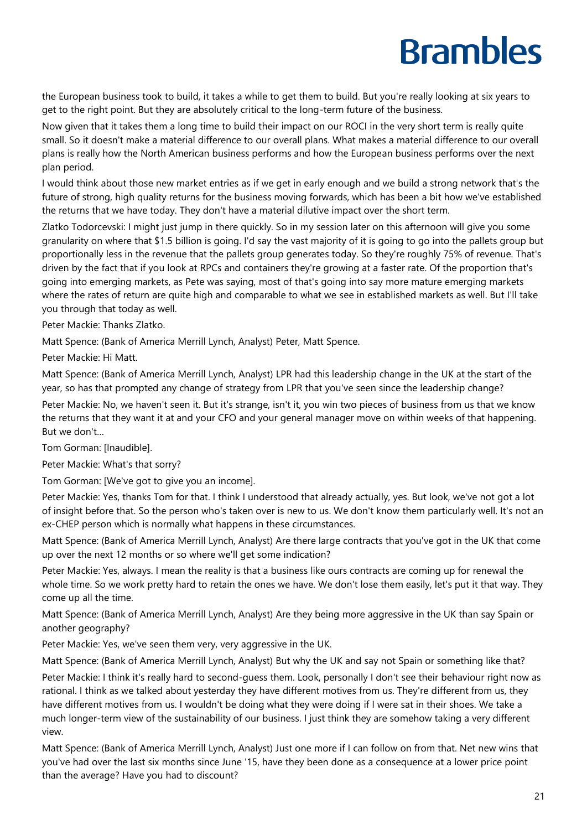the European business took to build, it takes a while to get them to build. But you're really looking at six years to get to the right point. But they are absolutely critical to the long-term future of the business.

Now given that it takes them a long time to build their impact on our ROCI in the very short term is really quite small. So it doesn't make a material difference to our overall plans. What makes a material difference to our overall plans is really how the North American business performs and how the European business performs over the next plan period.

I would think about those new market entries as if we get in early enough and we build a strong network that's the future of strong, high quality returns for the business moving forwards, which has been a bit how we've established the returns that we have today. They don't have a material dilutive impact over the short term.

Zlatko Todorcevski: I might just jump in there quickly. So in my session later on this afternoon will give you some granularity on where that \$1.5 billion is going. I'd say the vast majority of it is going to go into the pallets group but proportionally less in the revenue that the pallets group generates today. So they're roughly 75% of revenue. That's driven by the fact that if you look at RPCs and containers they're growing at a faster rate. Of the proportion that's going into emerging markets, as Pete was saying, most of that's going into say more mature emerging markets where the rates of return are quite high and comparable to what we see in established markets as well. But I'll take you through that today as well.

Peter Mackie: Thanks Zlatko.

Matt Spence: (Bank of America Merrill Lynch, Analyst) Peter, Matt Spence.

Peter Mackie: Hi Matt.

Matt Spence: (Bank of America Merrill Lynch, Analyst) LPR had this leadership change in the UK at the start of the year, so has that prompted any change of strategy from LPR that you've seen since the leadership change?

Peter Mackie: No, we haven't seen it. But it's strange, isn't it, you win two pieces of business from us that we know the returns that they want it at and your CFO and your general manager move on within weeks of that happening. But we don't…

Tom Gorman: [Inaudible].

Peter Mackie: What's that sorry?

Tom Gorman: [We've got to give you an income].

Peter Mackie: Yes, thanks Tom for that. I think I understood that already actually, yes. But look, we've not got a lot of insight before that. So the person who's taken over is new to us. We don't know them particularly well. It's not an ex-CHEP person which is normally what happens in these circumstances.

Matt Spence: (Bank of America Merrill Lynch, Analyst) Are there large contracts that you've got in the UK that come up over the next 12 months or so where we'll get some indication?

Peter Mackie: Yes, always. I mean the reality is that a business like ours contracts are coming up for renewal the whole time. So we work pretty hard to retain the ones we have. We don't lose them easily, let's put it that way. They come up all the time.

Matt Spence: (Bank of America Merrill Lynch, Analyst) Are they being more aggressive in the UK than say Spain or another geography?

Peter Mackie: Yes, we've seen them very, very aggressive in the UK.

Matt Spence: (Bank of America Merrill Lynch, Analyst) But why the UK and say not Spain or something like that?

Peter Mackie: I think it's really hard to second-guess them. Look, personally I don't see their behaviour right now as rational. I think as we talked about yesterday they have different motives from us. They're different from us, they have different motives from us. I wouldn't be doing what they were doing if I were sat in their shoes. We take a much longer-term view of the sustainability of our business. I just think they are somehow taking a very different view.

Matt Spence: (Bank of America Merrill Lynch, Analyst) Just one more if I can follow on from that. Net new wins that you've had over the last six months since June '15, have they been done as a consequence at a lower price point than the average? Have you had to discount?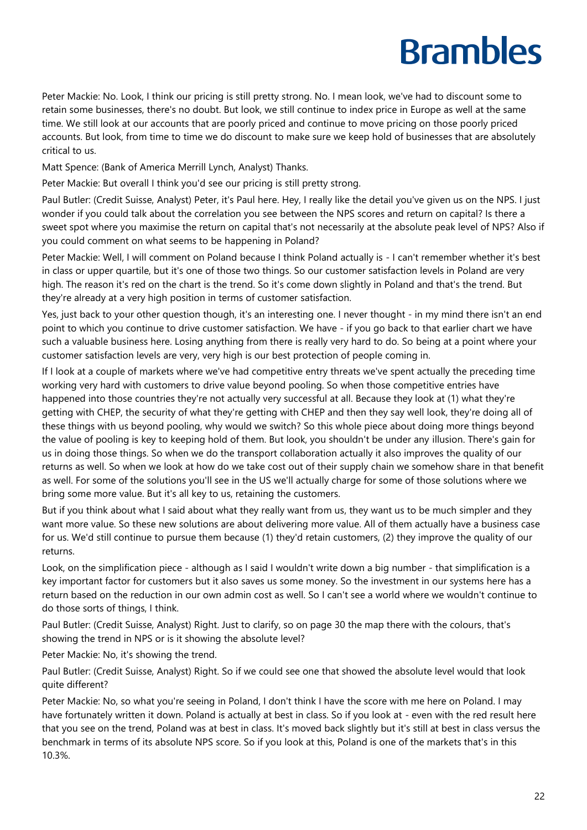Peter Mackie: No. Look, I think our pricing is still pretty strong. No. I mean look, we've had to discount some to retain some businesses, there's no doubt. But look, we still continue to index price in Europe as well at the same time. We still look at our accounts that are poorly priced and continue to move pricing on those poorly priced accounts. But look, from time to time we do discount to make sure we keep hold of businesses that are absolutely critical to us.

Matt Spence: (Bank of America Merrill Lynch, Analyst) Thanks.

Peter Mackie: But overall I think you'd see our pricing is still pretty strong.

Paul Butler: (Credit Suisse, Analyst) Peter, it's Paul here. Hey, I really like the detail you've given us on the NPS. I just wonder if you could talk about the correlation you see between the NPS scores and return on capital? Is there a sweet spot where you maximise the return on capital that's not necessarily at the absolute peak level of NPS? Also if you could comment on what seems to be happening in Poland?

Peter Mackie: Well, I will comment on Poland because I think Poland actually is - I can't remember whether it's best in class or upper quartile, but it's one of those two things. So our customer satisfaction levels in Poland are very high. The reason it's red on the chart is the trend. So it's come down slightly in Poland and that's the trend. But they're already at a very high position in terms of customer satisfaction.

Yes, just back to your other question though, it's an interesting one. I never thought - in my mind there isn't an end point to which you continue to drive customer satisfaction. We have - if you go back to that earlier chart we have such a valuable business here. Losing anything from there is really very hard to do. So being at a point where your customer satisfaction levels are very, very high is our best protection of people coming in.

If I look at a couple of markets where we've had competitive entry threats we've spent actually the preceding time working very hard with customers to drive value beyond pooling. So when those competitive entries have happened into those countries they're not actually very successful at all. Because they look at (1) what they're getting with CHEP, the security of what they're getting with CHEP and then they say well look, they're doing all of these things with us beyond pooling, why would we switch? So this whole piece about doing more things beyond the value of pooling is key to keeping hold of them. But look, you shouldn't be under any illusion. There's gain for us in doing those things. So when we do the transport collaboration actually it also improves the quality of our returns as well. So when we look at how do we take cost out of their supply chain we somehow share in that benefit as well. For some of the solutions you'll see in the US we'll actually charge for some of those solutions where we bring some more value. But it's all key to us, retaining the customers.

But if you think about what I said about what they really want from us, they want us to be much simpler and they want more value. So these new solutions are about delivering more value. All of them actually have a business case for us. We'd still continue to pursue them because (1) they'd retain customers, (2) they improve the quality of our returns.

Look, on the simplification piece - although as I said I wouldn't write down a big number - that simplification is a key important factor for customers but it also saves us some money. So the investment in our systems here has a return based on the reduction in our own admin cost as well. So I can't see a world where we wouldn't continue to do those sorts of things, I think.

Paul Butler: (Credit Suisse, Analyst) Right. Just to clarify, so on page 30 the map there with the colours, that's showing the trend in NPS or is it showing the absolute level?

Peter Mackie: No, it's showing the trend.

Paul Butler: (Credit Suisse, Analyst) Right. So if we could see one that showed the absolute level would that look quite different?

Peter Mackie: No, so what you're seeing in Poland, I don't think I have the score with me here on Poland. I may have fortunately written it down. Poland is actually at best in class. So if you look at - even with the red result here that you see on the trend, Poland was at best in class. It's moved back slightly but it's still at best in class versus the benchmark in terms of its absolute NPS score. So if you look at this, Poland is one of the markets that's in this 10.3%.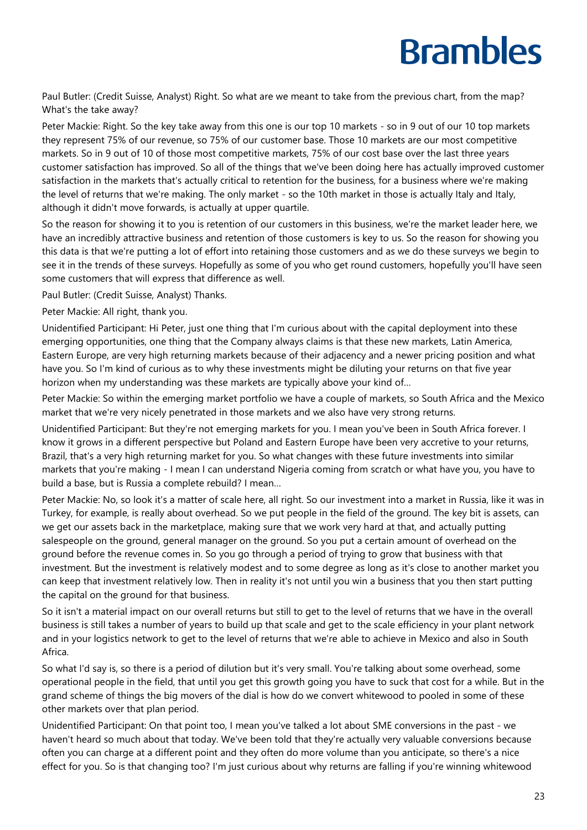Paul Butler: (Credit Suisse, Analyst) Right. So what are we meant to take from the previous chart, from the map? What's the take away?

Peter Mackie: Right. So the key take away from this one is our top 10 markets - so in 9 out of our 10 top markets they represent 75% of our revenue, so 75% of our customer base. Those 10 markets are our most competitive markets. So in 9 out of 10 of those most competitive markets, 75% of our cost base over the last three years customer satisfaction has improved. So all of the things that we've been doing here has actually improved customer satisfaction in the markets that's actually critical to retention for the business, for a business where we're making the level of returns that we're making. The only market - so the 10th market in those is actually Italy and Italy, although it didn't move forwards, is actually at upper quartile.

So the reason for showing it to you is retention of our customers in this business, we're the market leader here, we have an incredibly attractive business and retention of those customers is key to us. So the reason for showing you this data is that we're putting a lot of effort into retaining those customers and as we do these surveys we begin to see it in the trends of these surveys. Hopefully as some of you who get round customers, hopefully you'll have seen some customers that will express that difference as well.

Paul Butler: (Credit Suisse, Analyst) Thanks.

Peter Mackie: All right, thank you.

Unidentified Participant: Hi Peter, just one thing that I'm curious about with the capital deployment into these emerging opportunities, one thing that the Company always claims is that these new markets, Latin America, Eastern Europe, are very high returning markets because of their adjacency and a newer pricing position and what have you. So I'm kind of curious as to why these investments might be diluting your returns on that five year horizon when my understanding was these markets are typically above your kind of…

Peter Mackie: So within the emerging market portfolio we have a couple of markets, so South Africa and the Mexico market that we're very nicely penetrated in those markets and we also have very strong returns.

Unidentified Participant: But they're not emerging markets for you. I mean you've been in South Africa forever. I know it grows in a different perspective but Poland and Eastern Europe have been very accretive to your returns, Brazil, that's a very high returning market for you. So what changes with these future investments into similar markets that you're making - I mean I can understand Nigeria coming from scratch or what have you, you have to build a base, but is Russia a complete rebuild? I mean…

Peter Mackie: No, so look it's a matter of scale here, all right. So our investment into a market in Russia, like it was in Turkey, for example, is really about overhead. So we put people in the field of the ground. The key bit is assets, can we get our assets back in the marketplace, making sure that we work very hard at that, and actually putting salespeople on the ground, general manager on the ground. So you put a certain amount of overhead on the ground before the revenue comes in. So you go through a period of trying to grow that business with that investment. But the investment is relatively modest and to some degree as long as it's close to another market you can keep that investment relatively low. Then in reality it's not until you win a business that you then start putting the capital on the ground for that business.

So it isn't a material impact on our overall returns but still to get to the level of returns that we have in the overall business is still takes a number of years to build up that scale and get to the scale efficiency in your plant network and in your logistics network to get to the level of returns that we're able to achieve in Mexico and also in South Africa.

So what I'd say is, so there is a period of dilution but it's very small. You're talking about some overhead, some operational people in the field, that until you get this growth going you have to suck that cost for a while. But in the grand scheme of things the big movers of the dial is how do we convert whitewood to pooled in some of these other markets over that plan period.

Unidentified Participant: On that point too, I mean you've talked a lot about SME conversions in the past - we haven't heard so much about that today. We've been told that they're actually very valuable conversions because often you can charge at a different point and they often do more volume than you anticipate, so there's a nice effect for you. So is that changing too? I'm just curious about why returns are falling if you're winning whitewood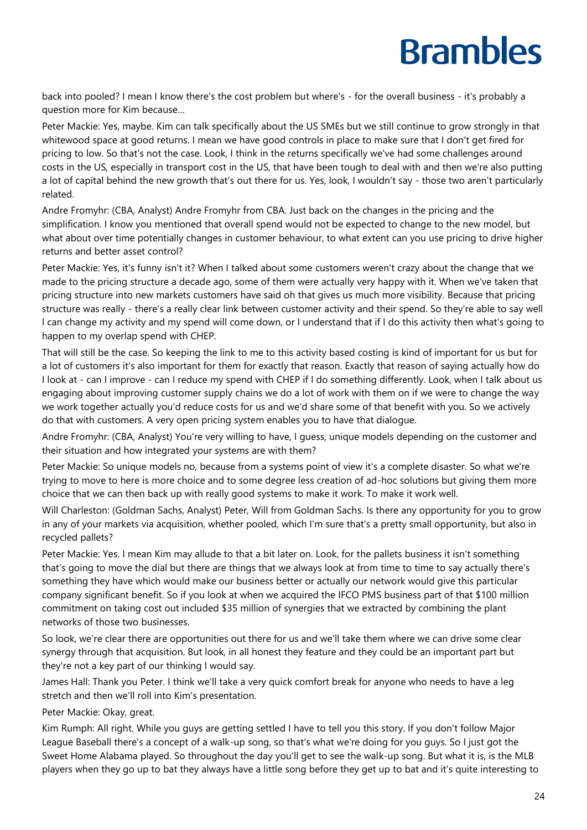back into pooled? I mean I know there's the cost problem but where's - for the overall business - it's probably a question more for Kim because…

Peter Mackie: Yes, maybe. Kim can talk specifically about the US SMEs but we still continue to grow strongly in that whitewood space at good returns. I mean we have good controls in place to make sure that I don't get fired for pricing to low. So that's not the case. Look, I think in the returns specifically we've had some challenges around costs in the US, especially in transport cost in the US, that have been tough to deal with and then we're also putting a lot of capital behind the new growth that's out there for us. Yes, look, I wouldn't say - those two aren't particularly related.

Andre Fromyhr: (CBA, Analyst) Andre Fromyhr from CBA. Just back on the changes in the pricing and the simplification. I know you mentioned that overall spend would not be expected to change to the new model, but what about over time potentially changes in customer behaviour, to what extent can you use pricing to drive higher returns and better asset control?

Peter Mackie: Yes, it's funny isn't it? When I talked about some customers weren't crazy about the change that we made to the pricing structure a decade ago, some of them were actually very happy with it. When we've taken that pricing structure into new markets customers have said oh that gives us much more visibility. Because that pricing structure was really - there's a really clear link between customer activity and their spend. So they're able to say well I can change my activity and my spend will come down, or I understand that if I do this activity then what's going to happen to my overlap spend with CHEP.

That will still be the case. So keeping the link to me to this activity based costing is kind of important for us but for a lot of customers it's also important for them for exactly that reason. Exactly that reason of saying actually how do I look at - can I improve - can I reduce my spend with CHEP if I do something differently. Look, when I talk about us engaging about improving customer supply chains we do a lot of work with them on if we were to change the way we work together actually you'd reduce costs for us and we'd share some of that benefit with you. So we actively do that with customers. A very open pricing system enables you to have that dialogue.

Andre Fromyhr: (CBA, Analyst) You're very willing to have, I guess, unique models depending on the customer and their situation and how integrated your systems are with them?

Peter Mackie: So unique models no, because from a systems point of view it's a complete disaster. So what we're trying to move to here is more choice and to some degree less creation of ad-hoc solutions but giving them more choice that we can then back up with really good systems to make it work. To make it work well.

Will Charleston: (Goldman Sachs, Analyst) Peter, Will from Goldman Sachs. Is there any opportunity for you to grow in any of your markets via acquisition, whether pooled, which I'm sure that's a pretty small opportunity, but also in recycled pallets?

Peter Mackie: Yes. I mean Kim may allude to that a bit later on. Look, for the pallets business it isn't something that's going to move the dial but there are things that we always look at from time to time to say actually there's something they have which would make our business better or actually our network would give this particular company significant benefit. So if you look at when we acquired the IFCO PMS business part of that \$100 million commitment on taking cost out included \$35 million of synergies that we extracted by combining the plant networks of those two businesses.

So look, we're clear there are opportunities out there for us and we'll take them where we can drive some clear synergy through that acquisition. But look, in all honest they feature and they could be an important part but they're not a key part of our thinking I would say.

James Hall: Thank you Peter. I think we'll take a very quick comfort break for anyone who needs to have a leg stretch and then we'll roll into Kim's presentation.

Peter Mackie: Okay, great.

Kim Rumph: All right. While you guys are getting settled I have to tell you this story. If you don't follow Major League Baseball there's a concept of a walk-up song, so that's what we're doing for you guys. So I just got the Sweet Home Alabama played. So throughout the day you'll get to see the walk-up song. But what it is, is the MLB players when they go up to bat they always have a little song before they get up to bat and it's quite interesting to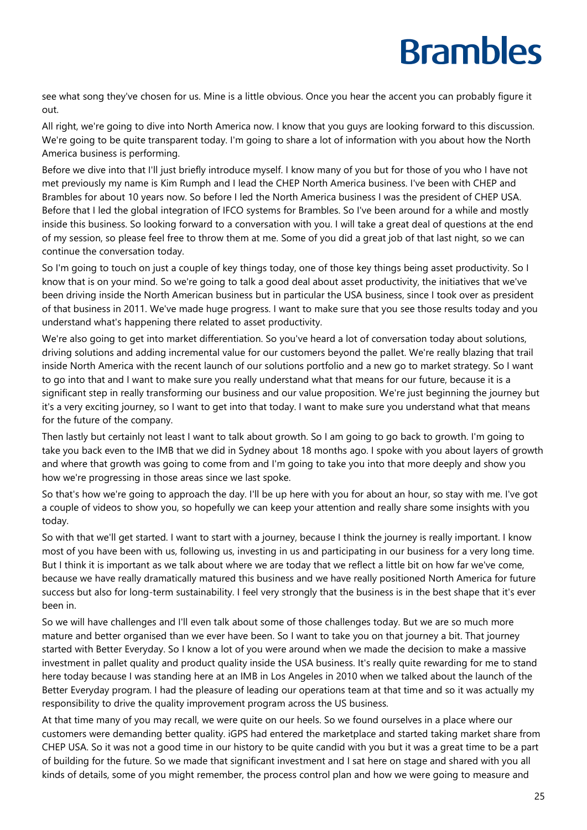see what song they've chosen for us. Mine is a little obvious. Once you hear the accent you can probably figure it out.

All right, we're going to dive into North America now. I know that you guys are looking forward to this discussion. We're going to be quite transparent today. I'm going to share a lot of information with you about how the North America business is performing.

Before we dive into that I'll just briefly introduce myself. I know many of you but for those of you who I have not met previously my name is Kim Rumph and I lead the CHEP North America business. I've been with CHEP and Brambles for about 10 years now. So before I led the North America business I was the president of CHEP USA. Before that I led the global integration of IFCO systems for Brambles. So I've been around for a while and mostly inside this business. So looking forward to a conversation with you. I will take a great deal of questions at the end of my session, so please feel free to throw them at me. Some of you did a great job of that last night, so we can continue the conversation today.

So I'm going to touch on just a couple of key things today, one of those key things being asset productivity. So I know that is on your mind. So we're going to talk a good deal about asset productivity, the initiatives that we've been driving inside the North American business but in particular the USA business, since I took over as president of that business in 2011. We've made huge progress. I want to make sure that you see those results today and you understand what's happening there related to asset productivity.

We're also going to get into market differentiation. So you've heard a lot of conversation today about solutions, driving solutions and adding incremental value for our customers beyond the pallet. We're really blazing that trail inside North America with the recent launch of our solutions portfolio and a new go to market strategy. So I want to go into that and I want to make sure you really understand what that means for our future, because it is a significant step in really transforming our business and our value proposition. We're just beginning the journey but it's a very exciting journey, so I want to get into that today. I want to make sure you understand what that means for the future of the company.

Then lastly but certainly not least I want to talk about growth. So I am going to go back to growth. I'm going to take you back even to the IMB that we did in Sydney about 18 months ago. I spoke with you about layers of growth and where that growth was going to come from and I'm going to take you into that more deeply and show you how we're progressing in those areas since we last spoke.

So that's how we're going to approach the day. I'll be up here with you for about an hour, so stay with me. I've got a couple of videos to show you, so hopefully we can keep your attention and really share some insights with you today.

So with that we'll get started. I want to start with a journey, because I think the journey is really important. I know most of you have been with us, following us, investing in us and participating in our business for a very long time. But I think it is important as we talk about where we are today that we reflect a little bit on how far we've come, because we have really dramatically matured this business and we have really positioned North America for future success but also for long-term sustainability. I feel very strongly that the business is in the best shape that it's ever been in.

So we will have challenges and I'll even talk about some of those challenges today. But we are so much more mature and better organised than we ever have been. So I want to take you on that journey a bit. That journey started with Better Everyday. So I know a lot of you were around when we made the decision to make a massive investment in pallet quality and product quality inside the USA business. It's really quite rewarding for me to stand here today because I was standing here at an IMB in Los Angeles in 2010 when we talked about the launch of the Better Everyday program. I had the pleasure of leading our operations team at that time and so it was actually my responsibility to drive the quality improvement program across the US business.

At that time many of you may recall, we were quite on our heels. So we found ourselves in a place where our customers were demanding better quality. iGPS had entered the marketplace and started taking market share from CHEP USA. So it was not a good time in our history to be quite candid with you but it was a great time to be a part of building for the future. So we made that significant investment and I sat here on stage and shared with you all kinds of details, some of you might remember, the process control plan and how we were going to measure and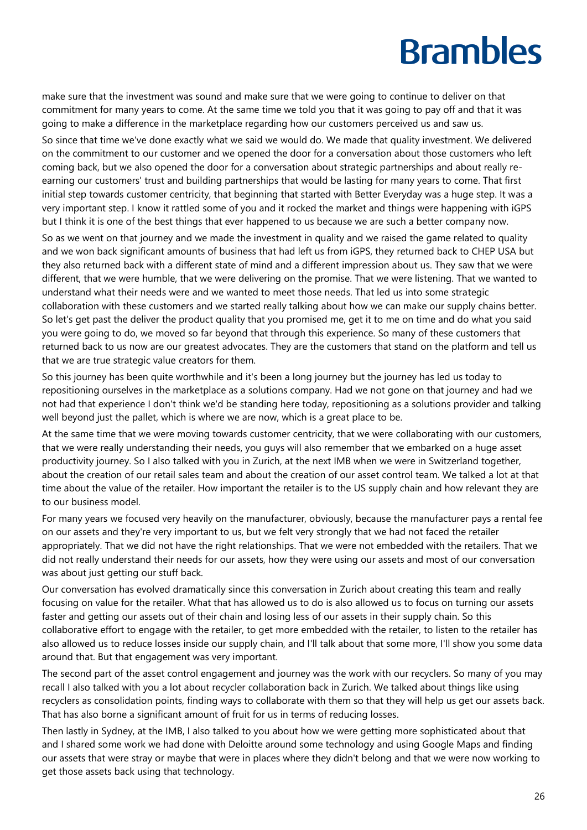make sure that the investment was sound and make sure that we were going to continue to deliver on that commitment for many years to come. At the same time we told you that it was going to pay off and that it was going to make a difference in the marketplace regarding how our customers perceived us and saw us.

So since that time we've done exactly what we said we would do. We made that quality investment. We delivered on the commitment to our customer and we opened the door for a conversation about those customers who left coming back, but we also opened the door for a conversation about strategic partnerships and about really reearning our customers' trust and building partnerships that would be lasting for many years to come. That first initial step towards customer centricity, that beginning that started with Better Everyday was a huge step. It was a very important step. I know it rattled some of you and it rocked the market and things were happening with iGPS but I think it is one of the best things that ever happened to us because we are such a better company now.

So as we went on that journey and we made the investment in quality and we raised the game related to quality and we won back significant amounts of business that had left us from iGPS, they returned back to CHEP USA but they also returned back with a different state of mind and a different impression about us. They saw that we were different, that we were humble, that we were delivering on the promise. That we were listening. That we wanted to understand what their needs were and we wanted to meet those needs. That led us into some strategic collaboration with these customers and we started really talking about how we can make our supply chains better. So let's get past the deliver the product quality that you promised me, get it to me on time and do what you said you were going to do, we moved so far beyond that through this experience. So many of these customers that returned back to us now are our greatest advocates. They are the customers that stand on the platform and tell us that we are true strategic value creators for them.

So this journey has been quite worthwhile and it's been a long journey but the journey has led us today to repositioning ourselves in the marketplace as a solutions company. Had we not gone on that journey and had we not had that experience I don't think we'd be standing here today, repositioning as a solutions provider and talking well beyond just the pallet, which is where we are now, which is a great place to be.

At the same time that we were moving towards customer centricity, that we were collaborating with our customers, that we were really understanding their needs, you guys will also remember that we embarked on a huge asset productivity journey. So I also talked with you in Zurich, at the next IMB when we were in Switzerland together, about the creation of our retail sales team and about the creation of our asset control team. We talked a lot at that time about the value of the retailer. How important the retailer is to the US supply chain and how relevant they are to our business model.

For many years we focused very heavily on the manufacturer, obviously, because the manufacturer pays a rental fee on our assets and they're very important to us, but we felt very strongly that we had not faced the retailer appropriately. That we did not have the right relationships. That we were not embedded with the retailers. That we did not really understand their needs for our assets, how they were using our assets and most of our conversation was about just getting our stuff back.

Our conversation has evolved dramatically since this conversation in Zurich about creating this team and really focusing on value for the retailer. What that has allowed us to do is also allowed us to focus on turning our assets faster and getting our assets out of their chain and losing less of our assets in their supply chain. So this collaborative effort to engage with the retailer, to get more embedded with the retailer, to listen to the retailer has also allowed us to reduce losses inside our supply chain, and I'll talk about that some more, I'll show you some data around that. But that engagement was very important.

The second part of the asset control engagement and journey was the work with our recyclers. So many of you may recall I also talked with you a lot about recycler collaboration back in Zurich. We talked about things like using recyclers as consolidation points, finding ways to collaborate with them so that they will help us get our assets back. That has also borne a significant amount of fruit for us in terms of reducing losses.

Then lastly in Sydney, at the IMB, I also talked to you about how we were getting more sophisticated about that and I shared some work we had done with Deloitte around some technology and using Google Maps and finding our assets that were stray or maybe that were in places where they didn't belong and that we were now working to get those assets back using that technology.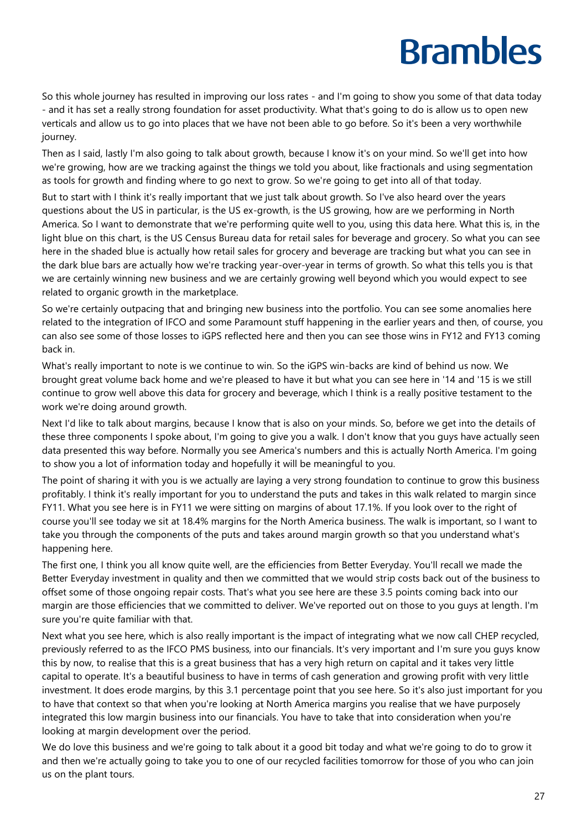So this whole journey has resulted in improving our loss rates - and I'm going to show you some of that data today - and it has set a really strong foundation for asset productivity. What that's going to do is allow us to open new verticals and allow us to go into places that we have not been able to go before. So it's been a very worthwhile journey.

Then as I said, lastly I'm also going to talk about growth, because I know it's on your mind. So we'll get into how we're growing, how are we tracking against the things we told you about, like fractionals and using segmentation as tools for growth and finding where to go next to grow. So we're going to get into all of that today.

But to start with I think it's really important that we just talk about growth. So I've also heard over the years questions about the US in particular, is the US ex-growth, is the US growing, how are we performing in North America. So I want to demonstrate that we're performing quite well to you, using this data here. What this is, in the light blue on this chart, is the US Census Bureau data for retail sales for beverage and grocery. So what you can see here in the shaded blue is actually how retail sales for grocery and beverage are tracking but what you can see in the dark blue bars are actually how we're tracking year-over-year in terms of growth. So what this tells you is that we are certainly winning new business and we are certainly growing well beyond which you would expect to see related to organic growth in the marketplace.

So we're certainly outpacing that and bringing new business into the portfolio. You can see some anomalies here related to the integration of IFCO and some Paramount stuff happening in the earlier years and then, of course, you can also see some of those losses to iGPS reflected here and then you can see those wins in FY12 and FY13 coming back in.

What's really important to note is we continue to win. So the iGPS win-backs are kind of behind us now. We brought great volume back home and we're pleased to have it but what you can see here in '14 and '15 is we still continue to grow well above this data for grocery and beverage, which I think is a really positive testament to the work we're doing around growth.

Next I'd like to talk about margins, because I know that is also on your minds. So, before we get into the details of these three components I spoke about, I'm going to give you a walk. I don't know that you guys have actually seen data presented this way before. Normally you see America's numbers and this is actually North America. I'm going to show you a lot of information today and hopefully it will be meaningful to you.

The point of sharing it with you is we actually are laying a very strong foundation to continue to grow this business profitably. I think it's really important for you to understand the puts and takes in this walk related to margin since FY11. What you see here is in FY11 we were sitting on margins of about 17.1%. If you look over to the right of course you'll see today we sit at 18.4% margins for the North America business. The walk is important, so I want to take you through the components of the puts and takes around margin growth so that you understand what's happening here.

The first one, I think you all know quite well, are the efficiencies from Better Everyday. You'll recall we made the Better Everyday investment in quality and then we committed that we would strip costs back out of the business to offset some of those ongoing repair costs. That's what you see here are these 3.5 points coming back into our margin are those efficiencies that we committed to deliver. We've reported out on those to you guys at length. I'm sure you're quite familiar with that.

Next what you see here, which is also really important is the impact of integrating what we now call CHEP recycled, previously referred to as the IFCO PMS business, into our financials. It's very important and I'm sure you guys know this by now, to realise that this is a great business that has a very high return on capital and it takes very little capital to operate. It's a beautiful business to have in terms of cash generation and growing profit with very little investment. It does erode margins, by this 3.1 percentage point that you see here. So it's also just important for you to have that context so that when you're looking at North America margins you realise that we have purposely integrated this low margin business into our financials. You have to take that into consideration when you're looking at margin development over the period.

We do love this business and we're going to talk about it a good bit today and what we're going to do to grow it and then we're actually going to take you to one of our recycled facilities tomorrow for those of you who can join us on the plant tours.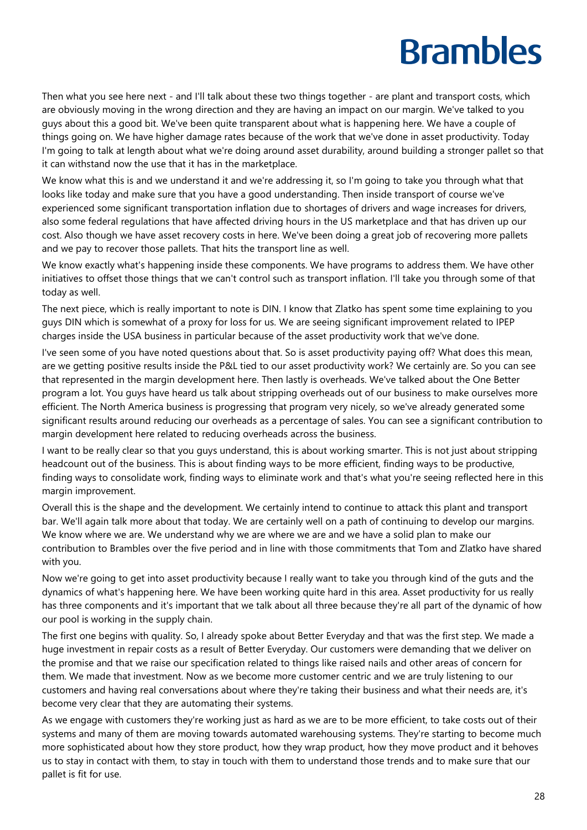Then what you see here next - and I'll talk about these two things together - are plant and transport costs, which are obviously moving in the wrong direction and they are having an impact on our margin. We've talked to you guys about this a good bit. We've been quite transparent about what is happening here. We have a couple of things going on. We have higher damage rates because of the work that we've done in asset productivity. Today I'm going to talk at length about what we're doing around asset durability, around building a stronger pallet so that it can withstand now the use that it has in the marketplace.

We know what this is and we understand it and we're addressing it, so I'm going to take you through what that looks like today and make sure that you have a good understanding. Then inside transport of course we've experienced some significant transportation inflation due to shortages of drivers and wage increases for drivers, also some federal regulations that have affected driving hours in the US marketplace and that has driven up our cost. Also though we have asset recovery costs in here. We've been doing a great job of recovering more pallets and we pay to recover those pallets. That hits the transport line as well.

We know exactly what's happening inside these components. We have programs to address them. We have other initiatives to offset those things that we can't control such as transport inflation. I'll take you through some of that today as well.

The next piece, which is really important to note is DIN. I know that Zlatko has spent some time explaining to you guys DIN which is somewhat of a proxy for loss for us. We are seeing significant improvement related to IPEP charges inside the USA business in particular because of the asset productivity work that we've done.

I've seen some of you have noted questions about that. So is asset productivity paying off? What does this mean, are we getting positive results inside the P&L tied to our asset productivity work? We certainly are. So you can see that represented in the margin development here. Then lastly is overheads. We've talked about the One Better program a lot. You guys have heard us talk about stripping overheads out of our business to make ourselves more efficient. The North America business is progressing that program very nicely, so we've already generated some significant results around reducing our overheads as a percentage of sales. You can see a significant contribution to margin development here related to reducing overheads across the business.

I want to be really clear so that you guys understand, this is about working smarter. This is not just about stripping headcount out of the business. This is about finding ways to be more efficient, finding ways to be productive, finding ways to consolidate work, finding ways to eliminate work and that's what you're seeing reflected here in this margin improvement.

Overall this is the shape and the development. We certainly intend to continue to attack this plant and transport bar. We'll again talk more about that today. We are certainly well on a path of continuing to develop our margins. We know where we are. We understand why we are where we are and we have a solid plan to make our contribution to Brambles over the five period and in line with those commitments that Tom and Zlatko have shared with you.

Now we're going to get into asset productivity because I really want to take you through kind of the guts and the dynamics of what's happening here. We have been working quite hard in this area. Asset productivity for us really has three components and it's important that we talk about all three because they're all part of the dynamic of how our pool is working in the supply chain.

The first one begins with quality. So, I already spoke about Better Everyday and that was the first step. We made a huge investment in repair costs as a result of Better Everyday. Our customers were demanding that we deliver on the promise and that we raise our specification related to things like raised nails and other areas of concern for them. We made that investment. Now as we become more customer centric and we are truly listening to our customers and having real conversations about where they're taking their business and what their needs are, it's become very clear that they are automating their systems.

As we engage with customers they're working just as hard as we are to be more efficient, to take costs out of their systems and many of them are moving towards automated warehousing systems. They're starting to become much more sophisticated about how they store product, how they wrap product, how they move product and it behoves us to stay in contact with them, to stay in touch with them to understand those trends and to make sure that our pallet is fit for use.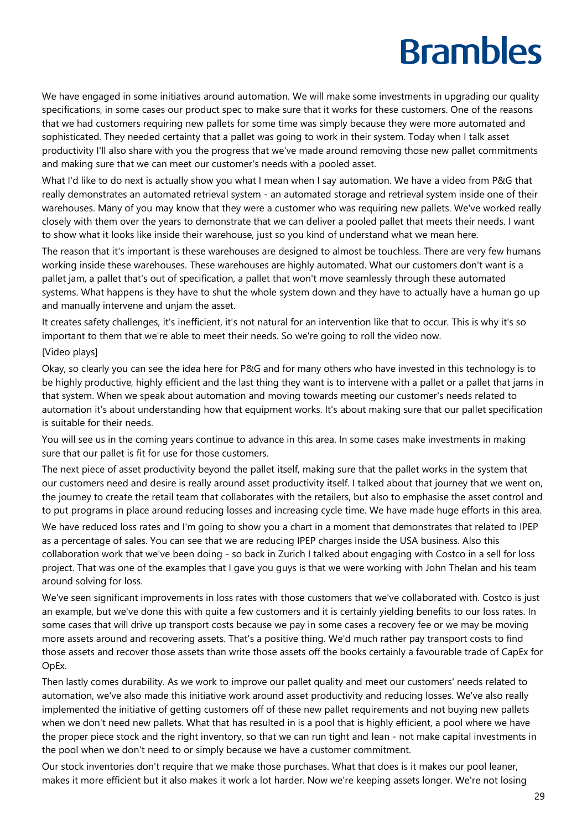We have engaged in some initiatives around automation. We will make some investments in upgrading our quality specifications, in some cases our product spec to make sure that it works for these customers. One of the reasons that we had customers requiring new pallets for some time was simply because they were more automated and sophisticated. They needed certainty that a pallet was going to work in their system. Today when I talk asset productivity I'll also share with you the progress that we've made around removing those new pallet commitments and making sure that we can meet our customer's needs with a pooled asset.

What I'd like to do next is actually show you what I mean when I say automation. We have a video from P&G that really demonstrates an automated retrieval system - an automated storage and retrieval system inside one of their warehouses. Many of you may know that they were a customer who was requiring new pallets. We've worked really closely with them over the years to demonstrate that we can deliver a pooled pallet that meets their needs. I want to show what it looks like inside their warehouse, just so you kind of understand what we mean here.

The reason that it's important is these warehouses are designed to almost be touchless. There are very few humans working inside these warehouses. These warehouses are highly automated. What our customers don't want is a pallet jam, a pallet that's out of specification, a pallet that won't move seamlessly through these automated systems. What happens is they have to shut the whole system down and they have to actually have a human go up and manually intervene and unjam the asset.

It creates safety challenges, it's inefficient, it's not natural for an intervention like that to occur. This is why it's so important to them that we're able to meet their needs. So we're going to roll the video now.

#### [Video plays]

Okay, so clearly you can see the idea here for P&G and for many others who have invested in this technology is to be highly productive, highly efficient and the last thing they want is to intervene with a pallet or a pallet that jams in that system. When we speak about automation and moving towards meeting our customer's needs related to automation it's about understanding how that equipment works. It's about making sure that our pallet specification is suitable for their needs.

You will see us in the coming years continue to advance in this area. In some cases make investments in making sure that our pallet is fit for use for those customers.

The next piece of asset productivity beyond the pallet itself, making sure that the pallet works in the system that our customers need and desire is really around asset productivity itself. I talked about that journey that we went on, the journey to create the retail team that collaborates with the retailers, but also to emphasise the asset control and to put programs in place around reducing losses and increasing cycle time. We have made huge efforts in this area.

We have reduced loss rates and I'm going to show you a chart in a moment that demonstrates that related to IPEP as a percentage of sales. You can see that we are reducing IPEP charges inside the USA business. Also this collaboration work that we've been doing - so back in Zurich I talked about engaging with Costco in a sell for loss project. That was one of the examples that I gave you guys is that we were working with John Thelan and his team around solving for loss.

We've seen significant improvements in loss rates with those customers that we've collaborated with. Costco is just an example, but we've done this with quite a few customers and it is certainly yielding benefits to our loss rates. In some cases that will drive up transport costs because we pay in some cases a recovery fee or we may be moving more assets around and recovering assets. That's a positive thing. We'd much rather pay transport costs to find those assets and recover those assets than write those assets off the books certainly a favourable trade of CapEx for OpEx.

Then lastly comes durability. As we work to improve our pallet quality and meet our customers' needs related to automation, we've also made this initiative work around asset productivity and reducing losses. We've also really implemented the initiative of getting customers off of these new pallet requirements and not buying new pallets when we don't need new pallets. What that has resulted in is a pool that is highly efficient, a pool where we have the proper piece stock and the right inventory, so that we can run tight and lean - not make capital investments in the pool when we don't need to or simply because we have a customer commitment.

Our stock inventories don't require that we make those purchases. What that does is it makes our pool leaner, makes it more efficient but it also makes it work a lot harder. Now we're keeping assets longer. We're not losing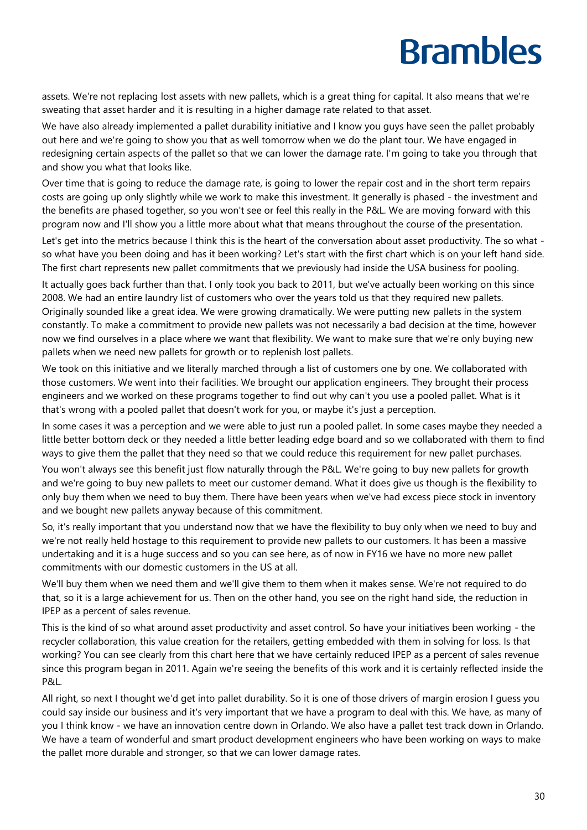assets. We're not replacing lost assets with new pallets, which is a great thing for capital. It also means that we're sweating that asset harder and it is resulting in a higher damage rate related to that asset.

We have also already implemented a pallet durability initiative and I know you guys have seen the pallet probably out here and we're going to show you that as well tomorrow when we do the plant tour. We have engaged in redesigning certain aspects of the pallet so that we can lower the damage rate. I'm going to take you through that and show you what that looks like.

Over time that is going to reduce the damage rate, is going to lower the repair cost and in the short term repairs costs are going up only slightly while we work to make this investment. It generally is phased - the investment and the benefits are phased together, so you won't see or feel this really in the P&L. We are moving forward with this program now and I'll show you a little more about what that means throughout the course of the presentation.

Let's get into the metrics because I think this is the heart of the conversation about asset productivity. The so what so what have you been doing and has it been working? Let's start with the first chart which is on your left hand side. The first chart represents new pallet commitments that we previously had inside the USA business for pooling.

It actually goes back further than that. I only took you back to 2011, but we've actually been working on this since 2008. We had an entire laundry list of customers who over the years told us that they required new pallets. Originally sounded like a great idea. We were growing dramatically. We were putting new pallets in the system constantly. To make a commitment to provide new pallets was not necessarily a bad decision at the time, however now we find ourselves in a place where we want that flexibility. We want to make sure that we're only buying new pallets when we need new pallets for growth or to replenish lost pallets.

We took on this initiative and we literally marched through a list of customers one by one. We collaborated with those customers. We went into their facilities. We brought our application engineers. They brought their process engineers and we worked on these programs together to find out why can't you use a pooled pallet. What is it that's wrong with a pooled pallet that doesn't work for you, or maybe it's just a perception.

In some cases it was a perception and we were able to just run a pooled pallet. In some cases maybe they needed a little better bottom deck or they needed a little better leading edge board and so we collaborated with them to find ways to give them the pallet that they need so that we could reduce this requirement for new pallet purchases.

You won't always see this benefit just flow naturally through the P&L. We're going to buy new pallets for growth and we're going to buy new pallets to meet our customer demand. What it does give us though is the flexibility to only buy them when we need to buy them. There have been years when we've had excess piece stock in inventory and we bought new pallets anyway because of this commitment.

So, it's really important that you understand now that we have the flexibility to buy only when we need to buy and we're not really held hostage to this requirement to provide new pallets to our customers. It has been a massive undertaking and it is a huge success and so you can see here, as of now in FY16 we have no more new pallet commitments with our domestic customers in the US at all.

We'll buy them when we need them and we'll give them to them when it makes sense. We're not required to do that, so it is a large achievement for us. Then on the other hand, you see on the right hand side, the reduction in IPEP as a percent of sales revenue.

This is the kind of so what around asset productivity and asset control. So have your initiatives been working - the recycler collaboration, this value creation for the retailers, getting embedded with them in solving for loss. Is that working? You can see clearly from this chart here that we have certainly reduced IPEP as a percent of sales revenue since this program began in 2011. Again we're seeing the benefits of this work and it is certainly reflected inside the P&L.

All right, so next I thought we'd get into pallet durability. So it is one of those drivers of margin erosion I guess you could say inside our business and it's very important that we have a program to deal with this. We have, as many of you I think know - we have an innovation centre down in Orlando. We also have a pallet test track down in Orlando. We have a team of wonderful and smart product development engineers who have been working on ways to make the pallet more durable and stronger, so that we can lower damage rates.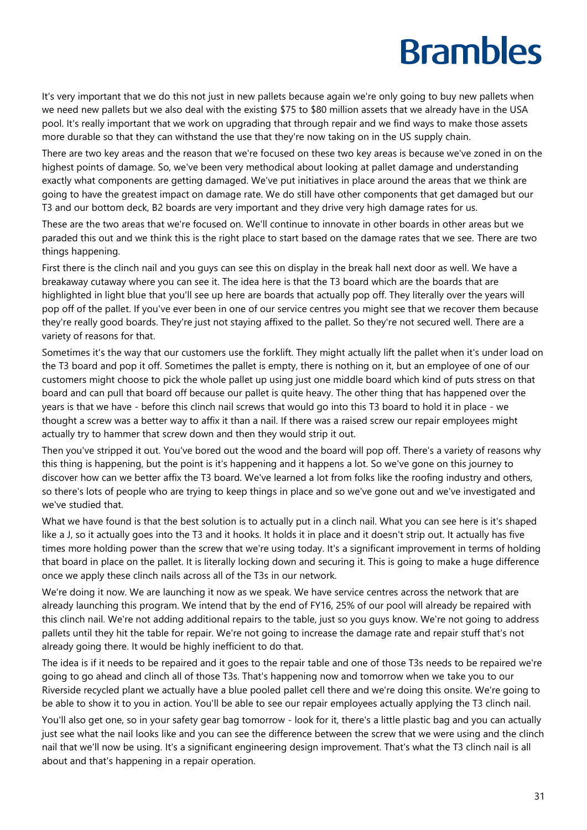It's very important that we do this not just in new pallets because again we're only going to buy new pallets when we need new pallets but we also deal with the existing \$75 to \$80 million assets that we already have in the USA pool. It's really important that we work on upgrading that through repair and we find ways to make those assets more durable so that they can withstand the use that they're now taking on in the US supply chain.

There are two key areas and the reason that we're focused on these two key areas is because we've zoned in on the highest points of damage. So, we've been very methodical about looking at pallet damage and understanding exactly what components are getting damaged. We've put initiatives in place around the areas that we think are going to have the greatest impact on damage rate. We do still have other components that get damaged but our T3 and our bottom deck, B2 boards are very important and they drive very high damage rates for us.

These are the two areas that we're focused on. We'll continue to innovate in other boards in other areas but we paraded this out and we think this is the right place to start based on the damage rates that we see. There are two things happening.

First there is the clinch nail and you guys can see this on display in the break hall next door as well. We have a breakaway cutaway where you can see it. The idea here is that the T3 board which are the boards that are highlighted in light blue that you'll see up here are boards that actually pop off. They literally over the years will pop off of the pallet. If you've ever been in one of our service centres you might see that we recover them because they're really good boards. They're just not staying affixed to the pallet. So they're not secured well. There are a variety of reasons for that.

Sometimes it's the way that our customers use the forklift. They might actually lift the pallet when it's under load on the T3 board and pop it off. Sometimes the pallet is empty, there is nothing on it, but an employee of one of our customers might choose to pick the whole pallet up using just one middle board which kind of puts stress on that board and can pull that board off because our pallet is quite heavy. The other thing that has happened over the years is that we have - before this clinch nail screws that would go into this T3 board to hold it in place - we thought a screw was a better way to affix it than a nail. If there was a raised screw our repair employees might actually try to hammer that screw down and then they would strip it out.

Then you've stripped it out. You've bored out the wood and the board will pop off. There's a variety of reasons why this thing is happening, but the point is it's happening and it happens a lot. So we've gone on this journey to discover how can we better affix the T3 board. We've learned a lot from folks like the roofing industry and others, so there's lots of people who are trying to keep things in place and so we've gone out and we've investigated and we've studied that.

What we have found is that the best solution is to actually put in a clinch nail. What you can see here is it's shaped like a J, so it actually goes into the T3 and it hooks. It holds it in place and it doesn't strip out. It actually has five times more holding power than the screw that we're using today. It's a significant improvement in terms of holding that board in place on the pallet. It is literally locking down and securing it. This is going to make a huge difference once we apply these clinch nails across all of the T3s in our network.

We're doing it now. We are launching it now as we speak. We have service centres across the network that are already launching this program. We intend that by the end of FY16, 25% of our pool will already be repaired with this clinch nail. We're not adding additional repairs to the table, just so you guys know. We're not going to address pallets until they hit the table for repair. We're not going to increase the damage rate and repair stuff that's not already going there. It would be highly inefficient to do that.

The idea is if it needs to be repaired and it goes to the repair table and one of those T3s needs to be repaired we're going to go ahead and clinch all of those T3s. That's happening now and tomorrow when we take you to our Riverside recycled plant we actually have a blue pooled pallet cell there and we're doing this onsite. We're going to be able to show it to you in action. You'll be able to see our repair employees actually applying the T3 clinch nail.

You'll also get one, so in your safety gear bag tomorrow - look for it, there's a little plastic bag and you can actually just see what the nail looks like and you can see the difference between the screw that we were using and the clinch nail that we'll now be using. It's a significant engineering design improvement. That's what the T3 clinch nail is all about and that's happening in a repair operation.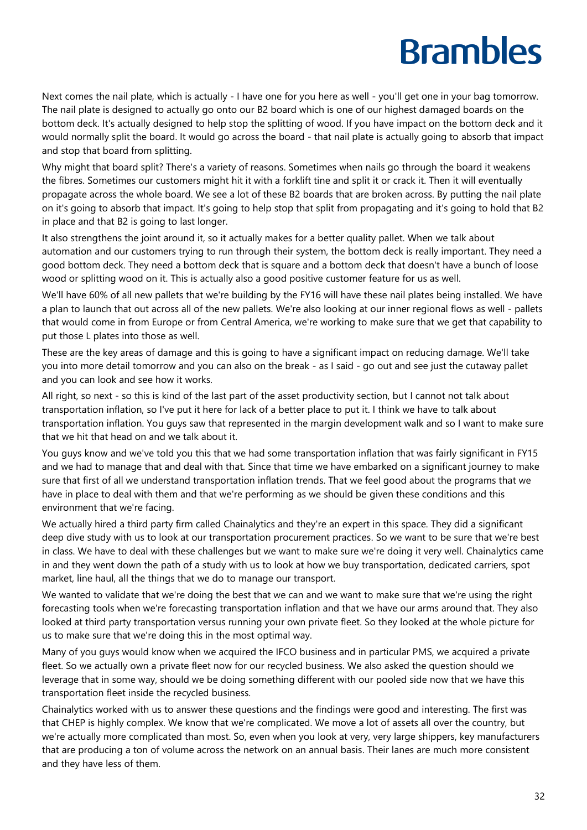Next comes the nail plate, which is actually - I have one for you here as well - you'll get one in your bag tomorrow. The nail plate is designed to actually go onto our B2 board which is one of our highest damaged boards on the bottom deck. It's actually designed to help stop the splitting of wood. If you have impact on the bottom deck and it would normally split the board. It would go across the board - that nail plate is actually going to absorb that impact and stop that board from splitting.

Why might that board split? There's a variety of reasons. Sometimes when nails go through the board it weakens the fibres. Sometimes our customers might hit it with a forklift tine and split it or crack it. Then it will eventually propagate across the whole board. We see a lot of these B2 boards that are broken across. By putting the nail plate on it's going to absorb that impact. It's going to help stop that split from propagating and it's going to hold that B2 in place and that B2 is going to last longer.

It also strengthens the joint around it, so it actually makes for a better quality pallet. When we talk about automation and our customers trying to run through their system, the bottom deck is really important. They need a good bottom deck. They need a bottom deck that is square and a bottom deck that doesn't have a bunch of loose wood or splitting wood on it. This is actually also a good positive customer feature for us as well.

We'll have 60% of all new pallets that we're building by the FY16 will have these nail plates being installed. We have a plan to launch that out across all of the new pallets. We're also looking at our inner regional flows as well - pallets that would come in from Europe or from Central America, we're working to make sure that we get that capability to put those L plates into those as well.

These are the key areas of damage and this is going to have a significant impact on reducing damage. We'll take you into more detail tomorrow and you can also on the break - as I said - go out and see just the cutaway pallet and you can look and see how it works.

All right, so next - so this is kind of the last part of the asset productivity section, but I cannot not talk about transportation inflation, so I've put it here for lack of a better place to put it. I think we have to talk about transportation inflation. You guys saw that represented in the margin development walk and so I want to make sure that we hit that head on and we talk about it.

You guys know and we've told you this that we had some transportation inflation that was fairly significant in FY15 and we had to manage that and deal with that. Since that time we have embarked on a significant journey to make sure that first of all we understand transportation inflation trends. That we feel good about the programs that we have in place to deal with them and that we're performing as we should be given these conditions and this environment that we're facing.

We actually hired a third party firm called Chainalytics and they're an expert in this space. They did a significant deep dive study with us to look at our transportation procurement practices. So we want to be sure that we're best in class. We have to deal with these challenges but we want to make sure we're doing it very well. Chainalytics came in and they went down the path of a study with us to look at how we buy transportation, dedicated carriers, spot market, line haul, all the things that we do to manage our transport.

We wanted to validate that we're doing the best that we can and we want to make sure that we're using the right forecasting tools when we're forecasting transportation inflation and that we have our arms around that. They also looked at third party transportation versus running your own private fleet. So they looked at the whole picture for us to make sure that we're doing this in the most optimal way.

Many of you guys would know when we acquired the IFCO business and in particular PMS, we acquired a private fleet. So we actually own a private fleet now for our recycled business. We also asked the question should we leverage that in some way, should we be doing something different with our pooled side now that we have this transportation fleet inside the recycled business.

Chainalytics worked with us to answer these questions and the findings were good and interesting. The first was that CHEP is highly complex. We know that we're complicated. We move a lot of assets all over the country, but we're actually more complicated than most. So, even when you look at very, very large shippers, key manufacturers that are producing a ton of volume across the network on an annual basis. Their lanes are much more consistent and they have less of them.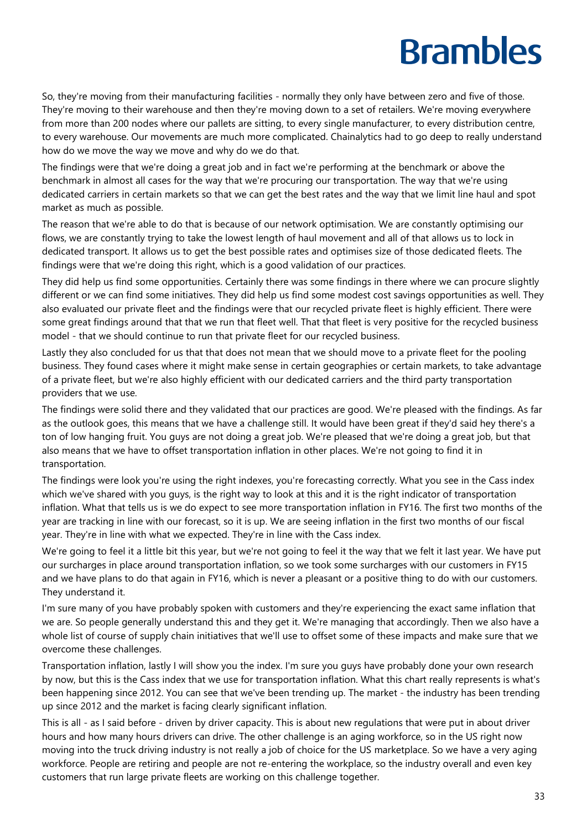So, they're moving from their manufacturing facilities - normally they only have between zero and five of those. They're moving to their warehouse and then they're moving down to a set of retailers. We're moving everywhere from more than 200 nodes where our pallets are sitting, to every single manufacturer, to every distribution centre, to every warehouse. Our movements are much more complicated. Chainalytics had to go deep to really understand how do we move the way we move and why do we do that.

The findings were that we're doing a great job and in fact we're performing at the benchmark or above the benchmark in almost all cases for the way that we're procuring our transportation. The way that we're using dedicated carriers in certain markets so that we can get the best rates and the way that we limit line haul and spot market as much as possible.

The reason that we're able to do that is because of our network optimisation. We are constantly optimising our flows, we are constantly trying to take the lowest length of haul movement and all of that allows us to lock in dedicated transport. It allows us to get the best possible rates and optimises size of those dedicated fleets. The findings were that we're doing this right, which is a good validation of our practices.

They did help us find some opportunities. Certainly there was some findings in there where we can procure slightly different or we can find some initiatives. They did help us find some modest cost savings opportunities as well. They also evaluated our private fleet and the findings were that our recycled private fleet is highly efficient. There were some great findings around that that we run that fleet well. That that fleet is very positive for the recycled business model - that we should continue to run that private fleet for our recycled business.

Lastly they also concluded for us that that does not mean that we should move to a private fleet for the pooling business. They found cases where it might make sense in certain geographies or certain markets, to take advantage of a private fleet, but we're also highly efficient with our dedicated carriers and the third party transportation providers that we use.

The findings were solid there and they validated that our practices are good. We're pleased with the findings. As far as the outlook goes, this means that we have a challenge still. It would have been great if they'd said hey there's a ton of low hanging fruit. You guys are not doing a great job. We're pleased that we're doing a great job, but that also means that we have to offset transportation inflation in other places. We're not going to find it in transportation.

The findings were look you're using the right indexes, you're forecasting correctly. What you see in the Cass index which we've shared with you guys, is the right way to look at this and it is the right indicator of transportation inflation. What that tells us is we do expect to see more transportation inflation in FY16. The first two months of the year are tracking in line with our forecast, so it is up. We are seeing inflation in the first two months of our fiscal year. They're in line with what we expected. They're in line with the Cass index.

We're going to feel it a little bit this year, but we're not going to feel it the way that we felt it last year. We have put our surcharges in place around transportation inflation, so we took some surcharges with our customers in FY15 and we have plans to do that again in FY16, which is never a pleasant or a positive thing to do with our customers. They understand it.

I'm sure many of you have probably spoken with customers and they're experiencing the exact same inflation that we are. So people generally understand this and they get it. We're managing that accordingly. Then we also have a whole list of course of supply chain initiatives that we'll use to offset some of these impacts and make sure that we overcome these challenges.

Transportation inflation, lastly I will show you the index. I'm sure you guys have probably done your own research by now, but this is the Cass index that we use for transportation inflation. What this chart really represents is what's been happening since 2012. You can see that we've been trending up. The market - the industry has been trending up since 2012 and the market is facing clearly significant inflation.

This is all - as I said before - driven by driver capacity. This is about new regulations that were put in about driver hours and how many hours drivers can drive. The other challenge is an aging workforce, so in the US right now moving into the truck driving industry is not really a job of choice for the US marketplace. So we have a very aging workforce. People are retiring and people are not re-entering the workplace, so the industry overall and even key customers that run large private fleets are working on this challenge together.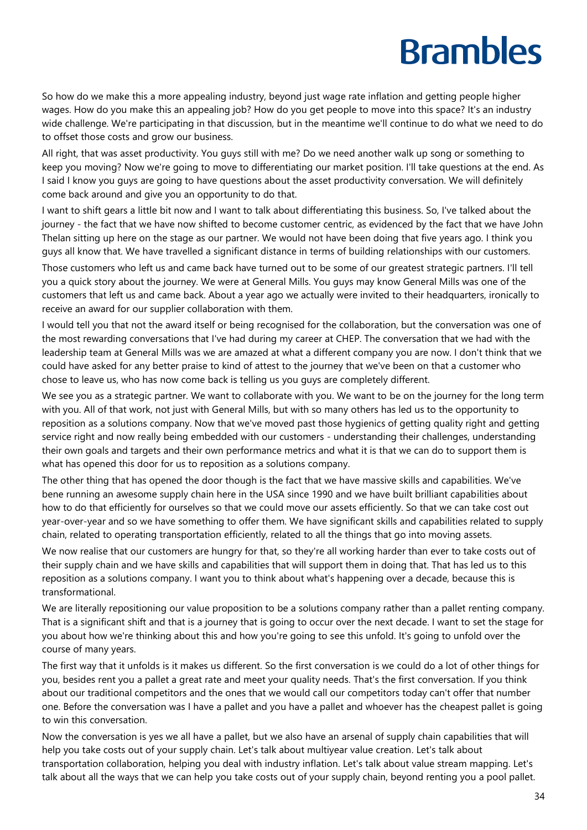So how do we make this a more appealing industry, beyond just wage rate inflation and getting people higher wages. How do you make this an appealing job? How do you get people to move into this space? It's an industry wide challenge. We're participating in that discussion, but in the meantime we'll continue to do what we need to do to offset those costs and grow our business.

All right, that was asset productivity. You guys still with me? Do we need another walk up song or something to keep you moving? Now we're going to move to differentiating our market position. I'll take questions at the end. As I said I know you guys are going to have questions about the asset productivity conversation. We will definitely come back around and give you an opportunity to do that.

I want to shift gears a little bit now and I want to talk about differentiating this business. So, I've talked about the journey - the fact that we have now shifted to become customer centric, as evidenced by the fact that we have John Thelan sitting up here on the stage as our partner. We would not have been doing that five years ago. I think you guys all know that. We have travelled a significant distance in terms of building relationships with our customers.

Those customers who left us and came back have turned out to be some of our greatest strategic partners. I'll tell you a quick story about the journey. We were at General Mills. You guys may know General Mills was one of the customers that left us and came back. About a year ago we actually were invited to their headquarters, ironically to receive an award for our supplier collaboration with them.

I would tell you that not the award itself or being recognised for the collaboration, but the conversation was one of the most rewarding conversations that I've had during my career at CHEP. The conversation that we had with the leadership team at General Mills was we are amazed at what a different company you are now. I don't think that we could have asked for any better praise to kind of attest to the journey that we've been on that a customer who chose to leave us, who has now come back is telling us you guys are completely different.

We see you as a strategic partner. We want to collaborate with you. We want to be on the journey for the long term with you. All of that work, not just with General Mills, but with so many others has led us to the opportunity to reposition as a solutions company. Now that we've moved past those hygienics of getting quality right and getting service right and now really being embedded with our customers - understanding their challenges, understanding their own goals and targets and their own performance metrics and what it is that we can do to support them is what has opened this door for us to reposition as a solutions company.

The other thing that has opened the door though is the fact that we have massive skills and capabilities. We've bene running an awesome supply chain here in the USA since 1990 and we have built brilliant capabilities about how to do that efficiently for ourselves so that we could move our assets efficiently. So that we can take cost out year-over-year and so we have something to offer them. We have significant skills and capabilities related to supply chain, related to operating transportation efficiently, related to all the things that go into moving assets.

We now realise that our customers are hungry for that, so they're all working harder than ever to take costs out of their supply chain and we have skills and capabilities that will support them in doing that. That has led us to this reposition as a solutions company. I want you to think about what's happening over a decade, because this is transformational.

We are literally repositioning our value proposition to be a solutions company rather than a pallet renting company. That is a significant shift and that is a journey that is going to occur over the next decade. I want to set the stage for you about how we're thinking about this and how you're going to see this unfold. It's going to unfold over the course of many years.

The first way that it unfolds is it makes us different. So the first conversation is we could do a lot of other things for you, besides rent you a pallet a great rate and meet your quality needs. That's the first conversation. If you think about our traditional competitors and the ones that we would call our competitors today can't offer that number one. Before the conversation was I have a pallet and you have a pallet and whoever has the cheapest pallet is going to win this conversation.

Now the conversation is yes we all have a pallet, but we also have an arsenal of supply chain capabilities that will help you take costs out of your supply chain. Let's talk about multiyear value creation. Let's talk about transportation collaboration, helping you deal with industry inflation. Let's talk about value stream mapping. Let's talk about all the ways that we can help you take costs out of your supply chain, beyond renting you a pool pallet.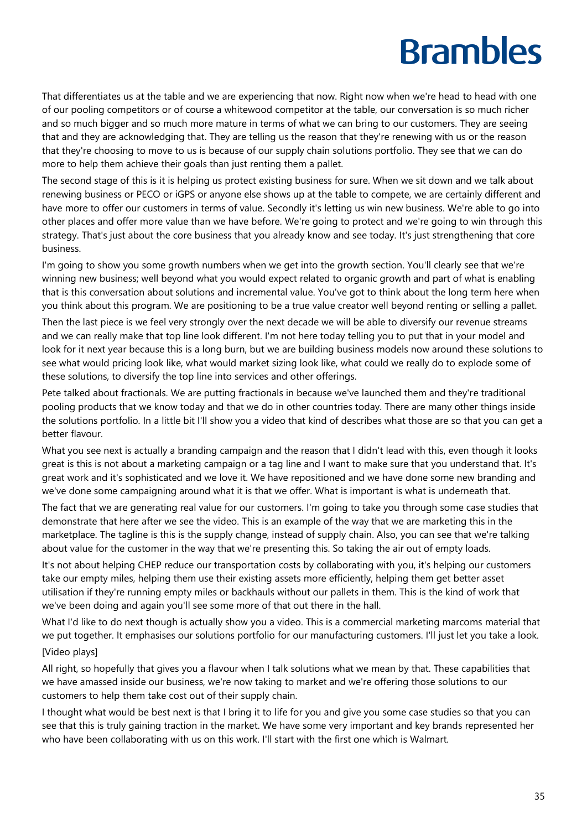That differentiates us at the table and we are experiencing that now. Right now when we're head to head with one of our pooling competitors or of course a whitewood competitor at the table, our conversation is so much richer and so much bigger and so much more mature in terms of what we can bring to our customers. They are seeing that and they are acknowledging that. They are telling us the reason that they're renewing with us or the reason that they're choosing to move to us is because of our supply chain solutions portfolio. They see that we can do more to help them achieve their goals than just renting them a pallet.

The second stage of this is it is helping us protect existing business for sure. When we sit down and we talk about renewing business or PECO or iGPS or anyone else shows up at the table to compete, we are certainly different and have more to offer our customers in terms of value. Secondly it's letting us win new business. We're able to go into other places and offer more value than we have before. We're going to protect and we're going to win through this strategy. That's just about the core business that you already know and see today. It's just strengthening that core business.

I'm going to show you some growth numbers when we get into the growth section. You'll clearly see that we're winning new business; well beyond what you would expect related to organic growth and part of what is enabling that is this conversation about solutions and incremental value. You've got to think about the long term here when you think about this program. We are positioning to be a true value creator well beyond renting or selling a pallet.

Then the last piece is we feel very strongly over the next decade we will be able to diversify our revenue streams and we can really make that top line look different. I'm not here today telling you to put that in your model and look for it next year because this is a long burn, but we are building business models now around these solutions to see what would pricing look like, what would market sizing look like, what could we really do to explode some of these solutions, to diversify the top line into services and other offerings.

Pete talked about fractionals. We are putting fractionals in because we've launched them and they're traditional pooling products that we know today and that we do in other countries today. There are many other things inside the solutions portfolio. In a little bit I'll show you a video that kind of describes what those are so that you can get a better flavour.

What you see next is actually a branding campaign and the reason that I didn't lead with this, even though it looks great is this is not about a marketing campaign or a tag line and I want to make sure that you understand that. It's great work and it's sophisticated and we love it. We have repositioned and we have done some new branding and we've done some campaigning around what it is that we offer. What is important is what is underneath that.

The fact that we are generating real value for our customers. I'm going to take you through some case studies that demonstrate that here after we see the video. This is an example of the way that we are marketing this in the marketplace. The tagline is this is the supply change, instead of supply chain. Also, you can see that we're talking about value for the customer in the way that we're presenting this. So taking the air out of empty loads.

It's not about helping CHEP reduce our transportation costs by collaborating with you, it's helping our customers take our empty miles, helping them use their existing assets more efficiently, helping them get better asset utilisation if they're running empty miles or backhauls without our pallets in them. This is the kind of work that we've been doing and again you'll see some more of that out there in the hall.

What I'd like to do next though is actually show you a video. This is a commercial marketing marcoms material that we put together. It emphasises our solutions portfolio for our manufacturing customers. I'll just let you take a look. [Video plays]

All right, so hopefully that gives you a flavour when I talk solutions what we mean by that. These capabilities that we have amassed inside our business, we're now taking to market and we're offering those solutions to our customers to help them take cost out of their supply chain.

I thought what would be best next is that I bring it to life for you and give you some case studies so that you can see that this is truly gaining traction in the market. We have some very important and key brands represented her who have been collaborating with us on this work. I'll start with the first one which is Walmart.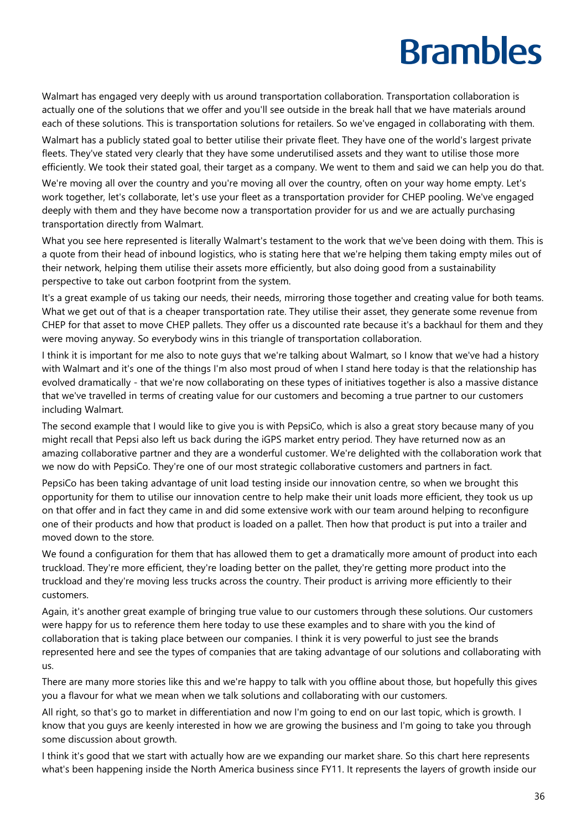Walmart has engaged very deeply with us around transportation collaboration. Transportation collaboration is actually one of the solutions that we offer and you'll see outside in the break hall that we have materials around each of these solutions. This is transportation solutions for retailers. So we've engaged in collaborating with them.

Walmart has a publicly stated goal to better utilise their private fleet. They have one of the world's largest private fleets. They've stated very clearly that they have some underutilised assets and they want to utilise those more efficiently. We took their stated goal, their target as a company. We went to them and said we can help you do that.

We're moving all over the country and you're moving all over the country, often on your way home empty. Let's work together, let's collaborate, let's use your fleet as a transportation provider for CHEP pooling. We've engaged deeply with them and they have become now a transportation provider for us and we are actually purchasing transportation directly from Walmart.

What you see here represented is literally Walmart's testament to the work that we've been doing with them. This is a quote from their head of inbound logistics, who is stating here that we're helping them taking empty miles out of their network, helping them utilise their assets more efficiently, but also doing good from a sustainability perspective to take out carbon footprint from the system.

It's a great example of us taking our needs, their needs, mirroring those together and creating value for both teams. What we get out of that is a cheaper transportation rate. They utilise their asset, they generate some revenue from CHEP for that asset to move CHEP pallets. They offer us a discounted rate because it's a backhaul for them and they were moving anyway. So everybody wins in this triangle of transportation collaboration.

I think it is important for me also to note guys that we're talking about Walmart, so I know that we've had a history with Walmart and it's one of the things I'm also most proud of when I stand here today is that the relationship has evolved dramatically - that we're now collaborating on these types of initiatives together is also a massive distance that we've travelled in terms of creating value for our customers and becoming a true partner to our customers including Walmart.

The second example that I would like to give you is with PepsiCo, which is also a great story because many of you might recall that Pepsi also left us back during the iGPS market entry period. They have returned now as an amazing collaborative partner and they are a wonderful customer. We're delighted with the collaboration work that we now do with PepsiCo. They're one of our most strategic collaborative customers and partners in fact.

PepsiCo has been taking advantage of unit load testing inside our innovation centre, so when we brought this opportunity for them to utilise our innovation centre to help make their unit loads more efficient, they took us up on that offer and in fact they came in and did some extensive work with our team around helping to reconfigure one of their products and how that product is loaded on a pallet. Then how that product is put into a trailer and moved down to the store.

We found a configuration for them that has allowed them to get a dramatically more amount of product into each truckload. They're more efficient, they're loading better on the pallet, they're getting more product into the truckload and they're moving less trucks across the country. Their product is arriving more efficiently to their customers.

Again, it's another great example of bringing true value to our customers through these solutions. Our customers were happy for us to reference them here today to use these examples and to share with you the kind of collaboration that is taking place between our companies. I think it is very powerful to just see the brands represented here and see the types of companies that are taking advantage of our solutions and collaborating with us.

There are many more stories like this and we're happy to talk with you offline about those, but hopefully this gives you a flavour for what we mean when we talk solutions and collaborating with our customers.

All right, so that's go to market in differentiation and now I'm going to end on our last topic, which is growth. I know that you guys are keenly interested in how we are growing the business and I'm going to take you through some discussion about growth.

I think it's good that we start with actually how are we expanding our market share. So this chart here represents what's been happening inside the North America business since FY11. It represents the layers of growth inside our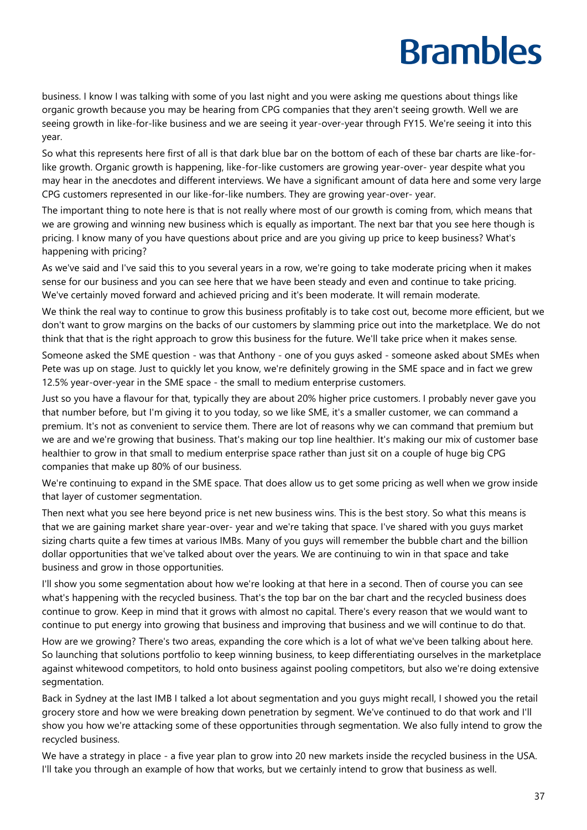business. I know I was talking with some of you last night and you were asking me questions about things like organic growth because you may be hearing from CPG companies that they aren't seeing growth. Well we are seeing growth in like-for-like business and we are seeing it year-over-year through FY15. We're seeing it into this year.

So what this represents here first of all is that dark blue bar on the bottom of each of these bar charts are like-forlike growth. Organic growth is happening, like-for-like customers are growing year-over- year despite what you may hear in the anecdotes and different interviews. We have a significant amount of data here and some very large CPG customers represented in our like-for-like numbers. They are growing year-over- year.

The important thing to note here is that is not really where most of our growth is coming from, which means that we are growing and winning new business which is equally as important. The next bar that you see here though is pricing. I know many of you have questions about price and are you giving up price to keep business? What's happening with pricing?

As we've said and I've said this to you several years in a row, we're going to take moderate pricing when it makes sense for our business and you can see here that we have been steady and even and continue to take pricing. We've certainly moved forward and achieved pricing and it's been moderate. It will remain moderate.

We think the real way to continue to grow this business profitably is to take cost out, become more efficient, but we don't want to grow margins on the backs of our customers by slamming price out into the marketplace. We do not think that that is the right approach to grow this business for the future. We'll take price when it makes sense.

Someone asked the SME question - was that Anthony - one of you guys asked - someone asked about SMEs when Pete was up on stage. Just to quickly let you know, we're definitely growing in the SME space and in fact we grew 12.5% year-over-year in the SME space - the small to medium enterprise customers.

Just so you have a flavour for that, typically they are about 20% higher price customers. I probably never gave you that number before, but I'm giving it to you today, so we like SME, it's a smaller customer, we can command a premium. It's not as convenient to service them. There are lot of reasons why we can command that premium but we are and we're growing that business. That's making our top line healthier. It's making our mix of customer base healthier to grow in that small to medium enterprise space rather than just sit on a couple of huge big CPG companies that make up 80% of our business.

We're continuing to expand in the SME space. That does allow us to get some pricing as well when we grow inside that layer of customer segmentation.

Then next what you see here beyond price is net new business wins. This is the best story. So what this means is that we are gaining market share year-over- year and we're taking that space. I've shared with you guys market sizing charts quite a few times at various IMBs. Many of you guys will remember the bubble chart and the billion dollar opportunities that we've talked about over the years. We are continuing to win in that space and take business and grow in those opportunities.

I'll show you some segmentation about how we're looking at that here in a second. Then of course you can see what's happening with the recycled business. That's the top bar on the bar chart and the recycled business does continue to grow. Keep in mind that it grows with almost no capital. There's every reason that we would want to continue to put energy into growing that business and improving that business and we will continue to do that.

How are we growing? There's two areas, expanding the core which is a lot of what we've been talking about here. So launching that solutions portfolio to keep winning business, to keep differentiating ourselves in the marketplace against whitewood competitors, to hold onto business against pooling competitors, but also we're doing extensive segmentation.

Back in Sydney at the last IMB I talked a lot about segmentation and you guys might recall, I showed you the retail grocery store and how we were breaking down penetration by segment. We've continued to do that work and I'll show you how we're attacking some of these opportunities through segmentation. We also fully intend to grow the recycled business.

We have a strategy in place - a five year plan to grow into 20 new markets inside the recycled business in the USA. I'll take you through an example of how that works, but we certainly intend to grow that business as well.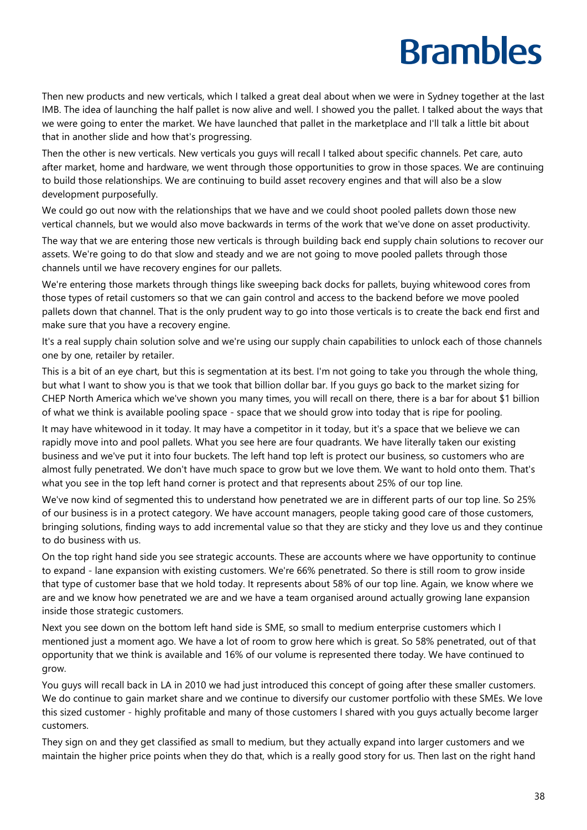Then new products and new verticals, which I talked a great deal about when we were in Sydney together at the last IMB. The idea of launching the half pallet is now alive and well. I showed you the pallet. I talked about the ways that we were going to enter the market. We have launched that pallet in the marketplace and I'll talk a little bit about that in another slide and how that's progressing.

Then the other is new verticals. New verticals you guys will recall I talked about specific channels. Pet care, auto after market, home and hardware, we went through those opportunities to grow in those spaces. We are continuing to build those relationships. We are continuing to build asset recovery engines and that will also be a slow development purposefully.

We could go out now with the relationships that we have and we could shoot pooled pallets down those new vertical channels, but we would also move backwards in terms of the work that we've done on asset productivity.

The way that we are entering those new verticals is through building back end supply chain solutions to recover our assets. We're going to do that slow and steady and we are not going to move pooled pallets through those channels until we have recovery engines for our pallets.

We're entering those markets through things like sweeping back docks for pallets, buying whitewood cores from those types of retail customers so that we can gain control and access to the backend before we move pooled pallets down that channel. That is the only prudent way to go into those verticals is to create the back end first and make sure that you have a recovery engine.

It's a real supply chain solution solve and we're using our supply chain capabilities to unlock each of those channels one by one, retailer by retailer.

This is a bit of an eye chart, but this is segmentation at its best. I'm not going to take you through the whole thing, but what I want to show you is that we took that billion dollar bar. If you guys go back to the market sizing for CHEP North America which we've shown you many times, you will recall on there, there is a bar for about \$1 billion of what we think is available pooling space - space that we should grow into today that is ripe for pooling.

It may have whitewood in it today. It may have a competitor in it today, but it's a space that we believe we can rapidly move into and pool pallets. What you see here are four quadrants. We have literally taken our existing business and we've put it into four buckets. The left hand top left is protect our business, so customers who are almost fully penetrated. We don't have much space to grow but we love them. We want to hold onto them. That's what you see in the top left hand corner is protect and that represents about 25% of our top line.

We've now kind of segmented this to understand how penetrated we are in different parts of our top line. So 25% of our business is in a protect category. We have account managers, people taking good care of those customers, bringing solutions, finding ways to add incremental value so that they are sticky and they love us and they continue to do business with us.

On the top right hand side you see strategic accounts. These are accounts where we have opportunity to continue to expand - lane expansion with existing customers. We're 66% penetrated. So there is still room to grow inside that type of customer base that we hold today. It represents about 58% of our top line. Again, we know where we are and we know how penetrated we are and we have a team organised around actually growing lane expansion inside those strategic customers.

Next you see down on the bottom left hand side is SME, so small to medium enterprise customers which I mentioned just a moment ago. We have a lot of room to grow here which is great. So 58% penetrated, out of that opportunity that we think is available and 16% of our volume is represented there today. We have continued to grow.

You guys will recall back in LA in 2010 we had just introduced this concept of going after these smaller customers. We do continue to gain market share and we continue to diversify our customer portfolio with these SMEs. We love this sized customer - highly profitable and many of those customers I shared with you guys actually become larger customers.

They sign on and they get classified as small to medium, but they actually expand into larger customers and we maintain the higher price points when they do that, which is a really good story for us. Then last on the right hand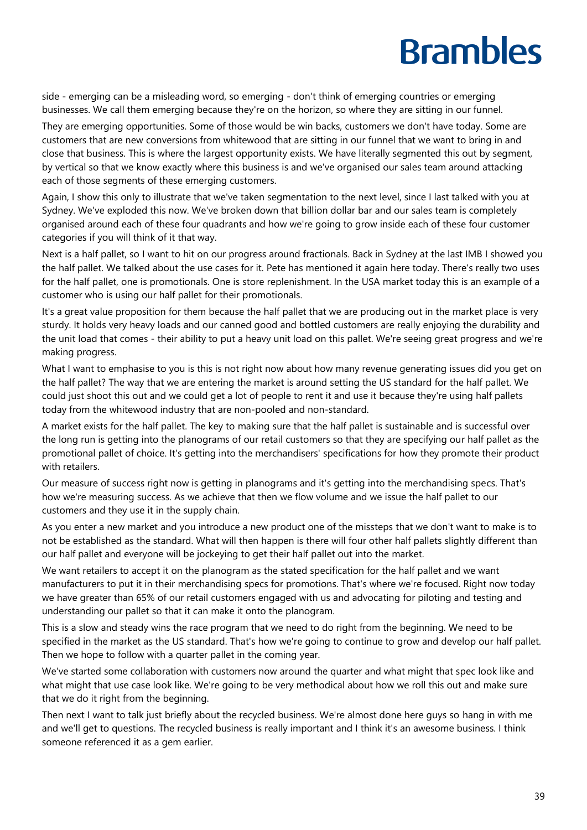side - emerging can be a misleading word, so emerging - don't think of emerging countries or emerging businesses. We call them emerging because they're on the horizon, so where they are sitting in our funnel.

They are emerging opportunities. Some of those would be win backs, customers we don't have today. Some are customers that are new conversions from whitewood that are sitting in our funnel that we want to bring in and close that business. This is where the largest opportunity exists. We have literally segmented this out by segment, by vertical so that we know exactly where this business is and we've organised our sales team around attacking each of those segments of these emerging customers.

Again, I show this only to illustrate that we've taken segmentation to the next level, since I last talked with you at Sydney. We've exploded this now. We've broken down that billion dollar bar and our sales team is completely organised around each of these four quadrants and how we're going to grow inside each of these four customer categories if you will think of it that way.

Next is a half pallet, so I want to hit on our progress around fractionals. Back in Sydney at the last IMB I showed you the half pallet. We talked about the use cases for it. Pete has mentioned it again here today. There's really two uses for the half pallet, one is promotionals. One is store replenishment. In the USA market today this is an example of a customer who is using our half pallet for their promotionals.

It's a great value proposition for them because the half pallet that we are producing out in the market place is very sturdy. It holds very heavy loads and our canned good and bottled customers are really enjoying the durability and the unit load that comes - their ability to put a heavy unit load on this pallet. We're seeing great progress and we're making progress.

What I want to emphasise to you is this is not right now about how many revenue generating issues did you get on the half pallet? The way that we are entering the market is around setting the US standard for the half pallet. We could just shoot this out and we could get a lot of people to rent it and use it because they're using half pallets today from the whitewood industry that are non-pooled and non-standard.

A market exists for the half pallet. The key to making sure that the half pallet is sustainable and is successful over the long run is getting into the planograms of our retail customers so that they are specifying our half pallet as the promotional pallet of choice. It's getting into the merchandisers' specifications for how they promote their product with retailers.

Our measure of success right now is getting in planograms and it's getting into the merchandising specs. That's how we're measuring success. As we achieve that then we flow volume and we issue the half pallet to our customers and they use it in the supply chain.

As you enter a new market and you introduce a new product one of the missteps that we don't want to make is to not be established as the standard. What will then happen is there will four other half pallets slightly different than our half pallet and everyone will be jockeying to get their half pallet out into the market.

We want retailers to accept it on the planogram as the stated specification for the half pallet and we want manufacturers to put it in their merchandising specs for promotions. That's where we're focused. Right now today we have greater than 65% of our retail customers engaged with us and advocating for piloting and testing and understanding our pallet so that it can make it onto the planogram.

This is a slow and steady wins the race program that we need to do right from the beginning. We need to be specified in the market as the US standard. That's how we're going to continue to grow and develop our half pallet. Then we hope to follow with a quarter pallet in the coming year.

We've started some collaboration with customers now around the quarter and what might that spec look like and what might that use case look like. We're going to be very methodical about how we roll this out and make sure that we do it right from the beginning.

Then next I want to talk just briefly about the recycled business. We're almost done here guys so hang in with me and we'll get to questions. The recycled business is really important and I think it's an awesome business. I think someone referenced it as a gem earlier.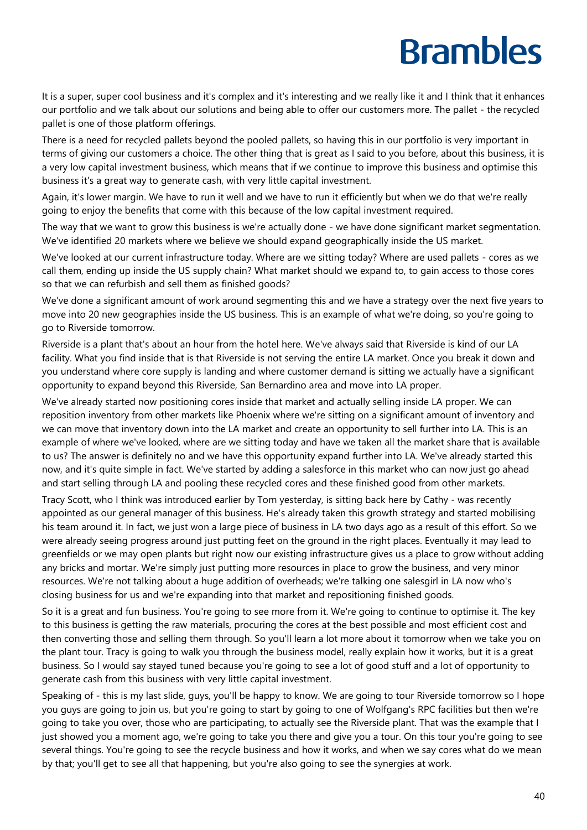It is a super, super cool business and it's complex and it's interesting and we really like it and I think that it enhances our portfolio and we talk about our solutions and being able to offer our customers more. The pallet - the recycled pallet is one of those platform offerings.

There is a need for recycled pallets beyond the pooled pallets, so having this in our portfolio is very important in terms of giving our customers a choice. The other thing that is great as I said to you before, about this business, it is a very low capital investment business, which means that if we continue to improve this business and optimise this business it's a great way to generate cash, with very little capital investment.

Again, it's lower margin. We have to run it well and we have to run it efficiently but when we do that we're really going to enjoy the benefits that come with this because of the low capital investment required.

The way that we want to grow this business is we're actually done - we have done significant market segmentation. We've identified 20 markets where we believe we should expand geographically inside the US market.

We've looked at our current infrastructure today. Where are we sitting today? Where are used pallets - cores as we call them, ending up inside the US supply chain? What market should we expand to, to gain access to those cores so that we can refurbish and sell them as finished goods?

We've done a significant amount of work around segmenting this and we have a strategy over the next five years to move into 20 new geographies inside the US business. This is an example of what we're doing, so you're going to go to Riverside tomorrow.

Riverside is a plant that's about an hour from the hotel here. We've always said that Riverside is kind of our LA facility. What you find inside that is that Riverside is not serving the entire LA market. Once you break it down and you understand where core supply is landing and where customer demand is sitting we actually have a significant opportunity to expand beyond this Riverside, San Bernardino area and move into LA proper.

We've already started now positioning cores inside that market and actually selling inside LA proper. We can reposition inventory from other markets like Phoenix where we're sitting on a significant amount of inventory and we can move that inventory down into the LA market and create an opportunity to sell further into LA. This is an example of where we've looked, where are we sitting today and have we taken all the market share that is available to us? The answer is definitely no and we have this opportunity expand further into LA. We've already started this now, and it's quite simple in fact. We've started by adding a salesforce in this market who can now just go ahead and start selling through LA and pooling these recycled cores and these finished good from other markets.

Tracy Scott, who I think was introduced earlier by Tom yesterday, is sitting back here by Cathy - was recently appointed as our general manager of this business. He's already taken this growth strategy and started mobilising his team around it. In fact, we just won a large piece of business in LA two days ago as a result of this effort. So we were already seeing progress around just putting feet on the ground in the right places. Eventually it may lead to greenfields or we may open plants but right now our existing infrastructure gives us a place to grow without adding any bricks and mortar. We're simply just putting more resources in place to grow the business, and very minor resources. We're not talking about a huge addition of overheads; we're talking one salesgirl in LA now who's closing business for us and we're expanding into that market and repositioning finished goods.

So it is a great and fun business. You're going to see more from it. We're going to continue to optimise it. The key to this business is getting the raw materials, procuring the cores at the best possible and most efficient cost and then converting those and selling them through. So you'll learn a lot more about it tomorrow when we take you on the plant tour. Tracy is going to walk you through the business model, really explain how it works, but it is a great business. So I would say stayed tuned because you're going to see a lot of good stuff and a lot of opportunity to generate cash from this business with very little capital investment.

Speaking of - this is my last slide, guys, you'll be happy to know. We are going to tour Riverside tomorrow so I hope you guys are going to join us, but you're going to start by going to one of Wolfgang's RPC facilities but then we're going to take you over, those who are participating, to actually see the Riverside plant. That was the example that I just showed you a moment ago, we're going to take you there and give you a tour. On this tour you're going to see several things. You're going to see the recycle business and how it works, and when we say cores what do we mean by that; you'll get to see all that happening, but you're also going to see the synergies at work.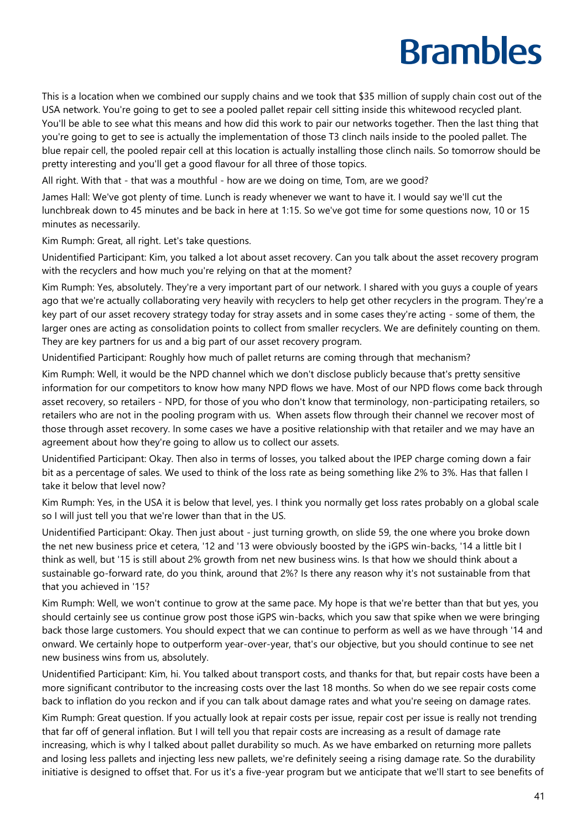This is a location when we combined our supply chains and we took that \$35 million of supply chain cost out of the USA network. You're going to get to see a pooled pallet repair cell sitting inside this whitewood recycled plant. You'll be able to see what this means and how did this work to pair our networks together. Then the last thing that you're going to get to see is actually the implementation of those T3 clinch nails inside to the pooled pallet. The blue repair cell, the pooled repair cell at this location is actually installing those clinch nails. So tomorrow should be pretty interesting and you'll get a good flavour for all three of those topics.

All right. With that - that was a mouthful - how are we doing on time, Tom, are we good?

James Hall: We've got plenty of time. Lunch is ready whenever we want to have it. I would say we'll cut the lunchbreak down to 45 minutes and be back in here at 1:15. So we've got time for some questions now, 10 or 15 minutes as necessarily.

Kim Rumph: Great, all right. Let's take questions.

Unidentified Participant: Kim, you talked a lot about asset recovery. Can you talk about the asset recovery program with the recyclers and how much you're relying on that at the moment?

Kim Rumph: Yes, absolutely. They're a very important part of our network. I shared with you guys a couple of years ago that we're actually collaborating very heavily with recyclers to help get other recyclers in the program. They're a key part of our asset recovery strategy today for stray assets and in some cases they're acting - some of them, the larger ones are acting as consolidation points to collect from smaller recyclers. We are definitely counting on them. They are key partners for us and a big part of our asset recovery program.

Unidentified Participant: Roughly how much of pallet returns are coming through that mechanism?

Kim Rumph: Well, it would be the NPD channel which we don't disclose publicly because that's pretty sensitive information for our competitors to know how many NPD flows we have. Most of our NPD flows come back through asset recovery, so retailers - NPD, for those of you who don't know that terminology, non-participating retailers, so retailers who are not in the pooling program with us. When assets flow through their channel we recover most of those through asset recovery. In some cases we have a positive relationship with that retailer and we may have an agreement about how they're going to allow us to collect our assets.

Unidentified Participant: Okay. Then also in terms of losses, you talked about the IPEP charge coming down a fair bit as a percentage of sales. We used to think of the loss rate as being something like 2% to 3%. Has that fallen I take it below that level now?

Kim Rumph: Yes, in the USA it is below that level, yes. I think you normally get loss rates probably on a global scale so I will just tell you that we're lower than that in the US.

Unidentified Participant: Okay. Then just about - just turning growth, on slide 59, the one where you broke down the net new business price et cetera, '12 and '13 were obviously boosted by the iGPS win-backs, '14 a little bit I think as well, but '15 is still about 2% growth from net new business wins. Is that how we should think about a sustainable go-forward rate, do you think, around that 2%? Is there any reason why it's not sustainable from that that you achieved in '15?

Kim Rumph: Well, we won't continue to grow at the same pace. My hope is that we're better than that but yes, you should certainly see us continue grow post those iGPS win-backs, which you saw that spike when we were bringing back those large customers. You should expect that we can continue to perform as well as we have through '14 and onward. We certainly hope to outperform year-over-year, that's our objective, but you should continue to see net new business wins from us, absolutely.

Unidentified Participant: Kim, hi. You talked about transport costs, and thanks for that, but repair costs have been a more significant contributor to the increasing costs over the last 18 months. So when do we see repair costs come back to inflation do you reckon and if you can talk about damage rates and what you're seeing on damage rates.

Kim Rumph: Great question. If you actually look at repair costs per issue, repair cost per issue is really not trending that far off of general inflation. But I will tell you that repair costs are increasing as a result of damage rate increasing, which is why I talked about pallet durability so much. As we have embarked on returning more pallets and losing less pallets and injecting less new pallets, we're definitely seeing a rising damage rate. So the durability initiative is designed to offset that. For us it's a five-year program but we anticipate that we'll start to see benefits of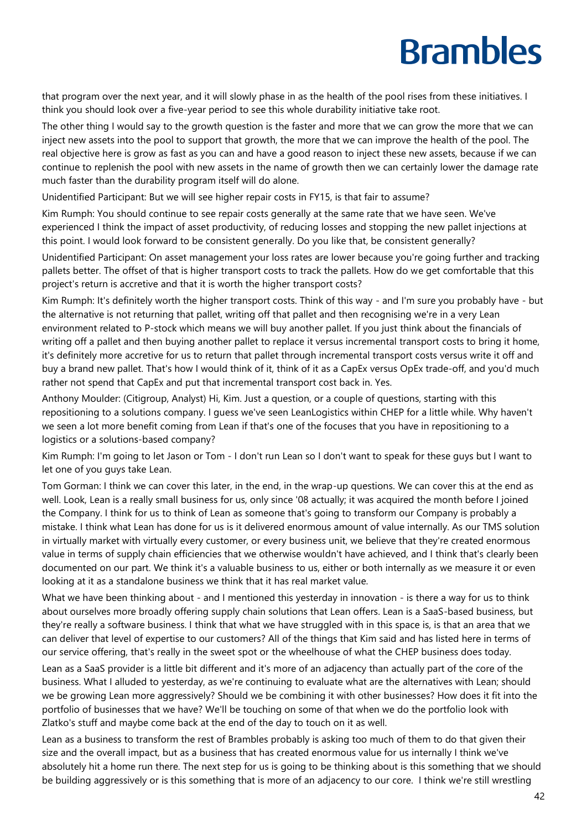that program over the next year, and it will slowly phase in as the health of the pool rises from these initiatives. I think you should look over a five-year period to see this whole durability initiative take root.

The other thing I would say to the growth question is the faster and more that we can grow the more that we can inject new assets into the pool to support that growth, the more that we can improve the health of the pool. The real objective here is grow as fast as you can and have a good reason to inject these new assets, because if we can continue to replenish the pool with new assets in the name of growth then we can certainly lower the damage rate much faster than the durability program itself will do alone.

Unidentified Participant: But we will see higher repair costs in FY15, is that fair to assume?

Kim Rumph: You should continue to see repair costs generally at the same rate that we have seen. We've experienced I think the impact of asset productivity, of reducing losses and stopping the new pallet injections at this point. I would look forward to be consistent generally. Do you like that, be consistent generally?

Unidentified Participant: On asset management your loss rates are lower because you're going further and tracking pallets better. The offset of that is higher transport costs to track the pallets. How do we get comfortable that this project's return is accretive and that it is worth the higher transport costs?

Kim Rumph: It's definitely worth the higher transport costs. Think of this way - and I'm sure you probably have - but the alternative is not returning that pallet, writing off that pallet and then recognising we're in a very Lean environment related to P-stock which means we will buy another pallet. If you just think about the financials of writing off a pallet and then buying another pallet to replace it versus incremental transport costs to bring it home, it's definitely more accretive for us to return that pallet through incremental transport costs versus write it off and buy a brand new pallet. That's how I would think of it, think of it as a CapEx versus OpEx trade-off, and you'd much rather not spend that CapEx and put that incremental transport cost back in. Yes.

Anthony Moulder: (Citigroup, Analyst) Hi, Kim. Just a question, or a couple of questions, starting with this repositioning to a solutions company. I guess we've seen LeanLogistics within CHEP for a little while. Why haven't we seen a lot more benefit coming from Lean if that's one of the focuses that you have in repositioning to a logistics or a solutions-based company?

Kim Rumph: I'm going to let Jason or Tom - I don't run Lean so I don't want to speak for these guys but I want to let one of you guys take Lean.

Tom Gorman: I think we can cover this later, in the end, in the wrap-up questions. We can cover this at the end as well. Look, Lean is a really small business for us, only since '08 actually; it was acquired the month before I joined the Company. I think for us to think of Lean as someone that's going to transform our Company is probably a mistake. I think what Lean has done for us is it delivered enormous amount of value internally. As our TMS solution in virtually market with virtually every customer, or every business unit, we believe that they're created enormous value in terms of supply chain efficiencies that we otherwise wouldn't have achieved, and I think that's clearly been documented on our part. We think it's a valuable business to us, either or both internally as we measure it or even looking at it as a standalone business we think that it has real market value.

What we have been thinking about - and I mentioned this yesterday in innovation - is there a way for us to think about ourselves more broadly offering supply chain solutions that Lean offers. Lean is a SaaS-based business, but they're really a software business. I think that what we have struggled with in this space is, is that an area that we can deliver that level of expertise to our customers? All of the things that Kim said and has listed here in terms of our service offering, that's really in the sweet spot or the wheelhouse of what the CHEP business does today.

Lean as a SaaS provider is a little bit different and it's more of an adjacency than actually part of the core of the business. What I alluded to yesterday, as we're continuing to evaluate what are the alternatives with Lean; should we be growing Lean more aggressively? Should we be combining it with other businesses? How does it fit into the portfolio of businesses that we have? We'll be touching on some of that when we do the portfolio look with Zlatko's stuff and maybe come back at the end of the day to touch on it as well.

Lean as a business to transform the rest of Brambles probably is asking too much of them to do that given their size and the overall impact, but as a business that has created enormous value for us internally I think we've absolutely hit a home run there. The next step for us is going to be thinking about is this something that we should be building aggressively or is this something that is more of an adjacency to our core. I think we're still wrestling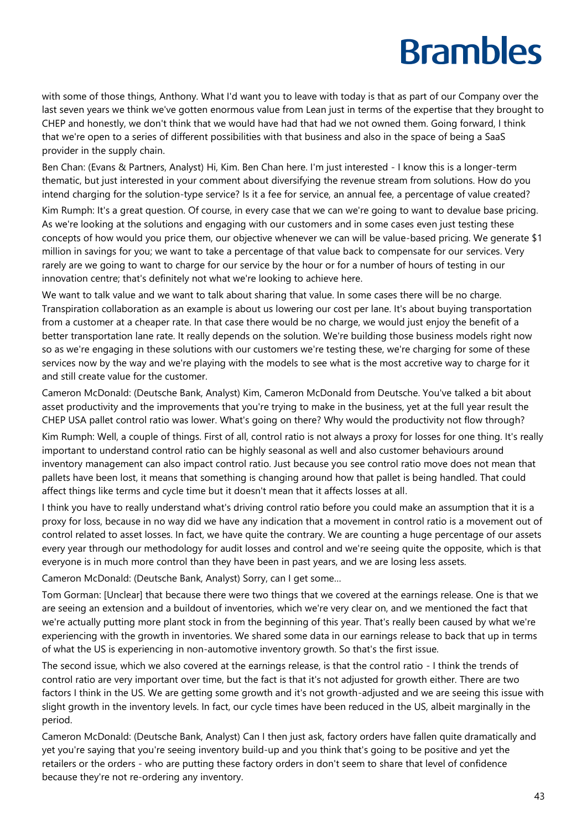with some of those things, Anthony. What I'd want you to leave with today is that as part of our Company over the last seven years we think we've gotten enormous value from Lean just in terms of the expertise that they brought to CHEP and honestly, we don't think that we would have had that had we not owned them. Going forward, I think that we're open to a series of different possibilities with that business and also in the space of being a SaaS provider in the supply chain.

Ben Chan: (Evans & Partners, Analyst) Hi, Kim. Ben Chan here. I'm just interested - I know this is a longer-term thematic, but just interested in your comment about diversifying the revenue stream from solutions. How do you intend charging for the solution-type service? Is it a fee for service, an annual fee, a percentage of value created?

Kim Rumph: It's a great question. Of course, in every case that we can we're going to want to devalue base pricing. As we're looking at the solutions and engaging with our customers and in some cases even just testing these concepts of how would you price them, our objective whenever we can will be value-based pricing. We generate \$1 million in savings for you; we want to take a percentage of that value back to compensate for our services. Very rarely are we going to want to charge for our service by the hour or for a number of hours of testing in our innovation centre; that's definitely not what we're looking to achieve here.

We want to talk value and we want to talk about sharing that value. In some cases there will be no charge. Transpiration collaboration as an example is about us lowering our cost per lane. It's about buying transportation from a customer at a cheaper rate. In that case there would be no charge, we would just enjoy the benefit of a better transportation lane rate. It really depends on the solution. We're building those business models right now so as we're engaging in these solutions with our customers we're testing these, we're charging for some of these services now by the way and we're playing with the models to see what is the most accretive way to charge for it and still create value for the customer.

Cameron McDonald: (Deutsche Bank, Analyst) Kim, Cameron McDonald from Deutsche. You've talked a bit about asset productivity and the improvements that you're trying to make in the business, yet at the full year result the CHEP USA pallet control ratio was lower. What's going on there? Why would the productivity not flow through?

Kim Rumph: Well, a couple of things. First of all, control ratio is not always a proxy for losses for one thing. It's really important to understand control ratio can be highly seasonal as well and also customer behaviours around inventory management can also impact control ratio. Just because you see control ratio move does not mean that pallets have been lost, it means that something is changing around how that pallet is being handled. That could affect things like terms and cycle time but it doesn't mean that it affects losses at all.

I think you have to really understand what's driving control ratio before you could make an assumption that it is a proxy for loss, because in no way did we have any indication that a movement in control ratio is a movement out of control related to asset losses. In fact, we have quite the contrary. We are counting a huge percentage of our assets every year through our methodology for audit losses and control and we're seeing quite the opposite, which is that everyone is in much more control than they have been in past years, and we are losing less assets.

Cameron McDonald: (Deutsche Bank, Analyst) Sorry, can I get some…

Tom Gorman: [Unclear] that because there were two things that we covered at the earnings release. One is that we are seeing an extension and a buildout of inventories, which we're very clear on, and we mentioned the fact that we're actually putting more plant stock in from the beginning of this year. That's really been caused by what we're experiencing with the growth in inventories. We shared some data in our earnings release to back that up in terms of what the US is experiencing in non-automotive inventory growth. So that's the first issue.

The second issue, which we also covered at the earnings release, is that the control ratio - I think the trends of control ratio are very important over time, but the fact is that it's not adjusted for growth either. There are two factors I think in the US. We are getting some growth and it's not growth-adjusted and we are seeing this issue with slight growth in the inventory levels. In fact, our cycle times have been reduced in the US, albeit marginally in the period.

Cameron McDonald: (Deutsche Bank, Analyst) Can I then just ask, factory orders have fallen quite dramatically and yet you're saying that you're seeing inventory build-up and you think that's going to be positive and yet the retailers or the orders - who are putting these factory orders in don't seem to share that level of confidence because they're not re-ordering any inventory.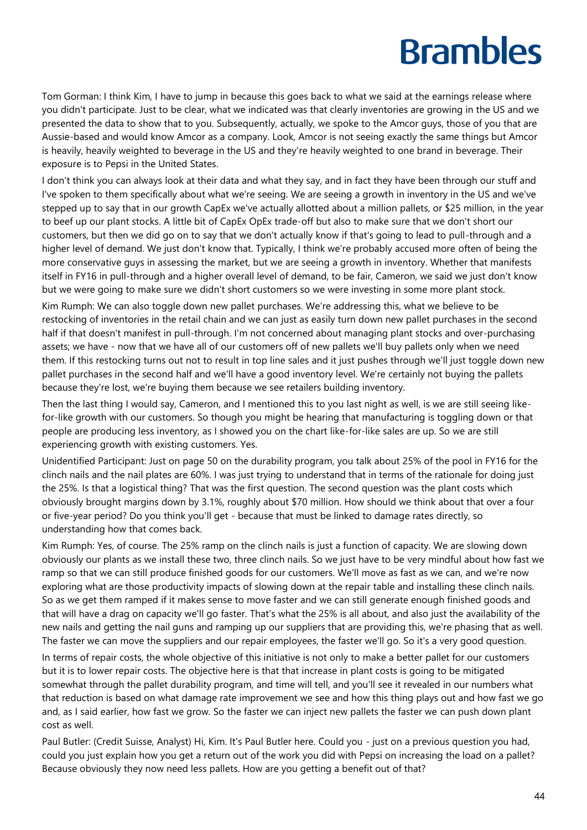Tom Gorman: I think Kim, I have to jump in because this goes back to what we said at the earnings release where you didn't participate. Just to be clear, what we indicated was that clearly inventories are growing in the US and we presented the data to show that to you. Subsequently, actually, we spoke to the Amcor guys, those of you that are Aussie-based and would know Amcor as a company. Look, Amcor is not seeing exactly the same things but Amcor is heavily, heavily weighted to beverage in the US and they're heavily weighted to one brand in beverage. Their exposure is to Pepsi in the United States.

I don't think you can always look at their data and what they say, and in fact they have been through our stuff and I've spoken to them specifically about what we're seeing. We are seeing a growth in inventory in the US and we've stepped up to say that in our growth CapEx we've actually allotted about a million pallets, or \$25 million, in the year to beef up our plant stocks. A little bit of CapEx OpEx trade-off but also to make sure that we don't short our customers, but then we did go on to say that we don't actually know if that's going to lead to pull-through and a higher level of demand. We just don't know that. Typically, I think we're probably accused more often of being the more conservative guys in assessing the market, but we are seeing a growth in inventory. Whether that manifests itself in FY16 in pull-through and a higher overall level of demand, to be fair, Cameron, we said we just don't know but we were going to make sure we didn't short customers so we were investing in some more plant stock.

Kim Rumph: We can also toggle down new pallet purchases. We're addressing this, what we believe to be restocking of inventories in the retail chain and we can just as easily turn down new pallet purchases in the second half if that doesn't manifest in pull-through. I'm not concerned about managing plant stocks and over-purchasing assets; we have - now that we have all of our customers off of new pallets we'll buy pallets only when we need them. If this restocking turns out not to result in top line sales and it just pushes through we'll just toggle down new pallet purchases in the second half and we'll have a good inventory level. We're certainly not buying the pallets because they're lost, we're buying them because we see retailers building inventory.

Then the last thing I would say, Cameron, and I mentioned this to you last night as well, is we are still seeing likefor-like growth with our customers. So though you might be hearing that manufacturing is toggling down or that people are producing less inventory, as I showed you on the chart like-for-like sales are up. So we are still experiencing growth with existing customers. Yes.

Unidentified Participant: Just on page 50 on the durability program, you talk about 25% of the pool in FY16 for the clinch nails and the nail plates are 60%. I was just trying to understand that in terms of the rationale for doing just the 25%. Is that a logistical thing? That was the first question. The second question was the plant costs which obviously brought margins down by 3.1%, roughly about \$70 million. How should we think about that over a four or five-year period? Do you think you'll get - because that must be linked to damage rates directly, so understanding how that comes back.

Kim Rumph: Yes, of course. The 25% ramp on the clinch nails is just a function of capacity. We are slowing down obviously our plants as we install these two, three clinch nails. So we just have to be very mindful about how fast we ramp so that we can still produce finished goods for our customers. We'll move as fast as we can, and we're now exploring what are those productivity impacts of slowing down at the repair table and installing these clinch nails. So as we get them ramped if it makes sense to move faster and we can still generate enough finished goods and that will have a drag on capacity we'll go faster. That's what the 25% is all about, and also just the availability of the new nails and getting the nail guns and ramping up our suppliers that are providing this, we're phasing that as well. The faster we can move the suppliers and our repair employees, the faster we'll go. So it's a very good question.

In terms of repair costs, the whole objective of this initiative is not only to make a better pallet for our customers but it is to lower repair costs. The objective here is that that increase in plant costs is going to be mitigated somewhat through the pallet durability program, and time will tell, and you'll see it revealed in our numbers what that reduction is based on what damage rate improvement we see and how this thing plays out and how fast we go and, as I said earlier, how fast we grow. So the faster we can inject new pallets the faster we can push down plant cost as well.

Paul Butler: (Credit Suisse, Analyst) Hi, Kim. It's Paul Butler here. Could you - just on a previous question you had, could you just explain how you get a return out of the work you did with Pepsi on increasing the load on a pallet? Because obviously they now need less pallets. How are you getting a benefit out of that?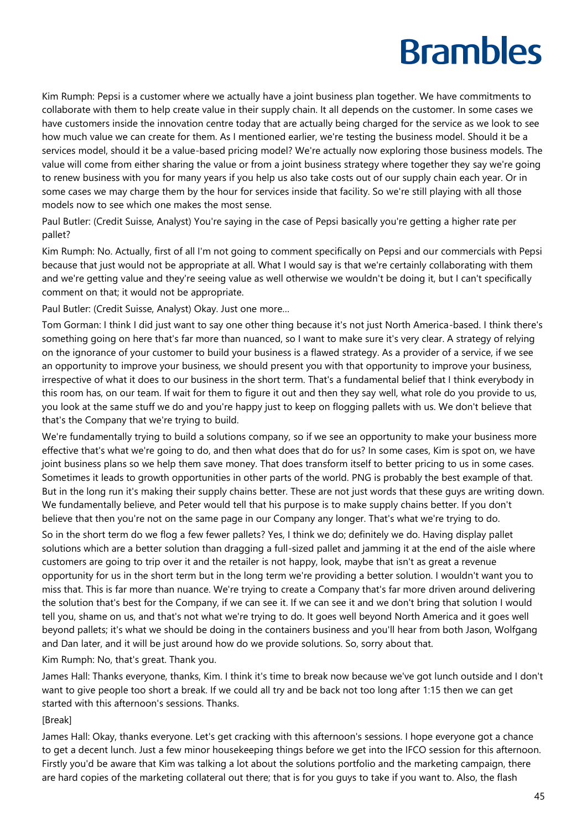Kim Rumph: Pepsi is a customer where we actually have a joint business plan together. We have commitments to collaborate with them to help create value in their supply chain. It all depends on the customer. In some cases we have customers inside the innovation centre today that are actually being charged for the service as we look to see how much value we can create for them. As I mentioned earlier, we're testing the business model. Should it be a services model, should it be a value-based pricing model? We're actually now exploring those business models. The value will come from either sharing the value or from a joint business strategy where together they say we're going to renew business with you for many years if you help us also take costs out of our supply chain each year. Or in some cases we may charge them by the hour for services inside that facility. So we're still playing with all those models now to see which one makes the most sense.

Paul Butler: (Credit Suisse, Analyst) You're saying in the case of Pepsi basically you're getting a higher rate per pallet?

Kim Rumph: No. Actually, first of all I'm not going to comment specifically on Pepsi and our commercials with Pepsi because that just would not be appropriate at all. What I would say is that we're certainly collaborating with them and we're getting value and they're seeing value as well otherwise we wouldn't be doing it, but I can't specifically comment on that; it would not be appropriate.

Paul Butler: (Credit Suisse, Analyst) Okay. Just one more…

Tom Gorman: I think I did just want to say one other thing because it's not just North America-based. I think there's something going on here that's far more than nuanced, so I want to make sure it's very clear. A strategy of relying on the ignorance of your customer to build your business is a flawed strategy. As a provider of a service, if we see an opportunity to improve your business, we should present you with that opportunity to improve your business, irrespective of what it does to our business in the short term. That's a fundamental belief that I think everybody in this room has, on our team. If wait for them to figure it out and then they say well, what role do you provide to us, you look at the same stuff we do and you're happy just to keep on flogging pallets with us. We don't believe that that's the Company that we're trying to build.

We're fundamentally trying to build a solutions company, so if we see an opportunity to make your business more effective that's what we're going to do, and then what does that do for us? In some cases, Kim is spot on, we have joint business plans so we help them save money. That does transform itself to better pricing to us in some cases. Sometimes it leads to growth opportunities in other parts of the world. PNG is probably the best example of that. But in the long run it's making their supply chains better. These are not just words that these guys are writing down. We fundamentally believe, and Peter would tell that his purpose is to make supply chains better. If you don't believe that then you're not on the same page in our Company any longer. That's what we're trying to do.

So in the short term do we flog a few fewer pallets? Yes, I think we do; definitely we do. Having display pallet solutions which are a better solution than dragging a full-sized pallet and jamming it at the end of the aisle where customers are going to trip over it and the retailer is not happy, look, maybe that isn't as great a revenue opportunity for us in the short term but in the long term we're providing a better solution. I wouldn't want you to miss that. This is far more than nuance. We're trying to create a Company that's far more driven around delivering the solution that's best for the Company, if we can see it. If we can see it and we don't bring that solution I would tell you, shame on us, and that's not what we're trying to do. It goes well beyond North America and it goes well beyond pallets; it's what we should be doing in the containers business and you'll hear from both Jason, Wolfgang and Dan later, and it will be just around how do we provide solutions. So, sorry about that.

Kim Rumph: No, that's great. Thank you.

James Hall: Thanks everyone, thanks, Kim. I think it's time to break now because we've got lunch outside and I don't want to give people too short a break. If we could all try and be back not too long after 1:15 then we can get started with this afternoon's sessions. Thanks.

#### [Break]

James Hall: Okay, thanks everyone. Let's get cracking with this afternoon's sessions. I hope everyone got a chance to get a decent lunch. Just a few minor housekeeping things before we get into the IFCO session for this afternoon. Firstly you'd be aware that Kim was talking a lot about the solutions portfolio and the marketing campaign, there are hard copies of the marketing collateral out there; that is for you guys to take if you want to. Also, the flash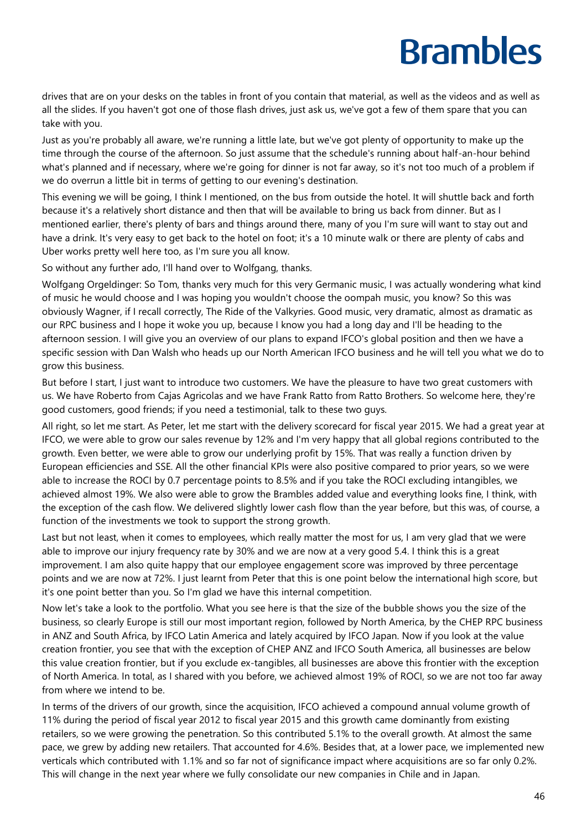drives that are on your desks on the tables in front of you contain that material, as well as the videos and as well as all the slides. If you haven't got one of those flash drives, just ask us, we've got a few of them spare that you can take with you.

Just as you're probably all aware, we're running a little late, but we've got plenty of opportunity to make up the time through the course of the afternoon. So just assume that the schedule's running about half-an-hour behind what's planned and if necessary, where we're going for dinner is not far away, so it's not too much of a problem if we do overrun a little bit in terms of getting to our evening's destination.

This evening we will be going, I think I mentioned, on the bus from outside the hotel. It will shuttle back and forth because it's a relatively short distance and then that will be available to bring us back from dinner. But as I mentioned earlier, there's plenty of bars and things around there, many of you I'm sure will want to stay out and have a drink. It's very easy to get back to the hotel on foot; it's a 10 minute walk or there are plenty of cabs and Uber works pretty well here too, as I'm sure you all know.

So without any further ado, I'll hand over to Wolfgang, thanks.

Wolfgang Orgeldinger: So Tom, thanks very much for this very Germanic music, I was actually wondering what kind of music he would choose and I was hoping you wouldn't choose the oompah music, you know? So this was obviously Wagner, if I recall correctly, The Ride of the Valkyries. Good music, very dramatic, almost as dramatic as our RPC business and I hope it woke you up, because I know you had a long day and I'll be heading to the afternoon session. I will give you an overview of our plans to expand IFCO's global position and then we have a specific session with Dan Walsh who heads up our North American IFCO business and he will tell you what we do to grow this business.

But before I start, I just want to introduce two customers. We have the pleasure to have two great customers with us. We have Roberto from Cajas Agricolas and we have Frank Ratto from Ratto Brothers. So welcome here, they're good customers, good friends; if you need a testimonial, talk to these two guys.

All right, so let me start. As Peter, let me start with the delivery scorecard for fiscal year 2015. We had a great year at IFCO, we were able to grow our sales revenue by 12% and I'm very happy that all global regions contributed to the growth. Even better, we were able to grow our underlying profit by 15%. That was really a function driven by European efficiencies and SSE. All the other financial KPIs were also positive compared to prior years, so we were able to increase the ROCI by 0.7 percentage points to 8.5% and if you take the ROCI excluding intangibles, we achieved almost 19%. We also were able to grow the Brambles added value and everything looks fine, I think, with the exception of the cash flow. We delivered slightly lower cash flow than the year before, but this was, of course, a function of the investments we took to support the strong growth.

Last but not least, when it comes to employees, which really matter the most for us, I am very glad that we were able to improve our injury frequency rate by 30% and we are now at a very good 5.4. I think this is a great improvement. I am also quite happy that our employee engagement score was improved by three percentage points and we are now at 72%. I just learnt from Peter that this is one point below the international high score, but it's one point better than you. So I'm glad we have this internal competition.

Now let's take a look to the portfolio. What you see here is that the size of the bubble shows you the size of the business, so clearly Europe is still our most important region, followed by North America, by the CHEP RPC business in ANZ and South Africa, by IFCO Latin America and lately acquired by IFCO Japan. Now if you look at the value creation frontier, you see that with the exception of CHEP ANZ and IFCO South America, all businesses are below this value creation frontier, but if you exclude ex-tangibles, all businesses are above this frontier with the exception of North America. In total, as I shared with you before, we achieved almost 19% of ROCI, so we are not too far away from where we intend to be.

In terms of the drivers of our growth, since the acquisition, IFCO achieved a compound annual volume growth of 11% during the period of fiscal year 2012 to fiscal year 2015 and this growth came dominantly from existing retailers, so we were growing the penetration. So this contributed 5.1% to the overall growth. At almost the same pace, we grew by adding new retailers. That accounted for 4.6%. Besides that, at a lower pace, we implemented new verticals which contributed with 1.1% and so far not of significance impact where acquisitions are so far only 0.2%. This will change in the next year where we fully consolidate our new companies in Chile and in Japan.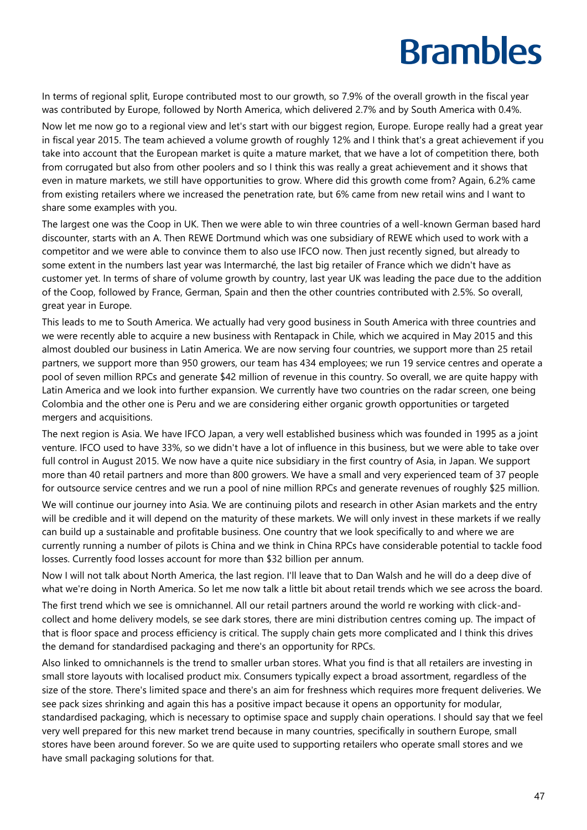In terms of regional split, Europe contributed most to our growth, so 7.9% of the overall growth in the fiscal year was contributed by Europe, followed by North America, which delivered 2.7% and by South America with 0.4%.

Now let me now go to a regional view and let's start with our biggest region, Europe. Europe really had a great year in fiscal year 2015. The team achieved a volume growth of roughly 12% and I think that's a great achievement if you take into account that the European market is quite a mature market, that we have a lot of competition there, both from corrugated but also from other poolers and so I think this was really a great achievement and it shows that even in mature markets, we still have opportunities to grow. Where did this growth come from? Again, 6.2% came from existing retailers where we increased the penetration rate, but 6% came from new retail wins and I want to share some examples with you.

The largest one was the Coop in UK. Then we were able to win three countries of a well-known German based hard discounter, starts with an A. Then REWE Dortmund which was one subsidiary of REWE which used to work with a competitor and we were able to convince them to also use IFCO now. Then just recently signed, but already to some extent in the numbers last year was Intermarché, the last big retailer of France which we didn't have as customer yet. In terms of share of volume growth by country, last year UK was leading the pace due to the addition of the Coop, followed by France, German, Spain and then the other countries contributed with 2.5%. So overall, great year in Europe.

This leads to me to South America. We actually had very good business in South America with three countries and we were recently able to acquire a new business with Rentapack in Chile, which we acquired in May 2015 and this almost doubled our business in Latin America. We are now serving four countries, we support more than 25 retail partners, we support more than 950 growers, our team has 434 employees; we run 19 service centres and operate a pool of seven million RPCs and generate \$42 million of revenue in this country. So overall, we are quite happy with Latin America and we look into further expansion. We currently have two countries on the radar screen, one being Colombia and the other one is Peru and we are considering either organic growth opportunities or targeted mergers and acquisitions.

The next region is Asia. We have IFCO Japan, a very well established business which was founded in 1995 as a joint venture. IFCO used to have 33%, so we didn't have a lot of influence in this business, but we were able to take over full control in August 2015. We now have a quite nice subsidiary in the first country of Asia, in Japan. We support more than 40 retail partners and more than 800 growers. We have a small and very experienced team of 37 people for outsource service centres and we run a pool of nine million RPCs and generate revenues of roughly \$25 million.

We will continue our journey into Asia. We are continuing pilots and research in other Asian markets and the entry will be credible and it will depend on the maturity of these markets. We will only invest in these markets if we really can build up a sustainable and profitable business. One country that we look specifically to and where we are currently running a number of pilots is China and we think in China RPCs have considerable potential to tackle food losses. Currently food losses account for more than \$32 billion per annum.

Now I will not talk about North America, the last region. I'll leave that to Dan Walsh and he will do a deep dive of what we're doing in North America. So let me now talk a little bit about retail trends which we see across the board. The first trend which we see is omnichannel. All our retail partners around the world re working with click-andcollect and home delivery models, se see dark stores, there are mini distribution centres coming up. The impact of that is floor space and process efficiency is critical. The supply chain gets more complicated and I think this drives the demand for standardised packaging and there's an opportunity for RPCs.

Also linked to omnichannels is the trend to smaller urban stores. What you find is that all retailers are investing in small store layouts with localised product mix. Consumers typically expect a broad assortment, regardless of the size of the store. There's limited space and there's an aim for freshness which requires more frequent deliveries. We see pack sizes shrinking and again this has a positive impact because it opens an opportunity for modular, standardised packaging, which is necessary to optimise space and supply chain operations. I should say that we feel very well prepared for this new market trend because in many countries, specifically in southern Europe, small stores have been around forever. So we are quite used to supporting retailers who operate small stores and we have small packaging solutions for that.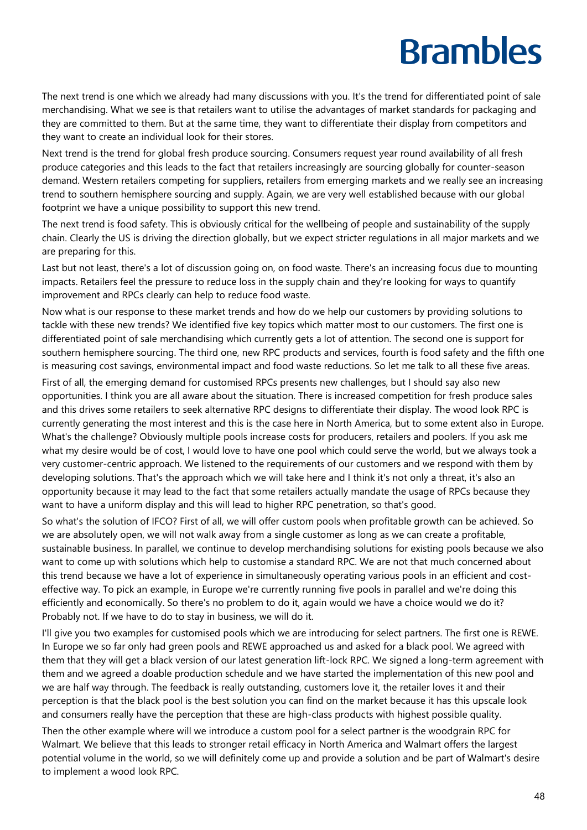The next trend is one which we already had many discussions with you. It's the trend for differentiated point of sale merchandising. What we see is that retailers want to utilise the advantages of market standards for packaging and they are committed to them. But at the same time, they want to differentiate their display from competitors and they want to create an individual look for their stores.

Next trend is the trend for global fresh produce sourcing. Consumers request year round availability of all fresh produce categories and this leads to the fact that retailers increasingly are sourcing globally for counter-season demand. Western retailers competing for suppliers, retailers from emerging markets and we really see an increasing trend to southern hemisphere sourcing and supply. Again, we are very well established because with our global footprint we have a unique possibility to support this new trend.

The next trend is food safety. This is obviously critical for the wellbeing of people and sustainability of the supply chain. Clearly the US is driving the direction globally, but we expect stricter regulations in all major markets and we are preparing for this.

Last but not least, there's a lot of discussion going on, on food waste. There's an increasing focus due to mounting impacts. Retailers feel the pressure to reduce loss in the supply chain and they're looking for ways to quantify improvement and RPCs clearly can help to reduce food waste.

Now what is our response to these market trends and how do we help our customers by providing solutions to tackle with these new trends? We identified five key topics which matter most to our customers. The first one is differentiated point of sale merchandising which currently gets a lot of attention. The second one is support for southern hemisphere sourcing. The third one, new RPC products and services, fourth is food safety and the fifth one is measuring cost savings, environmental impact and food waste reductions. So let me talk to all these five areas.

First of all, the emerging demand for customised RPCs presents new challenges, but I should say also new opportunities. I think you are all aware about the situation. There is increased competition for fresh produce sales and this drives some retailers to seek alternative RPC designs to differentiate their display. The wood look RPC is currently generating the most interest and this is the case here in North America, but to some extent also in Europe. What's the challenge? Obviously multiple pools increase costs for producers, retailers and poolers. If you ask me what my desire would be of cost, I would love to have one pool which could serve the world, but we always took a very customer-centric approach. We listened to the requirements of our customers and we respond with them by developing solutions. That's the approach which we will take here and I think it's not only a threat, it's also an opportunity because it may lead to the fact that some retailers actually mandate the usage of RPCs because they want to have a uniform display and this will lead to higher RPC penetration, so that's good.

So what's the solution of IFCO? First of all, we will offer custom pools when profitable growth can be achieved. So we are absolutely open, we will not walk away from a single customer as long as we can create a profitable, sustainable business. In parallel, we continue to develop merchandising solutions for existing pools because we also want to come up with solutions which help to customise a standard RPC. We are not that much concerned about this trend because we have a lot of experience in simultaneously operating various pools in an efficient and costeffective way. To pick an example, in Europe we're currently running five pools in parallel and we're doing this efficiently and economically. So there's no problem to do it, again would we have a choice would we do it? Probably not. If we have to do to stay in business, we will do it.

I'll give you two examples for customised pools which we are introducing for select partners. The first one is REWE. In Europe we so far only had green pools and REWE approached us and asked for a black pool. We agreed with them that they will get a black version of our latest generation lift-lock RPC. We signed a long-term agreement with them and we agreed a doable production schedule and we have started the implementation of this new pool and we are half way through. The feedback is really outstanding, customers love it, the retailer loves it and their perception is that the black pool is the best solution you can find on the market because it has this upscale look and consumers really have the perception that these are high-class products with highest possible quality.

Then the other example where will we introduce a custom pool for a select partner is the woodgrain RPC for Walmart. We believe that this leads to stronger retail efficacy in North America and Walmart offers the largest potential volume in the world, so we will definitely come up and provide a solution and be part of Walmart's desire to implement a wood look RPC.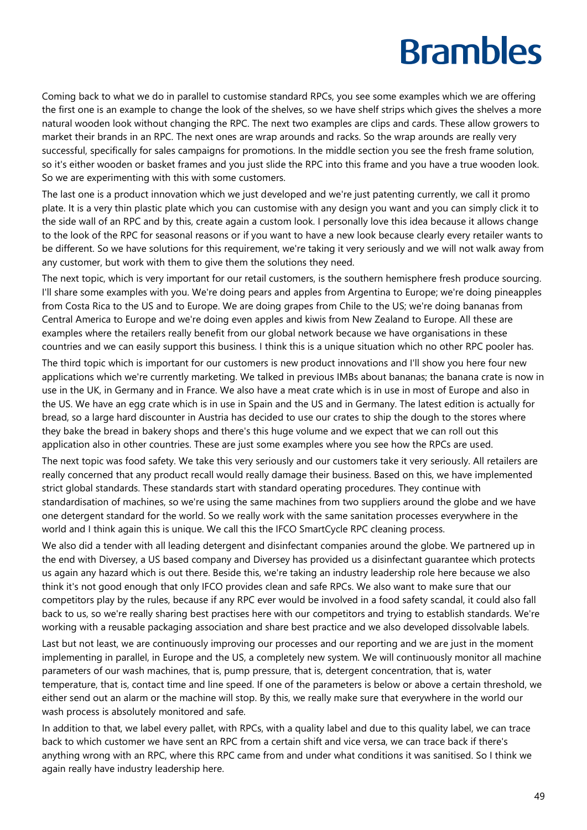Coming back to what we do in parallel to customise standard RPCs, you see some examples which we are offering the first one is an example to change the look of the shelves, so we have shelf strips which gives the shelves a more natural wooden look without changing the RPC. The next two examples are clips and cards. These allow growers to market their brands in an RPC. The next ones are wrap arounds and racks. So the wrap arounds are really very successful, specifically for sales campaigns for promotions. In the middle section you see the fresh frame solution, so it's either wooden or basket frames and you just slide the RPC into this frame and you have a true wooden look. So we are experimenting with this with some customers.

The last one is a product innovation which we just developed and we're just patenting currently, we call it promo plate. It is a very thin plastic plate which you can customise with any design you want and you can simply click it to the side wall of an RPC and by this, create again a custom look. I personally love this idea because it allows change to the look of the RPC for seasonal reasons or if you want to have a new look because clearly every retailer wants to be different. So we have solutions for this requirement, we're taking it very seriously and we will not walk away from any customer, but work with them to give them the solutions they need.

The next topic, which is very important for our retail customers, is the southern hemisphere fresh produce sourcing. I'll share some examples with you. We're doing pears and apples from Argentina to Europe; we're doing pineapples from Costa Rica to the US and to Europe. We are doing grapes from Chile to the US; we're doing bananas from Central America to Europe and we're doing even apples and kiwis from New Zealand to Europe. All these are examples where the retailers really benefit from our global network because we have organisations in these countries and we can easily support this business. I think this is a unique situation which no other RPC pooler has.

The third topic which is important for our customers is new product innovations and I'll show you here four new applications which we're currently marketing. We talked in previous IMBs about bananas; the banana crate is now in use in the UK, in Germany and in France. We also have a meat crate which is in use in most of Europe and also in the US. We have an egg crate which is in use in Spain and the US and in Germany. The latest edition is actually for bread, so a large hard discounter in Austria has decided to use our crates to ship the dough to the stores where they bake the bread in bakery shops and there's this huge volume and we expect that we can roll out this application also in other countries. These are just some examples where you see how the RPCs are used.

The next topic was food safety. We take this very seriously and our customers take it very seriously. All retailers are really concerned that any product recall would really damage their business. Based on this, we have implemented strict global standards. These standards start with standard operating procedures. They continue with standardisation of machines, so we're using the same machines from two suppliers around the globe and we have one detergent standard for the world. So we really work with the same sanitation processes everywhere in the world and I think again this is unique. We call this the IFCO SmartCycle RPC cleaning process.

We also did a tender with all leading detergent and disinfectant companies around the globe. We partnered up in the end with Diversey, a US based company and Diversey has provided us a disinfectant guarantee which protects us again any hazard which is out there. Beside this, we're taking an industry leadership role here because we also think it's not good enough that only IFCO provides clean and safe RPCs. We also want to make sure that our competitors play by the rules, because if any RPC ever would be involved in a food safety scandal, it could also fall back to us, so we're really sharing best practises here with our competitors and trying to establish standards. We're working with a reusable packaging association and share best practice and we also developed dissolvable labels.

Last but not least, we are continuously improving our processes and our reporting and we are just in the moment implementing in parallel, in Europe and the US, a completely new system. We will continuously monitor all machine parameters of our wash machines, that is, pump pressure, that is, detergent concentration, that is, water temperature, that is, contact time and line speed. If one of the parameters is below or above a certain threshold, we either send out an alarm or the machine will stop. By this, we really make sure that everywhere in the world our wash process is absolutely monitored and safe.

In addition to that, we label every pallet, with RPCs, with a quality label and due to this quality label, we can trace back to which customer we have sent an RPC from a certain shift and vice versa, we can trace back if there's anything wrong with an RPC, where this RPC came from and under what conditions it was sanitised. So I think we again really have industry leadership here.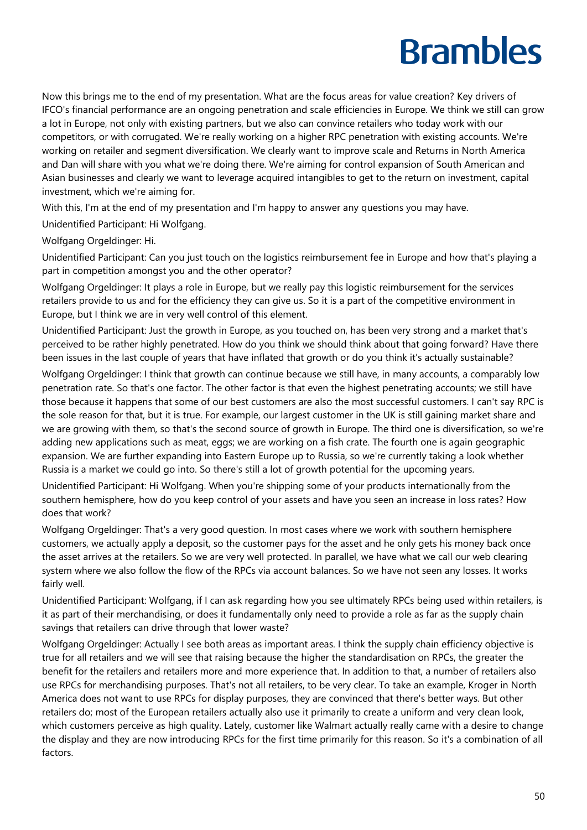Now this brings me to the end of my presentation. What are the focus areas for value creation? Key drivers of IFCO's financial performance are an ongoing penetration and scale efficiencies in Europe. We think we still can grow a lot in Europe, not only with existing partners, but we also can convince retailers who today work with our competitors, or with corrugated. We're really working on a higher RPC penetration with existing accounts. We're working on retailer and segment diversification. We clearly want to improve scale and Returns in North America and Dan will share with you what we're doing there. We're aiming for control expansion of South American and Asian businesses and clearly we want to leverage acquired intangibles to get to the return on investment, capital investment, which we're aiming for.

With this, I'm at the end of my presentation and I'm happy to answer any questions you may have.

Unidentified Participant: Hi Wolfgang.

Wolfgang Orgeldinger: Hi.

Unidentified Participant: Can you just touch on the logistics reimbursement fee in Europe and how that's playing a part in competition amongst you and the other operator?

Wolfgang Orgeldinger: It plays a role in Europe, but we really pay this logistic reimbursement for the services retailers provide to us and for the efficiency they can give us. So it is a part of the competitive environment in Europe, but I think we are in very well control of this element.

Unidentified Participant: Just the growth in Europe, as you touched on, has been very strong and a market that's perceived to be rather highly penetrated. How do you think we should think about that going forward? Have there been issues in the last couple of years that have inflated that growth or do you think it's actually sustainable?

Wolfgang Orgeldinger: I think that growth can continue because we still have, in many accounts, a comparably low penetration rate. So that's one factor. The other factor is that even the highest penetrating accounts; we still have those because it happens that some of our best customers are also the most successful customers. I can't say RPC is the sole reason for that, but it is true. For example, our largest customer in the UK is still gaining market share and we are growing with them, so that's the second source of growth in Europe. The third one is diversification, so we're adding new applications such as meat, eggs; we are working on a fish crate. The fourth one is again geographic expansion. We are further expanding into Eastern Europe up to Russia, so we're currently taking a look whether Russia is a market we could go into. So there's still a lot of growth potential for the upcoming years.

Unidentified Participant: Hi Wolfgang. When you're shipping some of your products internationally from the southern hemisphere, how do you keep control of your assets and have you seen an increase in loss rates? How does that work?

Wolfgang Orgeldinger: That's a very good question. In most cases where we work with southern hemisphere customers, we actually apply a deposit, so the customer pays for the asset and he only gets his money back once the asset arrives at the retailers. So we are very well protected. In parallel, we have what we call our web clearing system where we also follow the flow of the RPCs via account balances. So we have not seen any losses. It works fairly well.

Unidentified Participant: Wolfgang, if I can ask regarding how you see ultimately RPCs being used within retailers, is it as part of their merchandising, or does it fundamentally only need to provide a role as far as the supply chain savings that retailers can drive through that lower waste?

Wolfgang Orgeldinger: Actually I see both areas as important areas. I think the supply chain efficiency objective is true for all retailers and we will see that raising because the higher the standardisation on RPCs, the greater the benefit for the retailers and retailers more and more experience that. In addition to that, a number of retailers also use RPCs for merchandising purposes. That's not all retailers, to be very clear. To take an example, Kroger in North America does not want to use RPCs for display purposes, they are convinced that there's better ways. But other retailers do; most of the European retailers actually also use it primarily to create a uniform and very clean look, which customers perceive as high quality. Lately, customer like Walmart actually really came with a desire to change the display and they are now introducing RPCs for the first time primarily for this reason. So it's a combination of all factors.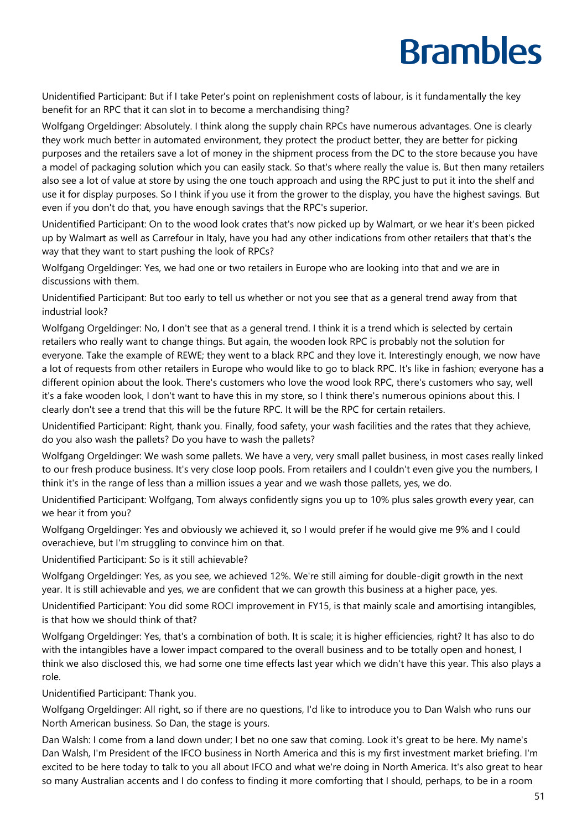Unidentified Participant: But if I take Peter's point on replenishment costs of labour, is it fundamentally the key benefit for an RPC that it can slot in to become a merchandising thing?

Wolfgang Orgeldinger: Absolutely. I think along the supply chain RPCs have numerous advantages. One is clearly they work much better in automated environment, they protect the product better, they are better for picking purposes and the retailers save a lot of money in the shipment process from the DC to the store because you have a model of packaging solution which you can easily stack. So that's where really the value is. But then many retailers also see a lot of value at store by using the one touch approach and using the RPC just to put it into the shelf and use it for display purposes. So I think if you use it from the grower to the display, you have the highest savings. But even if you don't do that, you have enough savings that the RPC's superior.

Unidentified Participant: On to the wood look crates that's now picked up by Walmart, or we hear it's been picked up by Walmart as well as Carrefour in Italy, have you had any other indications from other retailers that that's the way that they want to start pushing the look of RPCs?

Wolfgang Orgeldinger: Yes, we had one or two retailers in Europe who are looking into that and we are in discussions with them.

Unidentified Participant: But too early to tell us whether or not you see that as a general trend away from that industrial look?

Wolfgang Orgeldinger: No, I don't see that as a general trend. I think it is a trend which is selected by certain retailers who really want to change things. But again, the wooden look RPC is probably not the solution for everyone. Take the example of REWE; they went to a black RPC and they love it. Interestingly enough, we now have a lot of requests from other retailers in Europe who would like to go to black RPC. It's like in fashion; everyone has a different opinion about the look. There's customers who love the wood look RPC, there's customers who say, well it's a fake wooden look, I don't want to have this in my store, so I think there's numerous opinions about this. I clearly don't see a trend that this will be the future RPC. It will be the RPC for certain retailers.

Unidentified Participant: Right, thank you. Finally, food safety, your wash facilities and the rates that they achieve, do you also wash the pallets? Do you have to wash the pallets?

Wolfgang Orgeldinger: We wash some pallets. We have a very, very small pallet business, in most cases really linked to our fresh produce business. It's very close loop pools. From retailers and I couldn't even give you the numbers, I think it's in the range of less than a million issues a year and we wash those pallets, yes, we do.

Unidentified Participant: Wolfgang, Tom always confidently signs you up to 10% plus sales growth every year, can we hear it from you?

Wolfgang Orgeldinger: Yes and obviously we achieved it, so I would prefer if he would give me 9% and I could overachieve, but I'm struggling to convince him on that.

Unidentified Participant: So is it still achievable?

Wolfgang Orgeldinger: Yes, as you see, we achieved 12%. We're still aiming for double-digit growth in the next year. It is still achievable and yes, we are confident that we can growth this business at a higher pace, yes.

Unidentified Participant: You did some ROCI improvement in FY15, is that mainly scale and amortising intangibles, is that how we should think of that?

Wolfgang Orgeldinger: Yes, that's a combination of both. It is scale; it is higher efficiencies, right? It has also to do with the intangibles have a lower impact compared to the overall business and to be totally open and honest, I think we also disclosed this, we had some one time effects last year which we didn't have this year. This also plays a role.

Unidentified Participant: Thank you.

Wolfgang Orgeldinger: All right, so if there are no questions, I'd like to introduce you to Dan Walsh who runs our North American business. So Dan, the stage is yours.

Dan Walsh: I come from a land down under; I bet no one saw that coming. Look it's great to be here. My name's Dan Walsh, I'm President of the IFCO business in North America and this is my first investment market briefing. I'm excited to be here today to talk to you all about IFCO and what we're doing in North America. It's also great to hear so many Australian accents and I do confess to finding it more comforting that I should, perhaps, to be in a room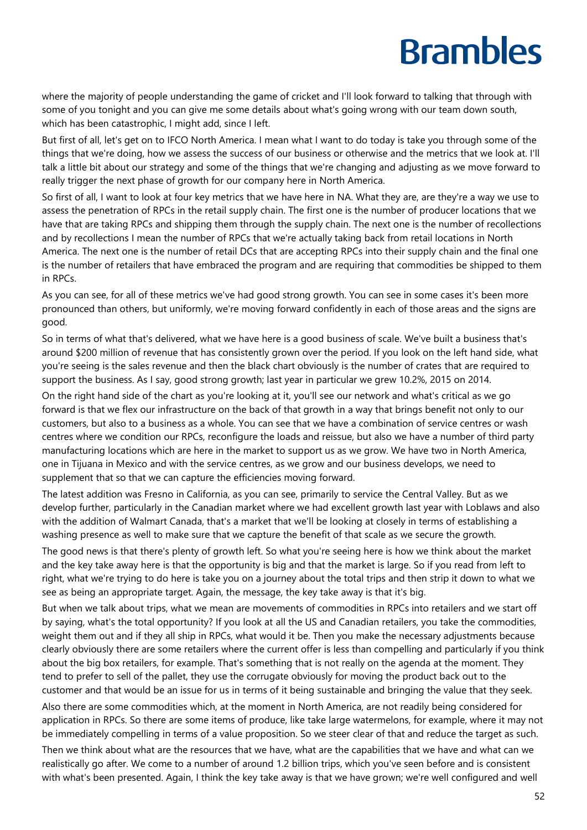where the majority of people understanding the game of cricket and I'll look forward to talking that through with some of you tonight and you can give me some details about what's going wrong with our team down south, which has been catastrophic, I might add, since I left.

But first of all, let's get on to IFCO North America. I mean what I want to do today is take you through some of the things that we're doing, how we assess the success of our business or otherwise and the metrics that we look at. I'll talk a little bit about our strategy and some of the things that we're changing and adjusting as we move forward to really trigger the next phase of growth for our company here in North America.

So first of all, I want to look at four key metrics that we have here in NA. What they are, are they're a way we use to assess the penetration of RPCs in the retail supply chain. The first one is the number of producer locations that we have that are taking RPCs and shipping them through the supply chain. The next one is the number of recollections and by recollections I mean the number of RPCs that we're actually taking back from retail locations in North America. The next one is the number of retail DCs that are accepting RPCs into their supply chain and the final one is the number of retailers that have embraced the program and are requiring that commodities be shipped to them in RPCs.

As you can see, for all of these metrics we've had good strong growth. You can see in some cases it's been more pronounced than others, but uniformly, we're moving forward confidently in each of those areas and the signs are good.

So in terms of what that's delivered, what we have here is a good business of scale. We've built a business that's around \$200 million of revenue that has consistently grown over the period. If you look on the left hand side, what you're seeing is the sales revenue and then the black chart obviously is the number of crates that are required to support the business. As I say, good strong growth; last year in particular we grew 10.2%, 2015 on 2014.

On the right hand side of the chart as you're looking at it, you'll see our network and what's critical as we go forward is that we flex our infrastructure on the back of that growth in a way that brings benefit not only to our customers, but also to a business as a whole. You can see that we have a combination of service centres or wash centres where we condition our RPCs, reconfigure the loads and reissue, but also we have a number of third party manufacturing locations which are here in the market to support us as we grow. We have two in North America, one in Tijuana in Mexico and with the service centres, as we grow and our business develops, we need to supplement that so that we can capture the efficiencies moving forward.

The latest addition was Fresno in California, as you can see, primarily to service the Central Valley. But as we develop further, particularly in the Canadian market where we had excellent growth last year with Loblaws and also with the addition of Walmart Canada, that's a market that we'll be looking at closely in terms of establishing a washing presence as well to make sure that we capture the benefit of that scale as we secure the growth.

The good news is that there's plenty of growth left. So what you're seeing here is how we think about the market and the key take away here is that the opportunity is big and that the market is large. So if you read from left to right, what we're trying to do here is take you on a journey about the total trips and then strip it down to what we see as being an appropriate target. Again, the message, the key take away is that it's big.

But when we talk about trips, what we mean are movements of commodities in RPCs into retailers and we start off by saying, what's the total opportunity? If you look at all the US and Canadian retailers, you take the commodities, weight them out and if they all ship in RPCs, what would it be. Then you make the necessary adjustments because clearly obviously there are some retailers where the current offer is less than compelling and particularly if you think about the big box retailers, for example. That's something that is not really on the agenda at the moment. They tend to prefer to sell of the pallet, they use the corrugate obviously for moving the product back out to the customer and that would be an issue for us in terms of it being sustainable and bringing the value that they seek.

Also there are some commodities which, at the moment in North America, are not readily being considered for application in RPCs. So there are some items of produce, like take large watermelons, for example, where it may not be immediately compelling in terms of a value proposition. So we steer clear of that and reduce the target as such.

Then we think about what are the resources that we have, what are the capabilities that we have and what can we realistically go after. We come to a number of around 1.2 billion trips, which you've seen before and is consistent with what's been presented. Again, I think the key take away is that we have grown; we're well configured and well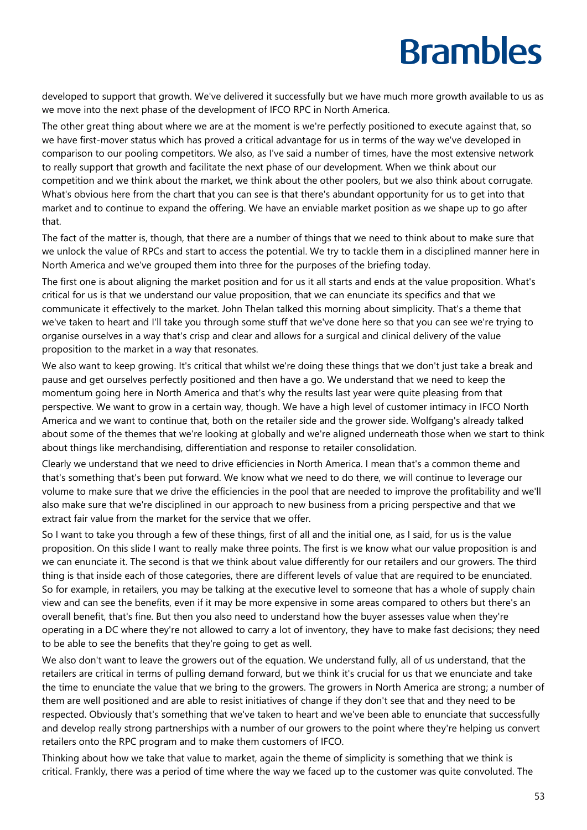developed to support that growth. We've delivered it successfully but we have much more growth available to us as we move into the next phase of the development of IFCO RPC in North America.

The other great thing about where we are at the moment is we're perfectly positioned to execute against that, so we have first-mover status which has proved a critical advantage for us in terms of the way we've developed in comparison to our pooling competitors. We also, as I've said a number of times, have the most extensive network to really support that growth and facilitate the next phase of our development. When we think about our competition and we think about the market, we think about the other poolers, but we also think about corrugate. What's obvious here from the chart that you can see is that there's abundant opportunity for us to get into that market and to continue to expand the offering. We have an enviable market position as we shape up to go after that.

The fact of the matter is, though, that there are a number of things that we need to think about to make sure that we unlock the value of RPCs and start to access the potential. We try to tackle them in a disciplined manner here in North America and we've grouped them into three for the purposes of the briefing today.

The first one is about aligning the market position and for us it all starts and ends at the value proposition. What's critical for us is that we understand our value proposition, that we can enunciate its specifics and that we communicate it effectively to the market. John Thelan talked this morning about simplicity. That's a theme that we've taken to heart and I'll take you through some stuff that we've done here so that you can see we're trying to organise ourselves in a way that's crisp and clear and allows for a surgical and clinical delivery of the value proposition to the market in a way that resonates.

We also want to keep growing. It's critical that whilst we're doing these things that we don't just take a break and pause and get ourselves perfectly positioned and then have a go. We understand that we need to keep the momentum going here in North America and that's why the results last year were quite pleasing from that perspective. We want to grow in a certain way, though. We have a high level of customer intimacy in IFCO North America and we want to continue that, both on the retailer side and the grower side. Wolfgang's already talked about some of the themes that we're looking at globally and we're aligned underneath those when we start to think about things like merchandising, differentiation and response to retailer consolidation.

Clearly we understand that we need to drive efficiencies in North America. I mean that's a common theme and that's something that's been put forward. We know what we need to do there, we will continue to leverage our volume to make sure that we drive the efficiencies in the pool that are needed to improve the profitability and we'll also make sure that we're disciplined in our approach to new business from a pricing perspective and that we extract fair value from the market for the service that we offer.

So I want to take you through a few of these things, first of all and the initial one, as I said, for us is the value proposition. On this slide I want to really make three points. The first is we know what our value proposition is and we can enunciate it. The second is that we think about value differently for our retailers and our growers. The third thing is that inside each of those categories, there are different levels of value that are required to be enunciated. So for example, in retailers, you may be talking at the executive level to someone that has a whole of supply chain view and can see the benefits, even if it may be more expensive in some areas compared to others but there's an overall benefit, that's fine. But then you also need to understand how the buyer assesses value when they're operating in a DC where they're not allowed to carry a lot of inventory, they have to make fast decisions; they need to be able to see the benefits that they're going to get as well.

We also don't want to leave the growers out of the equation. We understand fully, all of us understand, that the retailers are critical in terms of pulling demand forward, but we think it's crucial for us that we enunciate and take the time to enunciate the value that we bring to the growers. The growers in North America are strong; a number of them are well positioned and are able to resist initiatives of change if they don't see that and they need to be respected. Obviously that's something that we've taken to heart and we've been able to enunciate that successfully and develop really strong partnerships with a number of our growers to the point where they're helping us convert retailers onto the RPC program and to make them customers of IFCO.

Thinking about how we take that value to market, again the theme of simplicity is something that we think is critical. Frankly, there was a period of time where the way we faced up to the customer was quite convoluted. The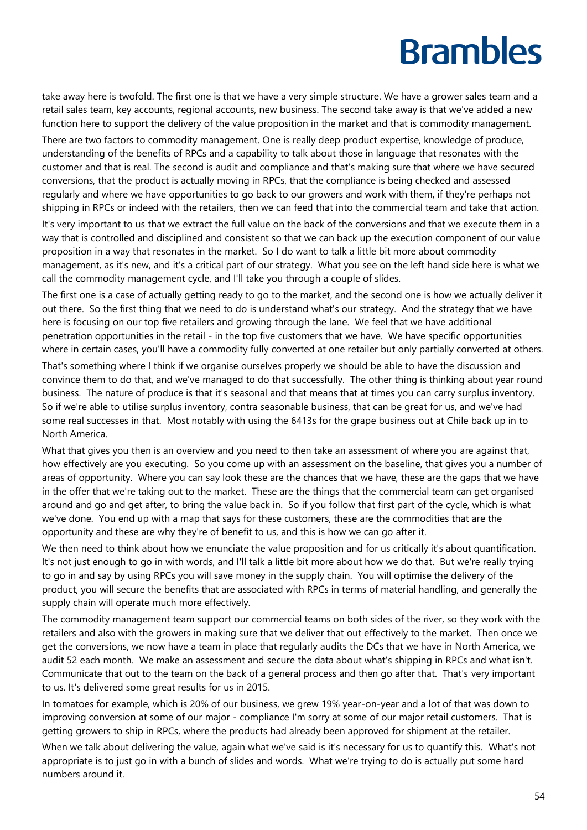take away here is twofold. The first one is that we have a very simple structure. We have a grower sales team and a retail sales team, key accounts, regional accounts, new business. The second take away is that we've added a new function here to support the delivery of the value proposition in the market and that is commodity management.

There are two factors to commodity management. One is really deep product expertise, knowledge of produce, understanding of the benefits of RPCs and a capability to talk about those in language that resonates with the customer and that is real. The second is audit and compliance and that's making sure that where we have secured conversions, that the product is actually moving in RPCs, that the compliance is being checked and assessed regularly and where we have opportunities to go back to our growers and work with them, if they're perhaps not shipping in RPCs or indeed with the retailers, then we can feed that into the commercial team and take that action.

It's very important to us that we extract the full value on the back of the conversions and that we execute them in a way that is controlled and disciplined and consistent so that we can back up the execution component of our value proposition in a way that resonates in the market. So I do want to talk a little bit more about commodity management, as it's new, and it's a critical part of our strategy. What you see on the left hand side here is what we call the commodity management cycle, and I'll take you through a couple of slides.

The first one is a case of actually getting ready to go to the market, and the second one is how we actually deliver it out there. So the first thing that we need to do is understand what's our strategy. And the strategy that we have here is focusing on our top five retailers and growing through the lane. We feel that we have additional penetration opportunities in the retail - in the top five customers that we have. We have specific opportunities where in certain cases, you'll have a commodity fully converted at one retailer but only partially converted at others.

That's something where I think if we organise ourselves properly we should be able to have the discussion and convince them to do that, and we've managed to do that successfully. The other thing is thinking about year round business. The nature of produce is that it's seasonal and that means that at times you can carry surplus inventory. So if we're able to utilise surplus inventory, contra seasonable business, that can be great for us, and we've had some real successes in that. Most notably with using the 6413s for the grape business out at Chile back up in to North America.

What that gives you then is an overview and you need to then take an assessment of where you are against that, how effectively are you executing. So you come up with an assessment on the baseline, that gives you a number of areas of opportunity. Where you can say look these are the chances that we have, these are the gaps that we have in the offer that we're taking out to the market. These are the things that the commercial team can get organised around and go and get after, to bring the value back in. So if you follow that first part of the cycle, which is what we've done. You end up with a map that says for these customers, these are the commodities that are the opportunity and these are why they're of benefit to us, and this is how we can go after it.

We then need to think about how we enunciate the value proposition and for us critically it's about quantification. It's not just enough to go in with words, and I'll talk a little bit more about how we do that. But we're really trying to go in and say by using RPCs you will save money in the supply chain. You will optimise the delivery of the product, you will secure the benefits that are associated with RPCs in terms of material handling, and generally the supply chain will operate much more effectively.

The commodity management team support our commercial teams on both sides of the river, so they work with the retailers and also with the growers in making sure that we deliver that out effectively to the market. Then once we get the conversions, we now have a team in place that regularly audits the DCs that we have in North America, we audit 52 each month. We make an assessment and secure the data about what's shipping in RPCs and what isn't. Communicate that out to the team on the back of a general process and then go after that. That's very important to us. It's delivered some great results for us in 2015.

In tomatoes for example, which is 20% of our business, we grew 19% year-on-year and a lot of that was down to improving conversion at some of our major - compliance I'm sorry at some of our major retail customers. That is getting growers to ship in RPCs, where the products had already been approved for shipment at the retailer.

When we talk about delivering the value, again what we've said is it's necessary for us to quantify this. What's not appropriate is to just go in with a bunch of slides and words. What we're trying to do is actually put some hard numbers around it.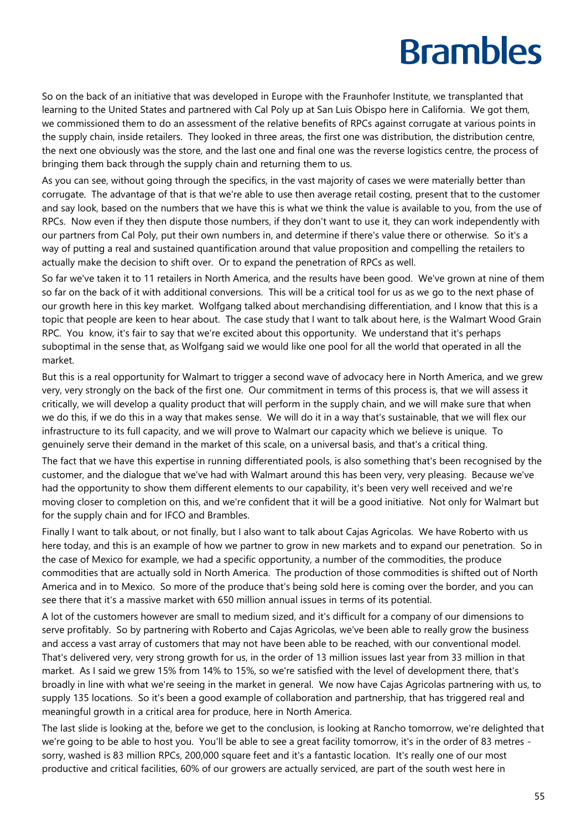So on the back of an initiative that was developed in Europe with the Fraunhofer Institute, we transplanted that learning to the United States and partnered with Cal Poly up at San Luis Obispo here in California. We got them, we commissioned them to do an assessment of the relative benefits of RPCs against corrugate at various points in the supply chain, inside retailers. They looked in three areas, the first one was distribution, the distribution centre, the next one obviously was the store, and the last one and final one was the reverse logistics centre, the process of bringing them back through the supply chain and returning them to us.

As you can see, without going through the specifics, in the vast majority of cases we were materially better than corrugate. The advantage of that is that we're able to use then average retail costing, present that to the customer and say look, based on the numbers that we have this is what we think the value is available to you, from the use of RPCs. Now even if they then dispute those numbers, if they don't want to use it, they can work independently with our partners from Cal Poly, put their own numbers in, and determine if there's value there or otherwise. So it's a way of putting a real and sustained quantification around that value proposition and compelling the retailers to actually make the decision to shift over. Or to expand the penetration of RPCs as well.

So far we've taken it to 11 retailers in North America, and the results have been good. We've grown at nine of them so far on the back of it with additional conversions. This will be a critical tool for us as we go to the next phase of our growth here in this key market. Wolfgang talked about merchandising differentiation, and I know that this is a topic that people are keen to hear about. The case study that I want to talk about here, is the Walmart Wood Grain RPC. You know, it's fair to say that we're excited about this opportunity. We understand that it's perhaps suboptimal in the sense that, as Wolfgang said we would like one pool for all the world that operated in all the market.

But this is a real opportunity for Walmart to trigger a second wave of advocacy here in North America, and we grew very, very strongly on the back of the first one. Our commitment in terms of this process is, that we will assess it critically, we will develop a quality product that will perform in the supply chain, and we will make sure that when we do this, if we do this in a way that makes sense. We will do it in a way that's sustainable, that we will flex our infrastructure to its full capacity, and we will prove to Walmart our capacity which we believe is unique. To genuinely serve their demand in the market of this scale, on a universal basis, and that's a critical thing.

The fact that we have this expertise in running differentiated pools, is also something that's been recognised by the customer, and the dialogue that we've had with Walmart around this has been very, very pleasing. Because we've had the opportunity to show them different elements to our capability, it's been very well received and we're moving closer to completion on this, and we're confident that it will be a good initiative. Not only for Walmart but for the supply chain and for IFCO and Brambles.

Finally I want to talk about, or not finally, but I also want to talk about Cajas Agricolas. We have Roberto with us here today, and this is an example of how we partner to grow in new markets and to expand our penetration. So in the case of Mexico for example, we had a specific opportunity, a number of the commodities, the produce commodities that are actually sold in North America. The production of those commodities is shifted out of North America and in to Mexico. So more of the produce that's being sold here is coming over the border, and you can see there that it's a massive market with 650 million annual issues in terms of its potential.

A lot of the customers however are small to medium sized, and it's difficult for a company of our dimensions to serve profitably. So by partnering with Roberto and Cajas Agricolas, we've been able to really grow the business and access a vast array of customers that may not have been able to be reached, with our conventional model. That's delivered very, very strong growth for us, in the order of 13 million issues last year from 33 million in that market. As I said we grew 15% from 14% to 15%, so we're satisfied with the level of development there, that's broadly in line with what we're seeing in the market in general. We now have Cajas Agricolas partnering with us, to supply 135 locations. So it's been a good example of collaboration and partnership, that has triggered real and meaningful growth in a critical area for produce, here in North America.

The last slide is looking at the, before we get to the conclusion, is looking at Rancho tomorrow, we're delighted that we're going to be able to host you. You'll be able to see a great facility tomorrow, it's in the order of 83 metres sorry, washed is 83 million RPCs, 200,000 square feet and it's a fantastic location. It's really one of our most productive and critical facilities, 60% of our growers are actually serviced, are part of the south west here in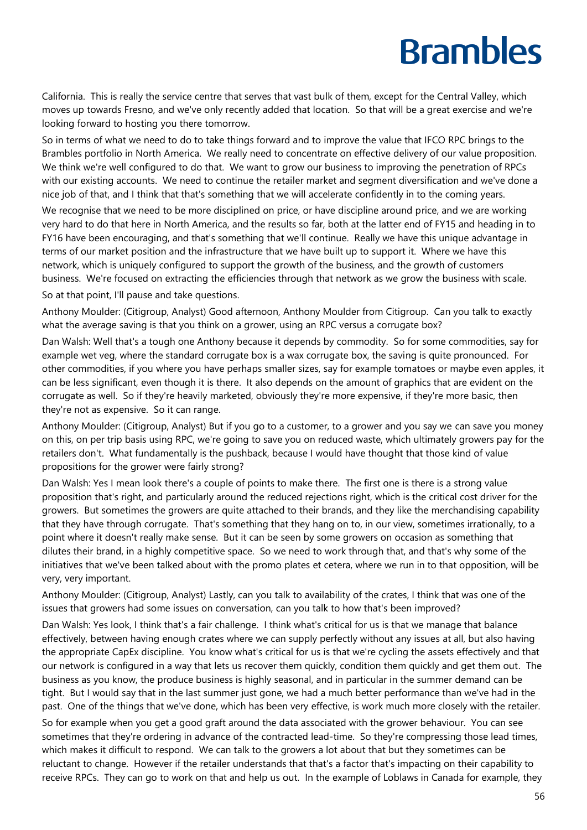California. This is really the service centre that serves that vast bulk of them, except for the Central Valley, which moves up towards Fresno, and we've only recently added that location. So that will be a great exercise and we're looking forward to hosting you there tomorrow.

So in terms of what we need to do to take things forward and to improve the value that IFCO RPC brings to the Brambles portfolio in North America. We really need to concentrate on effective delivery of our value proposition. We think we're well configured to do that. We want to grow our business to improving the penetration of RPCs with our existing accounts. We need to continue the retailer market and segment diversification and we've done a nice job of that, and I think that that's something that we will accelerate confidently in to the coming years.

We recognise that we need to be more disciplined on price, or have discipline around price, and we are working very hard to do that here in North America, and the results so far, both at the latter end of FY15 and heading in to FY16 have been encouraging, and that's something that we'll continue. Really we have this unique advantage in terms of our market position and the infrastructure that we have built up to support it. Where we have this network, which is uniquely configured to support the growth of the business, and the growth of customers business. We're focused on extracting the efficiencies through that network as we grow the business with scale.

So at that point, I'll pause and take questions.

Anthony Moulder: (Citigroup, Analyst) Good afternoon, Anthony Moulder from Citigroup. Can you talk to exactly what the average saving is that you think on a grower, using an RPC versus a corrugate box?

Dan Walsh: Well that's a tough one Anthony because it depends by commodity. So for some commodities, say for example wet veg, where the standard corrugate box is a wax corrugate box, the saving is quite pronounced. For other commodities, if you where you have perhaps smaller sizes, say for example tomatoes or maybe even apples, it can be less significant, even though it is there. It also depends on the amount of graphics that are evident on the corrugate as well. So if they're heavily marketed, obviously they're more expensive, if they're more basic, then they're not as expensive. So it can range.

Anthony Moulder: (Citigroup, Analyst) But if you go to a customer, to a grower and you say we can save you money on this, on per trip basis using RPC, we're going to save you on reduced waste, which ultimately growers pay for the retailers don't. What fundamentally is the pushback, because I would have thought that those kind of value propositions for the grower were fairly strong?

Dan Walsh: Yes I mean look there's a couple of points to make there. The first one is there is a strong value proposition that's right, and particularly around the reduced rejections right, which is the critical cost driver for the growers. But sometimes the growers are quite attached to their brands, and they like the merchandising capability that they have through corrugate. That's something that they hang on to, in our view, sometimes irrationally, to a point where it doesn't really make sense. But it can be seen by some growers on occasion as something that dilutes their brand, in a highly competitive space. So we need to work through that, and that's why some of the initiatives that we've been talked about with the promo plates et cetera, where we run in to that opposition, will be very, very important.

Anthony Moulder: (Citigroup, Analyst) Lastly, can you talk to availability of the crates, I think that was one of the issues that growers had some issues on conversation, can you talk to how that's been improved?

Dan Walsh: Yes look, I think that's a fair challenge. I think what's critical for us is that we manage that balance effectively, between having enough crates where we can supply perfectly without any issues at all, but also having the appropriate CapEx discipline. You know what's critical for us is that we're cycling the assets effectively and that our network is configured in a way that lets us recover them quickly, condition them quickly and get them out. The business as you know, the produce business is highly seasonal, and in particular in the summer demand can be tight. But I would say that in the last summer just gone, we had a much better performance than we've had in the past. One of the things that we've done, which has been very effective, is work much more closely with the retailer.

So for example when you get a good graft around the data associated with the grower behaviour. You can see sometimes that they're ordering in advance of the contracted lead-time. So they're compressing those lead times, which makes it difficult to respond. We can talk to the growers a lot about that but they sometimes can be reluctant to change. However if the retailer understands that that's a factor that's impacting on their capability to receive RPCs. They can go to work on that and help us out. In the example of Loblaws in Canada for example, they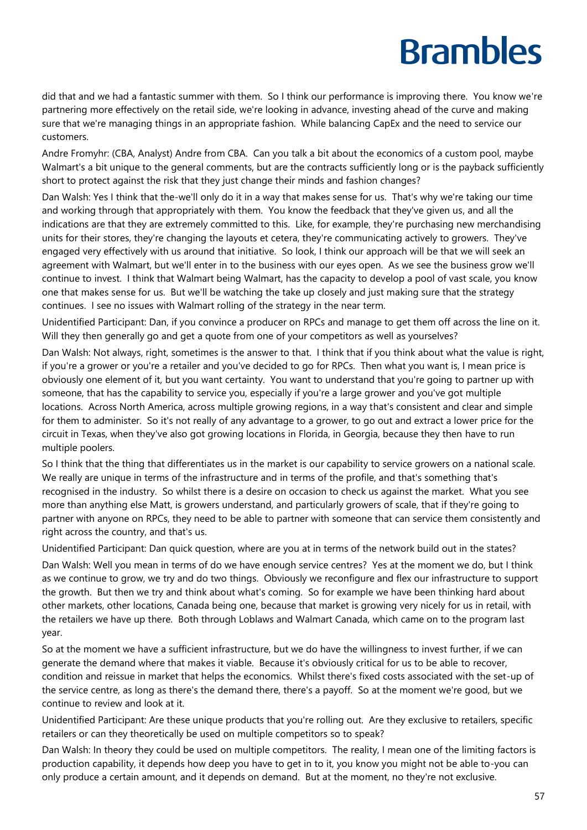did that and we had a fantastic summer with them. So I think our performance is improving there. You know we're partnering more effectively on the retail side, we're looking in advance, investing ahead of the curve and making sure that we're managing things in an appropriate fashion. While balancing CapEx and the need to service our customers.

Andre Fromyhr: (CBA, Analyst) Andre from CBA. Can you talk a bit about the economics of a custom pool, maybe Walmart's a bit unique to the general comments, but are the contracts sufficiently long or is the payback sufficiently short to protect against the risk that they just change their minds and fashion changes?

Dan Walsh: Yes I think that the-we'll only do it in a way that makes sense for us. That's why we're taking our time and working through that appropriately with them. You know the feedback that they've given us, and all the indications are that they are extremely committed to this. Like, for example, they're purchasing new merchandising units for their stores, they're changing the layouts et cetera, they're communicating actively to growers. They've engaged very effectively with us around that initiative. So look, I think our approach will be that we will seek an agreement with Walmart, but we'll enter in to the business with our eyes open. As we see the business grow we'll continue to invest. I think that Walmart being Walmart, has the capacity to develop a pool of vast scale, you know one that makes sense for us. But we'll be watching the take up closely and just making sure that the strategy continues. I see no issues with Walmart rolling of the strategy in the near term.

Unidentified Participant: Dan, if you convince a producer on RPCs and manage to get them off across the line on it. Will they then generally go and get a quote from one of your competitors as well as yourselves?

Dan Walsh: Not always, right, sometimes is the answer to that. I think that if you think about what the value is right, if you're a grower or you're a retailer and you've decided to go for RPCs. Then what you want is, I mean price is obviously one element of it, but you want certainty. You want to understand that you're going to partner up with someone, that has the capability to service you, especially if you're a large grower and you've got multiple locations. Across North America, across multiple growing regions, in a way that's consistent and clear and simple for them to administer. So it's not really of any advantage to a grower, to go out and extract a lower price for the circuit in Texas, when they've also got growing locations in Florida, in Georgia, because they then have to run multiple poolers.

So I think that the thing that differentiates us in the market is our capability to service growers on a national scale. We really are unique in terms of the infrastructure and in terms of the profile, and that's something that's recognised in the industry. So whilst there is a desire on occasion to check us against the market. What you see more than anything else Matt, is growers understand, and particularly growers of scale, that if they're going to partner with anyone on RPCs, they need to be able to partner with someone that can service them consistently and right across the country, and that's us.

Unidentified Participant: Dan quick question, where are you at in terms of the network build out in the states?

Dan Walsh: Well you mean in terms of do we have enough service centres? Yes at the moment we do, but I think as we continue to grow, we try and do two things. Obviously we reconfigure and flex our infrastructure to support the growth. But then we try and think about what's coming. So for example we have been thinking hard about other markets, other locations, Canada being one, because that market is growing very nicely for us in retail, with the retailers we have up there. Both through Loblaws and Walmart Canada, which came on to the program last year.

So at the moment we have a sufficient infrastructure, but we do have the willingness to invest further, if we can generate the demand where that makes it viable. Because it's obviously critical for us to be able to recover, condition and reissue in market that helps the economics. Whilst there's fixed costs associated with the set-up of the service centre, as long as there's the demand there, there's a payoff. So at the moment we're good, but we continue to review and look at it.

Unidentified Participant: Are these unique products that you're rolling out. Are they exclusive to retailers, specific retailers or can they theoretically be used on multiple competitors so to speak?

Dan Walsh: In theory they could be used on multiple competitors. The reality, I mean one of the limiting factors is production capability, it depends how deep you have to get in to it, you know you might not be able to-you can only produce a certain amount, and it depends on demand. But at the moment, no they're not exclusive.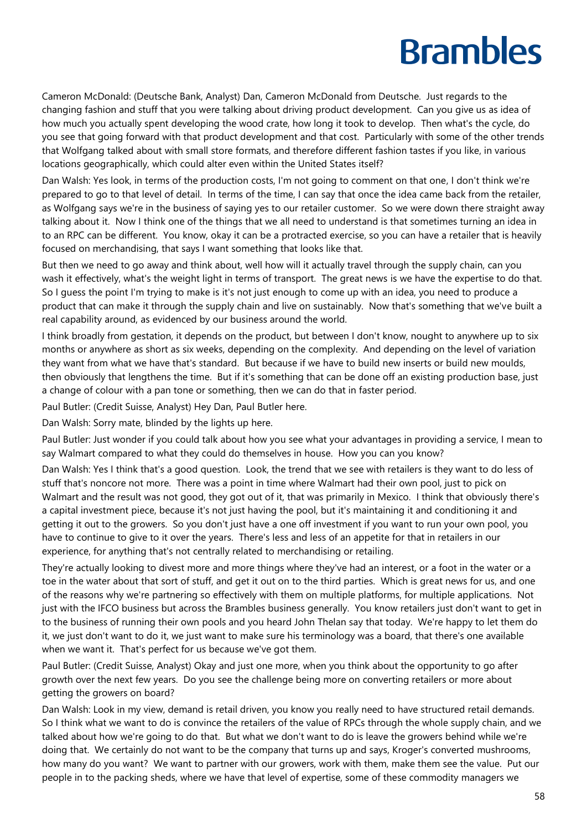Cameron McDonald: (Deutsche Bank, Analyst) Dan, Cameron McDonald from Deutsche. Just regards to the changing fashion and stuff that you were talking about driving product development. Can you give us as idea of how much you actually spent developing the wood crate, how long it took to develop. Then what's the cycle, do you see that going forward with that product development and that cost. Particularly with some of the other trends that Wolfgang talked about with small store formats, and therefore different fashion tastes if you like, in various locations geographically, which could alter even within the United States itself?

Dan Walsh: Yes look, in terms of the production costs, I'm not going to comment on that one, I don't think we're prepared to go to that level of detail. In terms of the time, I can say that once the idea came back from the retailer, as Wolfgang says we're in the business of saying yes to our retailer customer. So we were down there straight away talking about it. Now I think one of the things that we all need to understand is that sometimes turning an idea in to an RPC can be different. You know, okay it can be a protracted exercise, so you can have a retailer that is heavily focused on merchandising, that says I want something that looks like that.

But then we need to go away and think about, well how will it actually travel through the supply chain, can you wash it effectively, what's the weight light in terms of transport. The great news is we have the expertise to do that. So I guess the point I'm trying to make is it's not just enough to come up with an idea, you need to produce a product that can make it through the supply chain and live on sustainably. Now that's something that we've built a real capability around, as evidenced by our business around the world.

I think broadly from gestation, it depends on the product, but between I don't know, nought to anywhere up to six months or anywhere as short as six weeks, depending on the complexity. And depending on the level of variation they want from what we have that's standard. But because if we have to build new inserts or build new moulds, then obviously that lengthens the time. But if it's something that can be done off an existing production base, just a change of colour with a pan tone or something, then we can do that in faster period.

Paul Butler: (Credit Suisse, Analyst) Hey Dan, Paul Butler here.

Dan Walsh: Sorry mate, blinded by the lights up here.

Paul Butler: Just wonder if you could talk about how you see what your advantages in providing a service, I mean to say Walmart compared to what they could do themselves in house. How you can you know?

Dan Walsh: Yes I think that's a good question. Look, the trend that we see with retailers is they want to do less of stuff that's noncore not more. There was a point in time where Walmart had their own pool, just to pick on Walmart and the result was not good, they got out of it, that was primarily in Mexico. I think that obviously there's a capital investment piece, because it's not just having the pool, but it's maintaining it and conditioning it and getting it out to the growers. So you don't just have a one off investment if you want to run your own pool, you have to continue to give to it over the years. There's less and less of an appetite for that in retailers in our experience, for anything that's not centrally related to merchandising or retailing.

They're actually looking to divest more and more things where they've had an interest, or a foot in the water or a toe in the water about that sort of stuff, and get it out on to the third parties. Which is great news for us, and one of the reasons why we're partnering so effectively with them on multiple platforms, for multiple applications. Not just with the IFCO business but across the Brambles business generally. You know retailers just don't want to get in to the business of running their own pools and you heard John Thelan say that today. We're happy to let them do it, we just don't want to do it, we just want to make sure his terminology was a board, that there's one available when we want it. That's perfect for us because we've got them.

Paul Butler: (Credit Suisse, Analyst) Okay and just one more, when you think about the opportunity to go after growth over the next few years. Do you see the challenge being more on converting retailers or more about getting the growers on board?

Dan Walsh: Look in my view, demand is retail driven, you know you really need to have structured retail demands. So I think what we want to do is convince the retailers of the value of RPCs through the whole supply chain, and we talked about how we're going to do that. But what we don't want to do is leave the growers behind while we're doing that. We certainly do not want to be the company that turns up and says, Kroger's converted mushrooms, how many do you want? We want to partner with our growers, work with them, make them see the value. Put our people in to the packing sheds, where we have that level of expertise, some of these commodity managers we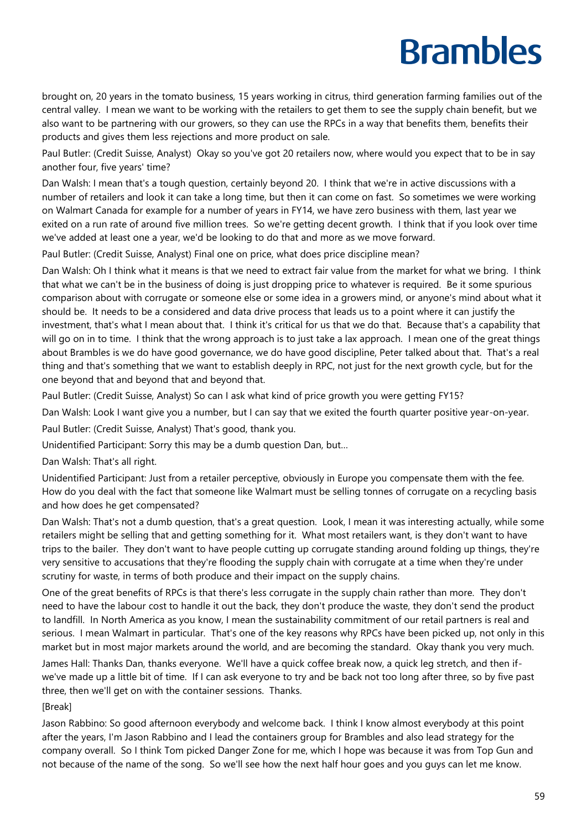brought on, 20 years in the tomato business, 15 years working in citrus, third generation farming families out of the central valley. I mean we want to be working with the retailers to get them to see the supply chain benefit, but we also want to be partnering with our growers, so they can use the RPCs in a way that benefits them, benefits their products and gives them less rejections and more product on sale.

Paul Butler: (Credit Suisse, Analyst) Okay so you've got 20 retailers now, where would you expect that to be in say another four, five years' time?

Dan Walsh: I mean that's a tough question, certainly beyond 20. I think that we're in active discussions with a number of retailers and look it can take a long time, but then it can come on fast. So sometimes we were working on Walmart Canada for example for a number of years in FY14, we have zero business with them, last year we exited on a run rate of around five million trees. So we're getting decent growth. I think that if you look over time we've added at least one a year, we'd be looking to do that and more as we move forward.

Paul Butler: (Credit Suisse, Analyst) Final one on price, what does price discipline mean?

Dan Walsh: Oh I think what it means is that we need to extract fair value from the market for what we bring. I think that what we can't be in the business of doing is just dropping price to whatever is required. Be it some spurious comparison about with corrugate or someone else or some idea in a growers mind, or anyone's mind about what it should be. It needs to be a considered and data drive process that leads us to a point where it can justify the investment, that's what I mean about that. I think it's critical for us that we do that. Because that's a capability that will go on in to time. I think that the wrong approach is to just take a lax approach. I mean one of the great things about Brambles is we do have good governance, we do have good discipline, Peter talked about that. That's a real thing and that's something that we want to establish deeply in RPC, not just for the next growth cycle, but for the one beyond that and beyond that and beyond that.

Paul Butler: (Credit Suisse, Analyst) So can I ask what kind of price growth you were getting FY15?

Dan Walsh: Look I want give you a number, but I can say that we exited the fourth quarter positive year-on-year.

Paul Butler: (Credit Suisse, Analyst) That's good, thank you.

Unidentified Participant: Sorry this may be a dumb question Dan, but…

Dan Walsh: That's all right.

Unidentified Participant: Just from a retailer perceptive, obviously in Europe you compensate them with the fee. How do you deal with the fact that someone like Walmart must be selling tonnes of corrugate on a recycling basis and how does he get compensated?

Dan Walsh: That's not a dumb question, that's a great question. Look, I mean it was interesting actually, while some retailers might be selling that and getting something for it. What most retailers want, is they don't want to have trips to the bailer. They don't want to have people cutting up corrugate standing around folding up things, they're very sensitive to accusations that they're flooding the supply chain with corrugate at a time when they're under scrutiny for waste, in terms of both produce and their impact on the supply chains.

One of the great benefits of RPCs is that there's less corrugate in the supply chain rather than more. They don't need to have the labour cost to handle it out the back, they don't produce the waste, they don't send the product to landfill. In North America as you know, I mean the sustainability commitment of our retail partners is real and serious. I mean Walmart in particular. That's one of the key reasons why RPCs have been picked up, not only in this market but in most major markets around the world, and are becoming the standard. Okay thank you very much.

James Hall: Thanks Dan, thanks everyone. We'll have a quick coffee break now, a quick leg stretch, and then ifwe've made up a little bit of time. If I can ask everyone to try and be back not too long after three, so by five past three, then we'll get on with the container sessions. Thanks.

[Break]

Jason Rabbino: So good afternoon everybody and welcome back. I think I know almost everybody at this point after the years, I'm Jason Rabbino and I lead the containers group for Brambles and also lead strategy for the company overall. So I think Tom picked Danger Zone for me, which I hope was because it was from Top Gun and not because of the name of the song. So we'll see how the next half hour goes and you guys can let me know.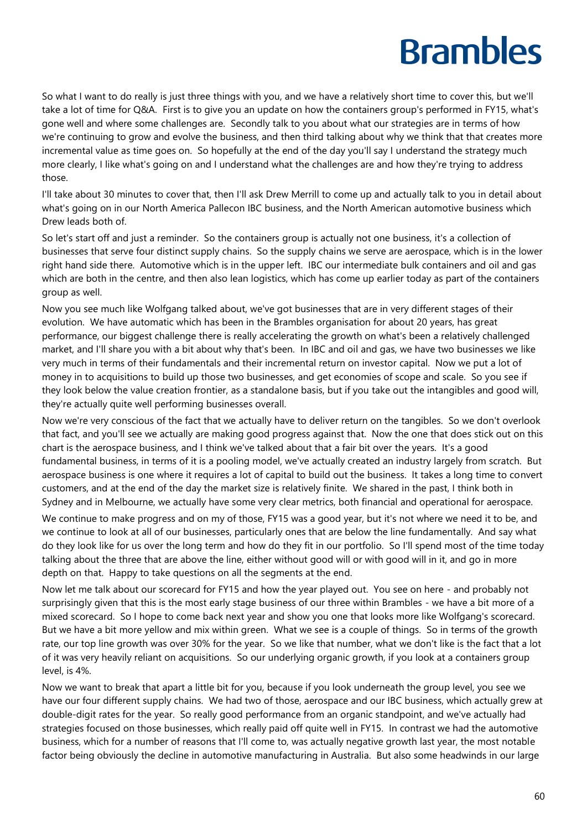So what I want to do really is just three things with you, and we have a relatively short time to cover this, but we'll take a lot of time for Q&A. First is to give you an update on how the containers group's performed in FY15, what's gone well and where some challenges are. Secondly talk to you about what our strategies are in terms of how we're continuing to grow and evolve the business, and then third talking about why we think that that creates more incremental value as time goes on. So hopefully at the end of the day you'll say I understand the strategy much more clearly, I like what's going on and I understand what the challenges are and how they're trying to address those.

I'll take about 30 minutes to cover that, then I'll ask Drew Merrill to come up and actually talk to you in detail about what's going on in our North America Pallecon IBC business, and the North American automotive business which Drew leads both of.

So let's start off and just a reminder. So the containers group is actually not one business, it's a collection of businesses that serve four distinct supply chains. So the supply chains we serve are aerospace, which is in the lower right hand side there. Automotive which is in the upper left. IBC our intermediate bulk containers and oil and gas which are both in the centre, and then also lean logistics, which has come up earlier today as part of the containers group as well.

Now you see much like Wolfgang talked about, we've got businesses that are in very different stages of their evolution. We have automatic which has been in the Brambles organisation for about 20 years, has great performance, our biggest challenge there is really accelerating the growth on what's been a relatively challenged market, and I'll share you with a bit about why that's been. In IBC and oil and gas, we have two businesses we like very much in terms of their fundamentals and their incremental return on investor capital. Now we put a lot of money in to acquisitions to build up those two businesses, and get economies of scope and scale. So you see if they look below the value creation frontier, as a standalone basis, but if you take out the intangibles and good will, they're actually quite well performing businesses overall.

Now we're very conscious of the fact that we actually have to deliver return on the tangibles. So we don't overlook that fact, and you'll see we actually are making good progress against that. Now the one that does stick out on this chart is the aerospace business, and I think we've talked about that a fair bit over the years. It's a good fundamental business, in terms of it is a pooling model, we've actually created an industry largely from scratch. But aerospace business is one where it requires a lot of capital to build out the business. It takes a long time to convert customers, and at the end of the day the market size is relatively finite. We shared in the past, I think both in Sydney and in Melbourne, we actually have some very clear metrics, both financial and operational for aerospace.

We continue to make progress and on my of those, FY15 was a good year, but it's not where we need it to be, and we continue to look at all of our businesses, particularly ones that are below the line fundamentally. And say what do they look like for us over the long term and how do they fit in our portfolio. So I'll spend most of the time today talking about the three that are above the line, either without good will or with good will in it, and go in more depth on that. Happy to take questions on all the segments at the end.

Now let me talk about our scorecard for FY15 and how the year played out. You see on here - and probably not surprisingly given that this is the most early stage business of our three within Brambles - we have a bit more of a mixed scorecard. So I hope to come back next year and show you one that looks more like Wolfgang's scorecard. But we have a bit more yellow and mix within green. What we see is a couple of things. So in terms of the growth rate, our top line growth was over 30% for the year. So we like that number, what we don't like is the fact that a lot of it was very heavily reliant on acquisitions. So our underlying organic growth, if you look at a containers group level, is 4%.

Now we want to break that apart a little bit for you, because if you look underneath the group level, you see we have our four different supply chains. We had two of those, aerospace and our IBC business, which actually grew at double-digit rates for the year. So really good performance from an organic standpoint, and we've actually had strategies focused on those businesses, which really paid off quite well in FY15. In contrast we had the automotive business, which for a number of reasons that I'll come to, was actually negative growth last year, the most notable factor being obviously the decline in automotive manufacturing in Australia. But also some headwinds in our large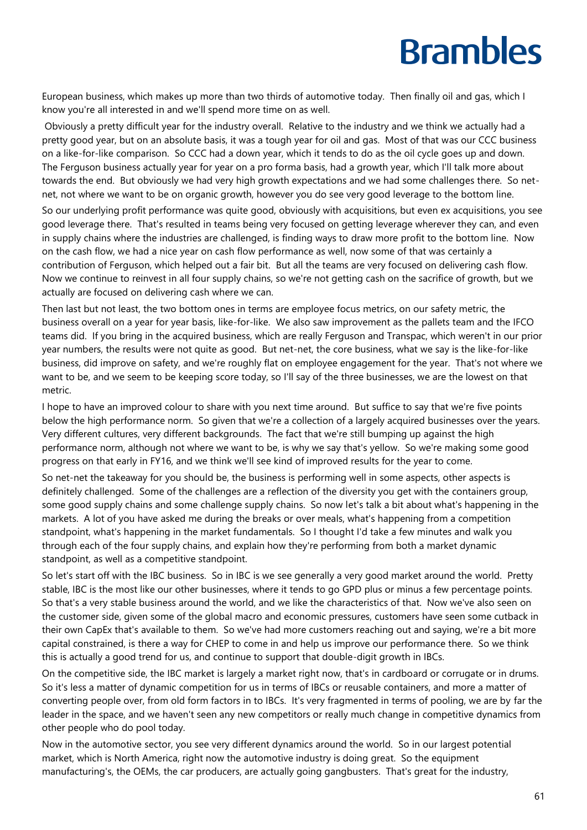European business, which makes up more than two thirds of automotive today. Then finally oil and gas, which I know you're all interested in and we'll spend more time on as well.

Obviously a pretty difficult year for the industry overall. Relative to the industry and we think we actually had a pretty good year, but on an absolute basis, it was a tough year for oil and gas. Most of that was our CCC business on a like-for-like comparison. So CCC had a down year, which it tends to do as the oil cycle goes up and down. The Ferguson business actually year for year on a pro forma basis, had a growth year, which I'll talk more about towards the end. But obviously we had very high growth expectations and we had some challenges there. So netnet, not where we want to be on organic growth, however you do see very good leverage to the bottom line.

So our underlying profit performance was quite good, obviously with acquisitions, but even ex acquisitions, you see good leverage there. That's resulted in teams being very focused on getting leverage wherever they can, and even in supply chains where the industries are challenged, is finding ways to draw more profit to the bottom line. Now on the cash flow, we had a nice year on cash flow performance as well, now some of that was certainly a contribution of Ferguson, which helped out a fair bit. But all the teams are very focused on delivering cash flow. Now we continue to reinvest in all four supply chains, so we're not getting cash on the sacrifice of growth, but we actually are focused on delivering cash where we can.

Then last but not least, the two bottom ones in terms are employee focus metrics, on our safety metric, the business overall on a year for year basis, like-for-like. We also saw improvement as the pallets team and the IFCO teams did. If you bring in the acquired business, which are really Ferguson and Transpac, which weren't in our prior year numbers, the results were not quite as good. But net-net, the core business, what we say is the like-for-like business, did improve on safety, and we're roughly flat on employee engagement for the year. That's not where we want to be, and we seem to be keeping score today, so I'll say of the three businesses, we are the lowest on that metric.

I hope to have an improved colour to share with you next time around. But suffice to say that we're five points below the high performance norm. So given that we're a collection of a largely acquired businesses over the years. Very different cultures, very different backgrounds. The fact that we're still bumping up against the high performance norm, although not where we want to be, is why we say that's yellow. So we're making some good progress on that early in FY16, and we think we'll see kind of improved results for the year to come.

So net-net the takeaway for you should be, the business is performing well in some aspects, other aspects is definitely challenged. Some of the challenges are a reflection of the diversity you get with the containers group, some good supply chains and some challenge supply chains. So now let's talk a bit about what's happening in the markets. A lot of you have asked me during the breaks or over meals, what's happening from a competition standpoint, what's happening in the market fundamentals. So I thought I'd take a few minutes and walk you through each of the four supply chains, and explain how they're performing from both a market dynamic standpoint, as well as a competitive standpoint.

So let's start off with the IBC business. So in IBC is we see generally a very good market around the world. Pretty stable, IBC is the most like our other businesses, where it tends to go GPD plus or minus a few percentage points. So that's a very stable business around the world, and we like the characteristics of that. Now we've also seen on the customer side, given some of the global macro and economic pressures, customers have seen some cutback in their own CapEx that's available to them. So we've had more customers reaching out and saying, we're a bit more capital constrained, is there a way for CHEP to come in and help us improve our performance there. So we think this is actually a good trend for us, and continue to support that double-digit growth in IBCs.

On the competitive side, the IBC market is largely a market right now, that's in cardboard or corrugate or in drums. So it's less a matter of dynamic competition for us in terms of IBCs or reusable containers, and more a matter of converting people over, from old form factors in to IBCs. It's very fragmented in terms of pooling, we are by far the leader in the space, and we haven't seen any new competitors or really much change in competitive dynamics from other people who do pool today.

Now in the automotive sector, you see very different dynamics around the world. So in our largest potential market, which is North America, right now the automotive industry is doing great. So the equipment manufacturing's, the OEMs, the car producers, are actually going gangbusters. That's great for the industry,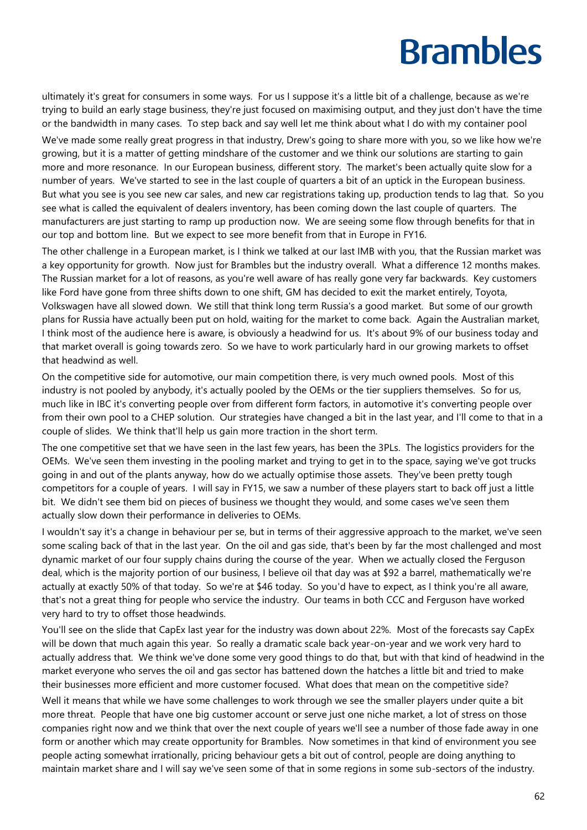ultimately it's great for consumers in some ways. For us I suppose it's a little bit of a challenge, because as we're trying to build an early stage business, they're just focused on maximising output, and they just don't have the time or the bandwidth in many cases. To step back and say well let me think about what I do with my container pool

We've made some really great progress in that industry, Drew's going to share more with you, so we like how we're growing, but it is a matter of getting mindshare of the customer and we think our solutions are starting to gain more and more resonance. In our European business, different story. The market's been actually quite slow for a number of years. We've started to see in the last couple of quarters a bit of an uptick in the European business. But what you see is you see new car sales, and new car registrations taking up, production tends to lag that. So you see what is called the equivalent of dealers inventory, has been coming down the last couple of quarters. The manufacturers are just starting to ramp up production now. We are seeing some flow through benefits for that in our top and bottom line. But we expect to see more benefit from that in Europe in FY16.

The other challenge in a European market, is I think we talked at our last IMB with you, that the Russian market was a key opportunity for growth. Now just for Brambles but the industry overall. What a difference 12 months makes. The Russian market for a lot of reasons, as you're well aware of has really gone very far backwards. Key customers like Ford have gone from three shifts down to one shift, GM has decided to exit the market entirely, Toyota, Volkswagen have all slowed down. We still that think long term Russia's a good market. But some of our growth plans for Russia have actually been put on hold, waiting for the market to come back. Again the Australian market, I think most of the audience here is aware, is obviously a headwind for us. It's about 9% of our business today and that market overall is going towards zero. So we have to work particularly hard in our growing markets to offset that headwind as well.

On the competitive side for automotive, our main competition there, is very much owned pools. Most of this industry is not pooled by anybody, it's actually pooled by the OEMs or the tier suppliers themselves. So for us, much like in IBC it's converting people over from different form factors, in automotive it's converting people over from their own pool to a CHEP solution. Our strategies have changed a bit in the last year, and I'll come to that in a couple of slides. We think that'll help us gain more traction in the short term.

The one competitive set that we have seen in the last few years, has been the 3PLs. The logistics providers for the OEMs. We've seen them investing in the pooling market and trying to get in to the space, saying we've got trucks going in and out of the plants anyway, how do we actually optimise those assets. They've been pretty tough competitors for a couple of years. I will say in FY15, we saw a number of these players start to back off just a little bit. We didn't see them bid on pieces of business we thought they would, and some cases we've seen them actually slow down their performance in deliveries to OEMs.

I wouldn't say it's a change in behaviour per se, but in terms of their aggressive approach to the market, we've seen some scaling back of that in the last year. On the oil and gas side, that's been by far the most challenged and most dynamic market of our four supply chains during the course of the year. When we actually closed the Ferguson deal, which is the majority portion of our business, I believe oil that day was at \$92 a barrel, mathematically we're actually at exactly 50% of that today. So we're at \$46 today. So you'd have to expect, as I think you're all aware, that's not a great thing for people who service the industry. Our teams in both CCC and Ferguson have worked very hard to try to offset those headwinds.

You'll see on the slide that CapEx last year for the industry was down about 22%. Most of the forecasts say CapEx will be down that much again this year. So really a dramatic scale back year-on-year and we work very hard to actually address that. We think we've done some very good things to do that, but with that kind of headwind in the market everyone who serves the oil and gas sector has battened down the hatches a little bit and tried to make their businesses more efficient and more customer focused. What does that mean on the competitive side?

Well it means that while we have some challenges to work through we see the smaller players under quite a bit more threat. People that have one big customer account or serve just one niche market, a lot of stress on those companies right now and we think that over the next couple of years we'll see a number of those fade away in one form or another which may create opportunity for Brambles. Now sometimes in that kind of environment you see people acting somewhat irrationally, pricing behaviour gets a bit out of control, people are doing anything to maintain market share and I will say we've seen some of that in some regions in some sub-sectors of the industry.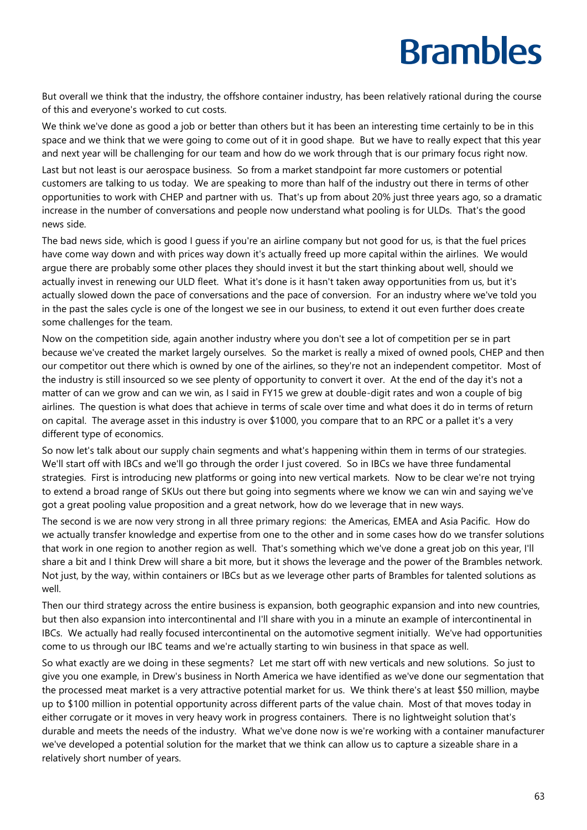But overall we think that the industry, the offshore container industry, has been relatively rational during the course of this and everyone's worked to cut costs.

We think we've done as good a job or better than others but it has been an interesting time certainly to be in this space and we think that we were going to come out of it in good shape. But we have to really expect that this year and next year will be challenging for our team and how do we work through that is our primary focus right now.

Last but not least is our aerospace business. So from a market standpoint far more customers or potential customers are talking to us today. We are speaking to more than half of the industry out there in terms of other opportunities to work with CHEP and partner with us. That's up from about 20% just three years ago, so a dramatic increase in the number of conversations and people now understand what pooling is for ULDs. That's the good news side.

The bad news side, which is good I guess if you're an airline company but not good for us, is that the fuel prices have come way down and with prices way down it's actually freed up more capital within the airlines. We would argue there are probably some other places they should invest it but the start thinking about well, should we actually invest in renewing our ULD fleet. What it's done is it hasn't taken away opportunities from us, but it's actually slowed down the pace of conversations and the pace of conversion. For an industry where we've told you in the past the sales cycle is one of the longest we see in our business, to extend it out even further does create some challenges for the team.

Now on the competition side, again another industry where you don't see a lot of competition per se in part because we've created the market largely ourselves. So the market is really a mixed of owned pools, CHEP and then our competitor out there which is owned by one of the airlines, so they're not an independent competitor. Most of the industry is still insourced so we see plenty of opportunity to convert it over. At the end of the day it's not a matter of can we grow and can we win, as I said in FY15 we grew at double-digit rates and won a couple of big airlines. The question is what does that achieve in terms of scale over time and what does it do in terms of return on capital. The average asset in this industry is over \$1000, you compare that to an RPC or a pallet it's a very different type of economics.

So now let's talk about our supply chain segments and what's happening within them in terms of our strategies. We'll start off with IBCs and we'll go through the order I just covered. So in IBCs we have three fundamental strategies. First is introducing new platforms or going into new vertical markets. Now to be clear we're not trying to extend a broad range of SKUs out there but going into segments where we know we can win and saying we've got a great pooling value proposition and a great network, how do we leverage that in new ways.

The second is we are now very strong in all three primary regions: the Americas, EMEA and Asia Pacific. How do we actually transfer knowledge and expertise from one to the other and in some cases how do we transfer solutions that work in one region to another region as well. That's something which we've done a great job on this year, I'll share a bit and I think Drew will share a bit more, but it shows the leverage and the power of the Brambles network. Not just, by the way, within containers or IBCs but as we leverage other parts of Brambles for talented solutions as well.

Then our third strategy across the entire business is expansion, both geographic expansion and into new countries, but then also expansion into intercontinental and I'll share with you in a minute an example of intercontinental in IBCs. We actually had really focused intercontinental on the automotive segment initially. We've had opportunities come to us through our IBC teams and we're actually starting to win business in that space as well.

So what exactly are we doing in these segments? Let me start off with new verticals and new solutions. So just to give you one example, in Drew's business in North America we have identified as we've done our segmentation that the processed meat market is a very attractive potential market for us. We think there's at least \$50 million, maybe up to \$100 million in potential opportunity across different parts of the value chain. Most of that moves today in either corrugate or it moves in very heavy work in progress containers. There is no lightweight solution that's durable and meets the needs of the industry. What we've done now is we're working with a container manufacturer we've developed a potential solution for the market that we think can allow us to capture a sizeable share in a relatively short number of years.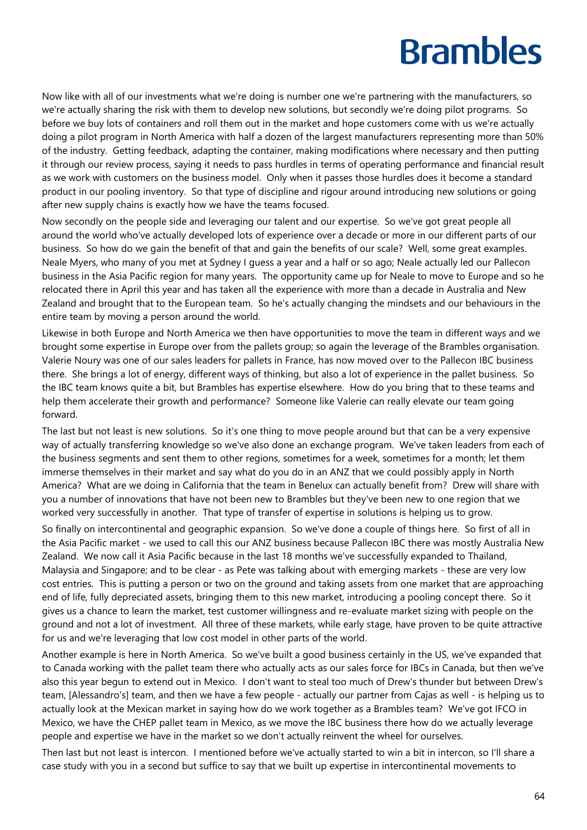Now like with all of our investments what we're doing is number one we're partnering with the manufacturers, so we're actually sharing the risk with them to develop new solutions, but secondly we're doing pilot programs. So before we buy lots of containers and roll them out in the market and hope customers come with us we're actually doing a pilot program in North America with half a dozen of the largest manufacturers representing more than 50% of the industry. Getting feedback, adapting the container, making modifications where necessary and then putting it through our review process, saying it needs to pass hurdles in terms of operating performance and financial result as we work with customers on the business model. Only when it passes those hurdles does it become a standard product in our pooling inventory. So that type of discipline and rigour around introducing new solutions or going after new supply chains is exactly how we have the teams focused.

Now secondly on the people side and leveraging our talent and our expertise. So we've got great people all around the world who've actually developed lots of experience over a decade or more in our different parts of our business. So how do we gain the benefit of that and gain the benefits of our scale? Well, some great examples. Neale Myers, who many of you met at Sydney I guess a year and a half or so ago; Neale actually led our Pallecon business in the Asia Pacific region for many years. The opportunity came up for Neale to move to Europe and so he relocated there in April this year and has taken all the experience with more than a decade in Australia and New Zealand and brought that to the European team. So he's actually changing the mindsets and our behaviours in the entire team by moving a person around the world.

Likewise in both Europe and North America we then have opportunities to move the team in different ways and we brought some expertise in Europe over from the pallets group; so again the leverage of the Brambles organisation. Valerie Noury was one of our sales leaders for pallets in France, has now moved over to the Pallecon IBC business there. She brings a lot of energy, different ways of thinking, but also a lot of experience in the pallet business. So the IBC team knows quite a bit, but Brambles has expertise elsewhere. How do you bring that to these teams and help them accelerate their growth and performance? Someone like Valerie can really elevate our team going forward.

The last but not least is new solutions. So it's one thing to move people around but that can be a very expensive way of actually transferring knowledge so we've also done an exchange program. We've taken leaders from each of the business segments and sent them to other regions, sometimes for a week, sometimes for a month; let them immerse themselves in their market and say what do you do in an ANZ that we could possibly apply in North America? What are we doing in California that the team in Benelux can actually benefit from? Drew will share with you a number of innovations that have not been new to Brambles but they've been new to one region that we worked very successfully in another. That type of transfer of expertise in solutions is helping us to grow.

So finally on intercontinental and geographic expansion. So we've done a couple of things here. So first of all in the Asia Pacific market - we used to call this our ANZ business because Pallecon IBC there was mostly Australia New Zealand. We now call it Asia Pacific because in the last 18 months we've successfully expanded to Thailand, Malaysia and Singapore; and to be clear - as Pete was talking about with emerging markets - these are very low cost entries. This is putting a person or two on the ground and taking assets from one market that are approaching end of life, fully depreciated assets, bringing them to this new market, introducing a pooling concept there. So it gives us a chance to learn the market, test customer willingness and re-evaluate market sizing with people on the ground and not a lot of investment. All three of these markets, while early stage, have proven to be quite attractive for us and we're leveraging that low cost model in other parts of the world.

Another example is here in North America. So we've built a good business certainly in the US, we've expanded that to Canada working with the pallet team there who actually acts as our sales force for IBCs in Canada, but then we've also this year begun to extend out in Mexico. I don't want to steal too much of Drew's thunder but between Drew's team, [Alessandro's] team, and then we have a few people - actually our partner from Cajas as well - is helping us to actually look at the Mexican market in saying how do we work together as a Brambles team? We've got IFCO in Mexico, we have the CHEP pallet team in Mexico, as we move the IBC business there how do we actually leverage people and expertise we have in the market so we don't actually reinvent the wheel for ourselves.

Then last but not least is intercon. I mentioned before we've actually started to win a bit in intercon, so I'll share a case study with you in a second but suffice to say that we built up expertise in intercontinental movements to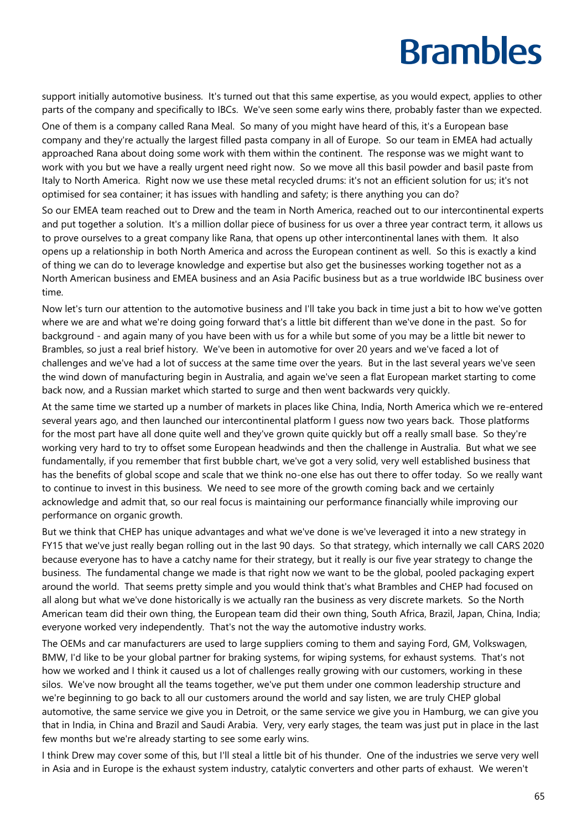support initially automotive business. It's turned out that this same expertise, as you would expect, applies to other parts of the company and specifically to IBCs. We've seen some early wins there, probably faster than we expected.

One of them is a company called Rana Meal. So many of you might have heard of this, it's a European base company and they're actually the largest filled pasta company in all of Europe. So our team in EMEA had actually approached Rana about doing some work with them within the continent. The response was we might want to work with you but we have a really urgent need right now. So we move all this basil powder and basil paste from Italy to North America. Right now we use these metal recycled drums: it's not an efficient solution for us; it's not optimised for sea container; it has issues with handling and safety; is there anything you can do?

So our EMEA team reached out to Drew and the team in North America, reached out to our intercontinental experts and put together a solution. It's a million dollar piece of business for us over a three year contract term, it allows us to prove ourselves to a great company like Rana, that opens up other intercontinental lanes with them. It also opens up a relationship in both North America and across the European continent as well. So this is exactly a kind of thing we can do to leverage knowledge and expertise but also get the businesses working together not as a North American business and EMEA business and an Asia Pacific business but as a true worldwide IBC business over time.

Now let's turn our attention to the automotive business and I'll take you back in time just a bit to how we've gotten where we are and what we're doing going forward that's a little bit different than we've done in the past. So for background - and again many of you have been with us for a while but some of you may be a little bit newer to Brambles, so just a real brief history. We've been in automotive for over 20 years and we've faced a lot of challenges and we've had a lot of success at the same time over the years. But in the last several years we've seen the wind down of manufacturing begin in Australia, and again we've seen a flat European market starting to come back now, and a Russian market which started to surge and then went backwards very quickly.

At the same time we started up a number of markets in places like China, India, North America which we re-entered several years ago, and then launched our intercontinental platform I guess now two years back. Those platforms for the most part have all done quite well and they've grown quite quickly but off a really small base. So they're working very hard to try to offset some European headwinds and then the challenge in Australia. But what we see fundamentally, if you remember that first bubble chart, we've got a very solid, very well established business that has the benefits of global scope and scale that we think no-one else has out there to offer today. So we really want to continue to invest in this business. We need to see more of the growth coming back and we certainly acknowledge and admit that, so our real focus is maintaining our performance financially while improving our performance on organic growth.

But we think that CHEP has unique advantages and what we've done is we've leveraged it into a new strategy in FY15 that we've just really began rolling out in the last 90 days. So that strategy, which internally we call CARS 2020 because everyone has to have a catchy name for their strategy, but it really is our five year strategy to change the business. The fundamental change we made is that right now we want to be the global, pooled packaging expert around the world. That seems pretty simple and you would think that's what Brambles and CHEP had focused on all along but what we've done historically is we actually ran the business as very discrete markets. So the North American team did their own thing, the European team did their own thing, South Africa, Brazil, Japan, China, India; everyone worked very independently. That's not the way the automotive industry works.

The OEMs and car manufacturers are used to large suppliers coming to them and saying Ford, GM, Volkswagen, BMW, I'd like to be your global partner for braking systems, for wiping systems, for exhaust systems. That's not how we worked and I think it caused us a lot of challenges really growing with our customers, working in these silos. We've now brought all the teams together, we've put them under one common leadership structure and we're beginning to go back to all our customers around the world and say listen, we are truly CHEP global automotive, the same service we give you in Detroit, or the same service we give you in Hamburg, we can give you that in India, in China and Brazil and Saudi Arabia. Very, very early stages, the team was just put in place in the last few months but we're already starting to see some early wins.

I think Drew may cover some of this, but I'll steal a little bit of his thunder. One of the industries we serve very well in Asia and in Europe is the exhaust system industry, catalytic converters and other parts of exhaust. We weren't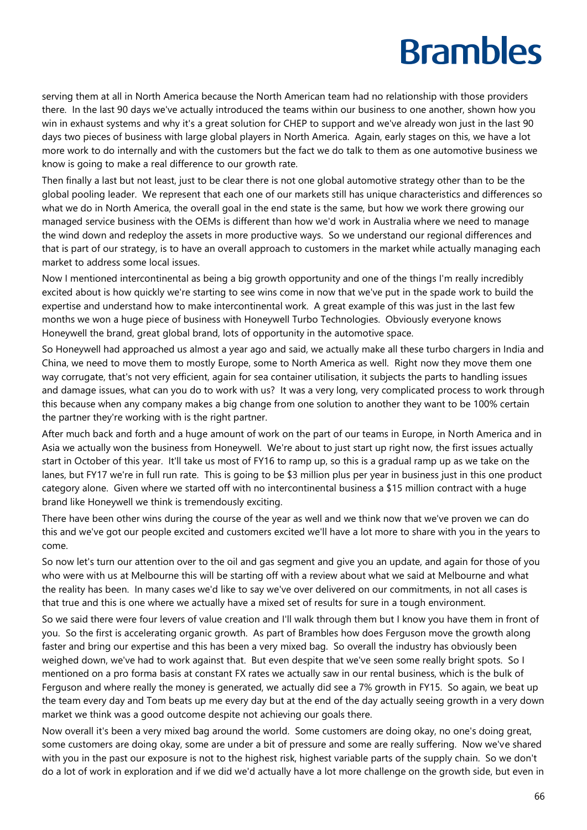serving them at all in North America because the North American team had no relationship with those providers there. In the last 90 days we've actually introduced the teams within our business to one another, shown how you win in exhaust systems and why it's a great solution for CHEP to support and we've already won just in the last 90 days two pieces of business with large global players in North America. Again, early stages on this, we have a lot more work to do internally and with the customers but the fact we do talk to them as one automotive business we know is going to make a real difference to our growth rate.

Then finally a last but not least, just to be clear there is not one global automotive strategy other than to be the global pooling leader. We represent that each one of our markets still has unique characteristics and differences so what we do in North America, the overall goal in the end state is the same, but how we work there growing our managed service business with the OEMs is different than how we'd work in Australia where we need to manage the wind down and redeploy the assets in more productive ways. So we understand our regional differences and that is part of our strategy, is to have an overall approach to customers in the market while actually managing each market to address some local issues.

Now I mentioned intercontinental as being a big growth opportunity and one of the things I'm really incredibly excited about is how quickly we're starting to see wins come in now that we've put in the spade work to build the expertise and understand how to make intercontinental work. A great example of this was just in the last few months we won a huge piece of business with Honeywell Turbo Technologies. Obviously everyone knows Honeywell the brand, great global brand, lots of opportunity in the automotive space.

So Honeywell had approached us almost a year ago and said, we actually make all these turbo chargers in India and China, we need to move them to mostly Europe, some to North America as well. Right now they move them one way corrugate, that's not very efficient, again for sea container utilisation, it subjects the parts to handling issues and damage issues, what can you do to work with us? It was a very long, very complicated process to work through this because when any company makes a big change from one solution to another they want to be 100% certain the partner they're working with is the right partner.

After much back and forth and a huge amount of work on the part of our teams in Europe, in North America and in Asia we actually won the business from Honeywell. We're about to just start up right now, the first issues actually start in October of this year. It'll take us most of FY16 to ramp up, so this is a gradual ramp up as we take on the lanes, but FY17 we're in full run rate. This is going to be \$3 million plus per year in business just in this one product category alone. Given where we started off with no intercontinental business a \$15 million contract with a huge brand like Honeywell we think is tremendously exciting.

There have been other wins during the course of the year as well and we think now that we've proven we can do this and we've got our people excited and customers excited we'll have a lot more to share with you in the years to come.

So now let's turn our attention over to the oil and gas segment and give you an update, and again for those of you who were with us at Melbourne this will be starting off with a review about what we said at Melbourne and what the reality has been. In many cases we'd like to say we've over delivered on our commitments, in not all cases is that true and this is one where we actually have a mixed set of results for sure in a tough environment.

So we said there were four levers of value creation and I'll walk through them but I know you have them in front of you. So the first is accelerating organic growth. As part of Brambles how does Ferguson move the growth along faster and bring our expertise and this has been a very mixed bag. So overall the industry has obviously been weighed down, we've had to work against that. But even despite that we've seen some really bright spots. So I mentioned on a pro forma basis at constant FX rates we actually saw in our rental business, which is the bulk of Ferguson and where really the money is generated, we actually did see a 7% growth in FY15. So again, we beat up the team every day and Tom beats up me every day but at the end of the day actually seeing growth in a very down market we think was a good outcome despite not achieving our goals there.

Now overall it's been a very mixed bag around the world. Some customers are doing okay, no one's doing great, some customers are doing okay, some are under a bit of pressure and some are really suffering. Now we've shared with you in the past our exposure is not to the highest risk, highest variable parts of the supply chain. So we don't do a lot of work in exploration and if we did we'd actually have a lot more challenge on the growth side, but even in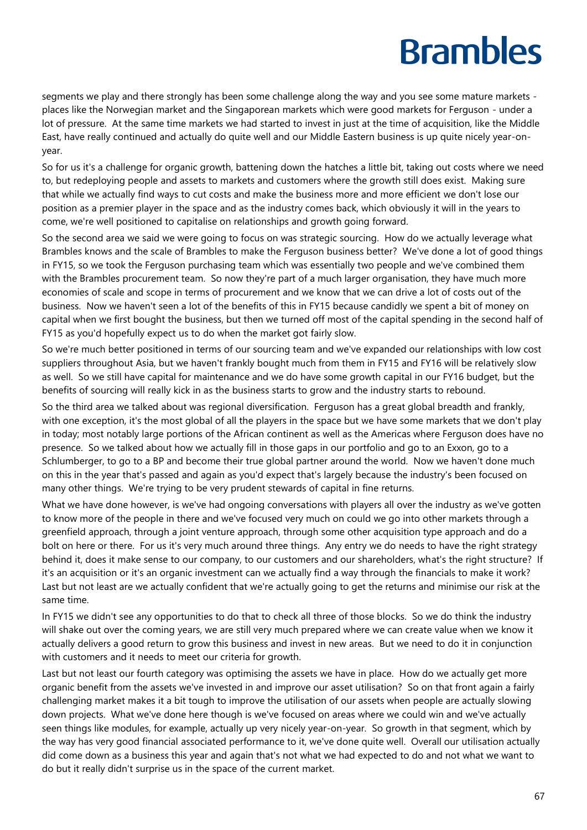segments we play and there strongly has been some challenge along the way and you see some mature markets places like the Norwegian market and the Singaporean markets which were good markets for Ferguson - under a lot of pressure. At the same time markets we had started to invest in just at the time of acquisition, like the Middle East, have really continued and actually do quite well and our Middle Eastern business is up quite nicely year-onyear.

So for us it's a challenge for organic growth, battening down the hatches a little bit, taking out costs where we need to, but redeploying people and assets to markets and customers where the growth still does exist. Making sure that while we actually find ways to cut costs and make the business more and more efficient we don't lose our position as a premier player in the space and as the industry comes back, which obviously it will in the years to come, we're well positioned to capitalise on relationships and growth going forward.

So the second area we said we were going to focus on was strategic sourcing. How do we actually leverage what Brambles knows and the scale of Brambles to make the Ferguson business better? We've done a lot of good things in FY15, so we took the Ferguson purchasing team which was essentially two people and we've combined them with the Brambles procurement team. So now they're part of a much larger organisation, they have much more economies of scale and scope in terms of procurement and we know that we can drive a lot of costs out of the business. Now we haven't seen a lot of the benefits of this in FY15 because candidly we spent a bit of money on capital when we first bought the business, but then we turned off most of the capital spending in the second half of FY15 as you'd hopefully expect us to do when the market got fairly slow.

So we're much better positioned in terms of our sourcing team and we've expanded our relationships with low cost suppliers throughout Asia, but we haven't frankly bought much from them in FY15 and FY16 will be relatively slow as well. So we still have capital for maintenance and we do have some growth capital in our FY16 budget, but the benefits of sourcing will really kick in as the business starts to grow and the industry starts to rebound.

So the third area we talked about was regional diversification. Ferguson has a great global breadth and frankly, with one exception, it's the most global of all the players in the space but we have some markets that we don't play in today; most notably large portions of the African continent as well as the Americas where Ferguson does have no presence. So we talked about how we actually fill in those gaps in our portfolio and go to an Exxon, go to a Schlumberger, to go to a BP and become their true global partner around the world. Now we haven't done much on this in the year that's passed and again as you'd expect that's largely because the industry's been focused on many other things. We're trying to be very prudent stewards of capital in fine returns.

What we have done however, is we've had ongoing conversations with players all over the industry as we've gotten to know more of the people in there and we've focused very much on could we go into other markets through a greenfield approach, through a joint venture approach, through some other acquisition type approach and do a bolt on here or there. For us it's very much around three things. Any entry we do needs to have the right strategy behind it, does it make sense to our company, to our customers and our shareholders, what's the right structure? If it's an acquisition or it's an organic investment can we actually find a way through the financials to make it work? Last but not least are we actually confident that we're actually going to get the returns and minimise our risk at the same time.

In FY15 we didn't see any opportunities to do that to check all three of those blocks. So we do think the industry will shake out over the coming years, we are still very much prepared where we can create value when we know it actually delivers a good return to grow this business and invest in new areas. But we need to do it in conjunction with customers and it needs to meet our criteria for growth.

Last but not least our fourth category was optimising the assets we have in place. How do we actually get more organic benefit from the assets we've invested in and improve our asset utilisation? So on that front again a fairly challenging market makes it a bit tough to improve the utilisation of our assets when people are actually slowing down projects. What we've done here though is we've focused on areas where we could win and we've actually seen things like modules, for example, actually up very nicely year-on-year. So growth in that segment, which by the way has very good financial associated performance to it, we've done quite well. Overall our utilisation actually did come down as a business this year and again that's not what we had expected to do and not what we want to do but it really didn't surprise us in the space of the current market.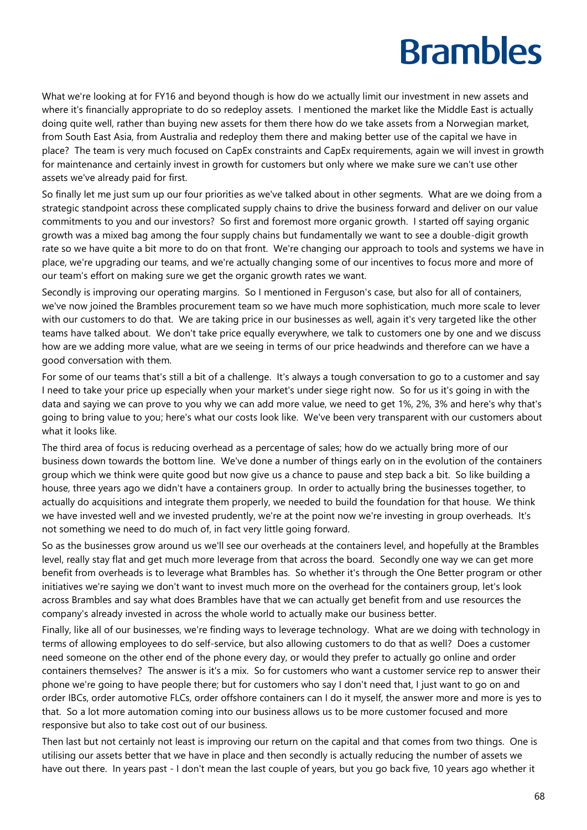What we're looking at for FY16 and beyond though is how do we actually limit our investment in new assets and where it's financially appropriate to do so redeploy assets. I mentioned the market like the Middle East is actually doing quite well, rather than buying new assets for them there how do we take assets from a Norwegian market, from South East Asia, from Australia and redeploy them there and making better use of the capital we have in place? The team is very much focused on CapEx constraints and CapEx requirements, again we will invest in growth for maintenance and certainly invest in growth for customers but only where we make sure we can't use other assets we've already paid for first.

So finally let me just sum up our four priorities as we've talked about in other segments. What are we doing from a strategic standpoint across these complicated supply chains to drive the business forward and deliver on our value commitments to you and our investors? So first and foremost more organic growth. I started off saying organic growth was a mixed bag among the four supply chains but fundamentally we want to see a double-digit growth rate so we have quite a bit more to do on that front. We're changing our approach to tools and systems we have in place, we're upgrading our teams, and we're actually changing some of our incentives to focus more and more of our team's effort on making sure we get the organic growth rates we want.

Secondly is improving our operating margins. So I mentioned in Ferguson's case, but also for all of containers, we've now joined the Brambles procurement team so we have much more sophistication, much more scale to lever with our customers to do that. We are taking price in our businesses as well, again it's very targeted like the other teams have talked about. We don't take price equally everywhere, we talk to customers one by one and we discuss how are we adding more value, what are we seeing in terms of our price headwinds and therefore can we have a good conversation with them.

For some of our teams that's still a bit of a challenge. It's always a tough conversation to go to a customer and say I need to take your price up especially when your market's under siege right now. So for us it's going in with the data and saying we can prove to you why we can add more value, we need to get 1%, 2%, 3% and here's why that's going to bring value to you; here's what our costs look like. We've been very transparent with our customers about what it looks like.

The third area of focus is reducing overhead as a percentage of sales; how do we actually bring more of our business down towards the bottom line. We've done a number of things early on in the evolution of the containers group which we think were quite good but now give us a chance to pause and step back a bit. So like building a house, three years ago we didn't have a containers group. In order to actually bring the businesses together, to actually do acquisitions and integrate them properly, we needed to build the foundation for that house. We think we have invested well and we invested prudently, we're at the point now we're investing in group overheads. It's not something we need to do much of, in fact very little going forward.

So as the businesses grow around us we'll see our overheads at the containers level, and hopefully at the Brambles level, really stay flat and get much more leverage from that across the board. Secondly one way we can get more benefit from overheads is to leverage what Brambles has. So whether it's through the One Better program or other initiatives we're saying we don't want to invest much more on the overhead for the containers group, let's look across Brambles and say what does Brambles have that we can actually get benefit from and use resources the company's already invested in across the whole world to actually make our business better.

Finally, like all of our businesses, we're finding ways to leverage technology. What are we doing with technology in terms of allowing employees to do self-service, but also allowing customers to do that as well? Does a customer need someone on the other end of the phone every day, or would they prefer to actually go online and order containers themselves? The answer is it's a mix. So for customers who want a customer service rep to answer their phone we're going to have people there; but for customers who say I don't need that, I just want to go on and order IBCs, order automotive FLCs, order offshore containers can I do it myself, the answer more and more is yes to that. So a lot more automation coming into our business allows us to be more customer focused and more responsive but also to take cost out of our business.

Then last but not certainly not least is improving our return on the capital and that comes from two things. One is utilising our assets better that we have in place and then secondly is actually reducing the number of assets we have out there. In years past - I don't mean the last couple of years, but you go back five, 10 years ago whether it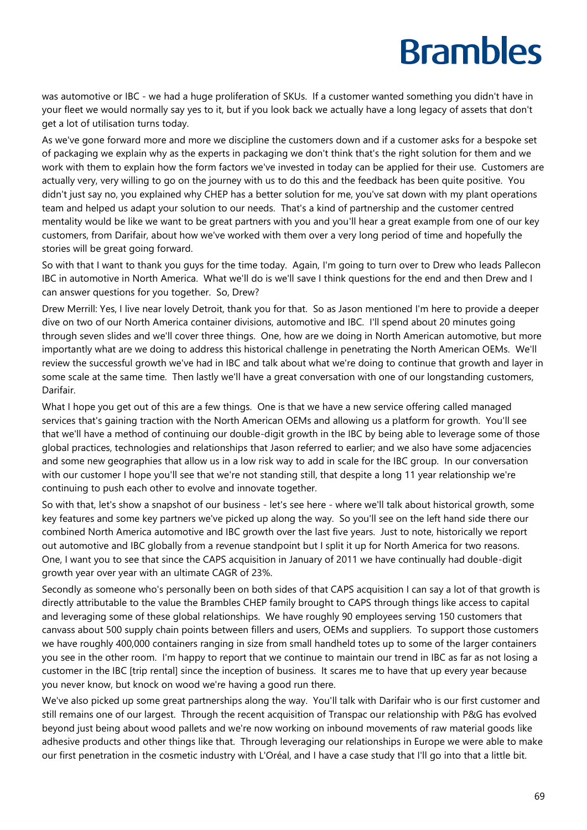was automotive or IBC - we had a huge proliferation of SKUs. If a customer wanted something you didn't have in your fleet we would normally say yes to it, but if you look back we actually have a long legacy of assets that don't get a lot of utilisation turns today.

As we've gone forward more and more we discipline the customers down and if a customer asks for a bespoke set of packaging we explain why as the experts in packaging we don't think that's the right solution for them and we work with them to explain how the form factors we've invested in today can be applied for their use. Customers are actually very, very willing to go on the journey with us to do this and the feedback has been quite positive. You didn't just say no, you explained why CHEP has a better solution for me, you've sat down with my plant operations team and helped us adapt your solution to our needs. That's a kind of partnership and the customer centred mentality would be like we want to be great partners with you and you'll hear a great example from one of our key customers, from Darifair, about how we've worked with them over a very long period of time and hopefully the stories will be great going forward.

So with that I want to thank you guys for the time today. Again, I'm going to turn over to Drew who leads Pallecon IBC in automotive in North America. What we'll do is we'll save I think questions for the end and then Drew and I can answer questions for you together. So, Drew?

Drew Merrill: Yes, I live near lovely Detroit, thank you for that. So as Jason mentioned I'm here to provide a deeper dive on two of our North America container divisions, automotive and IBC. I'll spend about 20 minutes going through seven slides and we'll cover three things. One, how are we doing in North American automotive, but more importantly what are we doing to address this historical challenge in penetrating the North American OEMs. We'll review the successful growth we've had in IBC and talk about what we're doing to continue that growth and layer in some scale at the same time. Then lastly we'll have a great conversation with one of our longstanding customers, Darifair.

What I hope you get out of this are a few things. One is that we have a new service offering called managed services that's gaining traction with the North American OEMs and allowing us a platform for growth. You'll see that we'll have a method of continuing our double-digit growth in the IBC by being able to leverage some of those global practices, technologies and relationships that Jason referred to earlier; and we also have some adjacencies and some new geographies that allow us in a low risk way to add in scale for the IBC group. In our conversation with our customer I hope you'll see that we're not standing still, that despite a long 11 year relationship we're continuing to push each other to evolve and innovate together.

So with that, let's show a snapshot of our business - let's see here - where we'll talk about historical growth, some key features and some key partners we've picked up along the way. So you'll see on the left hand side there our combined North America automotive and IBC growth over the last five years. Just to note, historically we report out automotive and IBC globally from a revenue standpoint but I split it up for North America for two reasons. One, I want you to see that since the CAPS acquisition in January of 2011 we have continually had double-digit growth year over year with an ultimate CAGR of 23%.

Secondly as someone who's personally been on both sides of that CAPS acquisition I can say a lot of that growth is directly attributable to the value the Brambles CHEP family brought to CAPS through things like access to capital and leveraging some of these global relationships. We have roughly 90 employees serving 150 customers that canvass about 500 supply chain points between fillers and users, OEMs and suppliers. To support those customers we have roughly 400,000 containers ranging in size from small handheld totes up to some of the larger containers you see in the other room. I'm happy to report that we continue to maintain our trend in IBC as far as not losing a customer in the IBC [trip rental] since the inception of business. It scares me to have that up every year because you never know, but knock on wood we're having a good run there.

We've also picked up some great partnerships along the way. You'll talk with Darifair who is our first customer and still remains one of our largest. Through the recent acquisition of Transpac our relationship with P&G has evolved beyond just being about wood pallets and we're now working on inbound movements of raw material goods like adhesive products and other things like that. Through leveraging our relationships in Europe we were able to make our first penetration in the cosmetic industry with L'Oréal, and I have a case study that I'll go into that a little bit.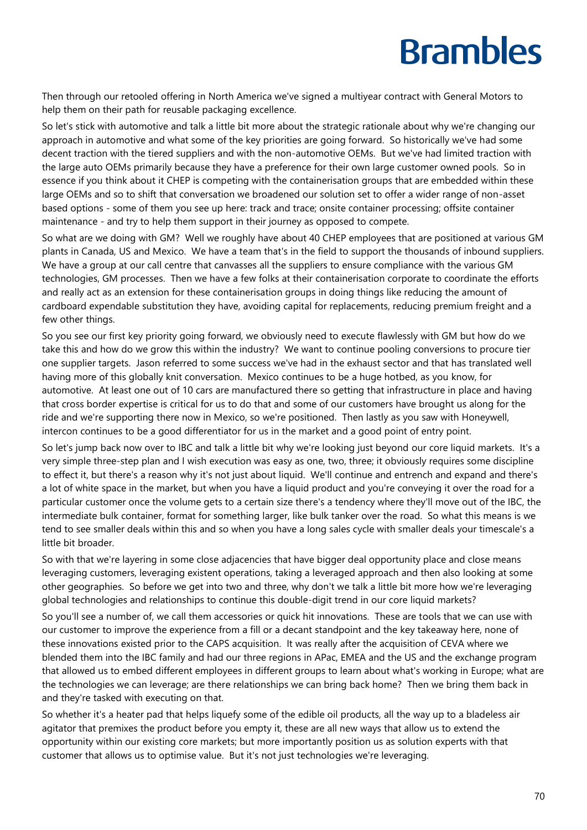Then through our retooled offering in North America we've signed a multiyear contract with General Motors to help them on their path for reusable packaging excellence.

So let's stick with automotive and talk a little bit more about the strategic rationale about why we're changing our approach in automotive and what some of the key priorities are going forward. So historically we've had some decent traction with the tiered suppliers and with the non-automotive OEMs. But we've had limited traction with the large auto OEMs primarily because they have a preference for their own large customer owned pools. So in essence if you think about it CHEP is competing with the containerisation groups that are embedded within these large OEMs and so to shift that conversation we broadened our solution set to offer a wider range of non-asset based options - some of them you see up here: track and trace; onsite container processing; offsite container maintenance - and try to help them support in their journey as opposed to compete.

So what are we doing with GM? Well we roughly have about 40 CHEP employees that are positioned at various GM plants in Canada, US and Mexico. We have a team that's in the field to support the thousands of inbound suppliers. We have a group at our call centre that canvasses all the suppliers to ensure compliance with the various GM technologies, GM processes. Then we have a few folks at their containerisation corporate to coordinate the efforts and really act as an extension for these containerisation groups in doing things like reducing the amount of cardboard expendable substitution they have, avoiding capital for replacements, reducing premium freight and a few other things.

So you see our first key priority going forward, we obviously need to execute flawlessly with GM but how do we take this and how do we grow this within the industry? We want to continue pooling conversions to procure tier one supplier targets. Jason referred to some success we've had in the exhaust sector and that has translated well having more of this globally knit conversation. Mexico continues to be a huge hotbed, as you know, for automotive. At least one out of 10 cars are manufactured there so getting that infrastructure in place and having that cross border expertise is critical for us to do that and some of our customers have brought us along for the ride and we're supporting there now in Mexico, so we're positioned. Then lastly as you saw with Honeywell, intercon continues to be a good differentiator for us in the market and a good point of entry point.

So let's jump back now over to IBC and talk a little bit why we're looking just beyond our core liquid markets. It's a very simple three-step plan and I wish execution was easy as one, two, three; it obviously requires some discipline to effect it, but there's a reason why it's not just about liquid. We'll continue and entrench and expand and there's a lot of white space in the market, but when you have a liquid product and you're conveying it over the road for a particular customer once the volume gets to a certain size there's a tendency where they'll move out of the IBC, the intermediate bulk container, format for something larger, like bulk tanker over the road. So what this means is we tend to see smaller deals within this and so when you have a long sales cycle with smaller deals your timescale's a little bit broader.

So with that we're layering in some close adjacencies that have bigger deal opportunity place and close means leveraging customers, leveraging existent operations, taking a leveraged approach and then also looking at some other geographies. So before we get into two and three, why don't we talk a little bit more how we're leveraging global technologies and relationships to continue this double-digit trend in our core liquid markets?

So you'll see a number of, we call them accessories or quick hit innovations. These are tools that we can use with our customer to improve the experience from a fill or a decant standpoint and the key takeaway here, none of these innovations existed prior to the CAPS acquisition. It was really after the acquisition of CEVA where we blended them into the IBC family and had our three regions in APac, EMEA and the US and the exchange program that allowed us to embed different employees in different groups to learn about what's working in Europe; what are the technologies we can leverage; are there relationships we can bring back home? Then we bring them back in and they're tasked with executing on that.

So whether it's a heater pad that helps liquefy some of the edible oil products, all the way up to a bladeless air agitator that premixes the product before you empty it, these are all new ways that allow us to extend the opportunity within our existing core markets; but more importantly position us as solution experts with that customer that allows us to optimise value. But it's not just technologies we're leveraging.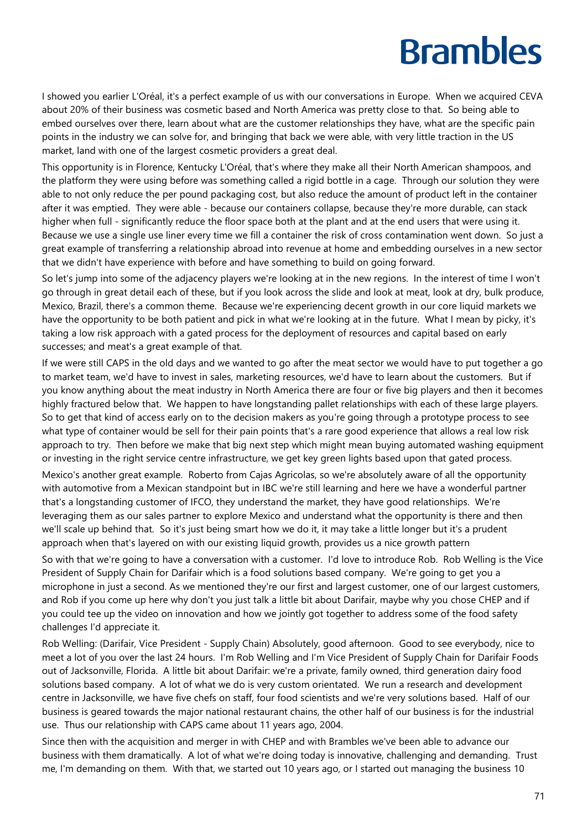I showed you earlier L'Oréal, it's a perfect example of us with our conversations in Europe. When we acquired CEVA about 20% of their business was cosmetic based and North America was pretty close to that. So being able to embed ourselves over there, learn about what are the customer relationships they have, what are the specific pain points in the industry we can solve for, and bringing that back we were able, with very little traction in the US market, land with one of the largest cosmetic providers a great deal.

This opportunity is in Florence, Kentucky L'Oréal, that's where they make all their North American shampoos, and the platform they were using before was something called a rigid bottle in a cage. Through our solution they were able to not only reduce the per pound packaging cost, but also reduce the amount of product left in the container after it was emptied. They were able - because our containers collapse, because they're more durable, can stack higher when full - significantly reduce the floor space both at the plant and at the end users that were using it. Because we use a single use liner every time we fill a container the risk of cross contamination went down. So just a great example of transferring a relationship abroad into revenue at home and embedding ourselves in a new sector that we didn't have experience with before and have something to build on going forward.

So let's jump into some of the adjacency players we're looking at in the new regions. In the interest of time I won't go through in great detail each of these, but if you look across the slide and look at meat, look at dry, bulk produce, Mexico, Brazil, there's a common theme. Because we're experiencing decent growth in our core liquid markets we have the opportunity to be both patient and pick in what we're looking at in the future. What I mean by picky, it's taking a low risk approach with a gated process for the deployment of resources and capital based on early successes; and meat's a great example of that.

If we were still CAPS in the old days and we wanted to go after the meat sector we would have to put together a go to market team, we'd have to invest in sales, marketing resources, we'd have to learn about the customers. But if you know anything about the meat industry in North America there are four or five big players and then it becomes highly fractured below that. We happen to have longstanding pallet relationships with each of these large players. So to get that kind of access early on to the decision makers as you're going through a prototype process to see what type of container would be sell for their pain points that's a rare good experience that allows a real low risk approach to try. Then before we make that big next step which might mean buying automated washing equipment or investing in the right service centre infrastructure, we get key green lights based upon that gated process.

Mexico's another great example. Roberto from Cajas Agricolas, so we're absolutely aware of all the opportunity with automotive from a Mexican standpoint but in IBC we're still learning and here we have a wonderful partner that's a longstanding customer of IFCO, they understand the market, they have good relationships. We're leveraging them as our sales partner to explore Mexico and understand what the opportunity is there and then we'll scale up behind that. So it's just being smart how we do it, it may take a little longer but it's a prudent approach when that's layered on with our existing liquid growth, provides us a nice growth pattern

So with that we're going to have a conversation with a customer. I'd love to introduce Rob. Rob Welling is the Vice President of Supply Chain for Darifair which is a food solutions based company. We're going to get you a microphone in just a second. As we mentioned they're our first and largest customer, one of our largest customers, and Rob if you come up here why don't you just talk a little bit about Darifair, maybe why you chose CHEP and if you could tee up the video on innovation and how we jointly got together to address some of the food safety challenges I'd appreciate it.

Rob Welling: (Darifair, Vice President - Supply Chain) Absolutely, good afternoon. Good to see everybody, nice to meet a lot of you over the last 24 hours. I'm Rob Welling and I'm Vice President of Supply Chain for Darifair Foods out of Jacksonville, Florida. A little bit about Darifair: we're a private, family owned, third generation dairy food solutions based company. A lot of what we do is very custom orientated. We run a research and development centre in Jacksonville, we have five chefs on staff, four food scientists and we're very solutions based. Half of our business is geared towards the major national restaurant chains, the other half of our business is for the industrial use. Thus our relationship with CAPS came about 11 years ago, 2004.

Since then with the acquisition and merger in with CHEP and with Brambles we've been able to advance our business with them dramatically. A lot of what we're doing today is innovative, challenging and demanding. Trust me, I'm demanding on them. With that, we started out 10 years ago, or I started out managing the business 10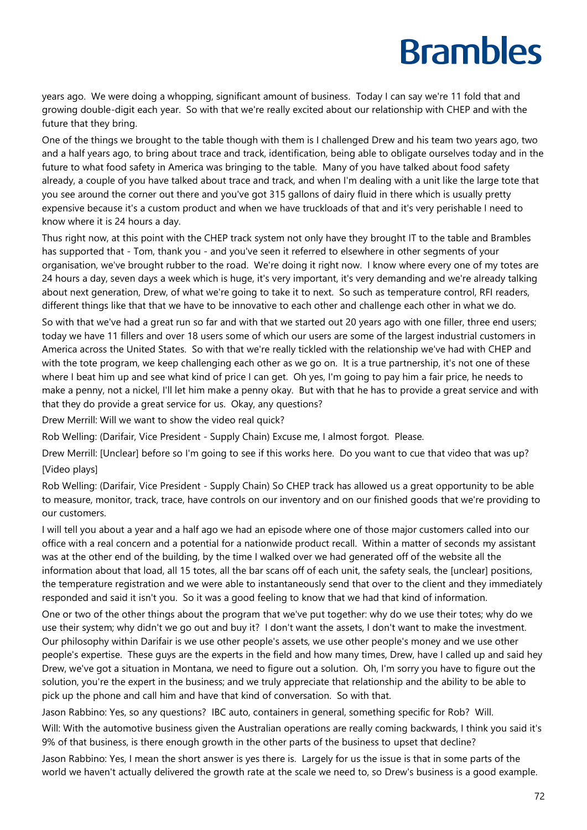years ago. We were doing a whopping, significant amount of business. Today I can say we're 11 fold that and growing double-digit each year. So with that we're really excited about our relationship with CHEP and with the future that they bring.

One of the things we brought to the table though with them is I challenged Drew and his team two years ago, two and a half years ago, to bring about trace and track, identification, being able to obligate ourselves today and in the future to what food safety in America was bringing to the table. Many of you have talked about food safety already, a couple of you have talked about trace and track, and when I'm dealing with a unit like the large tote that you see around the corner out there and you've got 315 gallons of dairy fluid in there which is usually pretty expensive because it's a custom product and when we have truckloads of that and it's very perishable I need to know where it is 24 hours a day.

Thus right now, at this point with the CHEP track system not only have they brought IT to the table and Brambles has supported that - Tom, thank you - and you've seen it referred to elsewhere in other segments of your organisation, we've brought rubber to the road. We're doing it right now. I know where every one of my totes are 24 hours a day, seven days a week which is huge, it's very important, it's very demanding and we're already talking about next generation, Drew, of what we're going to take it to next. So such as temperature control, RFI readers, different things like that that we have to be innovative to each other and challenge each other in what we do.

So with that we've had a great run so far and with that we started out 20 years ago with one filler, three end users; today we have 11 fillers and over 18 users some of which our users are some of the largest industrial customers in America across the United States. So with that we're really tickled with the relationship we've had with CHEP and with the tote program, we keep challenging each other as we go on. It is a true partnership, it's not one of these where I beat him up and see what kind of price I can get. Oh yes, I'm going to pay him a fair price, he needs to make a penny, not a nickel, I'll let him make a penny okay. But with that he has to provide a great service and with that they do provide a great service for us. Okay, any questions?

Drew Merrill: Will we want to show the video real quick?

Rob Welling: (Darifair, Vice President - Supply Chain) Excuse me, I almost forgot. Please.

Drew Merrill: [Unclear] before so I'm going to see if this works here. Do you want to cue that video that was up? [Video plays]

Rob Welling: (Darifair, Vice President - Supply Chain) So CHEP track has allowed us a great opportunity to be able to measure, monitor, track, trace, have controls on our inventory and on our finished goods that we're providing to our customers.

I will tell you about a year and a half ago we had an episode where one of those major customers called into our office with a real concern and a potential for a nationwide product recall. Within a matter of seconds my assistant was at the other end of the building, by the time I walked over we had generated off of the website all the information about that load, all 15 totes, all the bar scans off of each unit, the safety seals, the [unclear] positions, the temperature registration and we were able to instantaneously send that over to the client and they immediately responded and said it isn't you. So it was a good feeling to know that we had that kind of information.

One or two of the other things about the program that we've put together: why do we use their totes; why do we use their system; why didn't we go out and buy it? I don't want the assets, I don't want to make the investment. Our philosophy within Darifair is we use other people's assets, we use other people's money and we use other people's expertise. These guys are the experts in the field and how many times, Drew, have I called up and said hey Drew, we've got a situation in Montana, we need to figure out a solution. Oh, I'm sorry you have to figure out the solution, you're the expert in the business; and we truly appreciate that relationship and the ability to be able to pick up the phone and call him and have that kind of conversation. So with that.

Jason Rabbino: Yes, so any questions? IBC auto, containers in general, something specific for Rob? Will. Will: With the automotive business given the Australian operations are really coming backwards, I think you said it's 9% of that business, is there enough growth in the other parts of the business to upset that decline?

Jason Rabbino: Yes, I mean the short answer is yes there is. Largely for us the issue is that in some parts of the world we haven't actually delivered the growth rate at the scale we need to, so Drew's business is a good example.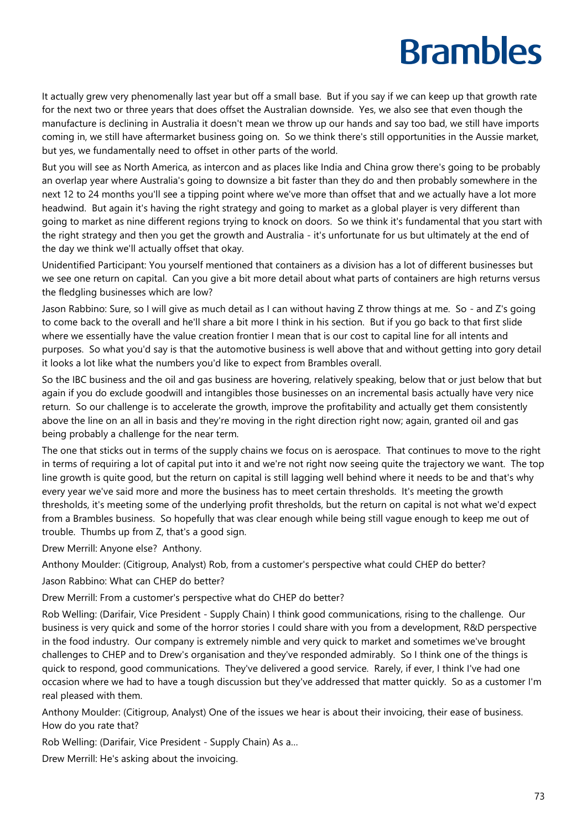It actually grew very phenomenally last year but off a small base. But if you say if we can keep up that growth rate for the next two or three years that does offset the Australian downside. Yes, we also see that even though the manufacture is declining in Australia it doesn't mean we throw up our hands and say too bad, we still have imports coming in, we still have aftermarket business going on. So we think there's still opportunities in the Aussie market, but yes, we fundamentally need to offset in other parts of the world.

But you will see as North America, as intercon and as places like India and China grow there's going to be probably an overlap year where Australia's going to downsize a bit faster than they do and then probably somewhere in the next 12 to 24 months you'll see a tipping point where we've more than offset that and we actually have a lot more headwind. But again it's having the right strategy and going to market as a global player is very different than going to market as nine different regions trying to knock on doors. So we think it's fundamental that you start with the right strategy and then you get the growth and Australia - it's unfortunate for us but ultimately at the end of the day we think we'll actually offset that okay.

Unidentified Participant: You yourself mentioned that containers as a division has a lot of different businesses but we see one return on capital. Can you give a bit more detail about what parts of containers are high returns versus the fledgling businesses which are low?

Jason Rabbino: Sure, so I will give as much detail as I can without having Z throw things at me. So - and Z's going to come back to the overall and he'll share a bit more I think in his section. But if you go back to that first slide where we essentially have the value creation frontier I mean that is our cost to capital line for all intents and purposes. So what you'd say is that the automotive business is well above that and without getting into gory detail it looks a lot like what the numbers you'd like to expect from Brambles overall.

So the IBC business and the oil and gas business are hovering, relatively speaking, below that or just below that but again if you do exclude goodwill and intangibles those businesses on an incremental basis actually have very nice return. So our challenge is to accelerate the growth, improve the profitability and actually get them consistently above the line on an all in basis and they're moving in the right direction right now; again, granted oil and gas being probably a challenge for the near term.

The one that sticks out in terms of the supply chains we focus on is aerospace. That continues to move to the right in terms of requiring a lot of capital put into it and we're not right now seeing quite the trajectory we want. The top line growth is quite good, but the return on capital is still lagging well behind where it needs to be and that's why every year we've said more and more the business has to meet certain thresholds. It's meeting the growth thresholds, it's meeting some of the underlying profit thresholds, but the return on capital is not what we'd expect from a Brambles business. So hopefully that was clear enough while being still vague enough to keep me out of trouble. Thumbs up from Z, that's a good sign.

Drew Merrill: Anyone else? Anthony.

Anthony Moulder: (Citigroup, Analyst) Rob, from a customer's perspective what could CHEP do better?

Jason Rabbino: What can CHEP do better?

Drew Merrill: From a customer's perspective what do CHEP do better?

Rob Welling: (Darifair, Vice President - Supply Chain) I think good communications, rising to the challenge. Our business is very quick and some of the horror stories I could share with you from a development, R&D perspective in the food industry. Our company is extremely nimble and very quick to market and sometimes we've brought challenges to CHEP and to Drew's organisation and they've responded admirably. So I think one of the things is quick to respond, good communications. They've delivered a good service. Rarely, if ever, I think I've had one occasion where we had to have a tough discussion but they've addressed that matter quickly. So as a customer I'm real pleased with them.

Anthony Moulder: (Citigroup, Analyst) One of the issues we hear is about their invoicing, their ease of business. How do you rate that?

Rob Welling: (Darifair, Vice President - Supply Chain) As a…

Drew Merrill: He's asking about the invoicing.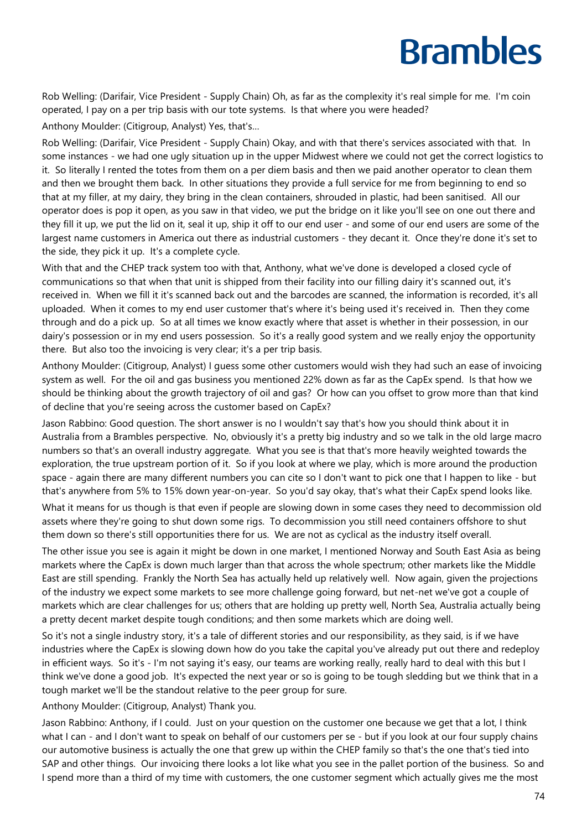Rob Welling: (Darifair, Vice President - Supply Chain) Oh, as far as the complexity it's real simple for me. I'm coin operated, I pay on a per trip basis with our tote systems. Is that where you were headed?

Anthony Moulder: (Citigroup, Analyst) Yes, that's…

Rob Welling: (Darifair, Vice President - Supply Chain) Okay, and with that there's services associated with that. In some instances - we had one ugly situation up in the upper Midwest where we could not get the correct logistics to it. So literally I rented the totes from them on a per diem basis and then we paid another operator to clean them and then we brought them back. In other situations they provide a full service for me from beginning to end so that at my filler, at my dairy, they bring in the clean containers, shrouded in plastic, had been sanitised. All our operator does is pop it open, as you saw in that video, we put the bridge on it like you'll see on one out there and they fill it up, we put the lid on it, seal it up, ship it off to our end user - and some of our end users are some of the largest name customers in America out there as industrial customers - they decant it. Once they're done it's set to the side, they pick it up. It's a complete cycle.

With that and the CHEP track system too with that, Anthony, what we've done is developed a closed cycle of communications so that when that unit is shipped from their facility into our filling dairy it's scanned out, it's received in. When we fill it it's scanned back out and the barcodes are scanned, the information is recorded, it's all uploaded. When it comes to my end user customer that's where it's being used it's received in. Then they come through and do a pick up. So at all times we know exactly where that asset is whether in their possession, in our dairy's possession or in my end users possession. So it's a really good system and we really enjoy the opportunity there. But also too the invoicing is very clear; it's a per trip basis.

Anthony Moulder: (Citigroup, Analyst) I guess some other customers would wish they had such an ease of invoicing system as well. For the oil and gas business you mentioned 22% down as far as the CapEx spend. Is that how we should be thinking about the growth trajectory of oil and gas? Or how can you offset to grow more than that kind of decline that you're seeing across the customer based on CapEx?

Jason Rabbino: Good question. The short answer is no I wouldn't say that's how you should think about it in Australia from a Brambles perspective. No, obviously it's a pretty big industry and so we talk in the old large macro numbers so that's an overall industry aggregate. What you see is that that's more heavily weighted towards the exploration, the true upstream portion of it. So if you look at where we play, which is more around the production space - again there are many different numbers you can cite so I don't want to pick one that I happen to like - but that's anywhere from 5% to 15% down year-on-year. So you'd say okay, that's what their CapEx spend looks like.

What it means for us though is that even if people are slowing down in some cases they need to decommission old assets where they're going to shut down some rigs. To decommission you still need containers offshore to shut them down so there's still opportunities there for us. We are not as cyclical as the industry itself overall.

The other issue you see is again it might be down in one market, I mentioned Norway and South East Asia as being markets where the CapEx is down much larger than that across the whole spectrum; other markets like the Middle East are still spending. Frankly the North Sea has actually held up relatively well. Now again, given the projections of the industry we expect some markets to see more challenge going forward, but net-net we've got a couple of markets which are clear challenges for us; others that are holding up pretty well, North Sea, Australia actually being a pretty decent market despite tough conditions; and then some markets which are doing well.

So it's not a single industry story, it's a tale of different stories and our responsibility, as they said, is if we have industries where the CapEx is slowing down how do you take the capital you've already put out there and redeploy in efficient ways. So it's - I'm not saying it's easy, our teams are working really, really hard to deal with this but I think we've done a good job. It's expected the next year or so is going to be tough sledding but we think that in a tough market we'll be the standout relative to the peer group for sure.

Anthony Moulder: (Citigroup, Analyst) Thank you.

Jason Rabbino: Anthony, if I could. Just on your question on the customer one because we get that a lot, I think what I can - and I don't want to speak on behalf of our customers per se - but if you look at our four supply chains our automotive business is actually the one that grew up within the CHEP family so that's the one that's tied into SAP and other things. Our invoicing there looks a lot like what you see in the pallet portion of the business. So and I spend more than a third of my time with customers, the one customer segment which actually gives me the most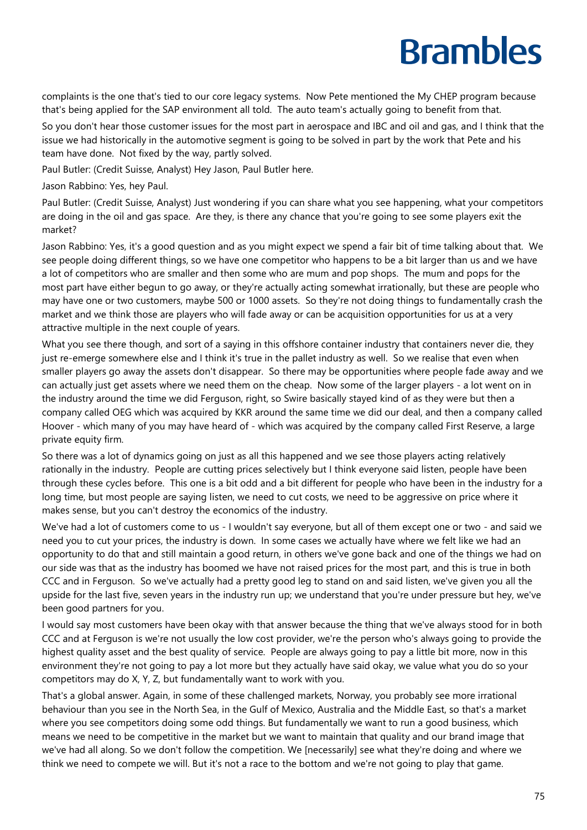complaints is the one that's tied to our core legacy systems. Now Pete mentioned the My CHEP program because that's being applied for the SAP environment all told. The auto team's actually going to benefit from that.

So you don't hear those customer issues for the most part in aerospace and IBC and oil and gas, and I think that the issue we had historically in the automotive segment is going to be solved in part by the work that Pete and his team have done. Not fixed by the way, partly solved.

Paul Butler: (Credit Suisse, Analyst) Hey Jason, Paul Butler here.

Jason Rabbino: Yes, hey Paul.

Paul Butler: (Credit Suisse, Analyst) Just wondering if you can share what you see happening, what your competitors are doing in the oil and gas space. Are they, is there any chance that you're going to see some players exit the market?

Jason Rabbino: Yes, it's a good question and as you might expect we spend a fair bit of time talking about that. We see people doing different things, so we have one competitor who happens to be a bit larger than us and we have a lot of competitors who are smaller and then some who are mum and pop shops. The mum and pops for the most part have either begun to go away, or they're actually acting somewhat irrationally, but these are people who may have one or two customers, maybe 500 or 1000 assets. So they're not doing things to fundamentally crash the market and we think those are players who will fade away or can be acquisition opportunities for us at a very attractive multiple in the next couple of years.

What you see there though, and sort of a saying in this offshore container industry that containers never die, they just re-emerge somewhere else and I think it's true in the pallet industry as well. So we realise that even when smaller players go away the assets don't disappear. So there may be opportunities where people fade away and we can actually just get assets where we need them on the cheap. Now some of the larger players - a lot went on in the industry around the time we did Ferguson, right, so Swire basically stayed kind of as they were but then a company called OEG which was acquired by KKR around the same time we did our deal, and then a company called Hoover - which many of you may have heard of - which was acquired by the company called First Reserve, a large private equity firm.

So there was a lot of dynamics going on just as all this happened and we see those players acting relatively rationally in the industry. People are cutting prices selectively but I think everyone said listen, people have been through these cycles before. This one is a bit odd and a bit different for people who have been in the industry for a long time, but most people are saying listen, we need to cut costs, we need to be aggressive on price where it makes sense, but you can't destroy the economics of the industry.

We've had a lot of customers come to us - I wouldn't say everyone, but all of them except one or two - and said we need you to cut your prices, the industry is down. In some cases we actually have where we felt like we had an opportunity to do that and still maintain a good return, in others we've gone back and one of the things we had on our side was that as the industry has boomed we have not raised prices for the most part, and this is true in both CCC and in Ferguson. So we've actually had a pretty good leg to stand on and said listen, we've given you all the upside for the last five, seven years in the industry run up; we understand that you're under pressure but hey, we've been good partners for you.

I would say most customers have been okay with that answer because the thing that we've always stood for in both CCC and at Ferguson is we're not usually the low cost provider, we're the person who's always going to provide the highest quality asset and the best quality of service. People are always going to pay a little bit more, now in this environment they're not going to pay a lot more but they actually have said okay, we value what you do so your competitors may do X, Y, Z, but fundamentally want to work with you.

That's a global answer. Again, in some of these challenged markets, Norway, you probably see more irrational behaviour than you see in the North Sea, in the Gulf of Mexico, Australia and the Middle East, so that's a market where you see competitors doing some odd things. But fundamentally we want to run a good business, which means we need to be competitive in the market but we want to maintain that quality and our brand image that we've had all along. So we don't follow the competition. We [necessarily] see what they're doing and where we think we need to compete we will. But it's not a race to the bottom and we're not going to play that game.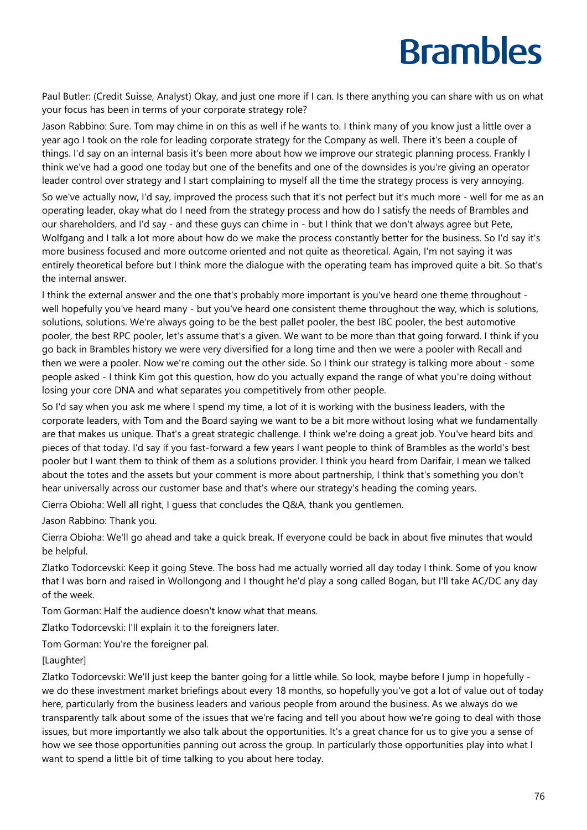Paul Butler: (Credit Suisse, Analyst) Okay, and just one more if I can. Is there anything you can share with us on what your focus has been in terms of your corporate strategy role?

Jason Rabbino: Sure. Tom may chime in on this as well if he wants to. I think many of you know just a little over a year ago I took on the role for leading corporate strategy for the Company as well. There it's been a couple of things. I'd say on an internal basis it's been more about how we improve our strategic planning process. Frankly I think we've had a good one today but one of the benefits and one of the downsides is you're giving an operator leader control over strategy and I start complaining to myself all the time the strategy process is very annoying.

So we've actually now, I'd say, improved the process such that it's not perfect but it's much more - well for me as an operating leader, okay what do I need from the strategy process and how do I satisfy the needs of Brambles and our shareholders, and I'd say - and these guys can chime in - but I think that we don't always agree but Pete, Wolfgang and I talk a lot more about how do we make the process constantly better for the business. So I'd say it's more business focused and more outcome oriented and not quite as theoretical. Again, I'm not saying it was entirely theoretical before but I think more the dialogue with the operating team has improved quite a bit. So that's the internal answer.

I think the external answer and the one that's probably more important is you've heard one theme throughout well hopefully you've heard many - but you've heard one consistent theme throughout the way, which is solutions, solutions, solutions. We're always going to be the best pallet pooler, the best IBC pooler, the best automotive pooler, the best RPC pooler, let's assume that's a given. We want to be more than that going forward. I think if you go back in Brambles history we were very diversified for a long time and then we were a pooler with Recall and then we were a pooler. Now we're coming out the other side. So I think our strategy is talking more about - some people asked - I think Kim got this question, how do you actually expand the range of what you're doing without losing your core DNA and what separates you competitively from other people.

So I'd say when you ask me where I spend my time, a lot of it is working with the business leaders, with the corporate leaders, with Tom and the Board saying we want to be a bit more without losing what we fundamentally are that makes us unique. That's a great strategic challenge. I think we're doing a great job. You've heard bits and pieces of that today. I'd say if you fast-forward a few years I want people to think of Brambles as the world's best pooler but I want them to think of them as a solutions provider. I think you heard from Darifair, I mean we talked about the totes and the assets but your comment is more about partnership, I think that's something you don't hear universally across our customer base and that's where our strategy's heading the coming years.

Cierra Obioha: Well all right, I guess that concludes the Q&A, thank you gentlemen.

Jason Rabbino: Thank you.

Cierra Obioha: We'll go ahead and take a quick break. If everyone could be back in about five minutes that would be helpful.

Zlatko Todorcevski: Keep it going Steve. The boss had me actually worried all day today I think. Some of you know that I was born and raised in Wollongong and I thought he'd play a song called Bogan, but I'll take AC/DC any day of the week.

Tom Gorman: Half the audience doesn't know what that means.

Zlatko Todorcevski: I'll explain it to the foreigners later.

Tom Gorman: You're the foreigner pal.

#### [Laughter]

Zlatko Todorcevski: We'll just keep the banter going for a little while. So look, maybe before I jump in hopefully we do these investment market briefings about every 18 months, so hopefully you've got a lot of value out of today here, particularly from the business leaders and various people from around the business. As we always do we transparently talk about some of the issues that we're facing and tell you about how we're going to deal with those issues, but more importantly we also talk about the opportunities. It's a great chance for us to give you a sense of how we see those opportunities panning out across the group. In particularly those opportunities play into what I want to spend a little bit of time talking to you about here today.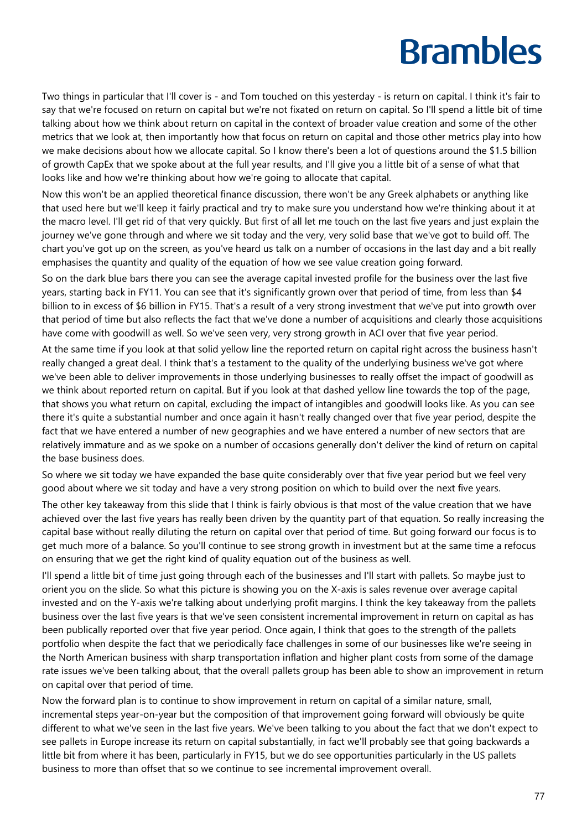Two things in particular that I'll cover is - and Tom touched on this yesterday - is return on capital. I think it's fair to say that we're focused on return on capital but we're not fixated on return on capital. So I'll spend a little bit of time talking about how we think about return on capital in the context of broader value creation and some of the other metrics that we look at, then importantly how that focus on return on capital and those other metrics play into how we make decisions about how we allocate capital. So I know there's been a lot of questions around the \$1.5 billion of growth CapEx that we spoke about at the full year results, and I'll give you a little bit of a sense of what that looks like and how we're thinking about how we're going to allocate that capital.

Now this won't be an applied theoretical finance discussion, there won't be any Greek alphabets or anything like that used here but we'll keep it fairly practical and try to make sure you understand how we're thinking about it at the macro level. I'll get rid of that very quickly. But first of all let me touch on the last five years and just explain the journey we've gone through and where we sit today and the very, very solid base that we've got to build off. The chart you've got up on the screen, as you've heard us talk on a number of occasions in the last day and a bit really emphasises the quantity and quality of the equation of how we see value creation going forward.

So on the dark blue bars there you can see the average capital invested profile for the business over the last five years, starting back in FY11. You can see that it's significantly grown over that period of time, from less than \$4 billion to in excess of \$6 billion in FY15. That's a result of a very strong investment that we've put into growth over that period of time but also reflects the fact that we've done a number of acquisitions and clearly those acquisitions have come with goodwill as well. So we've seen very, very strong growth in ACI over that five year period.

At the same time if you look at that solid yellow line the reported return on capital right across the business hasn't really changed a great deal. I think that's a testament to the quality of the underlying business we've got where we've been able to deliver improvements in those underlying businesses to really offset the impact of goodwill as we think about reported return on capital. But if you look at that dashed yellow line towards the top of the page, that shows you what return on capital, excluding the impact of intangibles and goodwill looks like. As you can see there it's quite a substantial number and once again it hasn't really changed over that five year period, despite the fact that we have entered a number of new geographies and we have entered a number of new sectors that are relatively immature and as we spoke on a number of occasions generally don't deliver the kind of return on capital the base business does.

So where we sit today we have expanded the base quite considerably over that five year period but we feel very good about where we sit today and have a very strong position on which to build over the next five years.

The other key takeaway from this slide that I think is fairly obvious is that most of the value creation that we have achieved over the last five years has really been driven by the quantity part of that equation. So really increasing the capital base without really diluting the return on capital over that period of time. But going forward our focus is to get much more of a balance. So you'll continue to see strong growth in investment but at the same time a refocus on ensuring that we get the right kind of quality equation out of the business as well.

I'll spend a little bit of time just going through each of the businesses and I'll start with pallets. So maybe just to orient you on the slide. So what this picture is showing you on the X-axis is sales revenue over average capital invested and on the Y-axis we're talking about underlying profit margins. I think the key takeaway from the pallets business over the last five years is that we've seen consistent incremental improvement in return on capital as has been publically reported over that five year period. Once again, I think that goes to the strength of the pallets portfolio when despite the fact that we periodically face challenges in some of our businesses like we're seeing in the North American business with sharp transportation inflation and higher plant costs from some of the damage rate issues we've been talking about, that the overall pallets group has been able to show an improvement in return on capital over that period of time.

Now the forward plan is to continue to show improvement in return on capital of a similar nature, small, incremental steps year-on-year but the composition of that improvement going forward will obviously be quite different to what we've seen in the last five years. We've been talking to you about the fact that we don't expect to see pallets in Europe increase its return on capital substantially, in fact we'll probably see that going backwards a little bit from where it has been, particularly in FY15, but we do see opportunities particularly in the US pallets business to more than offset that so we continue to see incremental improvement overall.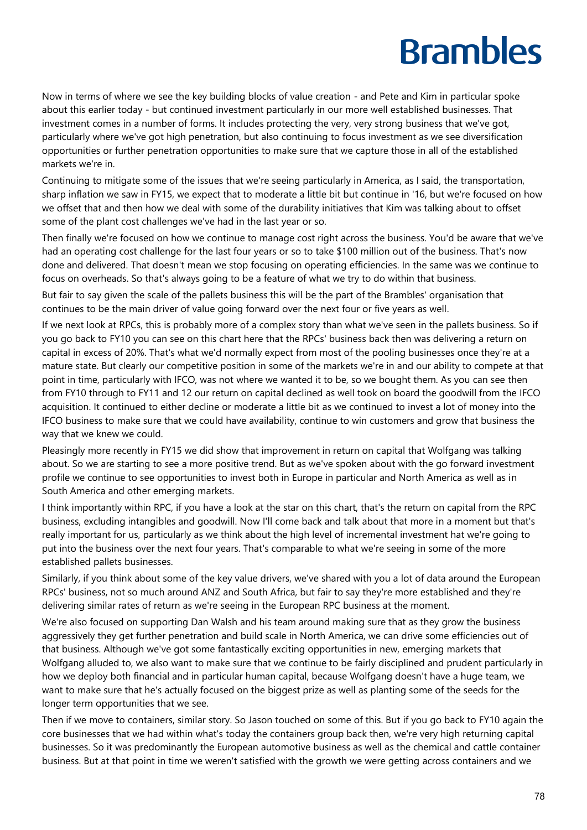Now in terms of where we see the key building blocks of value creation - and Pete and Kim in particular spoke about this earlier today - but continued investment particularly in our more well established businesses. That investment comes in a number of forms. It includes protecting the very, very strong business that we've got, particularly where we've got high penetration, but also continuing to focus investment as we see diversification opportunities or further penetration opportunities to make sure that we capture those in all of the established markets we're in.

Continuing to mitigate some of the issues that we're seeing particularly in America, as I said, the transportation, sharp inflation we saw in FY15, we expect that to moderate a little bit but continue in '16, but we're focused on how we offset that and then how we deal with some of the durability initiatives that Kim was talking about to offset some of the plant cost challenges we've had in the last year or so.

Then finally we're focused on how we continue to manage cost right across the business. You'd be aware that we've had an operating cost challenge for the last four years or so to take \$100 million out of the business. That's now done and delivered. That doesn't mean we stop focusing on operating efficiencies. In the same was we continue to focus on overheads. So that's always going to be a feature of what we try to do within that business.

But fair to say given the scale of the pallets business this will be the part of the Brambles' organisation that continues to be the main driver of value going forward over the next four or five years as well.

If we next look at RPCs, this is probably more of a complex story than what we've seen in the pallets business. So if you go back to FY10 you can see on this chart here that the RPCs' business back then was delivering a return on capital in excess of 20%. That's what we'd normally expect from most of the pooling businesses once they're at a mature state. But clearly our competitive position in some of the markets we're in and our ability to compete at that point in time, particularly with IFCO, was not where we wanted it to be, so we bought them. As you can see then from FY10 through to FY11 and 12 our return on capital declined as well took on board the goodwill from the IFCO acquisition. It continued to either decline or moderate a little bit as we continued to invest a lot of money into the IFCO business to make sure that we could have availability, continue to win customers and grow that business the way that we knew we could.

Pleasingly more recently in FY15 we did show that improvement in return on capital that Wolfgang was talking about. So we are starting to see a more positive trend. But as we've spoken about with the go forward investment profile we continue to see opportunities to invest both in Europe in particular and North America as well as in South America and other emerging markets.

I think importantly within RPC, if you have a look at the star on this chart, that's the return on capital from the RPC business, excluding intangibles and goodwill. Now I'll come back and talk about that more in a moment but that's really important for us, particularly as we think about the high level of incremental investment hat we're going to put into the business over the next four years. That's comparable to what we're seeing in some of the more established pallets businesses.

Similarly, if you think about some of the key value drivers, we've shared with you a lot of data around the European RPCs' business, not so much around ANZ and South Africa, but fair to say they're more established and they're delivering similar rates of return as we're seeing in the European RPC business at the moment.

We're also focused on supporting Dan Walsh and his team around making sure that as they grow the business aggressively they get further penetration and build scale in North America, we can drive some efficiencies out of that business. Although we've got some fantastically exciting opportunities in new, emerging markets that Wolfgang alluded to, we also want to make sure that we continue to be fairly disciplined and prudent particularly in how we deploy both financial and in particular human capital, because Wolfgang doesn't have a huge team, we want to make sure that he's actually focused on the biggest prize as well as planting some of the seeds for the longer term opportunities that we see.

Then if we move to containers, similar story. So Jason touched on some of this. But if you go back to FY10 again the core businesses that we had within what's today the containers group back then, we're very high returning capital businesses. So it was predominantly the European automotive business as well as the chemical and cattle container business. But at that point in time we weren't satisfied with the growth we were getting across containers and we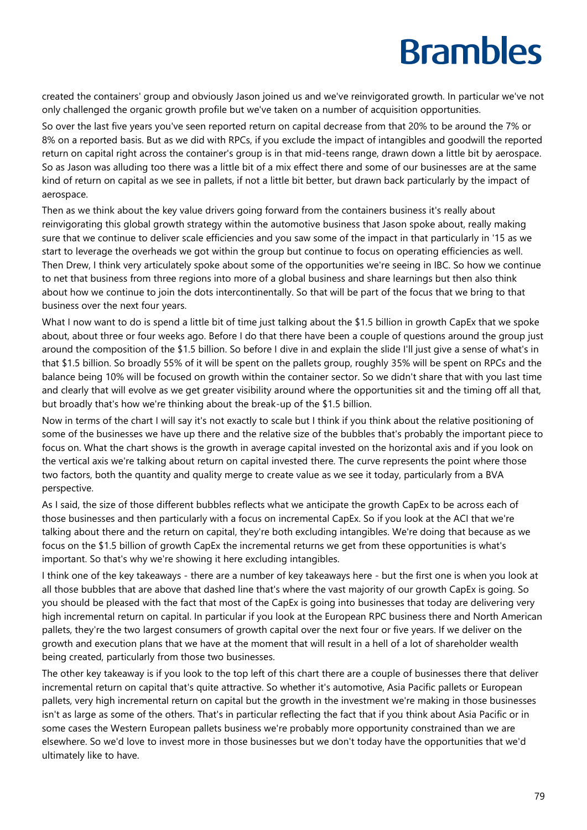created the containers' group and obviously Jason joined us and we've reinvigorated growth. In particular we've not only challenged the organic growth profile but we've taken on a number of acquisition opportunities.

So over the last five years you've seen reported return on capital decrease from that 20% to be around the 7% or 8% on a reported basis. But as we did with RPCs, if you exclude the impact of intangibles and goodwill the reported return on capital right across the container's group is in that mid-teens range, drawn down a little bit by aerospace. So as Jason was alluding too there was a little bit of a mix effect there and some of our businesses are at the same kind of return on capital as we see in pallets, if not a little bit better, but drawn back particularly by the impact of aerospace.

Then as we think about the key value drivers going forward from the containers business it's really about reinvigorating this global growth strategy within the automotive business that Jason spoke about, really making sure that we continue to deliver scale efficiencies and you saw some of the impact in that particularly in '15 as we start to leverage the overheads we got within the group but continue to focus on operating efficiencies as well. Then Drew, I think very articulately spoke about some of the opportunities we're seeing in IBC. So how we continue to net that business from three regions into more of a global business and share learnings but then also think about how we continue to join the dots intercontinentally. So that will be part of the focus that we bring to that business over the next four years.

What I now want to do is spend a little bit of time just talking about the \$1.5 billion in growth CapEx that we spoke about, about three or four weeks ago. Before I do that there have been a couple of questions around the group just around the composition of the \$1.5 billion. So before I dive in and explain the slide I'll just give a sense of what's in that \$1.5 billion. So broadly 55% of it will be spent on the pallets group, roughly 35% will be spent on RPCs and the balance being 10% will be focused on growth within the container sector. So we didn't share that with you last time and clearly that will evolve as we get greater visibility around where the opportunities sit and the timing off all that, but broadly that's how we're thinking about the break-up of the \$1.5 billion.

Now in terms of the chart I will say it's not exactly to scale but I think if you think about the relative positioning of some of the businesses we have up there and the relative size of the bubbles that's probably the important piece to focus on. What the chart shows is the growth in average capital invested on the horizontal axis and if you look on the vertical axis we're talking about return on capital invested there. The curve represents the point where those two factors, both the quantity and quality merge to create value as we see it today, particularly from a BVA perspective.

As I said, the size of those different bubbles reflects what we anticipate the growth CapEx to be across each of those businesses and then particularly with a focus on incremental CapEx. So if you look at the ACI that we're talking about there and the return on capital, they're both excluding intangibles. We're doing that because as we focus on the \$1.5 billion of growth CapEx the incremental returns we get from these opportunities is what's important. So that's why we're showing it here excluding intangibles.

I think one of the key takeaways - there are a number of key takeaways here - but the first one is when you look at all those bubbles that are above that dashed line that's where the vast majority of our growth CapEx is going. So you should be pleased with the fact that most of the CapEx is going into businesses that today are delivering very high incremental return on capital. In particular if you look at the European RPC business there and North American pallets, they're the two largest consumers of growth capital over the next four or five years. If we deliver on the growth and execution plans that we have at the moment that will result in a hell of a lot of shareholder wealth being created, particularly from those two businesses.

The other key takeaway is if you look to the top left of this chart there are a couple of businesses there that deliver incremental return on capital that's quite attractive. So whether it's automotive, Asia Pacific pallets or European pallets, very high incremental return on capital but the growth in the investment we're making in those businesses isn't as large as some of the others. That's in particular reflecting the fact that if you think about Asia Pacific or in some cases the Western European pallets business we're probably more opportunity constrained than we are elsewhere. So we'd love to invest more in those businesses but we don't today have the opportunities that we'd ultimately like to have.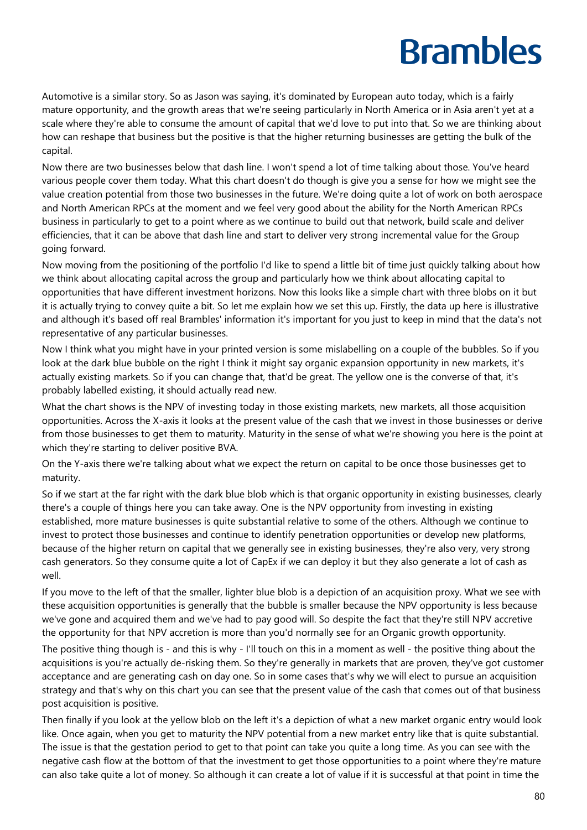Automotive is a similar story. So as Jason was saying, it's dominated by European auto today, which is a fairly mature opportunity, and the growth areas that we're seeing particularly in North America or in Asia aren't yet at a scale where they're able to consume the amount of capital that we'd love to put into that. So we are thinking about how can reshape that business but the positive is that the higher returning businesses are getting the bulk of the capital.

Now there are two businesses below that dash line. I won't spend a lot of time talking about those. You've heard various people cover them today. What this chart doesn't do though is give you a sense for how we might see the value creation potential from those two businesses in the future. We're doing quite a lot of work on both aerospace and North American RPCs at the moment and we feel very good about the ability for the North American RPCs business in particularly to get to a point where as we continue to build out that network, build scale and deliver efficiencies, that it can be above that dash line and start to deliver very strong incremental value for the Group going forward.

Now moving from the positioning of the portfolio I'd like to spend a little bit of time just quickly talking about how we think about allocating capital across the group and particularly how we think about allocating capital to opportunities that have different investment horizons. Now this looks like a simple chart with three blobs on it but it is actually trying to convey quite a bit. So let me explain how we set this up. Firstly, the data up here is illustrative and although it's based off real Brambles' information it's important for you just to keep in mind that the data's not representative of any particular businesses.

Now I think what you might have in your printed version is some mislabelling on a couple of the bubbles. So if you look at the dark blue bubble on the right I think it might say organic expansion opportunity in new markets, it's actually existing markets. So if you can change that, that'd be great. The yellow one is the converse of that, it's probably labelled existing, it should actually read new.

What the chart shows is the NPV of investing today in those existing markets, new markets, all those acquisition opportunities. Across the X-axis it looks at the present value of the cash that we invest in those businesses or derive from those businesses to get them to maturity. Maturity in the sense of what we're showing you here is the point at which they're starting to deliver positive BVA.

On the Y-axis there we're talking about what we expect the return on capital to be once those businesses get to maturity.

So if we start at the far right with the dark blue blob which is that organic opportunity in existing businesses, clearly there's a couple of things here you can take away. One is the NPV opportunity from investing in existing established, more mature businesses is quite substantial relative to some of the others. Although we continue to invest to protect those businesses and continue to identify penetration opportunities or develop new platforms, because of the higher return on capital that we generally see in existing businesses, they're also very, very strong cash generators. So they consume quite a lot of CapEx if we can deploy it but they also generate a lot of cash as well.

If you move to the left of that the smaller, lighter blue blob is a depiction of an acquisition proxy. What we see with these acquisition opportunities is generally that the bubble is smaller because the NPV opportunity is less because we've gone and acquired them and we've had to pay good will. So despite the fact that they're still NPV accretive the opportunity for that NPV accretion is more than you'd normally see for an Organic growth opportunity.

The positive thing though is - and this is why - I'll touch on this in a moment as well - the positive thing about the acquisitions is you're actually de-risking them. So they're generally in markets that are proven, they've got customer acceptance and are generating cash on day one. So in some cases that's why we will elect to pursue an acquisition strategy and that's why on this chart you can see that the present value of the cash that comes out of that business post acquisition is positive.

Then finally if you look at the yellow blob on the left it's a depiction of what a new market organic entry would look like. Once again, when you get to maturity the NPV potential from a new market entry like that is quite substantial. The issue is that the gestation period to get to that point can take you quite a long time. As you can see with the negative cash flow at the bottom of that the investment to get those opportunities to a point where they're mature can also take quite a lot of money. So although it can create a lot of value if it is successful at that point in time the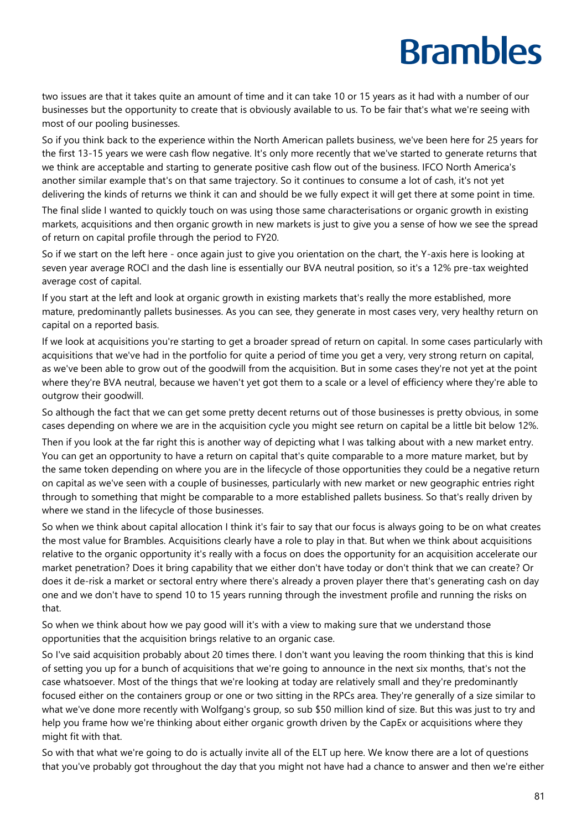two issues are that it takes quite an amount of time and it can take 10 or 15 years as it had with a number of our businesses but the opportunity to create that is obviously available to us. To be fair that's what we're seeing with most of our pooling businesses.

So if you think back to the experience within the North American pallets business, we've been here for 25 years for the first 13-15 years we were cash flow negative. It's only more recently that we've started to generate returns that we think are acceptable and starting to generate positive cash flow out of the business. IFCO North America's another similar example that's on that same trajectory. So it continues to consume a lot of cash, it's not yet delivering the kinds of returns we think it can and should be we fully expect it will get there at some point in time.

The final slide I wanted to quickly touch on was using those same characterisations or organic growth in existing markets, acquisitions and then organic growth in new markets is just to give you a sense of how we see the spread of return on capital profile through the period to FY20.

So if we start on the left here - once again just to give you orientation on the chart, the Y-axis here is looking at seven year average ROCI and the dash line is essentially our BVA neutral position, so it's a 12% pre-tax weighted average cost of capital.

If you start at the left and look at organic growth in existing markets that's really the more established, more mature, predominantly pallets businesses. As you can see, they generate in most cases very, very healthy return on capital on a reported basis.

If we look at acquisitions you're starting to get a broader spread of return on capital. In some cases particularly with acquisitions that we've had in the portfolio for quite a period of time you get a very, very strong return on capital, as we've been able to grow out of the goodwill from the acquisition. But in some cases they're not yet at the point where they're BVA neutral, because we haven't yet got them to a scale or a level of efficiency where they're able to outgrow their goodwill.

So although the fact that we can get some pretty decent returns out of those businesses is pretty obvious, in some cases depending on where we are in the acquisition cycle you might see return on capital be a little bit below 12%.

Then if you look at the far right this is another way of depicting what I was talking about with a new market entry. You can get an opportunity to have a return on capital that's quite comparable to a more mature market, but by the same token depending on where you are in the lifecycle of those opportunities they could be a negative return on capital as we've seen with a couple of businesses, particularly with new market or new geographic entries right through to something that might be comparable to a more established pallets business. So that's really driven by where we stand in the lifecycle of those businesses.

So when we think about capital allocation I think it's fair to say that our focus is always going to be on what creates the most value for Brambles. Acquisitions clearly have a role to play in that. But when we think about acquisitions relative to the organic opportunity it's really with a focus on does the opportunity for an acquisition accelerate our market penetration? Does it bring capability that we either don't have today or don't think that we can create? Or does it de-risk a market or sectoral entry where there's already a proven player there that's generating cash on day one and we don't have to spend 10 to 15 years running through the investment profile and running the risks on that.

So when we think about how we pay good will it's with a view to making sure that we understand those opportunities that the acquisition brings relative to an organic case.

So I've said acquisition probably about 20 times there. I don't want you leaving the room thinking that this is kind of setting you up for a bunch of acquisitions that we're going to announce in the next six months, that's not the case whatsoever. Most of the things that we're looking at today are relatively small and they're predominantly focused either on the containers group or one or two sitting in the RPCs area. They're generally of a size similar to what we've done more recently with Wolfgang's group, so sub \$50 million kind of size. But this was just to try and help you frame how we're thinking about either organic growth driven by the CapEx or acquisitions where they might fit with that.

So with that what we're going to do is actually invite all of the ELT up here. We know there are a lot of questions that you've probably got throughout the day that you might not have had a chance to answer and then we're either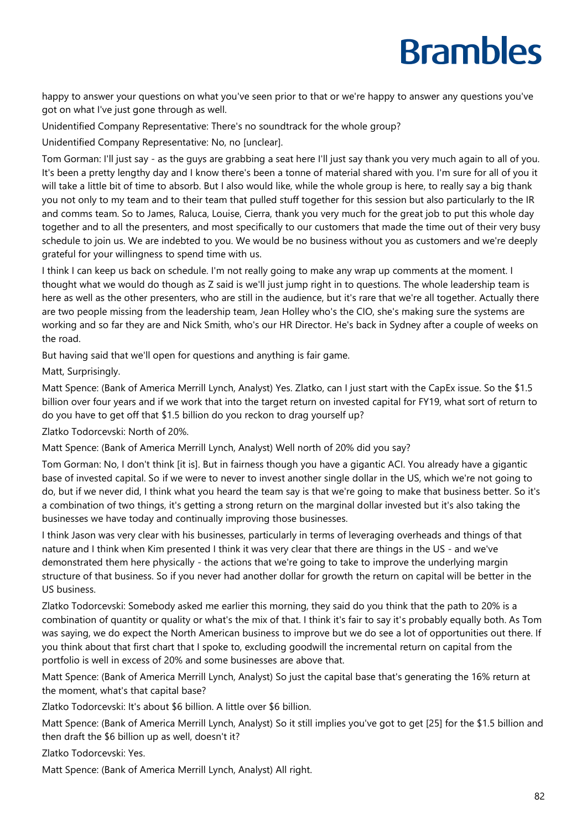happy to answer your questions on what you've seen prior to that or we're happy to answer any questions you've got on what I've just gone through as well.

Unidentified Company Representative: There's no soundtrack for the whole group?

Unidentified Company Representative: No, no [unclear].

Tom Gorman: I'll just say - as the guys are grabbing a seat here I'll just say thank you very much again to all of you. It's been a pretty lengthy day and I know there's been a tonne of material shared with you. I'm sure for all of you it will take a little bit of time to absorb. But I also would like, while the whole group is here, to really say a big thank you not only to my team and to their team that pulled stuff together for this session but also particularly to the IR and comms team. So to James, Raluca, Louise, Cierra, thank you very much for the great job to put this whole day together and to all the presenters, and most specifically to our customers that made the time out of their very busy schedule to join us. We are indebted to you. We would be no business without you as customers and we're deeply grateful for your willingness to spend time with us.

I think I can keep us back on schedule. I'm not really going to make any wrap up comments at the moment. I thought what we would do though as Z said is we'll just jump right in to questions. The whole leadership team is here as well as the other presenters, who are still in the audience, but it's rare that we're all together. Actually there are two people missing from the leadership team, Jean Holley who's the CIO, she's making sure the systems are working and so far they are and Nick Smith, who's our HR Director. He's back in Sydney after a couple of weeks on the road.

But having said that we'll open for questions and anything is fair game.

Matt, Surprisingly.

Matt Spence: (Bank of America Merrill Lynch, Analyst) Yes. Zlatko, can I just start with the CapEx issue. So the \$1.5 billion over four years and if we work that into the target return on invested capital for FY19, what sort of return to do you have to get off that \$1.5 billion do you reckon to drag yourself up?

Zlatko Todorcevski: North of 20%.

Matt Spence: (Bank of America Merrill Lynch, Analyst) Well north of 20% did you say?

Tom Gorman: No, I don't think [it is]. But in fairness though you have a gigantic ACI. You already have a gigantic base of invested capital. So if we were to never to invest another single dollar in the US, which we're not going to do, but if we never did, I think what you heard the team say is that we're going to make that business better. So it's a combination of two things, it's getting a strong return on the marginal dollar invested but it's also taking the businesses we have today and continually improving those businesses.

I think Jason was very clear with his businesses, particularly in terms of leveraging overheads and things of that nature and I think when Kim presented I think it was very clear that there are things in the US - and we've demonstrated them here physically - the actions that we're going to take to improve the underlying margin structure of that business. So if you never had another dollar for growth the return on capital will be better in the US business.

Zlatko Todorcevski: Somebody asked me earlier this morning, they said do you think that the path to 20% is a combination of quantity or quality or what's the mix of that. I think it's fair to say it's probably equally both. As Tom was saying, we do expect the North American business to improve but we do see a lot of opportunities out there. If you think about that first chart that I spoke to, excluding goodwill the incremental return on capital from the portfolio is well in excess of 20% and some businesses are above that.

Matt Spence: (Bank of America Merrill Lynch, Analyst) So just the capital base that's generating the 16% return at the moment, what's that capital base?

Zlatko Todorcevski: It's about \$6 billion. A little over \$6 billion.

Matt Spence: (Bank of America Merrill Lynch, Analyst) So it still implies you've got to get [25] for the \$1.5 billion and then draft the \$6 billion up as well, doesn't it?

Zlatko Todorcevski: Yes.

Matt Spence: (Bank of America Merrill Lynch, Analyst) All right.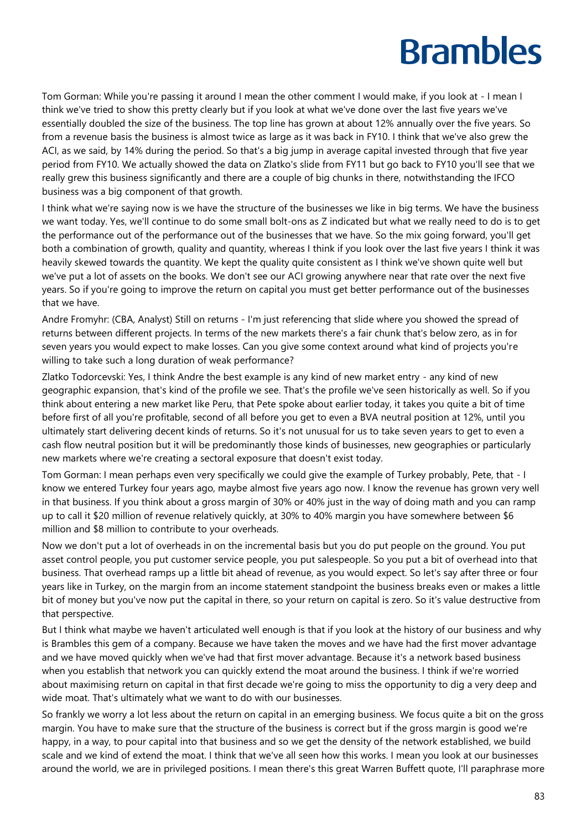Tom Gorman: While you're passing it around I mean the other comment I would make, if you look at - I mean I think we've tried to show this pretty clearly but if you look at what we've done over the last five years we've essentially doubled the size of the business. The top line has grown at about 12% annually over the five years. So from a revenue basis the business is almost twice as large as it was back in FY10. I think that we've also grew the ACI, as we said, by 14% during the period. So that's a big jump in average capital invested through that five year period from FY10. We actually showed the data on Zlatko's slide from FY11 but go back to FY10 you'll see that we really grew this business significantly and there are a couple of big chunks in there, notwithstanding the IFCO business was a big component of that growth.

I think what we're saying now is we have the structure of the businesses we like in big terms. We have the business we want today. Yes, we'll continue to do some small bolt-ons as Z indicated but what we really need to do is to get the performance out of the performance out of the businesses that we have. So the mix going forward, you'll get both a combination of growth, quality and quantity, whereas I think if you look over the last five years I think it was heavily skewed towards the quantity. We kept the quality quite consistent as I think we've shown quite well but we've put a lot of assets on the books. We don't see our ACI growing anywhere near that rate over the next five years. So if you're going to improve the return on capital you must get better performance out of the businesses that we have.

Andre Fromyhr: (CBA, Analyst) Still on returns - I'm just referencing that slide where you showed the spread of returns between different projects. In terms of the new markets there's a fair chunk that's below zero, as in for seven years you would expect to make losses. Can you give some context around what kind of projects you're willing to take such a long duration of weak performance?

Zlatko Todorcevski: Yes, I think Andre the best example is any kind of new market entry - any kind of new geographic expansion, that's kind of the profile we see. That's the profile we've seen historically as well. So if you think about entering a new market like Peru, that Pete spoke about earlier today, it takes you quite a bit of time before first of all you're profitable, second of all before you get to even a BVA neutral position at 12%, until you ultimately start delivering decent kinds of returns. So it's not unusual for us to take seven years to get to even a cash flow neutral position but it will be predominantly those kinds of businesses, new geographies or particularly new markets where we're creating a sectoral exposure that doesn't exist today.

Tom Gorman: I mean perhaps even very specifically we could give the example of Turkey probably, Pete, that - I know we entered Turkey four years ago, maybe almost five years ago now. I know the revenue has grown very well in that business. If you think about a gross margin of 30% or 40% just in the way of doing math and you can ramp up to call it \$20 million of revenue relatively quickly, at 30% to 40% margin you have somewhere between \$6 million and \$8 million to contribute to your overheads.

Now we don't put a lot of overheads in on the incremental basis but you do put people on the ground. You put asset control people, you put customer service people, you put salespeople. So you put a bit of overhead into that business. That overhead ramps up a little bit ahead of revenue, as you would expect. So let's say after three or four years like in Turkey, on the margin from an income statement standpoint the business breaks even or makes a little bit of money but you've now put the capital in there, so your return on capital is zero. So it's value destructive from that perspective.

But I think what maybe we haven't articulated well enough is that if you look at the history of our business and why is Brambles this gem of a company. Because we have taken the moves and we have had the first mover advantage and we have moved quickly when we've had that first mover advantage. Because it's a network based business when you establish that network you can quickly extend the moat around the business. I think if we're worried about maximising return on capital in that first decade we're going to miss the opportunity to dig a very deep and wide moat. That's ultimately what we want to do with our businesses.

So frankly we worry a lot less about the return on capital in an emerging business. We focus quite a bit on the gross margin. You have to make sure that the structure of the business is correct but if the gross margin is good we're happy, in a way, to pour capital into that business and so we get the density of the network established, we build scale and we kind of extend the moat. I think that we've all seen how this works. I mean you look at our businesses around the world, we are in privileged positions. I mean there's this great Warren Buffett quote, I'll paraphrase more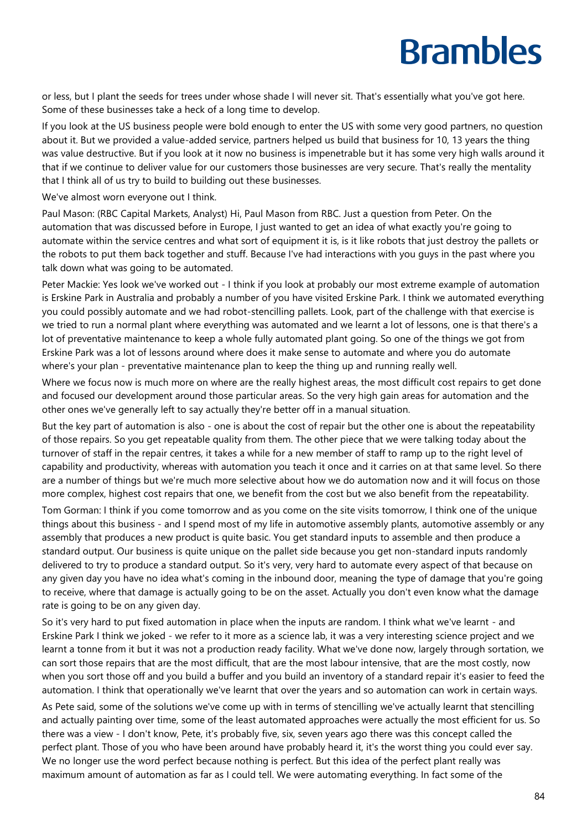or less, but I plant the seeds for trees under whose shade I will never sit. That's essentially what you've got here. Some of these businesses take a heck of a long time to develop.

If you look at the US business people were bold enough to enter the US with some very good partners, no question about it. But we provided a value-added service, partners helped us build that business for 10, 13 years the thing was value destructive. But if you look at it now no business is impenetrable but it has some very high walls around it that if we continue to deliver value for our customers those businesses are very secure. That's really the mentality that I think all of us try to build to building out these businesses.

We've almost worn everyone out I think.

Paul Mason: (RBC Capital Markets, Analyst) Hi, Paul Mason from RBC. Just a question from Peter. On the automation that was discussed before in Europe, I just wanted to get an idea of what exactly you're going to automate within the service centres and what sort of equipment it is, is it like robots that just destroy the pallets or the robots to put them back together and stuff. Because I've had interactions with you guys in the past where you talk down what was going to be automated.

Peter Mackie: Yes look we've worked out - I think if you look at probably our most extreme example of automation is Erskine Park in Australia and probably a number of you have visited Erskine Park. I think we automated everything you could possibly automate and we had robot-stencilling pallets. Look, part of the challenge with that exercise is we tried to run a normal plant where everything was automated and we learnt a lot of lessons, one is that there's a lot of preventative maintenance to keep a whole fully automated plant going. So one of the things we got from Erskine Park was a lot of lessons around where does it make sense to automate and where you do automate where's your plan - preventative maintenance plan to keep the thing up and running really well.

Where we focus now is much more on where are the really highest areas, the most difficult cost repairs to get done and focused our development around those particular areas. So the very high gain areas for automation and the other ones we've generally left to say actually they're better off in a manual situation.

But the key part of automation is also - one is about the cost of repair but the other one is about the repeatability of those repairs. So you get repeatable quality from them. The other piece that we were talking today about the turnover of staff in the repair centres, it takes a while for a new member of staff to ramp up to the right level of capability and productivity, whereas with automation you teach it once and it carries on at that same level. So there are a number of things but we're much more selective about how we do automation now and it will focus on those more complex, highest cost repairs that one, we benefit from the cost but we also benefit from the repeatability.

Tom Gorman: I think if you come tomorrow and as you come on the site visits tomorrow, I think one of the unique things about this business - and I spend most of my life in automotive assembly plants, automotive assembly or any assembly that produces a new product is quite basic. You get standard inputs to assemble and then produce a standard output. Our business is quite unique on the pallet side because you get non-standard inputs randomly delivered to try to produce a standard output. So it's very, very hard to automate every aspect of that because on any given day you have no idea what's coming in the inbound door, meaning the type of damage that you're going to receive, where that damage is actually going to be on the asset. Actually you don't even know what the damage rate is going to be on any given day.

So it's very hard to put fixed automation in place when the inputs are random. I think what we've learnt - and Erskine Park I think we joked - we refer to it more as a science lab, it was a very interesting science project and we learnt a tonne from it but it was not a production ready facility. What we've done now, largely through sortation, we can sort those repairs that are the most difficult, that are the most labour intensive, that are the most costly, now when you sort those off and you build a buffer and you build an inventory of a standard repair it's easier to feed the automation. I think that operationally we've learnt that over the years and so automation can work in certain ways.

As Pete said, some of the solutions we've come up with in terms of stencilling we've actually learnt that stencilling and actually painting over time, some of the least automated approaches were actually the most efficient for us. So there was a view - I don't know, Pete, it's probably five, six, seven years ago there was this concept called the perfect plant. Those of you who have been around have probably heard it, it's the worst thing you could ever say. We no longer use the word perfect because nothing is perfect. But this idea of the perfect plant really was maximum amount of automation as far as I could tell. We were automating everything. In fact some of the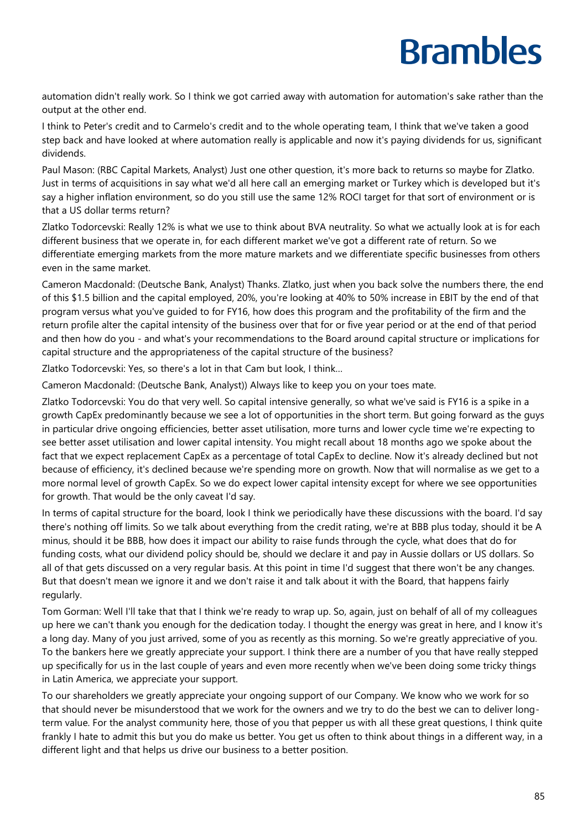automation didn't really work. So I think we got carried away with automation for automation's sake rather than the output at the other end.

I think to Peter's credit and to Carmelo's credit and to the whole operating team, I think that we've taken a good step back and have looked at where automation really is applicable and now it's paying dividends for us, significant dividends.

Paul Mason: (RBC Capital Markets, Analyst) Just one other question, it's more back to returns so maybe for Zlatko. Just in terms of acquisitions in say what we'd all here call an emerging market or Turkey which is developed but it's say a higher inflation environment, so do you still use the same 12% ROCI target for that sort of environment or is that a US dollar terms return?

Zlatko Todorcevski: Really 12% is what we use to think about BVA neutrality. So what we actually look at is for each different business that we operate in, for each different market we've got a different rate of return. So we differentiate emerging markets from the more mature markets and we differentiate specific businesses from others even in the same market.

Cameron Macdonald: (Deutsche Bank, Analyst) Thanks. Zlatko, just when you back solve the numbers there, the end of this \$1.5 billion and the capital employed, 20%, you're looking at 40% to 50% increase in EBIT by the end of that program versus what you've guided to for FY16, how does this program and the profitability of the firm and the return profile alter the capital intensity of the business over that for or five year period or at the end of that period and then how do you - and what's your recommendations to the Board around capital structure or implications for capital structure and the appropriateness of the capital structure of the business?

Zlatko Todorcevski: Yes, so there's a lot in that Cam but look, I think…

Cameron Macdonald: (Deutsche Bank, Analyst)) Always like to keep you on your toes mate.

Zlatko Todorcevski: You do that very well. So capital intensive generally, so what we've said is FY16 is a spike in a growth CapEx predominantly because we see a lot of opportunities in the short term. But going forward as the guys in particular drive ongoing efficiencies, better asset utilisation, more turns and lower cycle time we're expecting to see better asset utilisation and lower capital intensity. You might recall about 18 months ago we spoke about the fact that we expect replacement CapEx as a percentage of total CapEx to decline. Now it's already declined but not because of efficiency, it's declined because we're spending more on growth. Now that will normalise as we get to a more normal level of growth CapEx. So we do expect lower capital intensity except for where we see opportunities for growth. That would be the only caveat I'd say.

In terms of capital structure for the board, look I think we periodically have these discussions with the board. I'd say there's nothing off limits. So we talk about everything from the credit rating, we're at BBB plus today, should it be A minus, should it be BBB, how does it impact our ability to raise funds through the cycle, what does that do for funding costs, what our dividend policy should be, should we declare it and pay in Aussie dollars or US dollars. So all of that gets discussed on a very regular basis. At this point in time I'd suggest that there won't be any changes. But that doesn't mean we ignore it and we don't raise it and talk about it with the Board, that happens fairly regularly.

Tom Gorman: Well I'll take that that I think we're ready to wrap up. So, again, just on behalf of all of my colleagues up here we can't thank you enough for the dedication today. I thought the energy was great in here, and I know it's a long day. Many of you just arrived, some of you as recently as this morning. So we're greatly appreciative of you. To the bankers here we greatly appreciate your support. I think there are a number of you that have really stepped up specifically for us in the last couple of years and even more recently when we've been doing some tricky things in Latin America, we appreciate your support.

To our shareholders we greatly appreciate your ongoing support of our Company. We know who we work for so that should never be misunderstood that we work for the owners and we try to do the best we can to deliver longterm value. For the analyst community here, those of you that pepper us with all these great questions, I think quite frankly I hate to admit this but you do make us better. You get us often to think about things in a different way, in a different light and that helps us drive our business to a better position.